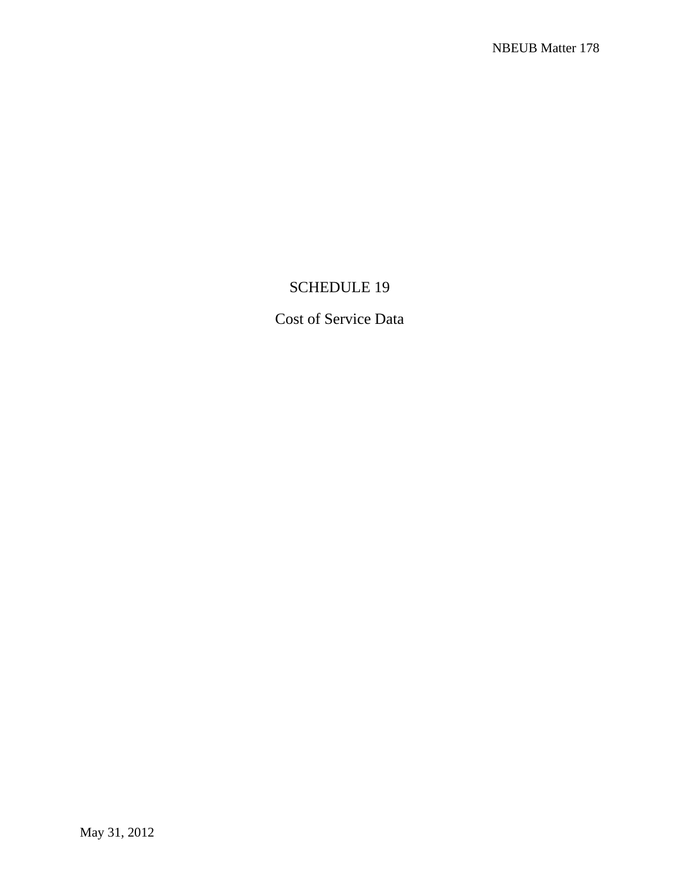## SCHEDULE 19

Cost of Service Data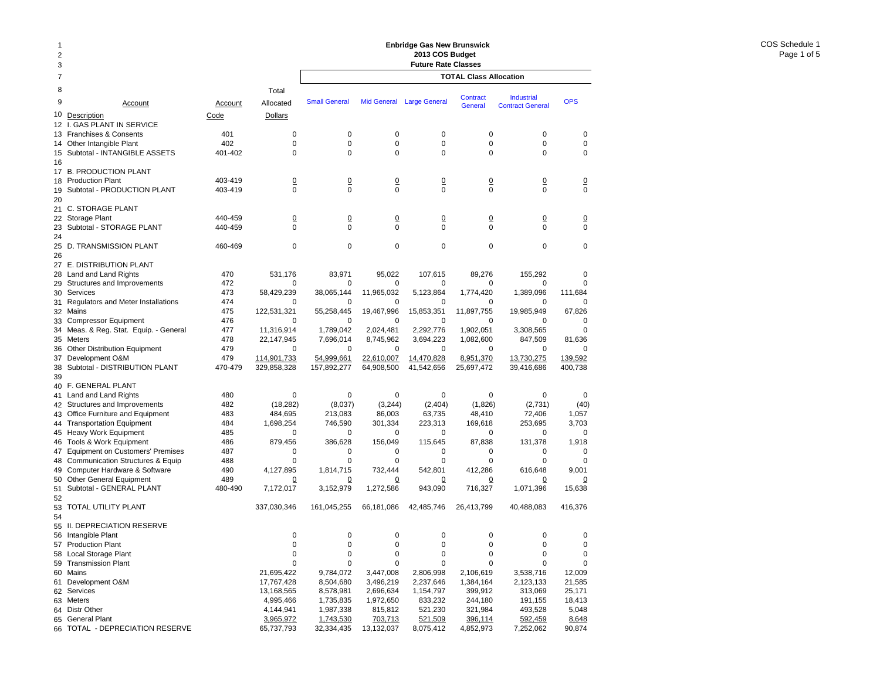| 1<br>2<br>3 |                                                            |                    |                            | <b>Enbridge Gas New Brunswick</b><br>2013 COS Budget<br><b>Future Rate Classes</b> |                            |                            |                               |                                              |                               |  |  |  |
|-------------|------------------------------------------------------------|--------------------|----------------------------|------------------------------------------------------------------------------------|----------------------------|----------------------------|-------------------------------|----------------------------------------------|-------------------------------|--|--|--|
| 7           |                                                            |                    |                            |                                                                                    |                            |                            | <b>TOTAL Class Allocation</b> |                                              |                               |  |  |  |
| 8           |                                                            |                    | Total                      |                                                                                    |                            |                            |                               |                                              |                               |  |  |  |
| 9           | Account                                                    | Account            | Allocated                  | <b>Small General</b>                                                               | <b>Mid General</b>         | <b>Large General</b>       | Contract<br>General           | <b>Industrial</b><br><b>Contract General</b> | <b>OPS</b>                    |  |  |  |
| 10          | Description                                                | Code               | Dollars                    |                                                                                    |                            |                            |                               |                                              |                               |  |  |  |
| 12 I.       | <b>GAS PLANT IN SERVICE</b>                                |                    |                            |                                                                                    |                            |                            |                               |                                              |                               |  |  |  |
|             | 13 Franchises & Consents                                   | 401                | 0                          | 0                                                                                  | $\mathbf 0$                | 0                          | 0                             | 0                                            | 0                             |  |  |  |
| 14          | Other Intangible Plant                                     | 402                | 0                          | 0<br>$\Omega$                                                                      | 0<br>$\Omega$              | $\mathbf 0$<br>0           | 0<br>$\Omega$                 | 0                                            | $\mathbf 0$<br>$\Omega$       |  |  |  |
| 16          | 15 Subtotal - INTANGIBLE ASSETS                            | 401-402            | 0                          |                                                                                    |                            |                            |                               | 0                                            |                               |  |  |  |
|             | 17 B. PRODUCTION PLANT                                     |                    |                            |                                                                                    |                            |                            |                               |                                              |                               |  |  |  |
|             | 18 Production Plant                                        | 403-419            | $\overline{0}$             | $\overline{0}$                                                                     | $\overline{0}$             | $\overline{0}$             | <u>0</u>                      | $\overline{0}$                               | $\overline{0}$                |  |  |  |
| 19          | Subtotal - PRODUCTION PLANT                                | 403-419            | $\mathbf 0$                | $\mathbf 0$                                                                        | 0                          | 0                          | 0                             | 0                                            | $\mathbf 0$                   |  |  |  |
| 20          |                                                            |                    |                            |                                                                                    |                            |                            |                               |                                              |                               |  |  |  |
| 21          | <b>C. STORAGE PLANT</b>                                    |                    |                            |                                                                                    |                            |                            |                               |                                              |                               |  |  |  |
|             | 22 Storage Plant<br>23 Subtotal - STORAGE PLANT            | 440-459<br>440-459 | $\overline{0}$<br>$\Omega$ | $\overline{0}$<br>$\Omega$                                                         | $\overline{0}$<br>$\Omega$ | $\overline{0}$<br>$\Omega$ | $\overline{0}$<br>$\Omega$    | $\overline{0}$<br>$\Omega$                   | $\overline{0}$<br>$\mathbf 0$ |  |  |  |
| 24          |                                                            |                    |                            |                                                                                    |                            |                            |                               |                                              |                               |  |  |  |
| 25          | D. TRANSMISSION PLANT                                      | 460-469            | $\mathbf 0$                | $\mathbf 0$                                                                        | $\mathbf 0$                | $\mathbf 0$                | $\mathbf 0$                   | 0                                            | $\mathbf 0$                   |  |  |  |
| 26          |                                                            |                    |                            |                                                                                    |                            |                            |                               |                                              |                               |  |  |  |
| 27          | <b>E. DISTRIBUTION PLANT</b>                               |                    |                            |                                                                                    |                            |                            |                               |                                              |                               |  |  |  |
|             | 28 Land and Land Rights                                    | 470                | 531,176                    | 83,971                                                                             | 95,022                     | 107,615                    | 89,276                        | 155,292                                      | $\Omega$                      |  |  |  |
| 29          | Structures and Improvements                                | 472                | $\mathbf 0$                | 0                                                                                  | 0                          | 0                          | 0                             | 0                                            | $\Omega$                      |  |  |  |
|             | 30 Services                                                | 473<br>474         | 58,429,239                 | 38,065,144                                                                         | 11,965,032                 | 5,123,864                  | 1,774,420                     | 1,389,096                                    | 111,684                       |  |  |  |
|             | 31 Regulators and Meter Installations<br>32 Mains          | 475                | 0<br>122,531,321           | 0<br>55,258,445                                                                    | 0<br>19,467,996            | 0<br>15,853,351            | 0<br>11,897,755               | 0<br>19,985,949                              | 67,826                        |  |  |  |
|             | 33 Compressor Equipment                                    | 476                | $\Omega$                   | 0                                                                                  | 0                          | 0                          | 0                             | 0                                            | $\Omega$                      |  |  |  |
|             | 34 Meas. & Reg. Stat. Equip. - General                     | 477                | 11,316,914                 | 1,789,042                                                                          | 2,024,481                  | 2,292,776                  | 1,902,051                     | 3,308,565                                    | 0                             |  |  |  |
|             | 35 Meters                                                  | 478                | 22,147,945                 | 7,696,014                                                                          | 8,745,962                  | 3,694,223                  | 1,082,600                     | 847,509                                      | 81,636                        |  |  |  |
|             | 36 Other Distribution Equipment                            | 479                | 0                          | 0                                                                                  | 0                          | 0                          | $\mathbf 0$                   | 0                                            | 0                             |  |  |  |
|             | 37 Development O&M                                         | 479                | 114,901,733                | 54,999,661                                                                         | 22,610,007                 | 14,470,828                 | 8,951,370                     | 13,730,275                                   | 139,592                       |  |  |  |
|             | 38 Subtotal - DISTRIBUTION PLANT                           | 470-479            | 329,858,328                | 157,892,277                                                                        | 64,908,500                 | 41,542,656                 | 25,697,472                    | 39,416,686                                   | 400,738                       |  |  |  |
| 39          |                                                            |                    |                            |                                                                                    |                            |                            |                               |                                              |                               |  |  |  |
|             | 40 F. GENERAL PLANT<br>41 Land and Land Rights             | 480                | 0                          | 0                                                                                  | $\mathbf 0$                | 0                          | 0                             | 0                                            | 0                             |  |  |  |
|             | 42 Structures and Improvements                             | 482                | (18, 282)                  | (8,037)                                                                            | (3, 244)                   | (2,404)                    | (1,826)                       | (2,731)                                      | (40)                          |  |  |  |
|             | 43 Office Furniture and Equipment                          | 483                | 484,695                    | 213,083                                                                            | 86,003                     | 63,735                     | 48,410                        | 72,406                                       | 1,057                         |  |  |  |
|             | 44 Transportation Equipment                                | 484                | 1,698,254                  | 746,590                                                                            | 301,334                    | 223,313                    | 169,618                       | 253,695                                      | 3,703                         |  |  |  |
|             | 45 Heavy Work Equipment                                    | 485                | 0                          | 0                                                                                  | 0                          | 0                          | 0                             | 0                                            |                               |  |  |  |
|             | 46 Tools & Work Equipment                                  | 486                | 879,456                    | 386,628                                                                            | 156,049                    | 115,645                    | 87,838                        | 131,378                                      | 1,918                         |  |  |  |
|             | 47 Equipment on Customers' Premises                        | 487                | $\mathbf 0$                | 0                                                                                  | 0                          | 0                          | 0                             | 0                                            | 0                             |  |  |  |
|             | 48 Communication Structures & Equip                        | 488                | 0                          | $\mathbf 0$                                                                        | 0                          | $\mathbf 0$                | $\mathbf 0$                   | $\Omega$                                     | 0                             |  |  |  |
| 49          | Computer Hardware & Software<br>50 Other General Equipment | 490<br>489         | 4,127,895<br>0             | 1,814,715<br>0                                                                     | 732,444<br>0               | 542,801<br>0               | 412,286<br>0                  | 616,648<br>0                                 | 9,001                         |  |  |  |
| 51          | Subtotal - GENERAL PLANT                                   | 480-490            | 7,172,017                  | 3,152,979                                                                          | 1,272,586                  | 943,090                    | 716,327                       | 1,071,396                                    | 15,638                        |  |  |  |
| 52          |                                                            |                    |                            |                                                                                    |                            |                            |                               |                                              |                               |  |  |  |
| 53          | TOTAL UTILITY PLANT                                        |                    | 337,030,346                | 161,045,255                                                                        | 66,181,086                 | 42,485,746                 | 26,413,799                    | 40,488,083                                   | 416,376                       |  |  |  |
| 54          |                                                            |                    |                            |                                                                                    |                            |                            |                               |                                              |                               |  |  |  |
|             | 55 II. DEPRECIATION RESERVE                                |                    |                            |                                                                                    |                            |                            |                               |                                              |                               |  |  |  |
|             | 56 Intangible Plant                                        |                    | $\Omega$                   | 0                                                                                  | $\Omega$                   | $\Omega$                   | 0                             | 0                                            |                               |  |  |  |
|             | 57 Production Plant<br>58 Local Storage Plant              |                    | 0<br>0                     | $\pmb{0}$<br>0                                                                     | 0<br>0                     | 0<br>0                     | 0<br>0                        | 0<br>0                                       | 0                             |  |  |  |
|             | 59 Transmission Plant                                      |                    | 0                          | 0                                                                                  | 0                          | 0                          | 0                             | 0                                            | 0<br>0                        |  |  |  |
|             | 60 Mains                                                   |                    | 21,695,422                 | 9,784,072                                                                          | 3,447,008                  | 2,806,998                  | 2,106,619                     | 3,538,716                                    | 12,009                        |  |  |  |
|             | 61 Development O&M                                         |                    | 17,767,428                 | 8,504,680                                                                          | 3,496,219                  | 2,237,646                  | 1,384,164                     | 2,123,133                                    | 21,585                        |  |  |  |
|             | 62 Services                                                |                    | 13,168,565                 | 8,578,981                                                                          | 2,696,634                  | 1,154,797                  | 399,912                       | 313,069                                      | 25,171                        |  |  |  |
|             | 63 Meters                                                  |                    | 4,995,466                  | 1,735,835                                                                          | 1,972,650                  | 833,232                    | 244,180                       | 191,155                                      | 18,413                        |  |  |  |
|             | 64 Distr Other                                             |                    | 4,144,941                  | 1,987,338                                                                          | 815,812                    | 521,230                    | 321,984                       | 493,528                                      | 5,048                         |  |  |  |
|             | 65 General Plant                                           |                    | 3,965,972                  | 1,743,530                                                                          | 703,713                    | 521,509                    | 396,114                       | 592,459                                      | 8,648                         |  |  |  |
|             | 66 TOTAL - DEPRECIATION RESERVE                            |                    | 65,737,793                 | 32,334,435                                                                         | 13,132,037                 | 8,075,412                  | 4,852,973                     | 7,252,062                                    | 90,874                        |  |  |  |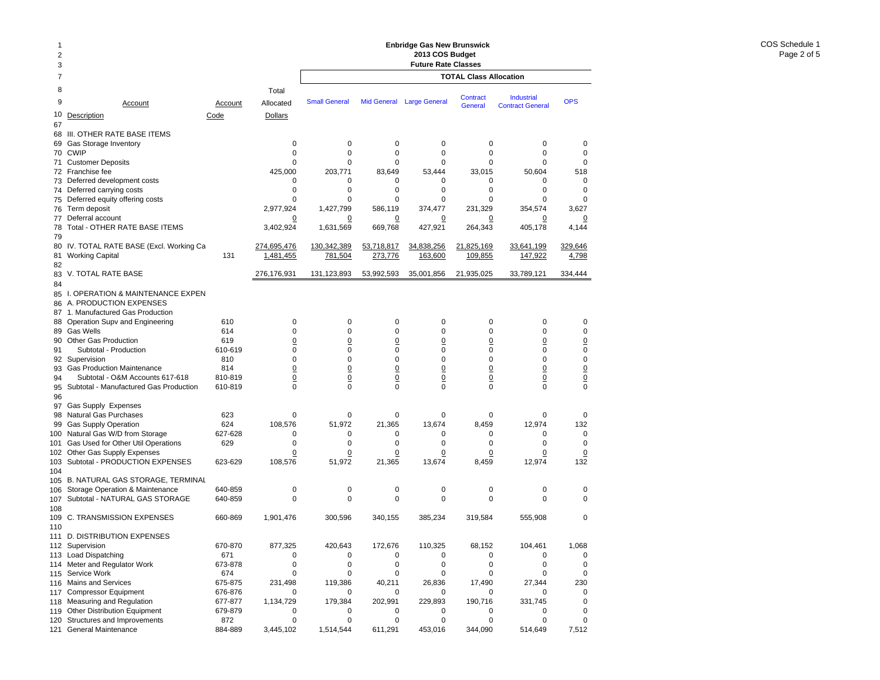| $\overline{7}$<br><b>TOTAL Class Allocation</b><br>8<br>Total<br>Contract<br>Industrial<br><b>Small General</b><br><b>OPS</b><br>9<br>Mid General Large General<br>Allocated<br>Account<br>Account<br><b>General</b><br><b>Contract General</b><br>10<br><b>Description</b><br>Code<br>Dollars<br>67<br>III. OTHER RATE BASE ITEMS<br>68<br>$\mathbf 0$<br>Gas Storage Inventory<br>0<br>0<br>0<br>0<br>0<br>0<br>69<br>0<br>$\mathbf 0$<br>$\mathbf 0$<br>0<br>0<br>$\mathbf 0$<br>$\mathbf 0$<br><b>CWIP</b><br>70<br>$\mathbf 0$<br><b>Customer Deposits</b><br>$\Omega$<br>0<br>$\Omega$<br>$\Omega$<br>0<br>0<br>71<br>33,015<br>50,604<br>Franchise fee<br>425,000<br>203.771<br>83,649<br>53,444<br>518<br>72<br>$\mathbf 0$<br>Deferred development costs<br>0<br>0<br>0<br>0<br>0<br>0<br>73<br>$\mathbf 0$<br>Deferred carrying costs<br>0<br>0<br>0<br>0<br>0<br>0<br>74<br>0<br>$\mathbf 0$<br>$\mathbf 0$<br>0<br>0<br>$\mathbf 0$<br>Deferred equity offering costs<br>0<br>75<br>2,977,924<br>1,427,799<br>586,119<br>374,477<br>231,329<br>3,627<br>Term deposit<br>354,574<br>76<br>Deferral account<br>$\overline{0}$<br>77<br>0<br>$\overline{0}$<br>$\overline{0}$<br>0<br><u>0</u><br>$\overline{0}$<br>Total - OTHER RATE BASE ITEMS<br>3,402,924<br>669,768<br>427,921<br>1,631,569<br>264,343<br>405,178<br>4,144<br>78<br>79<br>80<br>IV. TOTAL RATE BASE (Excl. Working Ca<br>274,695,476<br>130,342,389<br>34,838,256<br>21,825,169<br>33,641,199<br>329,646<br>53,718,817<br>1,481,455<br>781,504<br>163,600<br>109,855<br>147,922<br>81<br><b>Working Capital</b><br>131<br>273,776<br>4,798<br>82<br>V. TOTAL RATE BASE<br>276,176,931<br>131,123,893<br>53,992,593<br>35,001,856<br>21,935,025<br>33,789,121<br>334,444<br>83<br>84<br>I. OPERATION & MAINTENANCE EXPEN<br>85<br>A. PRODUCTION EXPENSES<br>86<br>1. Manufactured Gas Production<br>87<br>Operation Supv and Engineering<br>610<br>0<br>0<br>0<br>0<br>0<br>0<br>0<br>88<br>$\mathbf 0$<br>$\mathbf 0$<br>0<br>0<br>0<br>0<br>0<br><b>Gas Wells</b><br>614<br>89<br>$\underline{0}$<br>Other Gas Production<br>619<br>$\overline{0}$<br>$\overline{0}$<br>$\overline{0}$<br>$\overline{0}$<br>$\overline{0}$<br>$\overline{0}$<br>90<br>$\mathsf{O}\xspace$<br>0<br>0<br>$\mathbf 0$<br>0<br>0<br>$\mathbf 0$<br>Subtotal - Production<br>610-619<br>91<br>$\mathbf 0$<br>$\pmb{0}$<br>0<br>$\mathbf 0$<br>0<br>0<br>$\mathbf 0$<br>92<br>Supervision<br>810<br>$\underline{0}$<br>$\overline{0}$<br>$\overline{0}$<br>$\underline{0}$<br><b>Gas Production Maintenance</b><br>814<br>$\overline{0}$<br>$\overline{0}$<br>$\overline{0}$<br>93<br>$\underline{0}$<br>$\underline{0}$<br>0<br>$\overline{0}$<br>$\underline{0}$<br>94<br>Subtotal - O&M Accounts 617-618<br>810-819<br>$\overline{0}$<br>$\overline{0}$<br>$\mathbf 0$<br>$\Omega$<br>$\mathbf 0$<br>Subtotal - Manufactured Gas Production<br>610-819<br>0<br>0<br>0<br>0<br>95<br>96<br>97<br><b>Gas Supply Expenses</b><br>Natural Gas Purchases<br>$\mathbf 0$<br>623<br>0<br>0<br>0<br>0<br>0<br>0<br>98<br>624<br>51,972<br>21,365<br>13,674<br>8,459<br>12,974<br>132<br><b>Gas Supply Operation</b><br>108,576<br>99<br>Natural Gas W/D from Storage<br>627-628<br>0<br>0<br>0<br>0<br>0<br>0<br>0<br>100<br>629<br>0<br>$\mathbf 0$<br>$\mathbf 0$<br>$\mathbf 0$<br>0<br>$\mathbf 0$<br>$\mathbf 0$<br>Gas Used for Other Util Operations<br>101<br>Other Gas Supply Expenses<br>0<br>$\Omega$<br>$\overline{0}$<br>0<br>0<br>0<br>$\overline{0}$<br>102<br>Subtotal - PRODUCTION EXPENSES<br>108,576<br>51,972<br>21,365<br>132<br>623-629<br>13,674<br>8,459<br>12,974<br>103<br>104<br>B. NATURAL GAS STORAGE, TERMINAL<br>105<br>$\mathbf 0$<br>$\mathbf 0$<br>0<br>0<br>Storage Operation & Maintenance<br>640-859<br>0<br>0<br>0<br>106<br>0<br>$\mathbf 0$<br>$\mathbf 0$<br>0<br>0<br>$\mathbf 0$<br>$\mathbf 0$<br>Subtotal - NATURAL GAS STORAGE<br>640-859<br>107<br>108<br>$\mathbf 0$<br>109<br><b>C. TRANSMISSION EXPENSES</b><br>340,155<br>385,234<br>319,584<br>555,908<br>660-869<br>1,901,476<br>300.596<br>110<br>111 D. DISTRIBUTION EXPENSES<br>112 Supervision<br>670-870<br>877,325<br>420,643<br>172,676<br>110,325<br>68,152<br>104,461<br>1,068<br>113 Load Dispatching<br>671<br>0<br>0<br>0<br>$\mathbf 0$<br>0<br>0<br>0<br>Meter and Regulator Work<br>673-878<br>0<br>$\mathbf 0$<br>$\mathbf 0$<br>$\mathbf 0$<br>0<br>0<br>$\mathbf 0$<br>114<br>Service Work<br>$\mathbf 0$<br>674<br>0<br>0<br>0<br>0<br>0<br>$\mathbf 0$<br>115<br>231,498<br>119,386<br>40,211<br>17,490<br>230<br><b>Mains and Services</b><br>675-875<br>26,836<br>27,344<br>116<br><b>Compressor Equipment</b><br>676-876<br>0<br>0<br>0<br>0<br>0<br>0<br>$\Omega$<br>117<br>Measuring and Regulation<br>1,134,729<br>179,384<br>202,991<br>229,893<br>190,716<br>331,745<br>677-877<br>$\mathbf 0$<br>118<br><b>Other Distribution Equipment</b><br>679-879<br>0<br>0<br>0<br>0<br>0<br>0<br>119<br>0<br>Structures and Improvements<br>0<br>0<br>0<br>0<br>0<br>0<br>0 | 1<br>$\overline{2}$<br>3 |     | <b>Enbridge Gas New Brunswick</b><br>2013 COS Budget<br><b>Future Rate Classes</b> |  |  |  |  |  |  |  |
|-----------------------------------------------------------------------------------------------------------------------------------------------------------------------------------------------------------------------------------------------------------------------------------------------------------------------------------------------------------------------------------------------------------------------------------------------------------------------------------------------------------------------------------------------------------------------------------------------------------------------------------------------------------------------------------------------------------------------------------------------------------------------------------------------------------------------------------------------------------------------------------------------------------------------------------------------------------------------------------------------------------------------------------------------------------------------------------------------------------------------------------------------------------------------------------------------------------------------------------------------------------------------------------------------------------------------------------------------------------------------------------------------------------------------------------------------------------------------------------------------------------------------------------------------------------------------------------------------------------------------------------------------------------------------------------------------------------------------------------------------------------------------------------------------------------------------------------------------------------------------------------------------------------------------------------------------------------------------------------------------------------------------------------------------------------------------------------------------------------------------------------------------------------------------------------------------------------------------------------------------------------------------------------------------------------------------------------------------------------------------------------------------------------------------------------------------------------------------------------------------------------------------------------------------------------------------------------------------------------------------------------------------------------------------------------------------------------------------------------------------------------------------------------------------------------------------------------------------------------------------------------------------------------------------------------------------------------------------------------------------------------------------------------------------------------------------------------------------------------------------------------------------------------------------------------------------------------------------------------------------------------------------------------------------------------------------------------------------------------------------------------------------------------------------------------------------------------------------------------------------------------------------------------------------------------------------------------------------------------------------------------------------------------------------------------------------------------------------------------------------------------------------------------------------------------------------------------------------------------------------------------------------------------------------------------------------------------------------------------------------------------------------------------------------------------------------------------------------------------------------------------------------------------------------------------------------------------------------------------------------------------------------------------------------------------------------------------------------------------------------------------------------------------------------------------------------------------------------------------------------------------------------------------------------------------------------------------------------------------------------------------------------------------------------------------------------------------------------------------------------------------------------------------------------------------------------------------------------------------------------------------------------------------------------------------------------------------------------------------------------------------------------------------------------------------|--------------------------|-----|------------------------------------------------------------------------------------|--|--|--|--|--|--|--|
|                                                                                                                                                                                                                                                                                                                                                                                                                                                                                                                                                                                                                                                                                                                                                                                                                                                                                                                                                                                                                                                                                                                                                                                                                                                                                                                                                                                                                                                                                                                                                                                                                                                                                                                                                                                                                                                                                                                                                                                                                                                                                                                                                                                                                                                                                                                                                                                                                                                                                                                                                                                                                                                                                                                                                                                                                                                                                                                                                                                                                                                                                                                                                                                                                                                                                                                                                                                                                                                                                                                                                                                                                                                                                                                                                                                                                                                                                                                                                                                                                                                                                                                                                                                                                                                                                                                                                                                                                                                                                                                                                                                                                                                                                                                                                                                                                                                                                                                                                                                                                                                           |                          |     |                                                                                    |  |  |  |  |  |  |  |
|                                                                                                                                                                                                                                                                                                                                                                                                                                                                                                                                                                                                                                                                                                                                                                                                                                                                                                                                                                                                                                                                                                                                                                                                                                                                                                                                                                                                                                                                                                                                                                                                                                                                                                                                                                                                                                                                                                                                                                                                                                                                                                                                                                                                                                                                                                                                                                                                                                                                                                                                                                                                                                                                                                                                                                                                                                                                                                                                                                                                                                                                                                                                                                                                                                                                                                                                                                                                                                                                                                                                                                                                                                                                                                                                                                                                                                                                                                                                                                                                                                                                                                                                                                                                                                                                                                                                                                                                                                                                                                                                                                                                                                                                                                                                                                                                                                                                                                                                                                                                                                                           |                          |     |                                                                                    |  |  |  |  |  |  |  |
|                                                                                                                                                                                                                                                                                                                                                                                                                                                                                                                                                                                                                                                                                                                                                                                                                                                                                                                                                                                                                                                                                                                                                                                                                                                                                                                                                                                                                                                                                                                                                                                                                                                                                                                                                                                                                                                                                                                                                                                                                                                                                                                                                                                                                                                                                                                                                                                                                                                                                                                                                                                                                                                                                                                                                                                                                                                                                                                                                                                                                                                                                                                                                                                                                                                                                                                                                                                                                                                                                                                                                                                                                                                                                                                                                                                                                                                                                                                                                                                                                                                                                                                                                                                                                                                                                                                                                                                                                                                                                                                                                                                                                                                                                                                                                                                                                                                                                                                                                                                                                                                           |                          |     |                                                                                    |  |  |  |  |  |  |  |
|                                                                                                                                                                                                                                                                                                                                                                                                                                                                                                                                                                                                                                                                                                                                                                                                                                                                                                                                                                                                                                                                                                                                                                                                                                                                                                                                                                                                                                                                                                                                                                                                                                                                                                                                                                                                                                                                                                                                                                                                                                                                                                                                                                                                                                                                                                                                                                                                                                                                                                                                                                                                                                                                                                                                                                                                                                                                                                                                                                                                                                                                                                                                                                                                                                                                                                                                                                                                                                                                                                                                                                                                                                                                                                                                                                                                                                                                                                                                                                                                                                                                                                                                                                                                                                                                                                                                                                                                                                                                                                                                                                                                                                                                                                                                                                                                                                                                                                                                                                                                                                                           |                          |     |                                                                                    |  |  |  |  |  |  |  |
|                                                                                                                                                                                                                                                                                                                                                                                                                                                                                                                                                                                                                                                                                                                                                                                                                                                                                                                                                                                                                                                                                                                                                                                                                                                                                                                                                                                                                                                                                                                                                                                                                                                                                                                                                                                                                                                                                                                                                                                                                                                                                                                                                                                                                                                                                                                                                                                                                                                                                                                                                                                                                                                                                                                                                                                                                                                                                                                                                                                                                                                                                                                                                                                                                                                                                                                                                                                                                                                                                                                                                                                                                                                                                                                                                                                                                                                                                                                                                                                                                                                                                                                                                                                                                                                                                                                                                                                                                                                                                                                                                                                                                                                                                                                                                                                                                                                                                                                                                                                                                                                           |                          |     |                                                                                    |  |  |  |  |  |  |  |
|                                                                                                                                                                                                                                                                                                                                                                                                                                                                                                                                                                                                                                                                                                                                                                                                                                                                                                                                                                                                                                                                                                                                                                                                                                                                                                                                                                                                                                                                                                                                                                                                                                                                                                                                                                                                                                                                                                                                                                                                                                                                                                                                                                                                                                                                                                                                                                                                                                                                                                                                                                                                                                                                                                                                                                                                                                                                                                                                                                                                                                                                                                                                                                                                                                                                                                                                                                                                                                                                                                                                                                                                                                                                                                                                                                                                                                                                                                                                                                                                                                                                                                                                                                                                                                                                                                                                                                                                                                                                                                                                                                                                                                                                                                                                                                                                                                                                                                                                                                                                                                                           |                          |     |                                                                                    |  |  |  |  |  |  |  |
|                                                                                                                                                                                                                                                                                                                                                                                                                                                                                                                                                                                                                                                                                                                                                                                                                                                                                                                                                                                                                                                                                                                                                                                                                                                                                                                                                                                                                                                                                                                                                                                                                                                                                                                                                                                                                                                                                                                                                                                                                                                                                                                                                                                                                                                                                                                                                                                                                                                                                                                                                                                                                                                                                                                                                                                                                                                                                                                                                                                                                                                                                                                                                                                                                                                                                                                                                                                                                                                                                                                                                                                                                                                                                                                                                                                                                                                                                                                                                                                                                                                                                                                                                                                                                                                                                                                                                                                                                                                                                                                                                                                                                                                                                                                                                                                                                                                                                                                                                                                                                                                           |                          |     |                                                                                    |  |  |  |  |  |  |  |
|                                                                                                                                                                                                                                                                                                                                                                                                                                                                                                                                                                                                                                                                                                                                                                                                                                                                                                                                                                                                                                                                                                                                                                                                                                                                                                                                                                                                                                                                                                                                                                                                                                                                                                                                                                                                                                                                                                                                                                                                                                                                                                                                                                                                                                                                                                                                                                                                                                                                                                                                                                                                                                                                                                                                                                                                                                                                                                                                                                                                                                                                                                                                                                                                                                                                                                                                                                                                                                                                                                                                                                                                                                                                                                                                                                                                                                                                                                                                                                                                                                                                                                                                                                                                                                                                                                                                                                                                                                                                                                                                                                                                                                                                                                                                                                                                                                                                                                                                                                                                                                                           |                          |     |                                                                                    |  |  |  |  |  |  |  |
|                                                                                                                                                                                                                                                                                                                                                                                                                                                                                                                                                                                                                                                                                                                                                                                                                                                                                                                                                                                                                                                                                                                                                                                                                                                                                                                                                                                                                                                                                                                                                                                                                                                                                                                                                                                                                                                                                                                                                                                                                                                                                                                                                                                                                                                                                                                                                                                                                                                                                                                                                                                                                                                                                                                                                                                                                                                                                                                                                                                                                                                                                                                                                                                                                                                                                                                                                                                                                                                                                                                                                                                                                                                                                                                                                                                                                                                                                                                                                                                                                                                                                                                                                                                                                                                                                                                                                                                                                                                                                                                                                                                                                                                                                                                                                                                                                                                                                                                                                                                                                                                           |                          |     |                                                                                    |  |  |  |  |  |  |  |
|                                                                                                                                                                                                                                                                                                                                                                                                                                                                                                                                                                                                                                                                                                                                                                                                                                                                                                                                                                                                                                                                                                                                                                                                                                                                                                                                                                                                                                                                                                                                                                                                                                                                                                                                                                                                                                                                                                                                                                                                                                                                                                                                                                                                                                                                                                                                                                                                                                                                                                                                                                                                                                                                                                                                                                                                                                                                                                                                                                                                                                                                                                                                                                                                                                                                                                                                                                                                                                                                                                                                                                                                                                                                                                                                                                                                                                                                                                                                                                                                                                                                                                                                                                                                                                                                                                                                                                                                                                                                                                                                                                                                                                                                                                                                                                                                                                                                                                                                                                                                                                                           |                          |     |                                                                                    |  |  |  |  |  |  |  |
|                                                                                                                                                                                                                                                                                                                                                                                                                                                                                                                                                                                                                                                                                                                                                                                                                                                                                                                                                                                                                                                                                                                                                                                                                                                                                                                                                                                                                                                                                                                                                                                                                                                                                                                                                                                                                                                                                                                                                                                                                                                                                                                                                                                                                                                                                                                                                                                                                                                                                                                                                                                                                                                                                                                                                                                                                                                                                                                                                                                                                                                                                                                                                                                                                                                                                                                                                                                                                                                                                                                                                                                                                                                                                                                                                                                                                                                                                                                                                                                                                                                                                                                                                                                                                                                                                                                                                                                                                                                                                                                                                                                                                                                                                                                                                                                                                                                                                                                                                                                                                                                           |                          |     |                                                                                    |  |  |  |  |  |  |  |
|                                                                                                                                                                                                                                                                                                                                                                                                                                                                                                                                                                                                                                                                                                                                                                                                                                                                                                                                                                                                                                                                                                                                                                                                                                                                                                                                                                                                                                                                                                                                                                                                                                                                                                                                                                                                                                                                                                                                                                                                                                                                                                                                                                                                                                                                                                                                                                                                                                                                                                                                                                                                                                                                                                                                                                                                                                                                                                                                                                                                                                                                                                                                                                                                                                                                                                                                                                                                                                                                                                                                                                                                                                                                                                                                                                                                                                                                                                                                                                                                                                                                                                                                                                                                                                                                                                                                                                                                                                                                                                                                                                                                                                                                                                                                                                                                                                                                                                                                                                                                                                                           |                          |     |                                                                                    |  |  |  |  |  |  |  |
|                                                                                                                                                                                                                                                                                                                                                                                                                                                                                                                                                                                                                                                                                                                                                                                                                                                                                                                                                                                                                                                                                                                                                                                                                                                                                                                                                                                                                                                                                                                                                                                                                                                                                                                                                                                                                                                                                                                                                                                                                                                                                                                                                                                                                                                                                                                                                                                                                                                                                                                                                                                                                                                                                                                                                                                                                                                                                                                                                                                                                                                                                                                                                                                                                                                                                                                                                                                                                                                                                                                                                                                                                                                                                                                                                                                                                                                                                                                                                                                                                                                                                                                                                                                                                                                                                                                                                                                                                                                                                                                                                                                                                                                                                                                                                                                                                                                                                                                                                                                                                                                           |                          |     |                                                                                    |  |  |  |  |  |  |  |
|                                                                                                                                                                                                                                                                                                                                                                                                                                                                                                                                                                                                                                                                                                                                                                                                                                                                                                                                                                                                                                                                                                                                                                                                                                                                                                                                                                                                                                                                                                                                                                                                                                                                                                                                                                                                                                                                                                                                                                                                                                                                                                                                                                                                                                                                                                                                                                                                                                                                                                                                                                                                                                                                                                                                                                                                                                                                                                                                                                                                                                                                                                                                                                                                                                                                                                                                                                                                                                                                                                                                                                                                                                                                                                                                                                                                                                                                                                                                                                                                                                                                                                                                                                                                                                                                                                                                                                                                                                                                                                                                                                                                                                                                                                                                                                                                                                                                                                                                                                                                                                                           |                          |     |                                                                                    |  |  |  |  |  |  |  |
|                                                                                                                                                                                                                                                                                                                                                                                                                                                                                                                                                                                                                                                                                                                                                                                                                                                                                                                                                                                                                                                                                                                                                                                                                                                                                                                                                                                                                                                                                                                                                                                                                                                                                                                                                                                                                                                                                                                                                                                                                                                                                                                                                                                                                                                                                                                                                                                                                                                                                                                                                                                                                                                                                                                                                                                                                                                                                                                                                                                                                                                                                                                                                                                                                                                                                                                                                                                                                                                                                                                                                                                                                                                                                                                                                                                                                                                                                                                                                                                                                                                                                                                                                                                                                                                                                                                                                                                                                                                                                                                                                                                                                                                                                                                                                                                                                                                                                                                                                                                                                                                           |                          |     |                                                                                    |  |  |  |  |  |  |  |
|                                                                                                                                                                                                                                                                                                                                                                                                                                                                                                                                                                                                                                                                                                                                                                                                                                                                                                                                                                                                                                                                                                                                                                                                                                                                                                                                                                                                                                                                                                                                                                                                                                                                                                                                                                                                                                                                                                                                                                                                                                                                                                                                                                                                                                                                                                                                                                                                                                                                                                                                                                                                                                                                                                                                                                                                                                                                                                                                                                                                                                                                                                                                                                                                                                                                                                                                                                                                                                                                                                                                                                                                                                                                                                                                                                                                                                                                                                                                                                                                                                                                                                                                                                                                                                                                                                                                                                                                                                                                                                                                                                                                                                                                                                                                                                                                                                                                                                                                                                                                                                                           |                          |     |                                                                                    |  |  |  |  |  |  |  |
|                                                                                                                                                                                                                                                                                                                                                                                                                                                                                                                                                                                                                                                                                                                                                                                                                                                                                                                                                                                                                                                                                                                                                                                                                                                                                                                                                                                                                                                                                                                                                                                                                                                                                                                                                                                                                                                                                                                                                                                                                                                                                                                                                                                                                                                                                                                                                                                                                                                                                                                                                                                                                                                                                                                                                                                                                                                                                                                                                                                                                                                                                                                                                                                                                                                                                                                                                                                                                                                                                                                                                                                                                                                                                                                                                                                                                                                                                                                                                                                                                                                                                                                                                                                                                                                                                                                                                                                                                                                                                                                                                                                                                                                                                                                                                                                                                                                                                                                                                                                                                                                           |                          |     |                                                                                    |  |  |  |  |  |  |  |
|                                                                                                                                                                                                                                                                                                                                                                                                                                                                                                                                                                                                                                                                                                                                                                                                                                                                                                                                                                                                                                                                                                                                                                                                                                                                                                                                                                                                                                                                                                                                                                                                                                                                                                                                                                                                                                                                                                                                                                                                                                                                                                                                                                                                                                                                                                                                                                                                                                                                                                                                                                                                                                                                                                                                                                                                                                                                                                                                                                                                                                                                                                                                                                                                                                                                                                                                                                                                                                                                                                                                                                                                                                                                                                                                                                                                                                                                                                                                                                                                                                                                                                                                                                                                                                                                                                                                                                                                                                                                                                                                                                                                                                                                                                                                                                                                                                                                                                                                                                                                                                                           |                          |     |                                                                                    |  |  |  |  |  |  |  |
|                                                                                                                                                                                                                                                                                                                                                                                                                                                                                                                                                                                                                                                                                                                                                                                                                                                                                                                                                                                                                                                                                                                                                                                                                                                                                                                                                                                                                                                                                                                                                                                                                                                                                                                                                                                                                                                                                                                                                                                                                                                                                                                                                                                                                                                                                                                                                                                                                                                                                                                                                                                                                                                                                                                                                                                                                                                                                                                                                                                                                                                                                                                                                                                                                                                                                                                                                                                                                                                                                                                                                                                                                                                                                                                                                                                                                                                                                                                                                                                                                                                                                                                                                                                                                                                                                                                                                                                                                                                                                                                                                                                                                                                                                                                                                                                                                                                                                                                                                                                                                                                           |                          |     |                                                                                    |  |  |  |  |  |  |  |
|                                                                                                                                                                                                                                                                                                                                                                                                                                                                                                                                                                                                                                                                                                                                                                                                                                                                                                                                                                                                                                                                                                                                                                                                                                                                                                                                                                                                                                                                                                                                                                                                                                                                                                                                                                                                                                                                                                                                                                                                                                                                                                                                                                                                                                                                                                                                                                                                                                                                                                                                                                                                                                                                                                                                                                                                                                                                                                                                                                                                                                                                                                                                                                                                                                                                                                                                                                                                                                                                                                                                                                                                                                                                                                                                                                                                                                                                                                                                                                                                                                                                                                                                                                                                                                                                                                                                                                                                                                                                                                                                                                                                                                                                                                                                                                                                                                                                                                                                                                                                                                                           |                          |     |                                                                                    |  |  |  |  |  |  |  |
|                                                                                                                                                                                                                                                                                                                                                                                                                                                                                                                                                                                                                                                                                                                                                                                                                                                                                                                                                                                                                                                                                                                                                                                                                                                                                                                                                                                                                                                                                                                                                                                                                                                                                                                                                                                                                                                                                                                                                                                                                                                                                                                                                                                                                                                                                                                                                                                                                                                                                                                                                                                                                                                                                                                                                                                                                                                                                                                                                                                                                                                                                                                                                                                                                                                                                                                                                                                                                                                                                                                                                                                                                                                                                                                                                                                                                                                                                                                                                                                                                                                                                                                                                                                                                                                                                                                                                                                                                                                                                                                                                                                                                                                                                                                                                                                                                                                                                                                                                                                                                                                           |                          |     |                                                                                    |  |  |  |  |  |  |  |
|                                                                                                                                                                                                                                                                                                                                                                                                                                                                                                                                                                                                                                                                                                                                                                                                                                                                                                                                                                                                                                                                                                                                                                                                                                                                                                                                                                                                                                                                                                                                                                                                                                                                                                                                                                                                                                                                                                                                                                                                                                                                                                                                                                                                                                                                                                                                                                                                                                                                                                                                                                                                                                                                                                                                                                                                                                                                                                                                                                                                                                                                                                                                                                                                                                                                                                                                                                                                                                                                                                                                                                                                                                                                                                                                                                                                                                                                                                                                                                                                                                                                                                                                                                                                                                                                                                                                                                                                                                                                                                                                                                                                                                                                                                                                                                                                                                                                                                                                                                                                                                                           |                          |     |                                                                                    |  |  |  |  |  |  |  |
|                                                                                                                                                                                                                                                                                                                                                                                                                                                                                                                                                                                                                                                                                                                                                                                                                                                                                                                                                                                                                                                                                                                                                                                                                                                                                                                                                                                                                                                                                                                                                                                                                                                                                                                                                                                                                                                                                                                                                                                                                                                                                                                                                                                                                                                                                                                                                                                                                                                                                                                                                                                                                                                                                                                                                                                                                                                                                                                                                                                                                                                                                                                                                                                                                                                                                                                                                                                                                                                                                                                                                                                                                                                                                                                                                                                                                                                                                                                                                                                                                                                                                                                                                                                                                                                                                                                                                                                                                                                                                                                                                                                                                                                                                                                                                                                                                                                                                                                                                                                                                                                           |                          |     |                                                                                    |  |  |  |  |  |  |  |
|                                                                                                                                                                                                                                                                                                                                                                                                                                                                                                                                                                                                                                                                                                                                                                                                                                                                                                                                                                                                                                                                                                                                                                                                                                                                                                                                                                                                                                                                                                                                                                                                                                                                                                                                                                                                                                                                                                                                                                                                                                                                                                                                                                                                                                                                                                                                                                                                                                                                                                                                                                                                                                                                                                                                                                                                                                                                                                                                                                                                                                                                                                                                                                                                                                                                                                                                                                                                                                                                                                                                                                                                                                                                                                                                                                                                                                                                                                                                                                                                                                                                                                                                                                                                                                                                                                                                                                                                                                                                                                                                                                                                                                                                                                                                                                                                                                                                                                                                                                                                                                                           |                          |     |                                                                                    |  |  |  |  |  |  |  |
|                                                                                                                                                                                                                                                                                                                                                                                                                                                                                                                                                                                                                                                                                                                                                                                                                                                                                                                                                                                                                                                                                                                                                                                                                                                                                                                                                                                                                                                                                                                                                                                                                                                                                                                                                                                                                                                                                                                                                                                                                                                                                                                                                                                                                                                                                                                                                                                                                                                                                                                                                                                                                                                                                                                                                                                                                                                                                                                                                                                                                                                                                                                                                                                                                                                                                                                                                                                                                                                                                                                                                                                                                                                                                                                                                                                                                                                                                                                                                                                                                                                                                                                                                                                                                                                                                                                                                                                                                                                                                                                                                                                                                                                                                                                                                                                                                                                                                                                                                                                                                                                           |                          |     |                                                                                    |  |  |  |  |  |  |  |
|                                                                                                                                                                                                                                                                                                                                                                                                                                                                                                                                                                                                                                                                                                                                                                                                                                                                                                                                                                                                                                                                                                                                                                                                                                                                                                                                                                                                                                                                                                                                                                                                                                                                                                                                                                                                                                                                                                                                                                                                                                                                                                                                                                                                                                                                                                                                                                                                                                                                                                                                                                                                                                                                                                                                                                                                                                                                                                                                                                                                                                                                                                                                                                                                                                                                                                                                                                                                                                                                                                                                                                                                                                                                                                                                                                                                                                                                                                                                                                                                                                                                                                                                                                                                                                                                                                                                                                                                                                                                                                                                                                                                                                                                                                                                                                                                                                                                                                                                                                                                                                                           |                          |     |                                                                                    |  |  |  |  |  |  |  |
|                                                                                                                                                                                                                                                                                                                                                                                                                                                                                                                                                                                                                                                                                                                                                                                                                                                                                                                                                                                                                                                                                                                                                                                                                                                                                                                                                                                                                                                                                                                                                                                                                                                                                                                                                                                                                                                                                                                                                                                                                                                                                                                                                                                                                                                                                                                                                                                                                                                                                                                                                                                                                                                                                                                                                                                                                                                                                                                                                                                                                                                                                                                                                                                                                                                                                                                                                                                                                                                                                                                                                                                                                                                                                                                                                                                                                                                                                                                                                                                                                                                                                                                                                                                                                                                                                                                                                                                                                                                                                                                                                                                                                                                                                                                                                                                                                                                                                                                                                                                                                                                           |                          |     |                                                                                    |  |  |  |  |  |  |  |
|                                                                                                                                                                                                                                                                                                                                                                                                                                                                                                                                                                                                                                                                                                                                                                                                                                                                                                                                                                                                                                                                                                                                                                                                                                                                                                                                                                                                                                                                                                                                                                                                                                                                                                                                                                                                                                                                                                                                                                                                                                                                                                                                                                                                                                                                                                                                                                                                                                                                                                                                                                                                                                                                                                                                                                                                                                                                                                                                                                                                                                                                                                                                                                                                                                                                                                                                                                                                                                                                                                                                                                                                                                                                                                                                                                                                                                                                                                                                                                                                                                                                                                                                                                                                                                                                                                                                                                                                                                                                                                                                                                                                                                                                                                                                                                                                                                                                                                                                                                                                                                                           |                          |     |                                                                                    |  |  |  |  |  |  |  |
|                                                                                                                                                                                                                                                                                                                                                                                                                                                                                                                                                                                                                                                                                                                                                                                                                                                                                                                                                                                                                                                                                                                                                                                                                                                                                                                                                                                                                                                                                                                                                                                                                                                                                                                                                                                                                                                                                                                                                                                                                                                                                                                                                                                                                                                                                                                                                                                                                                                                                                                                                                                                                                                                                                                                                                                                                                                                                                                                                                                                                                                                                                                                                                                                                                                                                                                                                                                                                                                                                                                                                                                                                                                                                                                                                                                                                                                                                                                                                                                                                                                                                                                                                                                                                                                                                                                                                                                                                                                                                                                                                                                                                                                                                                                                                                                                                                                                                                                                                                                                                                                           |                          |     |                                                                                    |  |  |  |  |  |  |  |
|                                                                                                                                                                                                                                                                                                                                                                                                                                                                                                                                                                                                                                                                                                                                                                                                                                                                                                                                                                                                                                                                                                                                                                                                                                                                                                                                                                                                                                                                                                                                                                                                                                                                                                                                                                                                                                                                                                                                                                                                                                                                                                                                                                                                                                                                                                                                                                                                                                                                                                                                                                                                                                                                                                                                                                                                                                                                                                                                                                                                                                                                                                                                                                                                                                                                                                                                                                                                                                                                                                                                                                                                                                                                                                                                                                                                                                                                                                                                                                                                                                                                                                                                                                                                                                                                                                                                                                                                                                                                                                                                                                                                                                                                                                                                                                                                                                                                                                                                                                                                                                                           |                          |     |                                                                                    |  |  |  |  |  |  |  |
|                                                                                                                                                                                                                                                                                                                                                                                                                                                                                                                                                                                                                                                                                                                                                                                                                                                                                                                                                                                                                                                                                                                                                                                                                                                                                                                                                                                                                                                                                                                                                                                                                                                                                                                                                                                                                                                                                                                                                                                                                                                                                                                                                                                                                                                                                                                                                                                                                                                                                                                                                                                                                                                                                                                                                                                                                                                                                                                                                                                                                                                                                                                                                                                                                                                                                                                                                                                                                                                                                                                                                                                                                                                                                                                                                                                                                                                                                                                                                                                                                                                                                                                                                                                                                                                                                                                                                                                                                                                                                                                                                                                                                                                                                                                                                                                                                                                                                                                                                                                                                                                           |                          |     |                                                                                    |  |  |  |  |  |  |  |
|                                                                                                                                                                                                                                                                                                                                                                                                                                                                                                                                                                                                                                                                                                                                                                                                                                                                                                                                                                                                                                                                                                                                                                                                                                                                                                                                                                                                                                                                                                                                                                                                                                                                                                                                                                                                                                                                                                                                                                                                                                                                                                                                                                                                                                                                                                                                                                                                                                                                                                                                                                                                                                                                                                                                                                                                                                                                                                                                                                                                                                                                                                                                                                                                                                                                                                                                                                                                                                                                                                                                                                                                                                                                                                                                                                                                                                                                                                                                                                                                                                                                                                                                                                                                                                                                                                                                                                                                                                                                                                                                                                                                                                                                                                                                                                                                                                                                                                                                                                                                                                                           |                          |     |                                                                                    |  |  |  |  |  |  |  |
|                                                                                                                                                                                                                                                                                                                                                                                                                                                                                                                                                                                                                                                                                                                                                                                                                                                                                                                                                                                                                                                                                                                                                                                                                                                                                                                                                                                                                                                                                                                                                                                                                                                                                                                                                                                                                                                                                                                                                                                                                                                                                                                                                                                                                                                                                                                                                                                                                                                                                                                                                                                                                                                                                                                                                                                                                                                                                                                                                                                                                                                                                                                                                                                                                                                                                                                                                                                                                                                                                                                                                                                                                                                                                                                                                                                                                                                                                                                                                                                                                                                                                                                                                                                                                                                                                                                                                                                                                                                                                                                                                                                                                                                                                                                                                                                                                                                                                                                                                                                                                                                           |                          |     |                                                                                    |  |  |  |  |  |  |  |
|                                                                                                                                                                                                                                                                                                                                                                                                                                                                                                                                                                                                                                                                                                                                                                                                                                                                                                                                                                                                                                                                                                                                                                                                                                                                                                                                                                                                                                                                                                                                                                                                                                                                                                                                                                                                                                                                                                                                                                                                                                                                                                                                                                                                                                                                                                                                                                                                                                                                                                                                                                                                                                                                                                                                                                                                                                                                                                                                                                                                                                                                                                                                                                                                                                                                                                                                                                                                                                                                                                                                                                                                                                                                                                                                                                                                                                                                                                                                                                                                                                                                                                                                                                                                                                                                                                                                                                                                                                                                                                                                                                                                                                                                                                                                                                                                                                                                                                                                                                                                                                                           |                          |     |                                                                                    |  |  |  |  |  |  |  |
|                                                                                                                                                                                                                                                                                                                                                                                                                                                                                                                                                                                                                                                                                                                                                                                                                                                                                                                                                                                                                                                                                                                                                                                                                                                                                                                                                                                                                                                                                                                                                                                                                                                                                                                                                                                                                                                                                                                                                                                                                                                                                                                                                                                                                                                                                                                                                                                                                                                                                                                                                                                                                                                                                                                                                                                                                                                                                                                                                                                                                                                                                                                                                                                                                                                                                                                                                                                                                                                                                                                                                                                                                                                                                                                                                                                                                                                                                                                                                                                                                                                                                                                                                                                                                                                                                                                                                                                                                                                                                                                                                                                                                                                                                                                                                                                                                                                                                                                                                                                                                                                           |                          |     |                                                                                    |  |  |  |  |  |  |  |
|                                                                                                                                                                                                                                                                                                                                                                                                                                                                                                                                                                                                                                                                                                                                                                                                                                                                                                                                                                                                                                                                                                                                                                                                                                                                                                                                                                                                                                                                                                                                                                                                                                                                                                                                                                                                                                                                                                                                                                                                                                                                                                                                                                                                                                                                                                                                                                                                                                                                                                                                                                                                                                                                                                                                                                                                                                                                                                                                                                                                                                                                                                                                                                                                                                                                                                                                                                                                                                                                                                                                                                                                                                                                                                                                                                                                                                                                                                                                                                                                                                                                                                                                                                                                                                                                                                                                                                                                                                                                                                                                                                                                                                                                                                                                                                                                                                                                                                                                                                                                                                                           |                          |     |                                                                                    |  |  |  |  |  |  |  |
|                                                                                                                                                                                                                                                                                                                                                                                                                                                                                                                                                                                                                                                                                                                                                                                                                                                                                                                                                                                                                                                                                                                                                                                                                                                                                                                                                                                                                                                                                                                                                                                                                                                                                                                                                                                                                                                                                                                                                                                                                                                                                                                                                                                                                                                                                                                                                                                                                                                                                                                                                                                                                                                                                                                                                                                                                                                                                                                                                                                                                                                                                                                                                                                                                                                                                                                                                                                                                                                                                                                                                                                                                                                                                                                                                                                                                                                                                                                                                                                                                                                                                                                                                                                                                                                                                                                                                                                                                                                                                                                                                                                                                                                                                                                                                                                                                                                                                                                                                                                                                                                           |                          |     |                                                                                    |  |  |  |  |  |  |  |
|                                                                                                                                                                                                                                                                                                                                                                                                                                                                                                                                                                                                                                                                                                                                                                                                                                                                                                                                                                                                                                                                                                                                                                                                                                                                                                                                                                                                                                                                                                                                                                                                                                                                                                                                                                                                                                                                                                                                                                                                                                                                                                                                                                                                                                                                                                                                                                                                                                                                                                                                                                                                                                                                                                                                                                                                                                                                                                                                                                                                                                                                                                                                                                                                                                                                                                                                                                                                                                                                                                                                                                                                                                                                                                                                                                                                                                                                                                                                                                                                                                                                                                                                                                                                                                                                                                                                                                                                                                                                                                                                                                                                                                                                                                                                                                                                                                                                                                                                                                                                                                                           |                          |     |                                                                                    |  |  |  |  |  |  |  |
|                                                                                                                                                                                                                                                                                                                                                                                                                                                                                                                                                                                                                                                                                                                                                                                                                                                                                                                                                                                                                                                                                                                                                                                                                                                                                                                                                                                                                                                                                                                                                                                                                                                                                                                                                                                                                                                                                                                                                                                                                                                                                                                                                                                                                                                                                                                                                                                                                                                                                                                                                                                                                                                                                                                                                                                                                                                                                                                                                                                                                                                                                                                                                                                                                                                                                                                                                                                                                                                                                                                                                                                                                                                                                                                                                                                                                                                                                                                                                                                                                                                                                                                                                                                                                                                                                                                                                                                                                                                                                                                                                                                                                                                                                                                                                                                                                                                                                                                                                                                                                                                           |                          |     |                                                                                    |  |  |  |  |  |  |  |
|                                                                                                                                                                                                                                                                                                                                                                                                                                                                                                                                                                                                                                                                                                                                                                                                                                                                                                                                                                                                                                                                                                                                                                                                                                                                                                                                                                                                                                                                                                                                                                                                                                                                                                                                                                                                                                                                                                                                                                                                                                                                                                                                                                                                                                                                                                                                                                                                                                                                                                                                                                                                                                                                                                                                                                                                                                                                                                                                                                                                                                                                                                                                                                                                                                                                                                                                                                                                                                                                                                                                                                                                                                                                                                                                                                                                                                                                                                                                                                                                                                                                                                                                                                                                                                                                                                                                                                                                                                                                                                                                                                                                                                                                                                                                                                                                                                                                                                                                                                                                                                                           |                          |     |                                                                                    |  |  |  |  |  |  |  |
|                                                                                                                                                                                                                                                                                                                                                                                                                                                                                                                                                                                                                                                                                                                                                                                                                                                                                                                                                                                                                                                                                                                                                                                                                                                                                                                                                                                                                                                                                                                                                                                                                                                                                                                                                                                                                                                                                                                                                                                                                                                                                                                                                                                                                                                                                                                                                                                                                                                                                                                                                                                                                                                                                                                                                                                                                                                                                                                                                                                                                                                                                                                                                                                                                                                                                                                                                                                                                                                                                                                                                                                                                                                                                                                                                                                                                                                                                                                                                                                                                                                                                                                                                                                                                                                                                                                                                                                                                                                                                                                                                                                                                                                                                                                                                                                                                                                                                                                                                                                                                                                           |                          |     |                                                                                    |  |  |  |  |  |  |  |
|                                                                                                                                                                                                                                                                                                                                                                                                                                                                                                                                                                                                                                                                                                                                                                                                                                                                                                                                                                                                                                                                                                                                                                                                                                                                                                                                                                                                                                                                                                                                                                                                                                                                                                                                                                                                                                                                                                                                                                                                                                                                                                                                                                                                                                                                                                                                                                                                                                                                                                                                                                                                                                                                                                                                                                                                                                                                                                                                                                                                                                                                                                                                                                                                                                                                                                                                                                                                                                                                                                                                                                                                                                                                                                                                                                                                                                                                                                                                                                                                                                                                                                                                                                                                                                                                                                                                                                                                                                                                                                                                                                                                                                                                                                                                                                                                                                                                                                                                                                                                                                                           |                          |     |                                                                                    |  |  |  |  |  |  |  |
| General Maintenance<br>884-889<br>3,445,102<br>1,514,544<br>611,291<br>453,016<br>344,090<br>514,649<br>7,512<br>121                                                                                                                                                                                                                                                                                                                                                                                                                                                                                                                                                                                                                                                                                                                                                                                                                                                                                                                                                                                                                                                                                                                                                                                                                                                                                                                                                                                                                                                                                                                                                                                                                                                                                                                                                                                                                                                                                                                                                                                                                                                                                                                                                                                                                                                                                                                                                                                                                                                                                                                                                                                                                                                                                                                                                                                                                                                                                                                                                                                                                                                                                                                                                                                                                                                                                                                                                                                                                                                                                                                                                                                                                                                                                                                                                                                                                                                                                                                                                                                                                                                                                                                                                                                                                                                                                                                                                                                                                                                                                                                                                                                                                                                                                                                                                                                                                                                                                                                                      | 120                      | 872 |                                                                                    |  |  |  |  |  |  |  |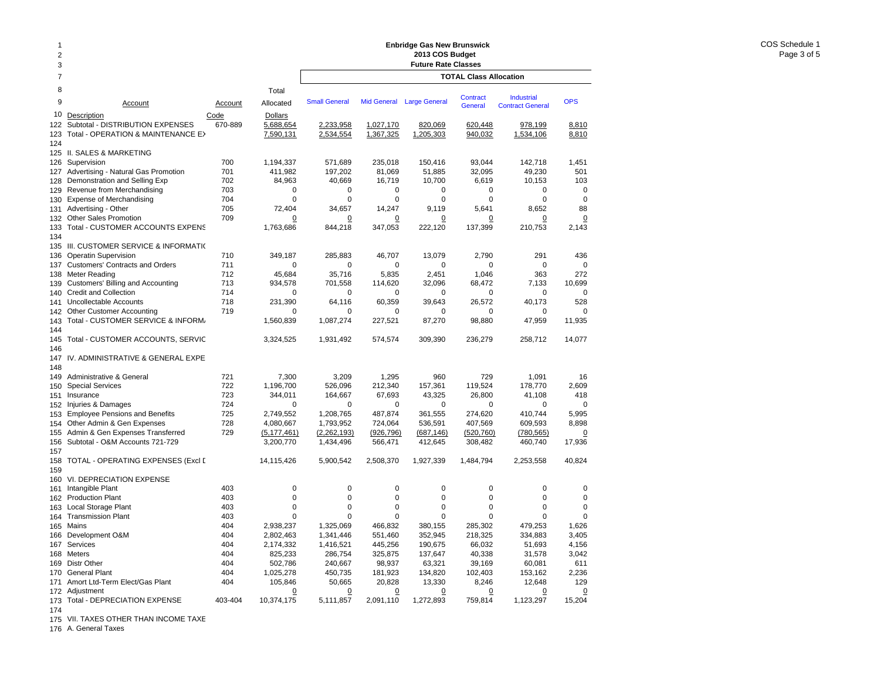| 1<br>$\overline{2}$<br>3 |                                                                                       |                 |                                          | <b>Enbridge Gas New Brunswick</b><br>2013 COS Budget<br><b>Future Rate Classes</b> |                             |                             |                               |                                              |                          |  |  |
|--------------------------|---------------------------------------------------------------------------------------|-----------------|------------------------------------------|------------------------------------------------------------------------------------|-----------------------------|-----------------------------|-------------------------------|----------------------------------------------|--------------------------|--|--|
| $\overline{7}$           |                                                                                       |                 |                                          |                                                                                    |                             |                             | <b>TOTAL Class Allocation</b> |                                              |                          |  |  |
| 8                        |                                                                                       |                 | Total                                    |                                                                                    |                             |                             |                               |                                              |                          |  |  |
| 9                        | Account                                                                               | <b>Account</b>  | Allocated                                | <b>Small General</b>                                                               |                             | Mid General Large General   | <b>Contract</b><br>General    | <b>Industrial</b><br><b>Contract General</b> | <b>OPS</b>               |  |  |
| 10<br>122<br>123<br>124  | Description<br>Subtotal - DISTRIBUTION EXPENSES<br>Total - OPERATION & MAINTENANCE E> | Code<br>670-889 | <b>Dollars</b><br>5,688,654<br>7,590,131 | 2,233,958<br>2,534,554                                                             | 1,027,170<br>1,367,325      | 820,069<br>1,205,303        | 620,448<br>940,032            | 978,199<br>1,534,106                         | 8,810<br>8,810           |  |  |
| 125                      | II. SALES & MARKETING                                                                 |                 |                                          |                                                                                    |                             |                             |                               |                                              |                          |  |  |
| 126                      | Supervision                                                                           | 700             | 1,194,337                                | 571,689                                                                            | 235,018                     | 150,416                     | 93,044                        | 142,718                                      | 1,451                    |  |  |
| 127                      | Advertising - Natural Gas Promotion                                                   | 701             | 411,982                                  | 197,202                                                                            | 81,069                      | 51,885                      | 32,095                        | 49,230                                       | 501                      |  |  |
| 128                      | Demonstration and Selling Exp                                                         | 702             | 84,963                                   | 40,669                                                                             | 16,719                      | 10,700                      | 6,619                         | 10,153                                       | 103                      |  |  |
| 129                      | Revenue from Merchandising                                                            | 703             | $\mathbf 0$                              | $\mathbf 0$                                                                        | $\mathbf 0$                 | $\mathbf 0$                 | $\mathbf 0$                   | $\mathbf 0$                                  | $\mathbf 0$              |  |  |
| 130                      | <b>Expense of Merchandising</b>                                                       | 704             | $\mathbf 0$                              | $\mathbf 0$                                                                        | $\mathbf 0$                 | $\mathbf 0$                 | $\mathbf 0$                   | $\mathbf 0$                                  | $\mathbf 0$              |  |  |
| 131                      | Advertising - Other                                                                   | 705             | 72,404                                   | 34,657                                                                             | 14,247                      | 9,119                       | 5,641                         | 8,652                                        | 88                       |  |  |
| 132                      | <b>Other Sales Promotion</b>                                                          | 709             | 0                                        | 0                                                                                  | 0                           | 0                           | 0                             | 0                                            | 0                        |  |  |
| 133<br>134               | Total - CUSTOMER ACCOUNTS EXPENS                                                      |                 | 1,763,686                                | 844,218                                                                            | 347,053                     | 222,120                     | 137,399                       | 210,753                                      | 2,143                    |  |  |
| 135                      | III. CUSTOMER SERVICE & INFORMATI(                                                    |                 |                                          |                                                                                    |                             |                             |                               |                                              |                          |  |  |
| 136                      | <b>Operatin Supervision</b>                                                           | 710             | 349,187                                  | 285,883                                                                            | 46,707                      | 13,079                      | 2.790                         | 291                                          | 436                      |  |  |
| 137                      | <b>Customers' Contracts and Orders</b>                                                | 711             | $\Omega$                                 | $\Omega$                                                                           | $\mathbf 0$                 | $\mathbf 0$                 | $\Omega$                      | $\Omega$                                     | $\mathbf 0$              |  |  |
| 138                      | <b>Meter Reading</b>                                                                  | 712             | 45,684                                   | 35,716                                                                             | 5,835                       | 2,451                       | 1,046                         | 363                                          | 272                      |  |  |
| 139                      | Customers' Billing and Accounting                                                     | 713             | 934,578                                  | 701,558                                                                            | 114,620                     | 32,096                      | 68,472                        | 7,133                                        | 10,699                   |  |  |
| 140                      | <b>Credit and Collection</b>                                                          | 714             | $\Omega$                                 | $\Omega$                                                                           | $\Omega$                    | 0                           | 0                             | $\Omega$                                     | $\Omega$                 |  |  |
| 141                      | Uncollectable Accounts                                                                | 718             | 231,390                                  | 64,116                                                                             | 60,359                      | 39.643                      | 26,572                        | 40.173                                       | 528                      |  |  |
| 142                      | <b>Other Customer Accounting</b>                                                      | 719             | $\mathbf 0$                              | $\mathbf 0$                                                                        | $\mathbf 0$                 | 0                           | 0                             | $\mathbf 0$                                  | 0                        |  |  |
| 143<br>144               | Total - CUSTOMER SERVICE & INFORM.                                                    |                 | 1,560,839                                | 1,087,274                                                                          | 227,521                     | 87,270                      | 98,880                        | 47,959                                       | 11,935                   |  |  |
| 145<br>146               | Total - CUSTOMER ACCOUNTS, SERVIC                                                     |                 | 3,324,525                                | 1,931,492                                                                          | 574,574                     | 309,390                     | 236,279                       | 258,712                                      | 14,077                   |  |  |
| 147<br>148               | IV. ADMINISTRATIVE & GENERAL EXPE                                                     |                 |                                          |                                                                                    |                             |                             |                               |                                              |                          |  |  |
| 149                      | Administrative & General                                                              | 721             | 7,300                                    | 3,209                                                                              | 1,295                       | 960                         | 729                           | 1,091                                        | 16                       |  |  |
| 150                      | <b>Special Services</b>                                                               | 722             | 1,196,700                                | 526,096                                                                            | 212,340                     | 157,361                     | 119,524                       | 178,770                                      | 2,609                    |  |  |
| 151                      | Insurance                                                                             | 723             | 344,011                                  | 164,667                                                                            | 67,693                      | 43,325                      | 26,800                        | 41,108                                       | 418                      |  |  |
| 152                      | Injuries & Damages                                                                    | 724             | $\Omega$                                 | $\Omega$                                                                           | $\Omega$                    | 0                           | 0                             | $\Omega$                                     | $\Omega$                 |  |  |
| 153                      | <b>Employee Pensions and Benefits</b>                                                 | 725             | 2,749,552                                | 1,208,765                                                                          | 487,874                     | 361,555                     | 274,620                       | 410,744                                      | 5,995                    |  |  |
| 154                      | Other Admin & Gen Expenses                                                            | 728             | 4,080,667                                | 1,793,952                                                                          | 724,064                     | 536,591                     | 407,569                       | 609,593                                      | 8,898                    |  |  |
| 155                      | Admin & Gen Expenses Transferred                                                      | 729             | (5, 177, 461)                            | (2, 262, 193)                                                                      | (926, 796)                  | (687, 146)                  | (520, 760)                    | (780, 565)                                   | 0                        |  |  |
| 156<br>157               | Subtotal - O&M Accounts 721-729                                                       |                 | 3,200,770                                | 1,434,496                                                                          | 566,471                     | 412,645                     | 308,482                       | 460,740                                      | 17,936                   |  |  |
| 158                      | TOTAL - OPERATING EXPENSES (Excl [                                                    |                 | 14,115,426                               | 5,900,542                                                                          | 2,508,370                   | 1,927,339                   | 1,484,794                     | 2,253,558                                    | 40,824                   |  |  |
| 159                      | <b>VI. DEPRECIATION EXPENSE</b>                                                       |                 |                                          |                                                                                    |                             |                             |                               |                                              |                          |  |  |
| 160                      |                                                                                       | 403             | $\mathbf 0$                              | $\mathbf 0$                                                                        | $\mathbf 0$                 | 0                           | $\mathbf 0$                   | $\Omega$                                     | $\Omega$                 |  |  |
| 161                      | Intangible Plant                                                                      | 403             | $\mathbf 0$                              | $\mathbf 0$                                                                        | $\mathbf 0$                 | $\mathbf 0$                 | $\mathbf 0$                   | $\Omega$                                     | $\mathbf 0$              |  |  |
| 162                      | <b>Production Plant</b>                                                               | 403             | $\mathbf 0$                              | $\mathbf 0$                                                                        | $\mathbf 0$                 | $\mathbf 0$                 | $\mathbf 0$                   | $\Omega$                                     | $\mathbf 0$              |  |  |
| 163                      | Local Storage Plant                                                                   |                 | $\Omega$                                 | $\Omega$                                                                           | $\Omega$                    | $\Omega$                    | $\Omega$                      | $\Omega$                                     | $\Omega$                 |  |  |
| 164                      | <b>Transmission Plant</b>                                                             | 403             |                                          |                                                                                    |                             |                             |                               |                                              |                          |  |  |
| 165                      | Mains                                                                                 | 404             | 2,938,237                                | 1,325,069                                                                          | 466,832                     | 380,155                     | 285,302                       | 479,253                                      | 1,626                    |  |  |
| 166                      | Development O&M                                                                       | 404             | 2,802,463                                | 1,341,446                                                                          | 551,460                     | 352,945                     | 218,325                       | 334,883                                      | 3,405                    |  |  |
| 167                      | Services                                                                              | 404             | 2,174,332                                | 1,416,521                                                                          | 445,256                     | 190,675                     | 66,032                        | 51,693                                       | 4,156                    |  |  |
| 168                      | Meters                                                                                | 404             | 825,233                                  | 286,754                                                                            | 325,875                     | 137,647                     | 40,338                        | 31,578                                       | 3,042                    |  |  |
| 169                      | <b>Distr Other</b>                                                                    | 404             | 502,786                                  | 240,667                                                                            | 98,937                      | 63,321                      | 39,169                        | 60,081                                       | 611                      |  |  |
| 170                      | <b>General Plant</b>                                                                  | 404             | 1,025,278                                | 450,735                                                                            | 181,923                     | 134,820                     | 102,403                       | 153,162                                      | 2,236                    |  |  |
| 171                      | Amort Ltd-Term Elect/Gas Plant                                                        | 404             | 105,846                                  | 50,665                                                                             | 20,828                      | 13,330                      | 8,246                         | 12,648                                       | 129                      |  |  |
| 173                      | 172 Adjustment<br>Total - DEPRECIATION EXPENSE                                        | 403-404         | $\overline{0}$<br>10,374,175             | $\overline{0}$<br>5,111,857                                                        | $\overline{0}$<br>2,091,110 | $\overline{0}$<br>1,272,893 | $\overline{0}$<br>759.814     | $\overline{0}$<br>1,123,297                  | $\overline{0}$<br>15,204 |  |  |

174 175 VII. TAXES OTHER THAN INCOME TAXE

176 A. General Taxes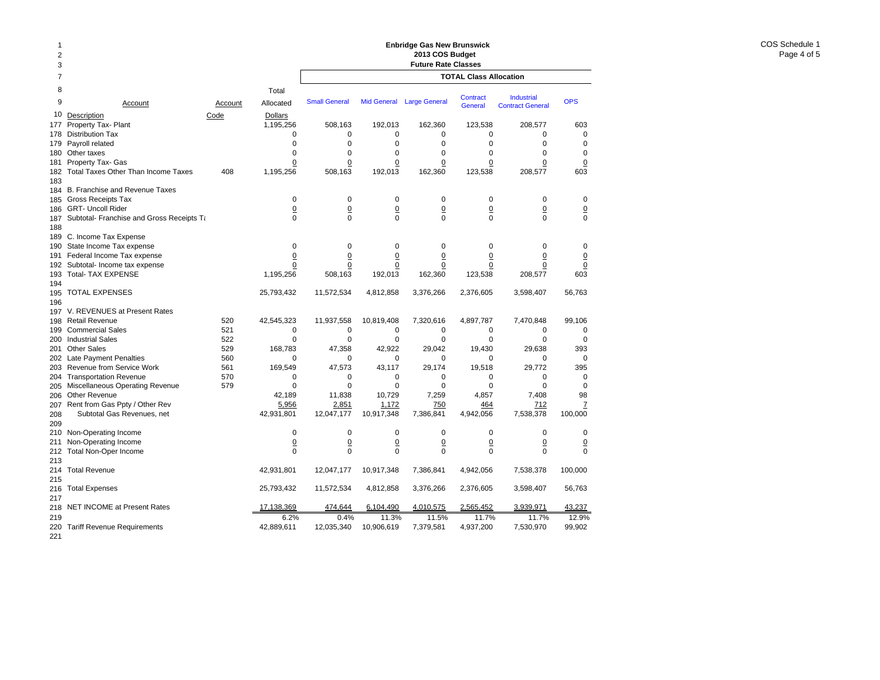| 1<br>2<br>3       |                                            |         |                    | <b>Enbridge Gas New Brunswick</b><br>2013 COS Budget<br><b>Future Rate Classes</b> |                     |                           |                               |                         |                 |  |  |  |
|-------------------|--------------------------------------------|---------|--------------------|------------------------------------------------------------------------------------|---------------------|---------------------------|-------------------------------|-------------------------|-----------------|--|--|--|
| 7                 |                                            |         |                    |                                                                                    |                     |                           | <b>TOTAL Class Allocation</b> |                         |                 |  |  |  |
| 8                 |                                            |         | Total              |                                                                                    |                     |                           | <b>Contract</b>               | <b>Industrial</b>       |                 |  |  |  |
| 9                 | Account                                    | Account | Allocated          | <b>Small General</b>                                                               |                     | Mid General Large General | <b>General</b>                | <b>Contract General</b> | <b>OPS</b>      |  |  |  |
| 10                | Description                                | Code    | <b>Dollars</b>     |                                                                                    |                     |                           |                               |                         |                 |  |  |  |
| 177               | Property Tax- Plant                        |         | 1,195,256          | 508,163                                                                            | 192,013             | 162,360                   | 123,538                       | 208,577                 | 603             |  |  |  |
| 178               | <b>Distribution Tax</b>                    |         | 0                  | 0                                                                                  | 0                   | 0                         | 0                             | 0                       | 0               |  |  |  |
| 179               | Payroll related                            |         | $\mathbf 0$        | $\mathbf 0$                                                                        | $\mathbf 0$         | $\mathbf 0$               | $\mathbf 0$                   | $\mathbf 0$             | $\mathbf 0$     |  |  |  |
| 180               | Other taxes                                |         | $\Omega$           | $\mathbf 0$                                                                        | $\Omega$            | $\mathbf 0$               | $\Omega$                      | $\mathbf 0$             | $\Omega$        |  |  |  |
| 181               | Property Tax- Gas                          |         | $\Omega$           | $\Omega$                                                                           | $\overline{0}$      | $\overline{0}$            | $\overline{0}$                | $\overline{0}$          | $\overline{0}$  |  |  |  |
| 182<br>183        | <b>Total Taxes Other Than Income Taxes</b> | 408     | 1,195,256          | 508,163                                                                            | 192,013             | 162,360                   | 123,538                       | 208,577                 | 603             |  |  |  |
| 184               | B. Franchise and Revenue Taxes             |         |                    |                                                                                    |                     |                           |                               |                         |                 |  |  |  |
| 185               | <b>Gross Receipts Tax</b>                  |         | 0                  | $\mathbf 0$                                                                        | $\mathbf 0$         | $\mathbf 0$               | $\mathbf 0$                   | $\mathbf 0$             | $\mathbf 0$     |  |  |  |
| 186               | <b>GRT- Uncoll Rider</b>                   |         | $\overline{0}$     | $\underline{0}$                                                                    | $\underline{0}$     | $\underline{0}$           | $\underline{0}$               | $\underline{0}$         | $\underline{0}$ |  |  |  |
| 187<br>188        | Subtotal- Franchise and Gross Receipts Ta  |         | 0                  | 0                                                                                  | 0                   | 0                         | $\mathbf 0$                   | 0                       | $\mathbf 0$     |  |  |  |
| 189               | C. Income Tax Expense                      |         |                    |                                                                                    |                     |                           |                               |                         |                 |  |  |  |
| 190               | State Income Tax expense                   |         | 0                  | $\mathbf 0$                                                                        | $\mathbf 0$         | 0                         | $\mathbf 0$                   | $\mathbf 0$             | 0               |  |  |  |
| 191               | Federal Income Tax expense                 |         | $\overline{0}$     | $\overline{0}$                                                                     | $\underline{0}$     | $\overline{0}$            | $\overline{0}$                | $\overline{0}$          | $\underline{0}$ |  |  |  |
| 192               | Subtotal- Income tax expense               |         | 0                  | 0                                                                                  | 0                   | 0                         | 0                             | 0                       | $\overline{0}$  |  |  |  |
| 193<br>194        | <b>Total- TAX EXPENSE</b>                  |         | 1,195,256          | 508,163                                                                            | 192,013             | 162,360                   | 123,538                       | 208,577                 | 603             |  |  |  |
| 195<br>196        | <b>TOTAL EXPENSES</b>                      |         | 25,793,432         | 11,572,534                                                                         | 4,812,858           | 3,376,266                 | 2,376,605                     | 3,598,407               | 56,763          |  |  |  |
|                   | 197 V. REVENUES at Present Rates           |         |                    |                                                                                    |                     |                           |                               |                         |                 |  |  |  |
| 198               | <b>Retail Revenue</b>                      | 520     | 42,545,323         | 11,937,558                                                                         | 10,819,408          | 7,320,616                 | 4,897,787                     | 7,470,848               | 99,106          |  |  |  |
| 199               | <b>Commercial Sales</b>                    | 521     | 0                  | 0                                                                                  | 0                   | $\mathbf 0$               | 0                             | 0                       | 0               |  |  |  |
| 200               | <b>Industrial Sales</b>                    | 522     | $\mathbf 0$        | $\mathbf 0$                                                                        | $\mathbf 0$         | $\mathbf 0$               | $\mathbf 0$                   | $\mathbf 0$             | $\mathbf 0$     |  |  |  |
| 201               | <b>Other Sales</b>                         | 529     | 168,783            | 47,358                                                                             | 42,922              | 29,042                    | 19,430                        | 29.638                  | 393             |  |  |  |
| 202               | <b>Late Payment Penalties</b>              | 560     | $\Omega$           | $\Omega$                                                                           | $\Omega$            | $\Omega$                  | $\Omega$                      | $\Omega$                | $\mathbf 0$     |  |  |  |
| 203               | Revenue from Service Work                  | 561     | 169.549            | 47.573                                                                             | 43.117              | 29.174                    | 19.518                        | 29.772                  | 395             |  |  |  |
| 204               | <b>Transportation Revenue</b>              | 570     | 0                  | 0                                                                                  | 0                   | 0                         | 0                             | 0                       | 0               |  |  |  |
| 205               | Miscellaneous Operating Revenue            | 579     | 0                  | $\mathbf 0$                                                                        | 0                   | 0                         | $\mathbf 0$                   | $\mathbf 0$             | $\mathbf 0$     |  |  |  |
| 206               | Other Revenue                              |         | 42,189             | 11,838                                                                             | 10,729              | 7,259                     | 4,857                         | 7,408                   | 98              |  |  |  |
| 207               | Rent from Gas Ppty / Other Rev             |         | 5,956              | 2,851                                                                              | 1,172               | 750                       | 464                           | 712                     | $\overline{1}$  |  |  |  |
| 208               | Subtotal Gas Revenues, net                 |         | 42,931,801         | 12,047,177                                                                         | 10,917,348          | 7,386,841                 | 4,942,056                     | 7,538,378               | 100,000         |  |  |  |
| 209               |                                            |         |                    |                                                                                    |                     |                           |                               |                         |                 |  |  |  |
| 210               | Non-Operating Income                       |         | $\mathbf 0$        | $\mathbf 0$                                                                        | $\mathbf 0$         | $\mathbf 0$               | $\mathbf 0$                   | $\mathbf 0$             | $\mathbf 0$     |  |  |  |
| 211               | Non-Operating Income                       |         | $\Omega$           | $\overline{0}$                                                                     | $\underline{0}$     | $\overline{0}$            | $\overline{0}$                | $\overline{0}$          | $\underline{0}$ |  |  |  |
| 212<br>213        | Total Non-Oper Income                      |         | $\Omega$           | $\Omega$                                                                           | $\Omega$            | $\Omega$                  | $\Omega$                      | $\Omega$                | $\Omega$        |  |  |  |
| 214<br>215        | <b>Total Revenue</b>                       |         | 42,931,801         | 12,047,177                                                                         | 10,917,348          | 7,386,841                 | 4,942,056                     | 7,538,378               | 100,000         |  |  |  |
| 216<br>217        | <b>Total Expenses</b>                      |         | 25,793,432         | 11,572,534                                                                         | 4,812,858           | 3,376,266                 | 2,376,605                     | 3,598,407               | 56,763          |  |  |  |
| 218               | <b>NET INCOME at Present Rates</b>         |         | 17,138,369         | 474,644                                                                            | 6,104,490           | 4,010,575                 | 2,565,452                     | 3,939,971               | 43,237          |  |  |  |
| 219<br>220<br>221 | <b>Tariff Revenue Requirements</b>         |         | 6.2%<br>42,889,611 | 0.4%<br>12,035,340                                                                 | 11.3%<br>10,906,619 | 11.5%<br>7,379,581        | 11.7%<br>4,937,200            | 11.7%<br>7,530,970      | 12.9%<br>99,902 |  |  |  |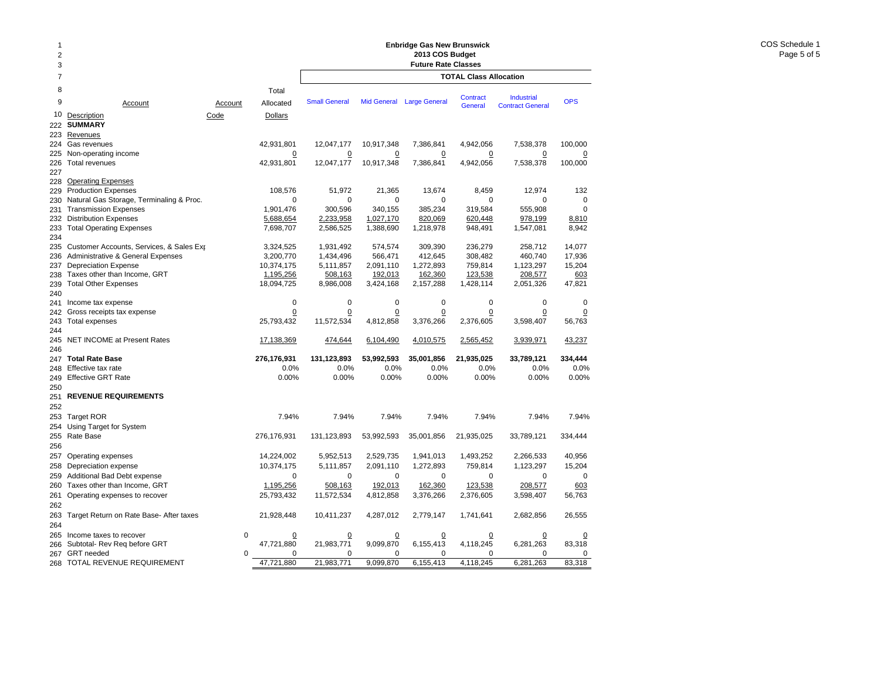| 1<br>$\overline{2}$<br>3 |                                                              |                 |                               | <b>Enbridge Gas New Brunswick</b><br>2013 COS Budget<br><b>Future Rate Classes</b> |                        |                        |                               |                                              |                  |  |
|--------------------------|--------------------------------------------------------------|-----------------|-------------------------------|------------------------------------------------------------------------------------|------------------------|------------------------|-------------------------------|----------------------------------------------|------------------|--|
| $\overline{7}$           |                                                              |                 |                               |                                                                                    |                        |                        | <b>TOTAL Class Allocation</b> |                                              |                  |  |
| 8<br>9<br>10             | Account<br>Description                                       | Account<br>Code | Total<br>Allocated<br>Dollars | <b>Small General</b>                                                               | <b>Mid General</b>     | <b>Large General</b>   | Contract<br>General           | <b>Industrial</b><br><b>Contract General</b> | <b>OPS</b>       |  |
| 222<br>223               | <b>SUMMARY</b><br>Revenues                                   |                 |                               |                                                                                    |                        |                        |                               |                                              |                  |  |
| 224                      | Gas revenues                                                 |                 | 42,931,801                    | 12,047,177                                                                         | 10,917,348             | 7,386,841              | 4,942,056                     | 7,538,378                                    | 100,000          |  |
| 225                      | Non-operating income                                         |                 | 0                             | 0                                                                                  | 0                      | <u>0</u>               | <u>0</u>                      | $\overline{0}$                               | 0                |  |
| 226                      | <b>Total revenues</b>                                        |                 | 42,931,801                    | 12,047,177                                                                         | 10,917,348             | 7,386,841              | 4,942,056                     | 7,538,378                                    | 100,000          |  |
| 227                      |                                                              |                 |                               |                                                                                    |                        |                        |                               |                                              |                  |  |
| 228                      | <b>Operating Expenses</b>                                    |                 |                               |                                                                                    |                        |                        |                               |                                              |                  |  |
| 229                      | <b>Production Expenses</b>                                   |                 | 108,576                       | 51,972                                                                             | 21,365                 | 13,674                 | 8,459                         | 12,974                                       | 132              |  |
| 230                      | Natural Gas Storage, Terminaling & Proc.                     |                 | $\mathbf 0$                   | $\mathbf 0$<br>300,596                                                             | $\mathbf 0$<br>340.155 | $\mathbf 0$<br>385,234 | $\mathbf 0$                   | $\mathbf 0$<br>555,908                       | $\mathbf 0$<br>0 |  |
| 231<br>232               | <b>Transmission Expenses</b><br><b>Distribution Expenses</b> |                 | 1,901,476                     |                                                                                    |                        | 820,069                | 319,584<br>620,448            | 978,199                                      |                  |  |
| 233                      | <b>Total Operating Expenses</b>                              |                 | 5,688,654<br>7,698,707        | 2,233,958<br>2,586,525                                                             | 1,027,170<br>1,388,690 | 1,218,978              | 948,491                       | 1,547,081                                    | 8,810<br>8,942   |  |
| 234                      |                                                              |                 |                               |                                                                                    |                        |                        |                               |                                              |                  |  |
| 235                      | Customer Accounts, Services, & Sales Exp                     |                 | 3,324,525                     | 1,931,492                                                                          | 574,574                | 309,390                | 236,279                       | 258,712                                      | 14,077           |  |
| 236                      | Administrative & General Expenses                            |                 | 3,200,770                     | 1,434,496                                                                          | 566,471                | 412,645                | 308,482                       | 460,740                                      | 17,936           |  |
| 237                      | <b>Depreciation Expense</b>                                  |                 | 10,374,175                    | 5,111,857                                                                          | 2,091,110              | 1,272,893              | 759,814                       | 1,123,297                                    | 15,204           |  |
| 238                      | Taxes other than Income, GRT                                 |                 | 1,195,256                     | 508,163                                                                            | 192,013                | 162,360                | 123,538                       | 208,577                                      | 603              |  |
| 239                      | <b>Total Other Expenses</b>                                  |                 | 18,094,725                    | 8,986,008                                                                          | 3,424,168              | 2,157,288              | 1,428,114                     | 2,051,326                                    | 47,821           |  |
| 240                      |                                                              |                 |                               |                                                                                    |                        |                        |                               |                                              |                  |  |
| 241                      | Income tax expense                                           |                 | $\mathbf 0$                   | $\mathbf 0$                                                                        | $\mathbf 0$            | $\mathbf 0$            | $\mathbf 0$                   | $\mathbf 0$                                  | $\mathbf 0$      |  |
| 242                      | Gross receipts tax expense                                   |                 | 0                             | 0                                                                                  | $\mathbf 0$            | $\overline{0}$         | 0                             | $\overline{0}$                               | 0                |  |
| 243                      | <b>Total expenses</b>                                        |                 | 25,793,432                    | 11,572,534                                                                         | 4,812,858              | 3,376,266              | 2,376,605                     | 3,598,407                                    | 56,763           |  |
| 244                      |                                                              |                 |                               |                                                                                    |                        |                        |                               |                                              |                  |  |
| 245<br>246               | NET INCOME at Present Rates                                  |                 | 17,138,369                    | 474,644                                                                            | 6,104,490              | 4,010,575              | 2,565,452                     | 3,939,971                                    | 43,237           |  |
| 247                      | <b>Total Rate Base</b>                                       |                 | 276,176,931                   | 131,123,893                                                                        | 53,992,593             | 35,001,856             | 21,935,025                    | 33,789,121                                   | 334,444          |  |
| 248                      | Effective tax rate                                           |                 | 0.0%                          | 0.0%                                                                               | 0.0%                   | 0.0%                   | 0.0%                          | 0.0%                                         | 0.0%             |  |
| 249                      | <b>Effective GRT Rate</b>                                    |                 | 0.00%                         | 0.00%                                                                              | 0.00%                  | 0.00%                  | 0.00%                         | 0.00%                                        | 0.00%            |  |
| 250                      |                                                              |                 |                               |                                                                                    |                        |                        |                               |                                              |                  |  |
| 251                      | <b>REVENUE REQUIREMENTS</b>                                  |                 |                               |                                                                                    |                        |                        |                               |                                              |                  |  |
| 252                      |                                                              |                 |                               |                                                                                    |                        |                        |                               |                                              |                  |  |
| 253                      | <b>Target ROR</b>                                            |                 | 7.94%                         | 7.94%                                                                              | 7.94%                  | 7.94%                  | 7.94%                         | 7.94%                                        | 7.94%            |  |
| 254                      | Using Target for System                                      |                 |                               |                                                                                    |                        |                        |                               |                                              |                  |  |
| 255                      | Rate Base                                                    |                 | 276,176,931                   | 131,123,893                                                                        | 53,992,593             | 35,001,856             | 21,935,025                    | 33,789,121                                   | 334,444          |  |
| 256                      |                                                              |                 |                               |                                                                                    |                        |                        |                               |                                              |                  |  |
| 257                      | Operating expenses                                           |                 | 14,224,002                    | 5,952,513                                                                          | 2,529,735              | 1,941,013              | 1,493,252                     | 2,266,533                                    | 40,956           |  |
| 258                      | Depreciation expense                                         |                 | 10,374,175                    | 5,111,857                                                                          | 2,091,110              | 1,272,893              | 759,814                       | 1,123,297                                    | 15,204           |  |
| 259                      | Additional Bad Debt expense                                  |                 | 0                             | $\Omega$                                                                           | 0                      | 0                      | $\Omega$                      | 0                                            | $\mathbf 0$      |  |
| 260                      | Taxes other than Income, GRT                                 |                 | 1,195,256                     | 508,163                                                                            | 192,013                | 162,360                | 123,538                       | 208,577                                      | 603              |  |
| 261<br>262               | Operating expenses to recover                                |                 | 25,793,432                    | 11,572,534                                                                         | 4,812,858              | 3,376,266              | 2,376,605                     | 3,598,407                                    | 56,763           |  |
| 263<br>264               | Target Return on Rate Base- After taxes                      |                 | 21,928,448                    | 10,411,237                                                                         | 4,287,012              | 2,779,147              | 1,741,641                     | 2,682,856                                    | 26,555           |  |
| 265                      | Income taxes to recover                                      | $\mathbf 0$     | 0                             | 0                                                                                  | 0                      | 0                      | 0                             | $\overline{0}$                               | 0                |  |
| 266                      | Subtotal- Rev Req before GRT                                 |                 | 47,721,880                    | 21,983,771                                                                         | 9,099,870              | 6,155,413              | 4,118,245                     | 6,281,263                                    | 83,318           |  |
| 267                      | <b>GRT</b> needed                                            | 0               | 0                             | 0                                                                                  | $\mathbf 0$            | 0                      | 0                             | 0                                            | 0                |  |
| 268                      | TOTAL REVENUE REQUIREMENT                                    |                 | 47,721,880                    | 21,983,771                                                                         | 9,099,870              | 6,155,413              | 4,118,245                     | 6,281,263                                    | 83,318           |  |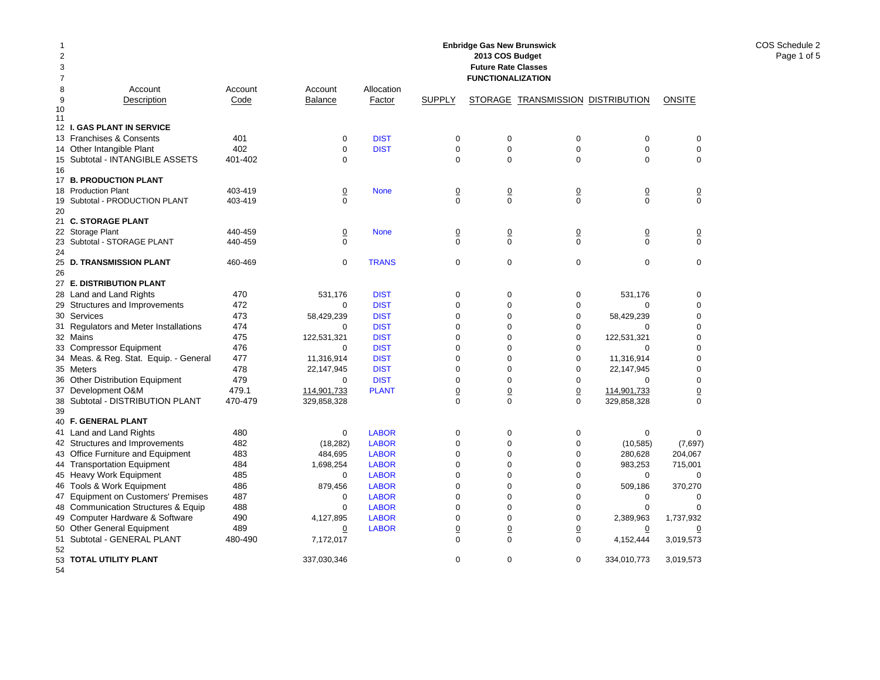| 1              |                                                 |         |                     |              |                 | <b>Enbridge Gas New Brunswick</b> |                                   |                |                  |
|----------------|-------------------------------------------------|---------|---------------------|--------------|-----------------|-----------------------------------|-----------------------------------|----------------|------------------|
| $\overline{2}$ |                                                 |         |                     |              |                 | 2013 COS Budget                   |                                   |                |                  |
| 3              |                                                 |         |                     |              |                 | <b>Future Rate Classes</b>        |                                   |                |                  |
| $\overline{7}$ |                                                 |         |                     |              |                 | <b>FUNCTIONALIZATION</b>          |                                   |                |                  |
| 8              | Account                                         | Account | Account             | Allocation   |                 |                                   |                                   |                |                  |
| 9              | Description                                     | Code    | <b>Balance</b>      | Factor       | <b>SUPPLY</b>   |                                   | STORAGE TRANSMISSION DISTRIBUTION |                | <b>ONSITE</b>    |
| 10             |                                                 |         |                     |              |                 |                                   |                                   |                |                  |
| 11             |                                                 |         |                     |              |                 |                                   |                                   |                |                  |
|                | 12 I. GAS PLANT IN SERVICE                      |         |                     |              |                 |                                   |                                   |                |                  |
|                | 13 Franchises & Consents                        | 401     | 0                   | <b>DIST</b>  | 0               | 0                                 | 0                                 | $\mathbf 0$    | 0                |
|                | 14 Other Intangible Plant                       | 402     | 0                   | <b>DIST</b>  | 0               | 0                                 | 0                                 | 0              | 0                |
|                | 15 Subtotal - INTANGIBLE ASSETS                 | 401-402 | $\Omega$            |              | $\mathbf 0$     | 0                                 | $\Omega$                          | $\Omega$       | $\Omega$         |
| 16             |                                                 |         |                     |              |                 |                                   |                                   |                |                  |
|                | 17 B. PRODUCTION PLANT                          |         |                     |              |                 |                                   |                                   |                |                  |
|                | 18 Production Plant                             | 403-419 | $\overline{0}$      | <b>None</b>  | $\overline{0}$  | $\overline{0}$                    | $\overline{0}$                    | <u>0</u>       | $\overline{0}$   |
| 19             | Subtotal - PRODUCTION PLANT                     | 403-419 | $\Omega$            |              | $\Omega$        | $\Omega$                          | $\Omega$                          | $\Omega$       | $\Omega$         |
| 20             | <b>C. STORAGE PLANT</b>                         |         |                     |              |                 |                                   |                                   |                |                  |
| 21             |                                                 | 440-459 |                     |              |                 |                                   |                                   |                |                  |
|                | 22 Storage Plant<br>23 Subtotal - STORAGE PLANT | 440-459 | $\overline{0}$<br>0 | <b>None</b>  | 0<br>0          | $\overline{0}$<br>0               | $\overline{0}$<br>$\mathbf 0$     | 0<br>$\Omega$  | 0<br>$\mathbf 0$ |
| 24             |                                                 |         |                     |              |                 |                                   |                                   |                |                  |
| 25             | <b>D. TRANSMISSION PLANT</b>                    | 460-469 | $\mathbf 0$         | <b>TRANS</b> | $\mathbf 0$     | $\mathbf 0$                       | $\mathbf 0$                       | $\mathbf 0$    | $\mathbf 0$      |
| 26             |                                                 |         |                     |              |                 |                                   |                                   |                |                  |
|                | 27 E. DISTRIBUTION PLANT                        |         |                     |              |                 |                                   |                                   |                |                  |
|                | 28 Land and Land Rights                         | 470     | 531,176             | <b>DIST</b>  | 0               | 0                                 | 0                                 | 531,176        | 0                |
|                | 29 Structures and Improvements                  | 472     | 0                   | <b>DIST</b>  | $\mathbf 0$     | $\Omega$                          | $\mathbf 0$                       | $\Omega$       | $\mathbf 0$      |
|                | 30 Services                                     | 473     | 58,429,239          | <b>DIST</b>  | $\Omega$        | $\Omega$                          | $\mathbf 0$                       | 58,429,239     | $\mathbf 0$      |
|                | 31 Regulators and Meter Installations           | 474     | 0                   | <b>DIST</b>  | 0               | 0                                 | $\mathbf 0$                       | $\Omega$       | 0                |
|                | 32 Mains                                        | 475     | 122,531,321         | <b>DIST</b>  | $\Omega$        | $\Omega$                          | $\mathbf 0$                       | 122,531,321    | $\mathbf 0$      |
|                | 33 Compressor Equipment                         | 476     | $\Omega$            | <b>DIST</b>  | 0               | $\Omega$                          | $\mathbf 0$                       | $\Omega$       | $\mathbf 0$      |
|                | 34 Meas. & Reg. Stat. Equip. - General          | 477     | 11,316,914          | <b>DIST</b>  | 0               | $\Omega$                          | $\mathbf 0$                       | 11,316,914     | $\mathbf 0$      |
|                | 35 Meters                                       | 478     | 22,147,945          | <b>DIST</b>  | $\mathbf 0$     | $\mathbf 0$                       | $\mathbf 0$                       | 22,147,945     | $\mathbf 0$      |
|                | 36 Other Distribution Equipment                 | 479     | 0                   | <b>DIST</b>  | 0               | 0                                 | 0                                 | $\mathbf 0$    | 0                |
|                | 37 Development O&M                              | 479.1   | 114,901,733         | <b>PLANT</b> | $\underline{0}$ | $\overline{0}$                    | $\underline{0}$                   | 114,901,733    | $\overline{0}$   |
| 38             | Subtotal - DISTRIBUTION PLANT                   | 470-479 | 329,858,328         |              | $\Omega$        | $\Omega$                          | $\mathbf 0$                       | 329,858,328    | $\Omega$         |
| 39             |                                                 |         |                     |              |                 |                                   |                                   |                |                  |
|                | 40 F. GENERAL PLANT                             |         |                     |              |                 |                                   |                                   |                |                  |
|                | 41 Land and Land Rights                         | 480     | 0                   | <b>LABOR</b> | 0               | 0                                 | 0                                 | 0              | $\Omega$         |
|                | 42 Structures and Improvements                  | 482     | (18, 282)           | <b>LABOR</b> | $\mathbf 0$     | 0                                 | $\mathbf 0$                       | (10, 585)      | (7,697)          |
|                | 43 Office Furniture and Equipment               | 483     | 484.695             | <b>LABOR</b> | $\mathbf 0$     | $\mathbf 0$                       | $\mathbf 0$                       | 280,628        | 204,067          |
|                | 44 Transportation Equipment                     | 484     | 1,698,254           | <b>LABOR</b> | 0               | 0                                 | 0                                 | 983,253        | 715,001          |
|                | 45 Heavy Work Equipment                         | 485     | $\mathbf 0$         | <b>LABOR</b> | $\mathbf 0$     | $\mathbf 0$                       | $\mathbf 0$                       | $\mathbf 0$    | $\mathbf 0$      |
|                | 46 Tools & Work Equipment                       | 486     | 879,456             | <b>LABOR</b> | $\Omega$        | $\Omega$                          | $\mathbf 0$                       | 509,186        | 370,270          |
|                | 47 Equipment on Customers' Premises             | 487     | $\mathbf 0$         | <b>LABOR</b> | $\mathbf 0$     | $\mathbf 0$                       | $\mathbf 0$                       | $\mathbf 0$    | $\mathbf 0$      |
| 48             | <b>Communication Structures &amp; Equip</b>     | 488     | $\mathbf 0$         | <b>LABOR</b> | $\Omega$        | $\Omega$                          | $\mathbf 0$                       | $\mathbf 0$    | $\Omega$         |
|                | 49 Computer Hardware & Software                 | 490     | 4,127,895           | <b>LABOR</b> | $\mathbf 0$     | $\mathbf 0$                       | $\mathbf 0$                       | 2,389,963      | 1,737,932        |
|                | 50 Other General Equipment                      | 489     | $\overline{0}$      | <b>LABOR</b> | $\underline{0}$ | $\underline{0}$                   | $\Omega$                          | $\overline{0}$ | $\overline{0}$   |
|                | 51 Subtotal - GENERAL PLANT                     | 480-490 | 7,172,017           |              | $\Omega$        | $\Omega$                          | $\Omega$                          | 4,152,444      | 3,019,573        |
| 52             |                                                 |         |                     |              |                 |                                   |                                   |                |                  |
|                | 53 TOTAL UTILITY PLANT                          |         | 337,030,346         |              | $\Omega$        | $\Omega$                          | $\mathbf 0$                       | 334,010,773    | 3,019,573        |

54

COS Schedule 2 Page 1 of 5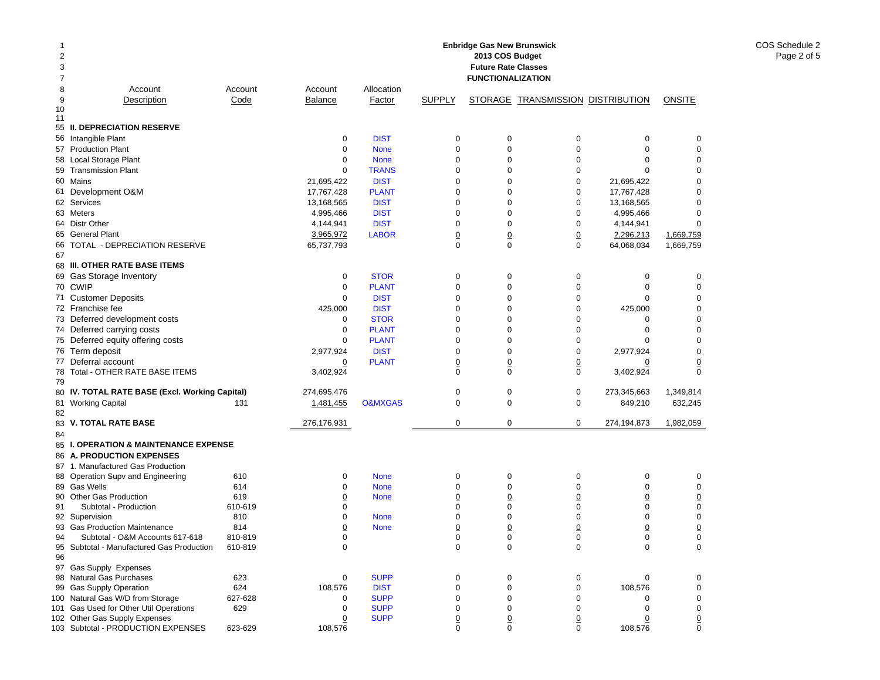| -1<br>2<br>3<br>7 |                                                                              |                    |                  |                             |                  | <b>Enbridge Gas New Brunswick</b><br>2013 COS Budget<br><b>Future Rate Classes</b><br><b>FUNCTIONALIZATION</b> |                                   |                  |                  |
|-------------------|------------------------------------------------------------------------------|--------------------|------------------|-----------------------------|------------------|----------------------------------------------------------------------------------------------------------------|-----------------------------------|------------------|------------------|
| 8                 | Account                                                                      | Account            | Account          | Allocation                  |                  |                                                                                                                |                                   |                  |                  |
| 9                 | Description                                                                  | Code               | <b>Balance</b>   | Factor                      | <b>SUPPLY</b>    |                                                                                                                | STORAGE TRANSMISSION DISTRIBUTION |                  | ONSITE           |
| 10<br>11          |                                                                              |                    |                  |                             |                  |                                                                                                                |                                   |                  |                  |
|                   | 55 II. DEPRECIATION RESERVE                                                  |                    |                  |                             |                  |                                                                                                                |                                   |                  |                  |
|                   | 56 Intangible Plant                                                          |                    | $\mathbf 0$      | <b>DIST</b>                 | $\mathbf 0$      | $\pmb{0}$                                                                                                      | 0                                 | 0                | 0                |
|                   | 57 Production Plant                                                          |                    | $\mathbf 0$      | <b>None</b>                 | $\mathbf 0$      | $\pmb{0}$                                                                                                      | $\mathbf 0$                       | $\mathbf 0$      | $\mathbf 0$      |
|                   | 58 Local Storage Plant                                                       |                    | 0                | <b>None</b>                 | $\mathbf 0$      | 0                                                                                                              | $\mathbf 0$                       | 0                | 0                |
|                   | 59 Transmission Plant                                                        |                    | $\mathbf 0$      | <b>TRANS</b>                | $\mathbf 0$      | 0                                                                                                              | $\mathbf 0$                       | $\Omega$         | 0                |
|                   | 60 Mains                                                                     |                    | 21,695,422       | <b>DIST</b>                 | $\mathbf 0$      | 0                                                                                                              | $\mathbf 0$                       | 21,695,422       | 0                |
|                   | 61 Development O&M                                                           |                    | 17,767,428       | <b>PLANT</b>                | $\mathbf 0$      | 0                                                                                                              | 0                                 | 17,767,428       | 0                |
|                   | 62 Services                                                                  |                    | 13,168,565       | <b>DIST</b>                 | $\mathbf 0$      | 0                                                                                                              | $\mathbf 0$                       | 13,168,565       | 0                |
|                   | 63 Meters                                                                    |                    | 4,995,466        | <b>DIST</b>                 | $\mathbf 0$      | 0                                                                                                              | 0                                 | 4,995,466        | 0                |
|                   | 64 Distr Other                                                               |                    | 4,144,941        | <b>DIST</b>                 | $\mathbf 0$      | $\pmb{0}$                                                                                                      | $\mathbf 0$                       | 4,144,941        | 0                |
|                   | 65 General Plant                                                             |                    | 3,965,972        | <b>LABOR</b>                | $\overline{0}$   | $\underline{0}$                                                                                                | $\underline{0}$                   | 2,296,213        | 1,669,759        |
|                   | 66 TOTAL - DEPRECIATION RESERVE                                              |                    | 65,737,793       |                             | $\Omega$         | $\mathbf 0$                                                                                                    | $\mathbf 0$                       | 64,068,034       | 1,669,759        |
| 67                |                                                                              |                    |                  |                             |                  |                                                                                                                |                                   |                  |                  |
|                   | 68 III. OTHER RATE BASE ITEMS                                                |                    |                  |                             |                  |                                                                                                                |                                   |                  |                  |
|                   | 69 Gas Storage Inventory<br>70 CWIP                                          |                    | 0<br>$\mathbf 0$ | <b>STOR</b>                 | 0<br>$\mathbf 0$ | 0<br>$\pmb{0}$                                                                                                 | 0<br>$\mathbf 0$                  | 0<br>$\mathbf 0$ | 0<br>$\mathbf 0$ |
|                   |                                                                              |                    | $\mathbf 0$      | <b>PLANT</b><br><b>DIST</b> | $\mathbf 0$      | 0                                                                                                              |                                   | $\mathbf 0$      | 0                |
|                   | 71 Customer Deposits<br>72 Franchise fee                                     |                    | 425,000          | <b>DIST</b>                 | $\mathbf 0$      | $\mathbf 0$                                                                                                    | 0<br>$\mathbf 0$                  | 425,000          | 0                |
|                   | 73 Deferred development costs                                                |                    | 0                | <b>STOR</b>                 | $\mathbf 0$      | 0                                                                                                              | $\mathbf 0$                       | 0                | 0                |
|                   | 74 Deferred carrying costs                                                   |                    | 0                | <b>PLANT</b>                | $\mathbf 0$      | 0                                                                                                              | $\mathbf 0$                       | 0                | 0                |
|                   | 75 Deferred equity offering costs                                            |                    | $\Omega$         | <b>PLANT</b>                | $\mathbf 0$      | $\mathbf 0$                                                                                                    | $\mathbf 0$                       | $\Omega$         | $\Omega$         |
|                   | 76 Term deposit                                                              |                    | 2,977,924        | <b>DIST</b>                 | $\mathbf 0$      | 0                                                                                                              | $\mathbf 0$                       | 2,977,924        | 0                |
|                   | 77 Deferral account                                                          |                    | $\overline{0}$   | <b>PLANT</b>                | $\overline{0}$   | $\overline{0}$                                                                                                 | $\overline{0}$                    | $\overline{0}$   | $\overline{0}$   |
| 78                | Total - OTHER RATE BASE ITEMS                                                |                    | 3,402,924        |                             | $\mathbf 0$      | $\mathbf 0$                                                                                                    | $\mathbf 0$                       | 3,402,924        | $\mathbf 0$      |
| 79                |                                                                              |                    |                  |                             |                  |                                                                                                                |                                   |                  |                  |
|                   | 80 IV. TOTAL RATE BASE (Excl. Working Capital)                               |                    | 274,695,476      |                             | $\mathbf 0$      | $\pmb{0}$                                                                                                      | 0                                 | 273,345,663      | 1,349,814        |
| 81                | <b>Working Capital</b>                                                       | 131                | 1,481,455        | <b>O&amp;MXGAS</b>          | $\mathbf 0$      | 0                                                                                                              | 0                                 | 849,210          | 632,245          |
| 82                |                                                                              |                    |                  |                             |                  |                                                                                                                |                                   |                  |                  |
| 83                | <b>V. TOTAL RATE BASE</b>                                                    |                    | 276,176,931      |                             | $\mathbf 0$      | $\mathbf 0$                                                                                                    | $\mathbf 0$                       | 274,194,873      | 1,982,059        |
| 84                |                                                                              |                    |                  |                             |                  |                                                                                                                |                                   |                  |                  |
|                   | 85 I. OPERATION & MAINTENANCE EXPENSE<br>86 A. PRODUCTION EXPENSES           |                    |                  |                             |                  |                                                                                                                |                                   |                  |                  |
|                   | 87 1. Manufactured Gas Production                                            |                    |                  |                             |                  |                                                                                                                |                                   |                  |                  |
|                   | 88 Operation Supv and Engineering                                            | 610                | 0                | <b>None</b>                 | 0                | 0                                                                                                              | 0                                 | 0                | 0                |
|                   | 89 Gas Wells                                                                 | 614                | 0                | <b>None</b>                 | $\mathbf 0$      | 0                                                                                                              | $\mathbf 0$                       | $\mathbf 0$      | $\mathbf 0$      |
|                   | 90 Other Gas Production                                                      | 619                | <u>0</u>         | <b>None</b>                 | $\overline{0}$   | $\overline{0}$                                                                                                 | $\overline{0}$                    | $\overline{0}$   | $\overline{0}$   |
| 91                | Subtotal - Production                                                        | 610-619            | 0                |                             | $\mathbf 0$      | 0                                                                                                              | $\mathbf 0$                       | $\mathbf 0$      | $\mathbf 0$      |
|                   | 92 Supervision                                                               | 810                | 0                | <b>None</b>                 | $\mathbf 0$      | 0                                                                                                              | $\mathbf 0$                       | 0                | 0                |
|                   | 93 Gas Production Maintenance                                                | 814                | $\overline{0}$   | <b>None</b>                 | $\overline{0}$   | $\overline{0}$                                                                                                 | $\overline{0}$                    | $\overline{0}$   | $\overline{0}$   |
| 94                | Subtotal - O&M Accounts 617-618<br>95 Subtotal - Manufactured Gas Production | 810-819<br>610-819 | 0<br>0           |                             | 0<br>$\mathbf 0$ | 0<br>$\pmb{0}$                                                                                                 | 0<br>$\mathbf 0$                  | 0<br>0           | 0<br>0           |
| 96                |                                                                              |                    |                  |                             |                  |                                                                                                                |                                   |                  |                  |
|                   | 97 Gas Supply Expenses                                                       |                    |                  |                             |                  |                                                                                                                |                                   |                  |                  |
|                   | 98 Natural Gas Purchases                                                     | 623                | 0                | <b>SUPP</b>                 | 0                | 0                                                                                                              | 0                                 | 0                | 0                |
|                   | 99 Gas Supply Operation<br>100 Natural Gas W/D from Storage                  | 624<br>627-628     | 108,576          | <b>DIST</b><br><b>SUPP</b>  | 0<br>0           | 0<br>0                                                                                                         | 0<br>0                            | 108,576          | 0                |
|                   | 101 Gas Used for Other Util Operations                                       | 629                | 0<br>0           | <b>SUPP</b>                 | 0                | 0                                                                                                              | 0                                 | 0<br>0           | 0<br>0           |
|                   | 102 Other Gas Supply Expenses                                                |                    | 0                | <b>SUPP</b>                 | 0                | 0                                                                                                              | $\overline{0}$                    | 0                | <u>0</u>         |
|                   | 103 Subtotal - PRODUCTION EXPENSES                                           | 623-629            | 108,576          |                             | 0                | 0                                                                                                              | 0                                 | 108,576          | 0                |

COS Schedule 2 Page 2 of 5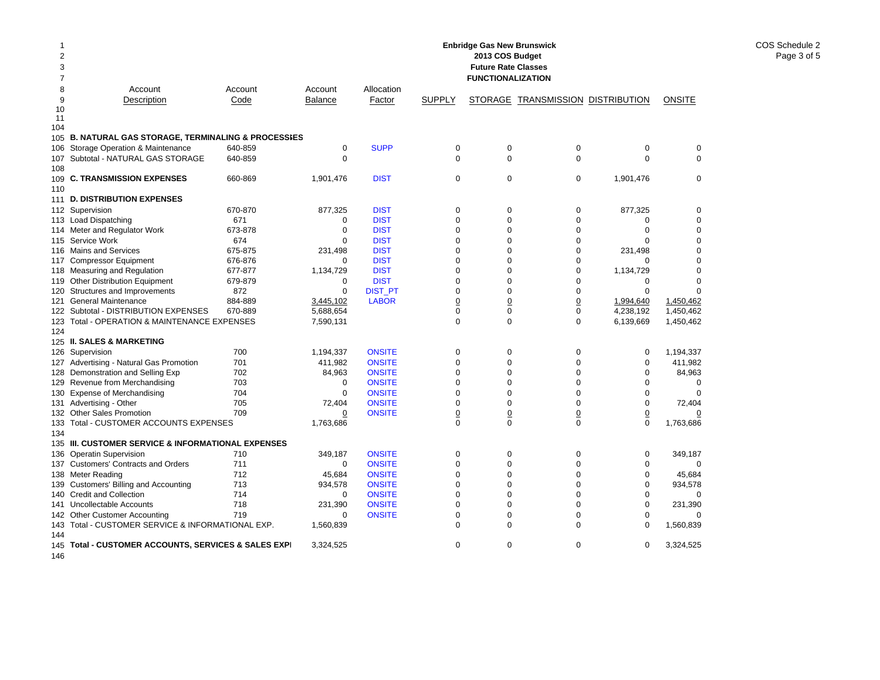|     |                                                             |         |                |                |                 | <b>Enbridge Gas New Brunswick</b> |                                   |                |               |
|-----|-------------------------------------------------------------|---------|----------------|----------------|-----------------|-----------------------------------|-----------------------------------|----------------|---------------|
| 2   |                                                             |         |                |                |                 | 2013 COS Budget                   |                                   |                |               |
| 3   |                                                             |         |                |                |                 | <b>Future Rate Classes</b>        |                                   |                |               |
| 7   |                                                             |         |                |                |                 | <b>FUNCTIONALIZATION</b>          |                                   |                |               |
| 8   | Account                                                     | Account | Account        | Allocation     |                 |                                   |                                   |                |               |
| 9   | Description                                                 | Code    | <b>Balance</b> | Factor         | <b>SUPPLY</b>   |                                   | STORAGE TRANSMISSION DISTRIBUTION |                | <b>ONSITE</b> |
| 10  |                                                             |         |                |                |                 |                                   |                                   |                |               |
| 11  |                                                             |         |                |                |                 |                                   |                                   |                |               |
| 104 |                                                             |         |                |                |                 |                                   |                                   |                |               |
| 105 | <b>B. NATURAL GAS STORAGE, TERMINALING &amp; PROCESSIES</b> |         |                |                |                 |                                   |                                   |                |               |
|     | 106 Storage Operation & Maintenance                         | 640-859 | $\mathbf 0$    | <b>SUPP</b>    | 0               | $\mathbf 0$                       | $\mathbf 0$                       | $\mathbf 0$    | $\mathbf 0$   |
| 107 | Subtotal - NATURAL GAS STORAGE                              | 640-859 | $\mathbf 0$    |                | $\mathbf 0$     | $\mathbf 0$                       | $\mathbf 0$                       | $\mathbf 0$    | $\mathbf 0$   |
| 108 |                                                             |         |                |                |                 |                                   |                                   |                |               |
| 109 | <b>C. TRANSMISSION EXPENSES</b>                             | 660-869 | 1,901,476      | <b>DIST</b>    | 0               | $\mathbf 0$                       | $\mathbf 0$                       | 1,901,476      | $\mathbf 0$   |
| 110 |                                                             |         |                |                |                 |                                   |                                   |                |               |
| 111 | <b>D. DISTRIBUTION EXPENSES</b>                             |         |                |                |                 |                                   |                                   |                |               |
|     | 112 Supervision                                             | 670-870 | 877,325        | <b>DIST</b>    | $\mathbf 0$     | $\mathbf 0$                       | $\mathbf 0$                       | 877,325        | $\mathbf 0$   |
| 113 | <b>Load Dispatching</b>                                     | 671     | 0              | <b>DIST</b>    | $\mathbf 0$     | 0                                 | $\mathbf 0$                       | 0              | $\mathbf 0$   |
|     | 114 Meter and Regulator Work                                | 673-878 | $\mathbf 0$    | <b>DIST</b>    | $\mathbf 0$     | 0                                 | $\mathbf 0$                       | $\mathbf 0$    | $\mathbf 0$   |
| 115 | Service Work                                                | 674     | 0              | <b>DIST</b>    | $\mathbf 0$     | 0                                 | $\mathbf 0$                       | $\Omega$       | $\Omega$      |
|     | 116 Mains and Services                                      | 675-875 | 231,498        | <b>DIST</b>    | $\mathbf 0$     | 0                                 | $\mathbf 0$                       | 231,498        | $\Omega$      |
| 117 | <b>Compressor Equipment</b>                                 | 676-876 | 0              | <b>DIST</b>    | $\Omega$        | 0                                 | $\mathbf 0$                       | $\Omega$       | $\Omega$      |
|     | 118 Measuring and Regulation                                | 677-877 | 1,134,729      | <b>DIST</b>    | $\mathbf 0$     | 0                                 | $\mathbf 0$                       | 1,134,729      | $\mathbf 0$   |
|     | 119 Other Distribution Equipment                            | 679-879 | $\mathbf 0$    | <b>DIST</b>    | $\mathbf 0$     | 0                                 | $\mathbf 0$                       | $\mathbf 0$    | $\Omega$      |
| 120 | Structures and Improvements                                 | 872     | $\mathbf 0$    | <b>DIST PT</b> | $\mathbf 0$     | 0                                 | $\mathbf 0$                       | $\mathbf 0$    | $\Omega$      |
| 121 | <b>General Maintenance</b>                                  | 884-889 | 3,445,102      | <b>LABOR</b>   | $\underline{0}$ | $\overline{0}$                    | $\underline{0}$                   | 1,994,640      | 1,450,462     |
|     | 122 Subtotal - DISTRIBUTION EXPENSES                        | 670-889 | 5,688,654      |                | $\mathbf 0$     | 0                                 | $\mathsf 0$                       | 4,238,192      | 1,450,462     |
|     | 123 Total - OPERATION & MAINTENANCE EXPENSES                |         | 7,590,131      |                | $\Omega$        | $\overline{0}$                    | $\mathbf 0$                       | 6,139,669      | 1,450,462     |
| 124 |                                                             |         |                |                |                 |                                   |                                   |                |               |
|     | 125 II. SALES & MARKETING                                   |         |                |                |                 |                                   |                                   |                |               |
|     | 126 Supervision                                             | 700     | 1,194,337      | <b>ONSITE</b>  | $\pmb{0}$       | 0                                 | $\mathbf 0$                       | $\mathbf 0$    | 1,194,337     |
|     | 127 Advertising - Natural Gas Promotion                     | 701     | 411,982        | <b>ONSITE</b>  | $\Omega$        | 0                                 | $\Omega$                          | $\mathbf 0$    | 411,982       |
| 128 | Demonstration and Selling Exp                               | 702     | 84,963         | <b>ONSITE</b>  | $\Omega$        | $\Omega$                          | $\Omega$                          | $\mathbf 0$    | 84,963        |
| 129 | Revenue from Merchandising                                  | 703     | 0              | <b>ONSITE</b>  | $\mathbf 0$     | 0                                 | $\mathbf 0$                       | $\Omega$       | 0             |
| 130 | <b>Expense of Merchandising</b>                             | 704     | $\mathbf 0$    | <b>ONSITE</b>  | $\Omega$        | 0                                 | $\Omega$                          | $\mathbf 0$    | $\Omega$      |
|     | 131 Advertising - Other                                     | 705     | 72,404         | <b>ONSITE</b>  | $\mathbf 0$     | 0                                 | $\Omega$                          | 0              | 72,404        |
|     | 132 Other Sales Promotion                                   | 709     | 0              | <b>ONSITE</b>  | $\overline{0}$  | $\overline{0}$                    | $\overline{0}$                    | $\overline{0}$ | 0             |
|     | 133 Total - CUSTOMER ACCOUNTS EXPENSES                      |         | 1,763,686      |                | $\Omega$        | $\Omega$                          | $\Omega$                          | $\Omega$       | 1,763,686     |
| 134 |                                                             |         |                |                |                 |                                   |                                   |                |               |
|     | 135 III. CUSTOMER SERVICE & INFORMATIONAL EXPENSES          |         |                |                |                 |                                   |                                   |                |               |
| 136 | <b>Operatin Supervision</b>                                 | 710     | 349,187        | <b>ONSITE</b>  | $\mathbf 0$     | $\mathbf 0$                       | $\mathbf 0$                       | $\mathbf 0$    | 349,187       |
|     | 137 Customers' Contracts and Orders                         | 711     | $\mathbf 0$    | <b>ONSITE</b>  | $\mathbf 0$     | 0                                 | $\mathbf 0$                       | $\mathbf 0$    | 0             |
|     | 138 Meter Reading                                           | 712     | 45,684         | <b>ONSITE</b>  | $\mathbf 0$     | 0                                 | $\Omega$                          | $\mathbf 0$    | 45,684        |
| 139 | Customers' Billing and Accounting                           | 713     | 934,578        | <b>ONSITE</b>  | $\mathbf 0$     | 0                                 | $\mathbf 0$                       | $\mathbf 0$    | 934,578       |
|     | 140 Credit and Collection                                   | 714     | 0              | <b>ONSITE</b>  | $\Omega$        | 0                                 | $\Omega$                          | $\Omega$       | $\mathbf 0$   |
| 141 | <b>Uncollectable Accounts</b>                               | 718     | 231,390        | <b>ONSITE</b>  | $\mathbf 0$     | 0                                 | $\mathbf 0$                       | $\mathbf 0$    | 231,390       |
|     | 142 Other Customer Accounting                               | 719     | $\Omega$       | <b>ONSITE</b>  | $\mathbf 0$     | 0                                 | $\mathbf 0$                       | $\Omega$       | $\Omega$      |
| 143 | Total - CUSTOMER SERVICE & INFORMATIONAL EXP.               |         | 1,560,839      |                | $\mathbf 0$     | 0                                 | $\mathbf 0$                       | 0              | 1,560,839     |
| 144 |                                                             |         |                |                |                 |                                   |                                   |                |               |
| 145 | Total - CUSTOMER ACCOUNTS, SERVICES & SALES EXPI            |         | 3,324,525      |                | $\Omega$        | $\mathbf 0$                       | $\mathbf 0$                       | $\mathbf 0$    | 3,324,525     |
| 146 |                                                             |         |                |                |                 |                                   |                                   |                |               |

COS Schedule 2 Page 3 of 5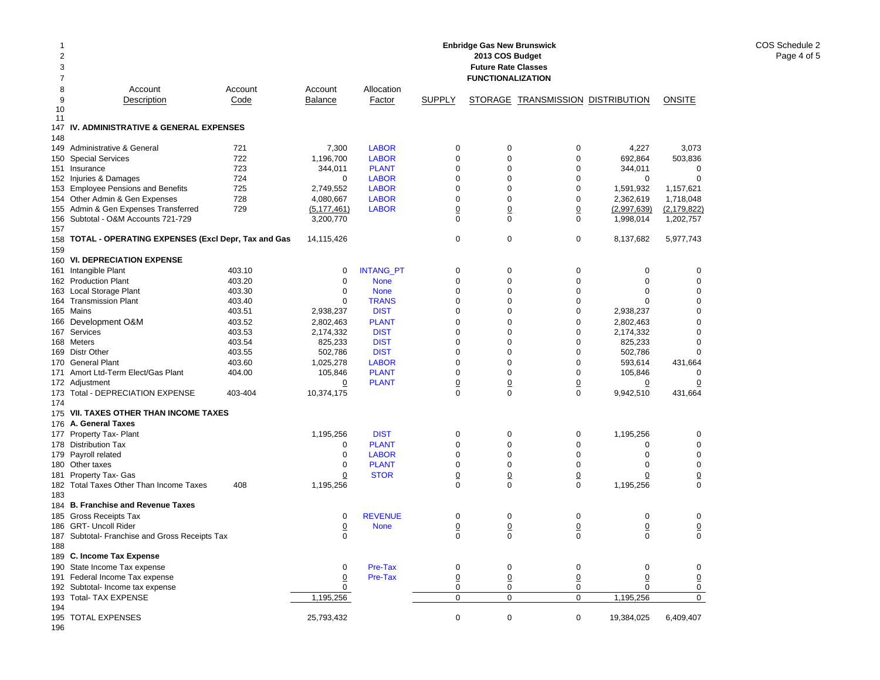| $\mathbf 1$<br>$\overline{2}$<br>3 |                                                    |         |                |                  |                                | <b>Enbridge Gas New Brunswick</b><br>2013 COS Budget<br><b>Future Rate Classes</b> |                                   |                |                |
|------------------------------------|----------------------------------------------------|---------|----------------|------------------|--------------------------------|------------------------------------------------------------------------------------|-----------------------------------|----------------|----------------|
| $\overline{7}$                     |                                                    |         |                |                  |                                | <b>FUNCTIONALIZATION</b>                                                           |                                   |                |                |
| 8                                  | Account                                            | Account | Account        | Allocation       |                                |                                                                                    |                                   |                |                |
| 9<br>10                            | Description                                        | Code    | <b>Balance</b> | Factor           | <b>SUPPLY</b>                  |                                                                                    | STORAGE TRANSMISSION DISTRIBUTION |                | <b>ONSITE</b>  |
| 11                                 | IV. ADMINISTRATIVE & GENERAL EXPENSES              |         |                |                  |                                |                                                                                    |                                   |                |                |
| 147<br>148                         |                                                    |         |                |                  |                                |                                                                                    |                                   |                |                |
| 149                                | Administrative & General                           | 721     | 7,300          | <b>LABOR</b>     | 0                              | 0                                                                                  | 0                                 | 4,227          | 3,073          |
| 150                                | <b>Special Services</b>                            | 722     | 1,196,700      | <b>LABOR</b>     | $\mathbf 0$                    | 0                                                                                  | $\mathbf 0$                       | 692,864        | 503,836        |
|                                    | 151 Insurance                                      | 723     | 344,011        | <b>PLANT</b>     | 0                              | 0                                                                                  | $\mathbf 0$                       | 344,011        | $\mathbf 0$    |
|                                    | 152 Injuries & Damages                             | 724     | $\mathbf 0$    | <b>LABOR</b>     | $\mathbf 0$                    | $\mathbf 0$                                                                        | $\mathbf 0$                       | 0              | $\Omega$       |
|                                    | 153 Employee Pensions and Benefits                 | 725     | 2,749,552      | <b>LABOR</b>     | $\mathbf 0$                    | $\mathbf 0$                                                                        | $\mathsf 0$                       | 1,591,932      | 1,157,621      |
|                                    | 154 Other Admin & Gen Expenses                     | 728     | 4,080,667      | <b>LABOR</b>     | $\Omega$                       | $\Omega$                                                                           | $\mathbf 0$                       | 2,362,619      | 1,718,048      |
| 155                                | Admin & Gen Expenses Transferred                   | 729     | (5, 177, 461)  | <b>LABOR</b>     | $\overline{0}$                 | $\overline{0}$                                                                     | $\overline{0}$                    | (2,997,639)    | (2, 179, 822)  |
| 157                                | 156 Subtotal - O&M Accounts 721-729                |         | 3,200,770      |                  | $\mathbf 0$                    | $\mathbf 0$                                                                        | $\mathbf 0$                       | 1,998,014      | 1,202,757      |
| 158<br>159                         | TOTAL - OPERATING EXPENSES (Excl Depr, Tax and Gas |         | 14,115,426     |                  | $\mathbf 0$                    | $\mathbf 0$                                                                        | $\mathbf 0$                       | 8,137,682      | 5,977,743      |
|                                    | 160 VI. DEPRECIATION EXPENSE                       |         |                |                  |                                |                                                                                    |                                   |                |                |
|                                    |                                                    | 403.10  |                |                  | $\mathbf 0$                    |                                                                                    |                                   |                |                |
|                                    | 161 Intangible Plant                               |         | 0              | <b>INTANG_PT</b> |                                | 0                                                                                  | 0                                 | 0              | 0              |
|                                    | 162 Production Plant                               | 403.20  | $\mathbf 0$    | <b>None</b>      | $\mathbf 0$                    | $\mathbf 0$                                                                        | $\mathbf 0$                       | $\mathbf 0$    | $\mathbf 0$    |
| 163                                | Local Storage Plant                                | 403.30  | 0              | <b>None</b>      | $\mathbf 0$                    | $\mathbf 0$                                                                        | 0                                 | $\mathbf 0$    | $\mathbf 0$    |
|                                    | 164 Transmission Plant                             | 403.40  | $\mathbf 0$    | <b>TRANS</b>     | 0                              | 0                                                                                  | 0                                 | $\Omega$       | $\Omega$       |
|                                    | 165 Mains                                          | 403.51  | 2,938,237      | <b>DIST</b>      | $\mathbf 0$                    | 0                                                                                  | $\mathsf 0$                       | 2,938,237      | $\Omega$       |
|                                    | 166 Development O&M                                | 403.52  | 2,802,463      | <b>PLANT</b>     | $\mathbf 0$                    | $\mathbf 0$                                                                        | 0                                 | 2,802,463      | $\Omega$       |
|                                    | 167 Services                                       | 403.53  | 2,174,332      | <b>DIST</b>      | $\mathbf 0$                    | $\Omega$                                                                           | $\mathsf 0$                       | 2,174,332      | $\Omega$       |
|                                    | 168 Meters                                         | 403.54  | 825,233        | <b>DIST</b>      | $\Omega$                       | $\Omega$                                                                           | $\mathbf 0$                       | 825,233        | $\Omega$       |
|                                    | 169 Distr Other                                    | 403.55  | 502,786        | <b>DIST</b>      | $\mathbf 0$                    | $\Omega$                                                                           | $\mathsf 0$                       | 502,786        | $\Omega$       |
|                                    | 170 General Plant                                  | 403.60  | 1,025,278      | <b>LABOR</b>     | 0                              | $\Omega$                                                                           | $\mathbf 0$                       | 593,614        | 431,664        |
| 171                                | Amort Ltd-Term Elect/Gas Plant                     | 404.00  | 105,846        | <b>PLANT</b>     | $\mathbf 0$                    | 0                                                                                  | $\pmb{0}$                         | 105,846        | $\Omega$       |
|                                    | 172 Adjustment                                     |         | $\overline{0}$ | <b>PLANT</b>     | $\overline{0}$                 | $\overline{0}$                                                                     | $\underline{0}$                   | 0              | 0              |
|                                    | 173 Total - DEPRECIATION EXPENSE                   | 403-404 | 10,374,175     |                  | $\Omega$                       | $\Omega$                                                                           | $\Omega$                          | 9,942,510      | 431,664        |
| 174                                |                                                    |         |                |                  |                                |                                                                                    |                                   |                |                |
|                                    | 175 VII. TAXES OTHER THAN INCOME TAXES             |         |                |                  |                                |                                                                                    |                                   |                |                |
|                                    | 176 A. General Taxes                               |         |                |                  |                                |                                                                                    |                                   |                |                |
|                                    | 177 Property Tax- Plant                            |         | 1,195,256      | <b>DIST</b>      | $\mathbf 0$                    | $\mathbf 0$                                                                        | $\mathsf 0$                       | 1,195,256      | $\mathbf 0$    |
|                                    | 178 Distribution Tax                               |         | 0              | <b>PLANT</b>     | $\mathbf 0$                    | 0                                                                                  | $\mathbf 0$                       | $\mathbf 0$    | $\mathbf 0$    |
|                                    | 179 Payroll related                                |         | 0              | <b>LABOR</b>     | $\Omega$                       | $\Omega$                                                                           | $\Omega$                          | $\Omega$       | $\Omega$       |
|                                    | 180 Other taxes                                    |         | 0              | <b>PLANT</b>     | 0                              | 0                                                                                  | $\mathbf 0$                       | $\mathbf 0$    | $\mathbf 0$    |
|                                    |                                                    |         | $\overline{0}$ | <b>STOR</b>      |                                | $\overline{0}$                                                                     |                                   |                |                |
| 181                                | Property Tax- Gas                                  |         |                |                  | $\underline{0}$<br>$\mathbf 0$ |                                                                                    | $\underline{0}$                   | $\Omega$       | $\overline{0}$ |
|                                    | 182 Total Taxes Other Than Income Taxes            | 408     | 1,195,256      |                  |                                | 0                                                                                  | $\mathbf 0$                       | 1,195,256      | $\mathbf 0$    |
| 183                                |                                                    |         |                |                  |                                |                                                                                    |                                   |                |                |
|                                    | 184 B. Franchise and Revenue Taxes                 |         |                |                  |                                |                                                                                    |                                   |                |                |
|                                    | 185 Gross Receipts Tax                             |         | 0              | <b>REVENUE</b>   | $\pmb{0}$                      | 0                                                                                  | 0                                 | $\mathbf 0$    | 0              |
|                                    | 186 GRT- Uncoll Rider                              |         | $\overline{0}$ | <b>None</b>      | $\underline{0}$                | $\overline{0}$                                                                     | $\overline{0}$                    | $\overline{0}$ | $\overline{0}$ |
|                                    | 187 Subtotal- Franchise and Gross Receipts Tax     |         | $\Omega$       |                  | $\Omega$                       | $\Omega$                                                                           | $\Omega$                          | $\Omega$       | $\Omega$       |
| 188                                |                                                    |         |                |                  |                                |                                                                                    |                                   |                |                |
|                                    | 189 C. Income Tax Expense                          |         |                |                  |                                |                                                                                    |                                   |                |                |
|                                    | 190 State Income Tax expense                       |         | $\mathbf 0$    | Pre-Tax          | 0                              | 0                                                                                  | $\mathbf 0$                       | $\mathbf 0$    | $\mathbf 0$    |
|                                    | 191 Federal Income Tax expense                     |         | $\overline{0}$ | Pre-Tax          | $\underline{0}$                | $\overline{0}$                                                                     | $\overline{0}$                    | $\overline{0}$ | $\overline{0}$ |
|                                    | 192 Subtotal- Income tax expense                   |         | 0              |                  | 0                              | 0                                                                                  | 0                                 | $\mathbf 0$    | 0              |
|                                    | 193 Total- TAX EXPENSE                             |         | 1,195,256      |                  | $\mathbf 0$                    | $\mathbf 0$                                                                        | 0                                 | 1,195,256      | 0              |
| 194                                |                                                    |         |                |                  |                                |                                                                                    |                                   |                |                |
|                                    | 195 TOTAL EXPENSES                                 |         | 25.793.432     |                  | $\Omega$                       | $\Omega$                                                                           | 0                                 | 19.384.025     | 6.409.407      |

196

COS Schedule 2 Page 4 of 5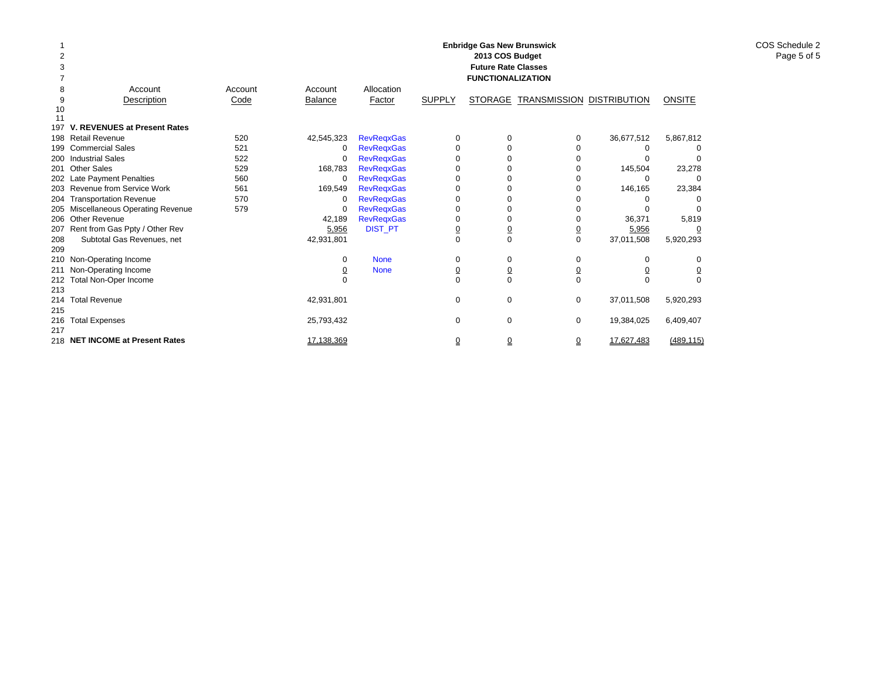|     |                                     |         |                |                   |                | <b>Enbridge Gas New Brunswick</b><br>2013 COS Budget<br><b>Future Rate Classes</b><br><b>FUNCTIONALIZATION</b> |                                  |            |               |  |
|-----|-------------------------------------|---------|----------------|-------------------|----------------|----------------------------------------------------------------------------------------------------------------|----------------------------------|------------|---------------|--|
| 8   | Account                             | Account | Account        | Allocation        |                |                                                                                                                |                                  |            |               |  |
| 9   | Description                         | Code    | <b>Balance</b> | <b>Factor</b>     | <b>SUPPLY</b>  | <b>STORAGE</b>                                                                                                 | <b>TRANSMISSION DISTRIBUTION</b> |            | <b>ONSITE</b> |  |
| 10  |                                     |         |                |                   |                |                                                                                                                |                                  |            |               |  |
| 11  |                                     |         |                |                   |                |                                                                                                                |                                  |            |               |  |
| 197 | V. REVENUES at Present Rates        |         |                |                   |                |                                                                                                                |                                  |            |               |  |
|     | 198 Retail Revenue                  | 520     | 42,545,323     | <b>RevRegxGas</b> | $\Omega$       | O                                                                                                              | 0                                | 36,677,512 | 5,867,812     |  |
| 199 | <b>Commercial Sales</b>             | 521     | 0              | <b>RevRegxGas</b> | $\Omega$       |                                                                                                                | O                                | O          |               |  |
|     | 200 Industrial Sales                | 522     | 0              | <b>RevRegxGas</b> |                |                                                                                                                |                                  |            |               |  |
| 201 | <b>Other Sales</b>                  | 529     | 168,783        | <b>RevRegxGas</b> |                |                                                                                                                |                                  | 145,504    | 23,278        |  |
|     | 202 Late Payment Penalties          | 560     | 0              | <b>RevRegxGas</b> |                |                                                                                                                |                                  | O          |               |  |
|     | 203 Revenue from Service Work       | 561     | 169,549        | <b>RevRegxGas</b> |                |                                                                                                                |                                  | 146,165    | 23,384        |  |
|     | 204 Transportation Revenue          | 570     | $\Omega$       | <b>RevReqxGas</b> |                |                                                                                                                |                                  |            |               |  |
|     | 205 Miscellaneous Operating Revenue | 579     | $\Omega$       | <b>RevRegxGas</b> | O              |                                                                                                                |                                  | o          |               |  |
|     | 206 Other Revenue                   |         | 42,189         | <b>RevRegxGas</b> |                | O                                                                                                              |                                  | 36,371     | 5,819         |  |
|     | 207 Rent from Gas Ppty / Other Rev  |         | 5,956          | <b>DIST_PT</b>    | $\overline{0}$ | $\overline{0}$                                                                                                 |                                  | 5,956      |               |  |
| 208 | Subtotal Gas Revenues, net          |         | 42,931,801     |                   | $\Omega$       | $\Omega$                                                                                                       | $\Omega$                         | 37,011,508 | 5,920,293     |  |
| 209 |                                     |         |                |                   |                |                                                                                                                |                                  |            |               |  |
|     | 210 Non-Operating Income            |         | 0              | <b>None</b>       | 0              | 0                                                                                                              | 0                                | 0          | 0             |  |
| 211 | Non-Operating Income                |         | <u>0</u>       | <b>None</b>       | $\overline{0}$ | <u>0</u>                                                                                                       | $\overline{0}$                   | <u>0</u>   | <u>0</u>      |  |
|     | 212 Total Non-Oper Income           |         |                |                   | $\Omega$       | $\Omega$                                                                                                       | $\Omega$                         | U          |               |  |
| 213 |                                     |         |                |                   |                |                                                                                                                |                                  |            |               |  |
| 214 | <b>Total Revenue</b>                |         | 42,931,801     |                   | 0              | $\mathbf 0$                                                                                                    | 0                                | 37,011,508 | 5,920,293     |  |
| 215 |                                     |         |                |                   |                |                                                                                                                |                                  |            |               |  |
| 216 | <b>Total Expenses</b>               |         | 25,793,432     |                   | 0              | 0                                                                                                              | 0                                | 19,384,025 | 6,409,407     |  |
| 217 |                                     |         |                |                   |                |                                                                                                                |                                  |            |               |  |
|     | 218 NET INCOME at Present Rates     |         | 17,138,369     |                   | 0              | 0                                                                                                              | 0                                | 17.627.483 | (489.115)     |  |

COS Schedule 2 Page 5 of 5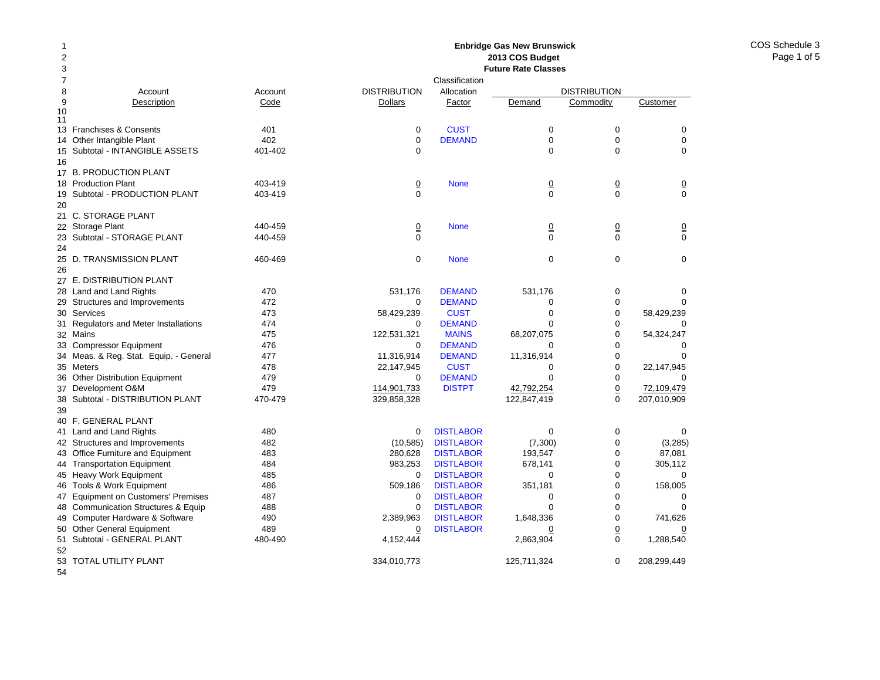#### Account Account Description Code 13 Franchises & Consents 401 14 Other Intangible Plant 402 Subtotal - INTANGIBLE ASSETS 401-402 17 B. PRODUCTION PLANT 18 Production Plant 403-419 Subtotal - PRODUCTION PLANT 403-419 21 C. STORAGE PLANT 22 Storage Plant 440-459 23 Subtotal - STORAGE PLANT 440-459 25 D. TRANSMISSION PLANT 460-469 27 E. DISTRIBUTION PLANT 28 Land and Land Rights 470 29 Structures and Improvements 472 Services 473 Regulators and Meter Installations 474 Mains 475 Compressor Equipment 476 34 Meas. & Reg. Stat. Equip. - General 477 Meters 478 Other Distribution Equipment 479 Development O&M 479 Subtotal - DISTRIBUTION PLANT 470-479 40 F. GENERAL PLANT 41 Land and Land Rights 480 42 Structures and Improvements 482 43 Office Furniture and Equipment 483 44 Transportation Equipment 484 45 Heavy Work Equipment 485 46 Tools & Work Equipment 486 47 Equipment on Customers' Premises 487 48 Communication Structures & Equip 488 49 Computer Hardware & Software  $490$ Other General Equipment 489 51 Subtotal - GENERAL PLANT 480-490 **2013 COS Budget Future Rate Classes**ClassificationDISTRIBUTION Allocation DISTRIBUTION**Dollars** Factor Demand Commodity Customer 0**CUST** T 0 0 0 0 DEMANDD 0 0 0 0 0000**None** e 0 0 0 0 000 $\overline{0}$ 0 None 0 0 0 0 0000 None 000 531,176 DEMAND 531,176 0 0 0 DEMANDD 0 0 0 58,429,239 CUST 0 0 58,429,239  $\Omega$  DEMANDD 0 0 0 122,531,321 MAINS 68,207,075 0 54,324,247  $\Omega$  DEMANDD 0 0 0 11.316,914 DEMAND 11.316,914 0 0 0 22,147,945 CUST 0 0 22,147,945  $\Omega$  DEMANDD 0 0 0 114,901,733 DISTPT 42,792,254 0 72,109,479 329,858,328 122,847,419 0 207,010,909 0 DISTLABORR 0 0 0 (10,585) DISTLABOR (7,300) 0 (3,285) 280,628 DISTLABOR 193,547 0 87,081 983.253 DISTLABOR 678.141 0 305.112 0**DISTLABOR** R 0 0 0 509,186 DISTLABOR 351,181 0 158,005  $\Omega$  DISTLABORR 0 0 0 0**DISTLABOR** R 0 0 0 2,389,963 DISTLABOR 1,648,336 0 741,626 0**DISTLABOR** R 0 0 0 4,152,444 2,863,904 0 1,288,540

**Enbridge Gas New Brunswick** 

334,010,773 125,711,324 0 208,299,449

53TOTAL UTILITY PLANT

54

50

52

9

1011

15

16

19

20

24

26

30

31

32

33

35

36

37

38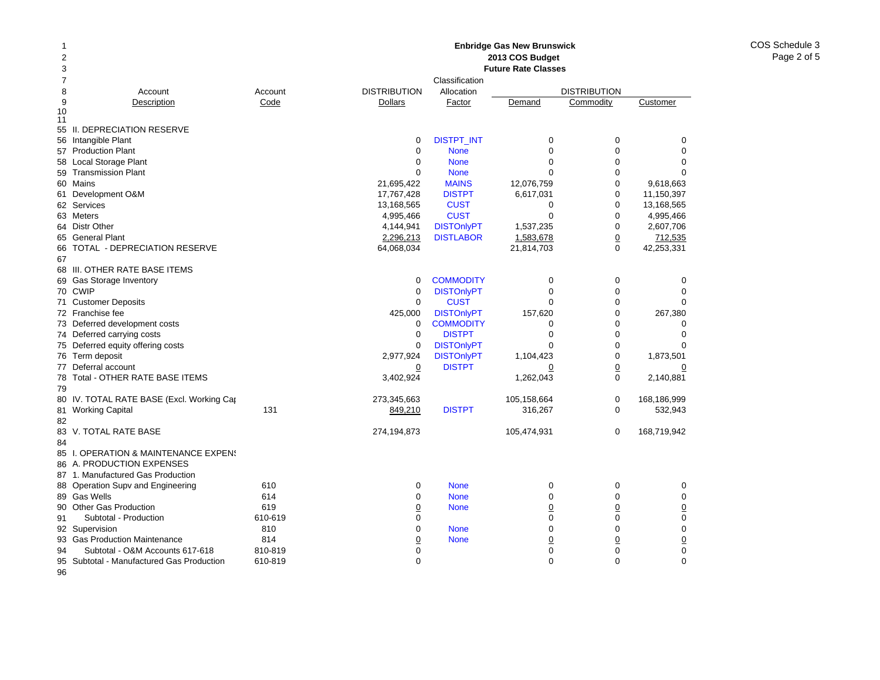## **Enbridge Gas New Brunswick 2013 COS Budget**

| 2  |                                           |         |                     |                   | 2013 COS Budget            |                     |                 |
|----|-------------------------------------------|---------|---------------------|-------------------|----------------------------|---------------------|-----------------|
| 3  |                                           |         |                     |                   | <b>Future Rate Classes</b> |                     |                 |
| 7  |                                           |         |                     | Classification    |                            |                     |                 |
| 8  | Account                                   | Account | <b>DISTRIBUTION</b> | Allocation        |                            | <b>DISTRIBUTION</b> |                 |
| 9  | Description                               | Code    | Dollars             | Factor            | Demand                     | Commodity           | Customer        |
| 10 |                                           |         |                     |                   |                            |                     |                 |
| 11 | 55 II. DEPRECIATION RESERVE               |         |                     |                   |                            |                     |                 |
|    | 56 Intangible Plant                       |         | 0                   | <b>DISTPT_INT</b> | 0                          | 0                   | 0               |
|    | 57 Production Plant                       |         | $\mathbf 0$         | <b>None</b>       | $\Omega$                   | $\mathbf 0$         | $\mathbf 0$     |
|    | 58 Local Storage Plant                    |         | 0                   | <b>None</b>       | $\Omega$                   | $\mathbf 0$         | $\Omega$        |
|    | 59 Transmission Plant                     |         | $\Omega$            | <b>None</b>       | $\Omega$                   | $\mathbf 0$         | $\Omega$        |
|    | 60 Mains                                  |         | 21,695,422          | <b>MAINS</b>      | 12,076,759                 | $\Omega$            | 9,618,663       |
|    |                                           |         |                     | <b>DISTPT</b>     |                            | 0                   | 11,150,397      |
|    | 61 Development O&M                        |         | 17,767,428          |                   | 6,617,031                  | $\mathbf 0$         |                 |
|    | 62 Services                               |         | 13,168,565          | <b>CUST</b>       | 0                          |                     | 13,168,565      |
|    | 63 Meters                                 |         | 4,995,466           | <b>CUST</b>       | $\mathbf 0$                | $\mathbf 0$         | 4,995,466       |
|    | 64 Distr Other                            |         | 4,144,941           | <b>DISTOnlyPT</b> | 1,537,235                  | $\mathbf 0$         | 2,607,706       |
|    | 65 General Plant                          |         | 2,296,213           | <b>DISTLABOR</b>  | 1,583,678                  | $\overline{0}$      | 712,535         |
| 66 | TOTAL - DEPRECIATION RESERVE              |         | 64,068,034          |                   | 21,814,703                 | $\mathbf 0$         | 42,253,331      |
| 67 |                                           |         |                     |                   |                            |                     |                 |
|    | 68 III. OTHER RATE BASE ITEMS             |         |                     |                   |                            |                     |                 |
|    | 69 Gas Storage Inventory                  |         | $\mathbf 0$         | <b>COMMODITY</b>  | 0                          | 0                   | 0               |
|    | 70 CWIP                                   |         | 0                   | <b>DISTOnlyPT</b> | $\Omega$                   | $\mathbf 0$         | $\mathbf 0$     |
|    | 71 Customer Deposits                      |         | $\mathbf 0$         | <b>CUST</b>       | $\Omega$                   | $\mathbf 0$         | $\Omega$        |
|    | 72 Franchise fee                          |         | 425,000             | <b>DISTOnlyPT</b> | 157,620                    | $\mathbf 0$         | 267,380         |
|    | 73 Deferred development costs             |         | 0                   | <b>COMMODITY</b>  | 0                          | 0                   | 0               |
|    | 74 Deferred carrying costs                |         | 0                   | <b>DISTPT</b>     | $\Omega$                   | $\mathbf 0$         | $\Omega$        |
|    | 75 Deferred equity offering costs         |         | $\mathbf 0$         | <b>DISTOnlyPT</b> | $\Omega$                   | $\mathbf 0$         | $\Omega$        |
|    | 76 Term deposit                           |         | 2,977,924           | <b>DISTOnlyPT</b> | 1,104,423                  | 0                   | 1,873,501       |
|    | 77 Deferral account                       |         | $\overline{0}$      | <b>DISTPT</b>     | $\overline{0}$             | $\overline{0}$      | $\overline{0}$  |
|    | 78 Total - OTHER RATE BASE ITEMS          |         | 3,402,924           |                   | 1,262,043                  | $\mathbf 0$         | 2,140,881       |
| 79 |                                           |         |                     |                   |                            |                     |                 |
|    | 80 IV. TOTAL RATE BASE (Excl. Working Cap |         | 273,345,663         |                   | 105,158,664                | $\mathbf 0$         | 168,186,999     |
|    | 81 Working Capital                        | 131     | 849,210             | <b>DISTPT</b>     | 316,267                    | $\mathbf 0$         | 532,943         |
| 82 |                                           |         |                     |                   |                            |                     |                 |
| 83 | V. TOTAL RATE BASE                        |         | 274,194,873         |                   | 105,474,931                | 0                   | 168,719,942     |
| 84 |                                           |         |                     |                   |                            |                     |                 |
|    | 85 I. OPERATION & MAINTENANCE EXPENS      |         |                     |                   |                            |                     |                 |
|    | 86 A. PRODUCTION EXPENSES                 |         |                     |                   |                            |                     |                 |
|    | 87 1. Manufactured Gas Production         |         |                     |                   |                            |                     |                 |
|    | 88 Operation Supv and Engineering         | 610     | 0                   | <b>None</b>       | 0                          | 0                   | 0               |
|    | 89 Gas Wells                              | 614     | $\Omega$            | <b>None</b>       | $\Omega$                   | $\Omega$            | $\mathbf 0$     |
|    | 90 Other Gas Production                   | 619     | <u>0</u>            | <b>None</b>       | $\overline{0}$             | $\underline{0}$     | $\underline{0}$ |
| 91 | Subtotal - Production                     | 610-619 | 0                   |                   | $\mathbf 0$                | 0                   | $\pmb{0}$       |
|    | 92 Supervision                            | 810     | 0                   | <b>None</b>       | 0                          | 0                   | $\pmb{0}$       |
|    | 93 Gas Production Maintenance             | 814     | <u>0</u>            | <b>None</b>       | $\overline{0}$             | $\overline{0}$      | $\underline{0}$ |
| 94 | Subtotal - O&M Accounts 617-618           | 810-819 | 0                   |                   | 0                          | 0                   | $\mathbf 0$     |
| 95 | Subtotal - Manufactured Gas Production    | 610-819 | $\Omega$            |                   | $\Omega$                   | $\Omega$            | $\Omega$        |
| 96 |                                           |         |                     |                   |                            |                     |                 |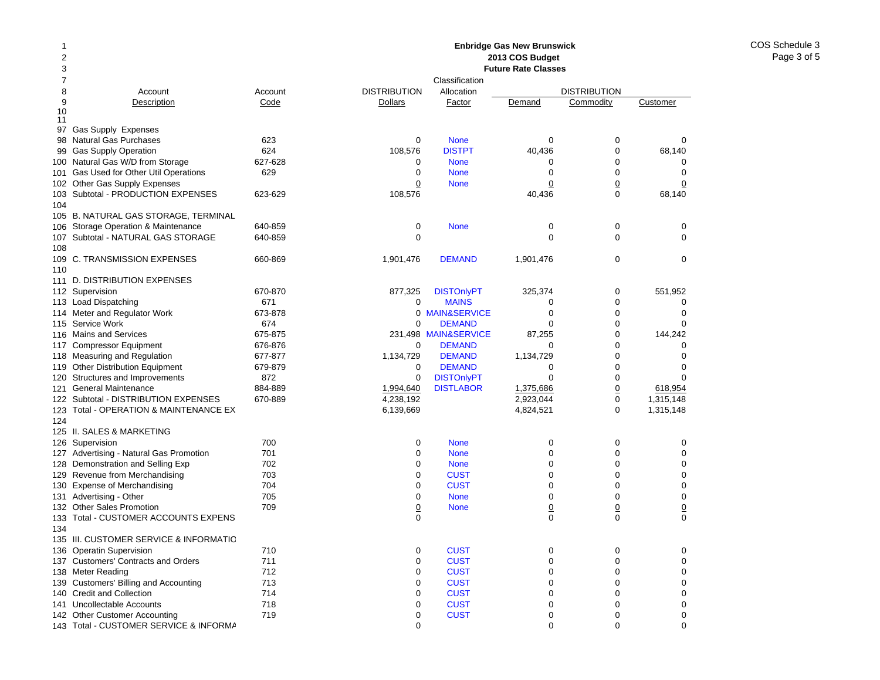#### 12378 Account Account 9Description Code 10 1197 Gas Supply Expenses 98Natural Gas Purchases 623 99Gas Supply Operation 624 100Natural Gas W/D from Storage 627-628 101Gas Used for Other Util Operations 629 102 Other Gas Supply Expenses 103Subtotal - PRODUCTION EXPENSES 623-629 104105 B. NATURAL GAS STORAGE, TERMINAL 106 Storage Operation & Maintenance 640-859 107Subtotal - NATURAL GAS STORAGE 640-859 108109C. TRANSMISSION EXPENSES 660-869 110111 D. DISTRIBUTION EXPENSES 112 Supervision 670-870 113Load Dispatching 671 114 Meter and Regulator Work 673-878 115Service Work 674 116Mains and Services 675-875 117Compressor Equipment 676-876 118 Measuring and Regulation 677-877 119Other Distribution Equipment 679-879 120Structures and Improvements 672 121General Maintenance 884-889 122 Subtotal - DISTRIBUTION EXPENSES 670-889 123 Total - OPERATION & MAINTENANCE EX 124125 II. SALES & MARKETING126Supervision 700 127 Advertising - Natural Gas Promotion 701 128Demonstration and Selling Exp 702 129Revenue from Merchandising 703 130Expense of Merchandising T04 131 Advertising - Other 705 132Other Sales Promotion **709** 133 Total - CUSTOMER ACCOUNTS EXPENS 134135 III. CUSTOMER SERVICE & INFORMATIO136Operatin Supervision 710 137 Customers' Contracts and Orders 711 138 Meter Reading 712 139 Customers' Billing and Accounting 713 140 Credit and Collection 714 141 Uncollectable Accounts 718 142Other Customer Accounting T19 **Enbridge Gas New Brunswick 2013 COS Budget Future Rate Classes**ClassificationDISTRIBUTION Allocation DISTRIBUTION**Dollars** Factor Demand Commodity Customer 0 None 000 108,576 DISTPT 40,436 0 68,140 0 None 000 0 None 000 0**None** e 0 0 0 108,576 40,436 0 68,140 0 None 000 0 0001,901,476 DEMAND 1,901,476 0 0 877,325 DISTOnlyPT 325,374 0 551,952 0 MAINS5 0 0 0 0 MAIN&SERVICEE 0 0 0  $\Omega$  DEMANDD 0 0 0 231,498 MAIN&SERVICE 87,255 0 144,242 0 DEMANDD 0 0 0 1.134.729 **DEMAND** 1.134.729 0 0  $\Omega$  DEMANDD 0 0 0 0DISTONIVPT 0 0 0 0 1,994,640 DISTLABOR 1,375,686 0 618,954 4,238,192 2,923,044 0 1,315,148 6,139,669 4,824,521 0 1,315,148 0 None 000 0 None 000 0 None 000 0**CUST** T 0 0 0 0**CUST** T 0 0 0 0 None 000 0**None** e 0 0 0 0 0000**CUST** T 0 0 0 0**CUST** T 0 0 0 0**CUST** T 0 0 0 0**CUST** T 0 0 0 0**CUST** T 0 0 0 0**CUST** T 0 0 0 0**CUST** T 0 0 0

0 000

143 Total - CUSTOMER SERVICE & INFORMA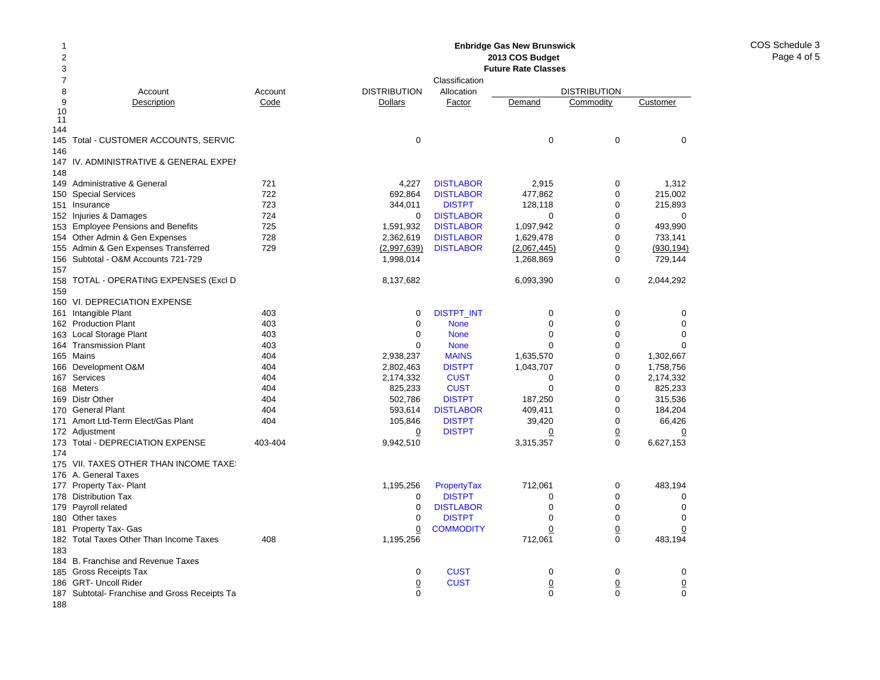#### 2 378 Account Account 9Description Code 10 11 144145 Total - CUSTOMER ACCOUNTS, SERVIC 146147IV. ADMINISTRATIVE & GENERAL EXPEN 148149Administrative & General 721 150Special Services 722 151 Insurance 723 152 Injuries & Damages 724 153 Employee Pensions and Benefits 725 154 Other Admin & Gen Expenses 728 155Admin & Gen Expenses Transferred 729 156 Subtotal - O&M Accounts 721-729 157158 TOTAL - OPERATING EXPENSES (Excl D 159160 VI. DEPRECIATION EXPENSE 161 Intangible Plant 161 and 162 and 163 and 163 and 163 and 163 and 163 and 163 and 163 and 163 and 164 and 1 162Production Plant 403 163Local Storage Plant 403 164Transmission Plant 403 165Mains 404 166 Development O&M 404 167 Services 404 168 Meters 404 169 Distr Other **404** 170 General Plant 404 171 Amort Ltd-Term Elect/Gas Plant 404 172 Adjustment 173Total - DEPRECIATION EXPENSE 403-404 174175 VII. TAXES OTHER THAN INCOME TAXES 176 A. General Taxes 177 Property Tax- Plant 178 Distribution Tax 179 Payroll related 180 Other taxes 181 Property Tax- Gas 182 Total Taxes Other Than Income Taxes  $\hspace{1.6cm}$  408 183184 B. Franchise and Revenue Taxes 185 Gross Receipts Tax 186 GRT- Uncoll Rider 187 Subtotal- Franchise and Gross Receipts Ta **Enbridge Gas New Brunswick 2013 COS Budget Future Rate Classes**ClassificationDISTRIBUTION Allocation DISTRIBUTION**Dollars** Factor Demand Commodity Customer 0 0004,227 DISTLABOR 2,915 0 1,312 692,864 DISTLABOR 477,862 0 215,002 344,011 DISTPT 128,118 0 215,893 0**DISTLABOR** R 0 0 0 1,591,932 DISTLABOR 1,097,942 0 493,990 2,362,619 DISTLABOR 1,629,478 0 733,141 (2,997,639) DISTLABOR (2,067,445) 0 (930,194) 1,998,014 1,268,869 0 729,144 8,137,682 6,093,390 0 2,044,292 0DISTPT\_INT 0 0 0 0 0 None 000 0 None 000 0 None 000 2,938,237 MAINS 1,635,570 0 1,302,667 2,802,463 DISTPT 1,043,707 0 1,758,756 2,174,332 CUST 0 0 2,174,332 825,233 CUST 0 0 825,233 502,786 DISTPT 187,250 0 315,536 593.614 **DISTLABOR** 409.411 0 184.204 105,846 DISTPT 39,420 0 66,426 0 DISTPT 0 0 0 9,942,510 3,315,357 0 6,627,153 1,195,256 PropertyTax 712,061 0 483,194  $\Omega$ **DISTPT** T 0 0 0 0**DISTLABOR** R 0 0 0 0 DISTPTT 0 0 0 0**COMMODITY**  0 0 0 1,195,256 712,061 0 483,194 0**CUST** T 0 0 0 0**CUST**  0 0 0 0 000

188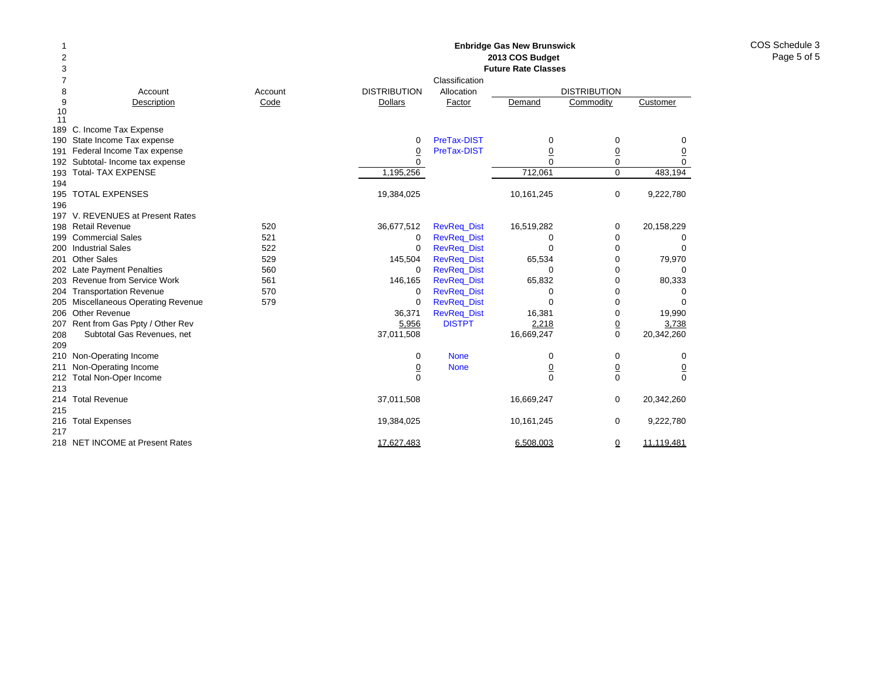| 1              |                                     |                 |                     |                    | <b>Enbridge Gas New Brunswick</b> |                     |                |  |  |  |  |
|----------------|-------------------------------------|-----------------|---------------------|--------------------|-----------------------------------|---------------------|----------------|--|--|--|--|
| $\overline{2}$ |                                     | 2013 COS Budget |                     |                    |                                   |                     |                |  |  |  |  |
| 3              |                                     |                 |                     |                    | <b>Future Rate Classes</b>        |                     |                |  |  |  |  |
| 7              |                                     |                 |                     | Classification     |                                   |                     |                |  |  |  |  |
| 8              | Account                             | Account         | <b>DISTRIBUTION</b> | Allocation         |                                   | <b>DISTRIBUTION</b> |                |  |  |  |  |
| 9              | Description                         | Code            | Dollars             | Factor             | Demand                            | Commodity           | Customer       |  |  |  |  |
| 10             |                                     |                 |                     |                    |                                   |                     |                |  |  |  |  |
| 11             |                                     |                 |                     |                    |                                   |                     |                |  |  |  |  |
|                | 189 C. Income Tax Expense           |                 |                     |                    |                                   |                     |                |  |  |  |  |
| 190            | State Income Tax expense            |                 | 0                   | PreTax-DIST        | 0                                 | $\mathbf 0$         | 0              |  |  |  |  |
| 191            | Federal Income Tax expense          |                 | $\overline{0}$      | PreTax-DIST        | $\overline{0}$                    | $\overline{0}$      | $\overline{0}$ |  |  |  |  |
|                | 192 Subtotal- Income tax expense    |                 | $\Omega$            |                    | $\Omega$                          | $\mathbf 0$         | $\mathbf 0$    |  |  |  |  |
| 193            | <b>Total- TAX EXPENSE</b>           |                 | 1,195,256           |                    | 712,061                           | $\mathbf 0$         | 483,194        |  |  |  |  |
| 194            |                                     |                 |                     |                    |                                   |                     |                |  |  |  |  |
|                | 195 TOTAL EXPENSES                  |                 | 19,384,025          |                    | 10,161,245                        | $\mathbf 0$         | 9,222,780      |  |  |  |  |
| 196            |                                     |                 |                     |                    |                                   |                     |                |  |  |  |  |
|                | 197 V. REVENUES at Present Rates    |                 |                     |                    |                                   |                     |                |  |  |  |  |
| 198            | <b>Retail Revenue</b>               | 520             | 36,677,512          | <b>RevReq_Dist</b> | 16,519,282                        | 0                   | 20,158,229     |  |  |  |  |
|                | 199 Commercial Sales                | 521             | 0                   | <b>RevReq_Dist</b> | 0                                 | $\mathbf 0$         | 0              |  |  |  |  |
| 200            | <b>Industrial Sales</b>             | 522             | 0                   | <b>RevReg Dist</b> | $\Omega$                          | $\mathbf 0$         | $\Omega$       |  |  |  |  |
| 201            | <b>Other Sales</b>                  | 529             | 145,504             | <b>RevReq_Dist</b> | 65,534                            | 0                   | 79,970         |  |  |  |  |
|                | 202 Late Payment Penalties          | 560             | 0                   | <b>RevReg Dist</b> | 0                                 | 0                   | 0              |  |  |  |  |
| 203            | Revenue from Service Work           | 561             | 146,165             | <b>RevReg Dist</b> | 65,832                            | 0                   | 80,333         |  |  |  |  |
| 204            | <b>Transportation Revenue</b>       | 570             | 0                   | <b>RevReq_Dist</b> | 0                                 | 0                   | 0              |  |  |  |  |
|                | 205 Miscellaneous Operating Revenue | 579             | 0                   | <b>RevReg Dist</b> | $\Omega$                          | 0                   | $\Omega$       |  |  |  |  |
|                | 206 Other Revenue                   |                 | 36,371              | RevReq_Dist        | 16,381                            | 0                   | 19,990         |  |  |  |  |
| 207            | Rent from Gas Ppty / Other Rev      |                 | 5,956               | <b>DISTPT</b>      | 2,218                             | $\pmb{0}$           | 3,738          |  |  |  |  |
| 208            | Subtotal Gas Revenues, net          |                 | 37,011,508          |                    | 16,669,247                        | 0                   | 20,342,260     |  |  |  |  |
| 209            |                                     |                 |                     |                    |                                   |                     |                |  |  |  |  |
|                | 210 Non-Operating Income            |                 | 0                   | <b>None</b>        | 0                                 | 0                   | 0              |  |  |  |  |
| 211            | Non-Operating Income                |                 | $\overline{0}$      | <b>None</b>        | $\underline{0}$                   | $\underline{0}$     | $\overline{0}$ |  |  |  |  |
| 212            | Total Non-Oper Income               |                 | $\mathbf 0$         |                    | $\overline{0}$                    | $\mathbf 0$         | $\Omega$       |  |  |  |  |
| 213            |                                     |                 |                     |                    |                                   |                     |                |  |  |  |  |
| 214            | <b>Total Revenue</b>                |                 | 37,011,508          |                    | 16,669,247                        | 0                   | 20,342,260     |  |  |  |  |
| 215            |                                     |                 |                     |                    |                                   |                     |                |  |  |  |  |
| 216            | <b>Total Expenses</b>               |                 | 19,384,025          |                    | 10,161,245                        | 0                   | 9,222,780      |  |  |  |  |
| 217            |                                     |                 |                     |                    |                                   |                     |                |  |  |  |  |
|                | 218 NET INCOME at Present Rates     |                 | 17,627,483          |                    | 6,508,003                         |                     | 11,119,481     |  |  |  |  |
|                |                                     |                 |                     |                    |                                   | <u>0</u>            |                |  |  |  |  |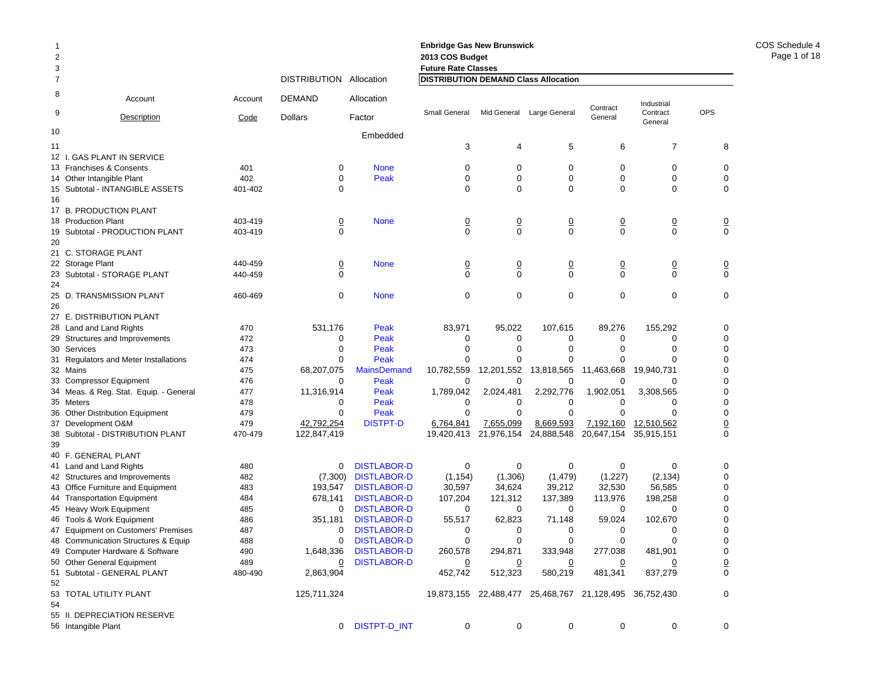|          |                                        |             |                         |                    | <b>Enbridge Gas New Brunswick</b> |                |                                                        |                |                        |                 |
|----------|----------------------------------------|-------------|-------------------------|--------------------|-----------------------------------|----------------|--------------------------------------------------------|----------------|------------------------|-----------------|
| 2        |                                        |             |                         |                    | 2013 COS Budget                   |                |                                                        |                |                        |                 |
| 3        |                                        |             |                         |                    | <b>Future Rate Classes</b>        |                |                                                        |                |                        |                 |
| 7        |                                        |             | DISTRIBUTION Allocation |                    |                                   |                | DISTRIBUTION DEMAND Class Allocation                   |                |                        |                 |
| 8        | Account                                | Account     | <b>DEMAND</b>           | Allocation         | Small General                     |                | Large General                                          | Contract       | Industrial<br>Contract | <b>OPS</b>      |
| 9        | Description                            | <b>Code</b> | <b>Dollars</b>          | Factor             |                                   | Mid General    |                                                        | General        | General                |                 |
| 10       |                                        |             |                         | Embedded           |                                   |                |                                                        |                |                        |                 |
| 11       |                                        |             |                         |                    | 3                                 | 4              | 5                                                      | 6              | 7                      | 8               |
|          | 12 I. GAS PLANT IN SERVICE             |             |                         |                    |                                   |                |                                                        |                |                        |                 |
|          | 13 Franchises & Consents               | 401         | 0                       | <b>None</b>        | 0                                 | $\mathbf 0$    | 0                                                      | 0              | 0                      | 0               |
|          | 14 Other Intangible Plant              | 402         | 0                       | Peak               | 0                                 | $\mathbf 0$    | 0                                                      | 0              | $\mathbf 0$            | $\mathbf 0$     |
|          | 15 Subtotal - INTANGIBLE ASSETS        | 401-402     | 0                       |                    | 0                                 | $\mathbf 0$    | 0                                                      | 0              | $\mathbf 0$            | $\mathbf 0$     |
| 16       |                                        |             |                         |                    |                                   |                |                                                        |                |                        |                 |
|          | 17 B. PRODUCTION PLANT                 |             |                         |                    |                                   |                |                                                        |                |                        |                 |
|          | 18 Production Plant                    | 403-419     | $\overline{0}$          | <b>None</b>        | $\overline{0}$                    | $\overline{0}$ | $\overline{0}$                                         | $\overline{0}$ | $\overline{0}$         | $\overline{0}$  |
|          | 19 Subtotal - PRODUCTION PLANT         | 403-419     | 0                       |                    | $\Omega$                          | $\mathbf 0$    | $\Omega$                                               | $\mathbf 0$    | $\mathbf 0$            | $\mathbf 0$     |
| 20       |                                        |             |                         |                    |                                   |                |                                                        |                |                        |                 |
|          | 21 C. STORAGE PLANT                    |             |                         |                    |                                   |                |                                                        |                |                        |                 |
|          | 22 Storage Plant                       | 440-459     | $\overline{0}$          | <b>None</b>        | $\overline{0}$                    | $\overline{0}$ | $\overline{0}$                                         | $\overline{0}$ | $\overline{0}$         | $\overline{0}$  |
|          | 23 Subtotal - STORAGE PLANT            | 440-459     | $\Omega$                |                    | $\Omega$                          | $\mathbf 0$    | $\Omega$                                               | $\mathbf 0$    | $\mathbf 0$            | $\mathbf 0$     |
| 24       |                                        |             |                         |                    |                                   |                |                                                        |                |                        |                 |
| 25<br>26 | D. TRANSMISSION PLANT                  | 460-469     | 0                       | <b>None</b>        | 0                                 | 0              | 0                                                      | 0              | $\mathbf 0$            | $\mathbf 0$     |
|          | 27 E. DISTRIBUTION PLANT               |             |                         |                    |                                   |                |                                                        |                |                        |                 |
|          | 28 Land and Land Rights                | 470         | 531,176                 | Peak               | 83,971                            | 95,022         | 107,615                                                | 89,276         | 155,292                | 0               |
|          | 29 Structures and Improvements         | 472         | 0                       | Peak               | 0                                 | 0              | 0                                                      | 0              | 0                      | $\mathbf 0$     |
|          | 30 Services                            | 473         | $\Omega$                | Peak               | 0                                 | 0              | 0                                                      | 0              | $\Omega$               | $\mathbf 0$     |
|          | 31 Regulators and Meter Installations  | 474         |                         | Peak               | $\Omega$                          | $\Omega$       |                                                        | 0              | 0                      | $\mathbf 0$     |
|          | 32 Mains                               | 475         | 68,207,075              | <b>MainsDemand</b> | 10,782,559                        | 12,201,552     | 13,818,565                                             | 11,463,668     | 19,940,731             | $\mathbf 0$     |
|          | 33 Compressor Equipment                | 476         | 0                       | Peak               | 0                                 | 0              | 0                                                      | 0              | 0                      | $\mathbf 0$     |
|          | 34 Meas. & Reg. Stat. Equip. - General | 477         | 11,316,914              | Peak               | 1,789,042                         | 2,024,481      | 2,292,776                                              | 1,902,051      | 3,308,565              | $\mathbf 0$     |
|          | 35 Meters                              | 478         | 0                       | Peak               | 0                                 | 0              | 0                                                      | 0              | 0                      | $\mathbf 0$     |
|          | 36 Other Distribution Equipment        | 479         | 0                       | Peak               | $\Omega$                          | $\mathbf 0$    | $\Omega$                                               | $\mathbf 0$    | $\Omega$               | $\mathbf 0$     |
|          | 37 Development O&M                     | 479         | 42,792,254              | <b>DISTPT-D</b>    | 6,764,841                         | 7,655,099      | 8,669,593                                              | 7,192,160      | 12,510,562             | $\underline{0}$ |
|          | 38 Subtotal - DISTRIBUTION PLANT       | 470-479     | 122,847,419             |                    | 19,420,413                        | 21,976,154     | 24,888,548                                             | 20,647,154     | 35,915,151             | $\Omega$        |
| 39       |                                        |             |                         |                    |                                   |                |                                                        |                |                        |                 |
|          | 40 F. GENERAL PLANT                    |             |                         |                    |                                   |                |                                                        |                |                        |                 |
|          | 41 Land and Land Rights                | 480         | 0                       | <b>DISTLABOR-D</b> | 0                                 | 0              | 0                                                      | 0              | 0                      | 0               |
|          | 42 Structures and Improvements         | 482         | (7,300)                 | <b>DISTLABOR-D</b> | (1, 154)                          | (1,306)        | (1, 479)                                               | (1,227)        | (2, 134)               | 0               |
|          | 43 Office Furniture and Equipment      | 483         | 193,547                 | <b>DISTLABOR-D</b> | 30,597                            | 34,624         | 39,212                                                 | 32,530         | 56,585                 | 0               |
|          | 44 Transportation Equipment            | 484         | 678,141                 | <b>DISTLABOR-D</b> | 107,204                           | 121,312        | 137,389                                                | 113,976        | 198,258                | $\mathbf 0$     |
|          | 45 Heavy Work Equipment                | 485         | 0                       | <b>DISTLABOR-D</b> | 0                                 | 0              | 0                                                      | $\mathbf 0$    | 0                      | 0               |
|          | 46 Tools & Work Equipment              | 486         | 351,181                 | <b>DISTLABOR-D</b> | 55,517                            | 62,823         | 71,148                                                 | 59,024         | 102,670                | $\mathbf 0$     |
|          | 47 Equipment on Customers' Premises    | 487         | 0                       | <b>DISTLABOR-D</b> | 0                                 | 0              | 0                                                      | 0              | 0                      | $\mathbf 0$     |
|          | 48 Communication Structures & Equip    | 488         | 0                       | <b>DISTLABOR-D</b> | 0                                 | 0              | 0                                                      | 0              | $\Omega$               | 0               |
|          | 49 Computer Hardware & Software        | 490         | 1,648,336               | <b>DISTLABOR-D</b> | 260,578                           | 294,871        | 333,948                                                | 277,038        | 481,901                | 0               |
|          | 50 Other General Equipment             | 489         | 0                       | <b>DISTLABOR-D</b> | $\overline{0}$                    | $\overline{0}$ | $\overline{0}$                                         | $\overline{0}$ | <u>0</u>               | $\underline{0}$ |
|          | 51 Subtotal - GENERAL PLANT            | 480-490     | 2,863,904               |                    | 452,742                           | 512,323        | 580,219                                                | 481,341        | 837,279                | $\pmb{0}$       |
| 52       |                                        |             |                         |                    |                                   |                |                                                        |                |                        |                 |
|          | 53 TOTAL UTILITY PLANT                 |             | 125,711,324             |                    |                                   |                | 19,873,155 22,488,477 25,468,767 21,128,495 36,752,430 |                |                        | 0               |
| 54       |                                        |             |                         |                    |                                   |                |                                                        |                |                        |                 |
|          | 55 II. DEPRECIATION RESERVE            |             |                         |                    |                                   |                |                                                        |                |                        |                 |
|          | 56 Intangible Plant                    |             | 0                       | DISTPT-D_INT       | 0                                 | 0              | 0                                                      | 0              | 0                      | 0               |

COS Schedule 4Page 1 of 18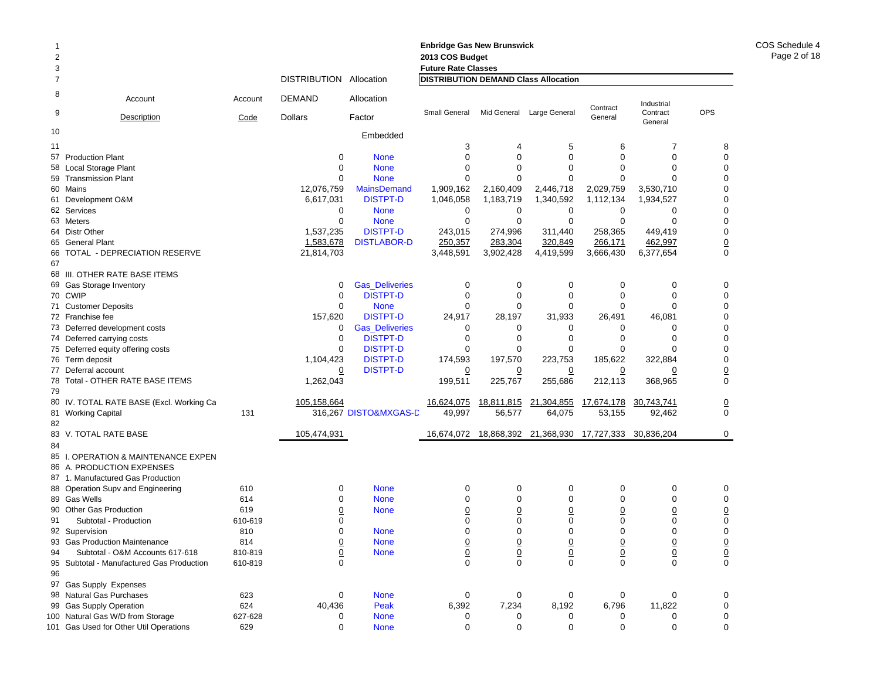| 2<br>3 |                                           |         |                         |                       | <b>Enbridge Gas New Brunswick</b><br>2013 COS Budget<br><b>Future Rate Classes</b> |                |                                  |                 |                     |                 |
|--------|-------------------------------------------|---------|-------------------------|-----------------------|------------------------------------------------------------------------------------|----------------|----------------------------------|-----------------|---------------------|-----------------|
| 7      |                                           |         | DISTRIBUTION Allocation |                       | <b>DISTRIBUTION DEMAND Class Allocation</b>                                        |                |                                  |                 |                     |                 |
| 8      | Account                                   | Account | <b>DEMAND</b>           | Allocation            |                                                                                    |                |                                  | Contract        | Industrial          |                 |
| 9      | <b>Description</b>                        | Code    | <b>Dollars</b>          | Factor                | Small General                                                                      | Mid General    | Large General                    | General         | Contract<br>General | <b>OPS</b>      |
| 10     |                                           |         |                         | Embedded              |                                                                                    |                |                                  |                 |                     |                 |
| 11     |                                           |         |                         |                       | 3                                                                                  | 4              | 5                                | 6               | 7                   | 8               |
|        | 57 Production Plant                       |         | 0                       | <b>None</b>           | $\Omega$                                                                           | $\Omega$       | $\Omega$                         | $\Omega$        | 0                   | 0               |
| 58     | <b>Local Storage Plant</b>                |         | 0                       | <b>None</b>           | $\mathbf 0$                                                                        | $\mathbf 0$    | $\mathbf 0$                      | 0               | $\mathbf 0$         | 0               |
| 59     | <b>Transmission Plant</b>                 |         | $\Omega$                | <b>None</b>           | $\Omega$                                                                           | $\mathbf 0$    | 0                                | 0               | $\Omega$            | 0               |
|        | 60 Mains                                  |         | 12,076,759              | <b>MainsDemand</b>    | 1,909,162                                                                          | 2,160,409      | 2,446,718                        | 2,029,759       | 3,530,710           | 0               |
|        | 61 Development O&M                        |         | 6,617,031               | <b>DISTPT-D</b>       | 1,046,058                                                                          | 1,183,719      | 1,340,592                        | 1,112,134       | 1,934,527           | 0               |
|        | 62 Services                               |         | 0                       | <b>None</b>           | 0                                                                                  | 0              | 0                                | 0               | 0                   | 0               |
|        | 63 Meters                                 |         | 0                       | <b>None</b>           | $\mathbf 0$                                                                        | 0              | $\mathbf 0$                      | 0               | $\mathbf 0$         | 0               |
|        | 64 Distr Other                            |         | 1,537,235               | <b>DISTPT-D</b>       | 243,015                                                                            | 274,996        | 311,440                          | 258,365         | 449,419             | 0               |
|        | 65 General Plant                          |         | 1,583,678               | <b>DISTLABOR-D</b>    | 250,357                                                                            | 283,304        | 320,849                          | 266,171         | 462,997             | $\underline{0}$ |
| 67     | 66 TOTAL - DEPRECIATION RESERVE           |         | 21,814,703              |                       | 3,448,591                                                                          | 3,902,428      | 4,419,599                        | 3,666,430       | 6,377,654           | 0               |
|        | 68 III. OTHER RATE BASE ITEMS             |         |                         |                       |                                                                                    |                |                                  |                 |                     |                 |
| 69     | Gas Storage Inventory                     |         | 0                       | <b>Gas_Deliveries</b> | $\mathbf 0$                                                                        | 0              | 0                                | 0               | 0                   | 0               |
|        | 70 CWIP                                   |         | $\mathbf 0$             | <b>DISTPT-D</b>       | $\Omega$                                                                           | $\mathbf 0$    | $\Omega$                         | $\Omega$        | $\Omega$            | $\mathbf 0$     |
|        | 71 Customer Deposits                      |         | $\mathbf 0$             | <b>None</b>           | $\mathbf 0$                                                                        | $\mathbf 0$    | 0                                | 0               | $\Omega$            | 0               |
|        | 72 Franchise fee                          |         | 157,620                 | <b>DISTPT-D</b>       | 24,917                                                                             | 28,197         | 31,933                           | 26,491          | 46,081              | 0               |
|        | 73 Deferred development costs             |         | 0                       | <b>Gas_Deliveries</b> | 0                                                                                  | 0              | 0                                | 0               | 0                   | 0               |
|        | 74 Deferred carrying costs                |         | $\mathbf 0$             | <b>DISTPT-D</b>       | $\mathbf 0$                                                                        | $\mathbf 0$    | 0                                | 0               | $\mathbf 0$         | 0               |
|        | 75 Deferred equity offering costs         |         | $\Omega$                | <b>DISTPT-D</b>       | $\Omega$                                                                           | 0              | $\Omega$                         | $\Omega$        | $\Omega$            | $\mathbf 0$     |
|        | 76 Term deposit                           |         | 1,104,423               | <b>DISTPT-D</b>       | 174,593                                                                            | 197,570        | 223,753                          | 185,622         | 322,884             | 0               |
|        | 77 Deferral account                       |         | 0                       | <b>DISTPT-D</b>       | $\overline{0}$                                                                     | $\Omega$       | $\overline{0}$                   | $\Omega$        | <u>0</u>            | $\underline{0}$ |
|        | 78 Total - OTHER RATE BASE ITEMS          |         | 1,262,043               |                       | 199,511                                                                            | 225,767        | 255,686                          | 212,113         | 368,965             | $\mathbf 0$     |
| 79     |                                           |         |                         |                       |                                                                                    |                |                                  |                 |                     |                 |
|        | 80 IV. TOTAL RATE BASE (Excl. Working Ca  |         | 105,158,664             |                       | 16,624,075                                                                         | 18,811,815     | 21,304,855                       | 17,674,178      | 30,743,741          | $\underline{0}$ |
|        | 81 Working Capital                        | 131     |                         | 316,267 DISTO&MXGAS-D | 49,997                                                                             | 56,577         | 64,075                           | 53,155          | 92,462              | $\mathsf 0$     |
| 82     |                                           |         |                         |                       |                                                                                    |                |                                  |                 |                     |                 |
|        | 83 V. TOTAL RATE BASE                     |         | 105,474,931             |                       | 16,674,072                                                                         |                | 18,868,392 21,368,930 17,727,333 |                 | 30,836,204          | 0               |
| 84     |                                           |         |                         |                       |                                                                                    |                |                                  |                 |                     |                 |
|        | 85 I. OPERATION & MAINTENANCE EXPEN       |         |                         |                       |                                                                                    |                |                                  |                 |                     |                 |
|        | 86 A. PRODUCTION EXPENSES                 |         |                         |                       |                                                                                    |                |                                  |                 |                     |                 |
|        | 87 1. Manufactured Gas Production         |         |                         |                       |                                                                                    |                |                                  |                 |                     |                 |
|        | 88 Operation Supv and Engineering         | 610     | 0                       | <b>None</b>           | 0                                                                                  | 0              | 0                                | 0               | 0                   | 0               |
|        | 89 Gas Wells                              | 614     | $\mathbf 0$             | <b>None</b>           | $\mathbf 0$                                                                        | $\mathbf 0$    | 0                                | 0               | 0                   | 0               |
|        | 90 Other Gas Production                   | 619     | $\overline{0}$          | <b>None</b>           | $\overline{0}$                                                                     | $\overline{0}$ | $\overline{0}$                   | $\overline{0}$  | $\overline{0}$      | $\pmb{0}$       |
| 91     | Subtotal - Production                     | 610-619 | 0                       |                       | $\mathbf 0$                                                                        | $\mathbf 0$    | 0                                | 0               | 0                   | 0               |
|        | 92 Supervision                            | 810     | $\mathbf 0$             | <b>None</b>           | $\mathbf 0$                                                                        | $\Omega$       | $\Omega$                         | $\Omega$        | $\mathbf 0$         | 0               |
|        | 93 Gas Production Maintenance             | 814     | $\frac{0}{0}$           | <b>None</b>           | $\frac{0}{0}$                                                                      | $\frac{0}{0}$  | $\underline{0}$                  | $\underline{0}$ | $\frac{0}{0}$       | $\frac{0}{0}$   |
| 94     | Subtotal - O&M Accounts 617-618           | 810-819 |                         | <b>None</b>           |                                                                                    |                | $\mathbf 0$                      | $\overline{0}$  |                     |                 |
|        | 95 Subtotal - Manufactured Gas Production | 610-819 | $\mathbf 0$             |                       | $\mathbf 0$                                                                        | $\Omega$       | 0                                | 0               | $\mathbf 0$         |                 |
| 96     |                                           |         |                         |                       |                                                                                    |                |                                  |                 |                     |                 |
|        | 97 Gas Supply Expenses                    |         |                         |                       |                                                                                    |                |                                  |                 |                     |                 |
|        | 98 Natural Gas Purchases                  | 623     | 0                       | <b>None</b>           | 0                                                                                  | 0              | 0                                | 0               | 0                   | 0               |
|        | 99 Gas Supply Operation                   | 624     | 40,436                  | Peak                  | 6,392                                                                              | 7,234          | 8,192                            | 6,796           | 11,822              | 0               |
|        | 100 Natural Gas W/D from Storage          | 627-628 | 0                       | <b>None</b>           | 0                                                                                  | 0              | 0                                | 0               | 0                   | 0               |
|        | 101 Gas Used for Other Util Operations    | 629     | $\mathbf 0$             | <b>None</b>           | $\mathbf 0$                                                                        | 0              | 0                                | 0               | $\mathbf 0$         | 0               |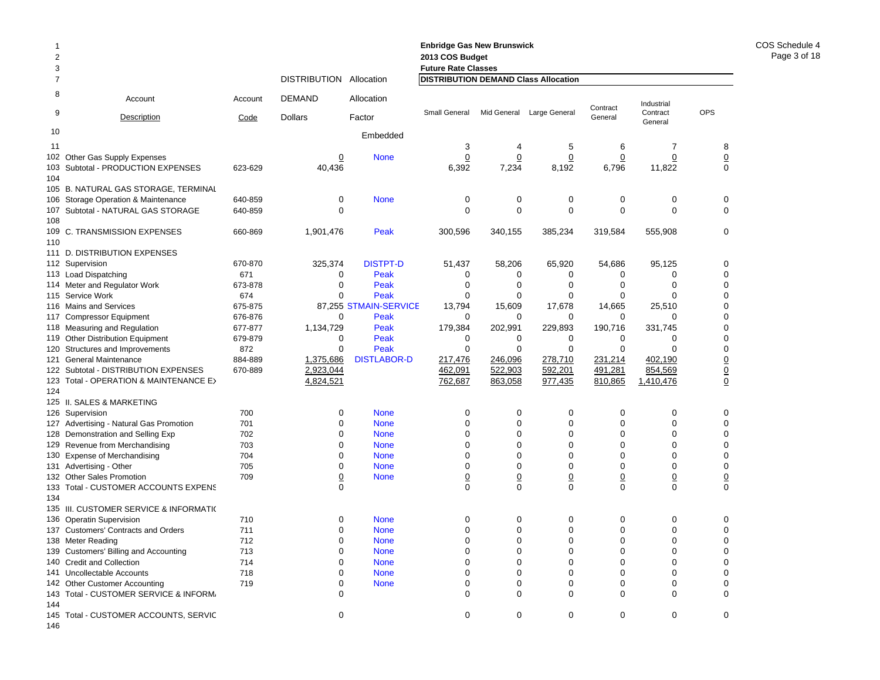| 2<br>3         |                                                             |                |                                |                       | <b>Enbridge Gas New Brunswick</b><br>2013 COS Budget<br><b>Future Rate Classes</b> |                 |                           |             |                        |                 |
|----------------|-------------------------------------------------------------|----------------|--------------------------------|-----------------------|------------------------------------------------------------------------------------|-----------------|---------------------------|-------------|------------------------|-----------------|
| $\overline{7}$ |                                                             |                | <b>DISTRIBUTION Allocation</b> |                       | <b>DISTRIBUTION DEMAND Class Allocation</b>                                        |                 |                           |             |                        |                 |
| 8<br>9         | Account                                                     | Account        | <b>DEMAND</b>                  | Allocation            | Small General                                                                      |                 | Mid General Large General | Contract    | Industrial<br>Contract | OPS             |
|                | Description                                                 | Code           | <b>Dollars</b>                 | Factor                |                                                                                    |                 |                           | General     | General                |                 |
| 10             |                                                             |                |                                | Embedded              |                                                                                    |                 |                           |             |                        |                 |
| 11             |                                                             |                |                                |                       | 3                                                                                  | 4               | 5                         | 6           | $\overline{7}$         | 8               |
| 102            | Other Gas Supply Expenses                                   |                | 0                              | <b>None</b>           | 0                                                                                  | 0               | 0                         | 0           | 0                      | $\underline{0}$ |
| 103            | Subtotal - PRODUCTION EXPENSES                              | 623-629        | 40.436                         |                       | 6,392                                                                              | 7,234           | 8,192                     | 6,796       | 11,822                 | $\mathbf 0$     |
| 104            |                                                             |                |                                |                       |                                                                                    |                 |                           |             |                        |                 |
|                | 105 B. NATURAL GAS STORAGE, TERMINAL                        |                |                                |                       |                                                                                    |                 |                           |             |                        |                 |
| 106            | Storage Operation & Maintenance                             | 640-859        | $\mathbf 0$                    | <b>None</b>           | 0                                                                                  | 0               | 0                         | 0           | 0                      | $\mathbf 0$     |
| 107            | Subtotal - NATURAL GAS STORAGE                              | 640-859        | $\mathbf 0$                    |                       | $\mathbf 0$                                                                        | $\mathbf 0$     | $\mathbf 0$               | $\mathbf 0$ | $\Omega$               | $\mathbf 0$     |
| 108            |                                                             |                |                                |                       |                                                                                    |                 |                           |             |                        |                 |
| 109            | C. TRANSMISSION EXPENSES                                    | 660-869        | 1,901,476                      | Peak                  | 300,596                                                                            | 340,155         | 385,234                   | 319,584     | 555,908                | $\mathbf 0$     |
| 110            |                                                             |                |                                |                       |                                                                                    |                 |                           |             |                        |                 |
|                | 111 D. DISTRIBUTION EXPENSES                                | 670-870        |                                | <b>DISTPT-D</b>       | 51,437                                                                             |                 | 65,920                    |             |                        | $\mathbf 0$     |
|                | 112 Supervision                                             | 671            | 325,374<br>$\mathbf 0$         | Peak                  | 0                                                                                  | 58,206<br>0     | 0                         | 54,686<br>0 | 95,125<br>$\Omega$     | $\mathbf 0$     |
|                | 113 Load Dispatching                                        |                | $\mathbf 0$                    |                       |                                                                                    | $\mathbf 0$     | 0                         | 0           | $\Omega$               | $\mathbf 0$     |
|                | 114 Meter and Regulator Work<br>115 Service Work            | 673-878<br>674 | $\Omega$                       | Peak<br>Peak          | 0<br>$\Omega$                                                                      | $\Omega$        | $\Omega$                  | $\Omega$    | $\Omega$               | $\mathbf 0$     |
|                | 116 Mains and Services                                      | 675-875        |                                | 87,255 STMAIN-SERVICE | 13,794                                                                             | 15,609          | 17,678                    | 14,665      | 25,510                 | $\mathbf 0$     |
| 117            |                                                             | 676-876        | 0                              | Peak                  | 0                                                                                  | $\mathbf 0$     | $\mathbf 0$               | 0           | $\Omega$               | $\mathbf 0$     |
|                | <b>Compressor Equipment</b><br>118 Measuring and Regulation | 677-877        | 1,134,729                      | Peak                  | 179,384                                                                            | 202,991         | 229,893                   | 190,716     | 331,745                | $\mathbf 0$     |
|                | 119 Other Distribution Equipment                            | 679-879        | 0                              | Peak                  | 0                                                                                  | 0               | 0                         | 0           | $\Omega$               | $\mathbf 0$     |
|                | 120 Structures and Improvements                             | 872            | $\mathbf 0$                    | Peak                  | $\mathbf 0$                                                                        | $\mathbf 0$     | $\mathbf 0$               | $\mathbf 0$ | $\Omega$               | $\mathbf 0$     |
| 121            | <b>General Maintenance</b>                                  | 884-889        | 1,375,686                      | <b>DISTLABOR-D</b>    | 217,476                                                                            | 246,096         | 278,710                   | 231,214     | 402,190                | $\underline{0}$ |
|                | 122 Subtotal - DISTRIBUTION EXPENSES                        | 670-889        | 2,923,044                      |                       | 462,091                                                                            | 522,903         | 592,201                   | 491,281     | 854,569                | $\underline{0}$ |
|                | 123 Total - OPERATION & MAINTENANCE E>                      |                | 4,824,521                      |                       | 762,687                                                                            | 863,058         | 977,435                   | 810,865     | 1,410,476              | $\underline{0}$ |
| 124            |                                                             |                |                                |                       |                                                                                    |                 |                           |             |                        |                 |
|                | 125 II. SALES & MARKETING                                   |                |                                |                       |                                                                                    |                 |                           |             |                        |                 |
|                | 126 Supervision                                             | 700            | 0                              | <b>None</b>           | 0                                                                                  | 0               | 0                         | 0           | 0                      | $\mathbf 0$     |
|                | 127 Advertising - Natural Gas Promotion                     | 701            | $\mathbf{0}$                   | <b>None</b>           | $\Omega$                                                                           | $\Omega$        | $\Omega$                  | $\Omega$    | $\Omega$               | $\Omega$        |
|                | 128 Demonstration and Selling Exp                           | 702            | 0                              | <b>None</b>           | $\mathbf 0$                                                                        | $\mathbf 0$     | $\mathbf 0$               | 0           | $\Omega$               | $\mathbf 0$     |
|                | 129 Revenue from Merchandising                              | 703            | 0                              | <b>None</b>           | $\overline{0}$                                                                     | $\overline{0}$  | $\mathbf 0$               | $\mathbf 0$ | $\Omega$               | $\mathbf 0$     |
| 130            | <b>Expense of Merchandising</b>                             | 704            | 0                              | <b>None</b>           | $\Omega$                                                                           | $\Omega$        | $\Omega$                  | $\Omega$    | $\Omega$               | $\mathbf 0$     |
|                | 131 Advertising - Other                                     | 705            | 0                              | <b>None</b>           | $\mathbf 0$                                                                        | $\mathbf 0$     | $\mathbf 0$               | 0           | $\mathbf 0$            | $\mathbf 0$     |
|                | 132 Other Sales Promotion                                   | 709            | $\overline{0}$                 | <b>None</b>           | $\underline{0}$                                                                    | $\underline{0}$ | $\underline{0}$           | 0           | $\overline{0}$         | $\underline{0}$ |
| 133            | Total - CUSTOMER ACCOUNTS EXPENS                            |                | $\mathbf 0$                    |                       | $\Omega$                                                                           | $\Omega$        | $\mathbf 0$               | 0           | $\mathbf 0$            | $\mathbf 0$     |
| 134            |                                                             |                |                                |                       |                                                                                    |                 |                           |             |                        |                 |
|                | 135 III. CUSTOMER SERVICE & INFORMATIO                      |                |                                |                       |                                                                                    |                 |                           |             |                        |                 |
|                | 136 Operatin Supervision                                    | 710            | 0                              | <b>None</b>           | 0                                                                                  | 0               | 0                         | 0           | 0                      | 0               |
|                | 137 Customers' Contracts and Orders                         | 711            | $\mathbf{0}$                   | <b>None</b>           | $\Omega$                                                                           | $\Omega$        | $\Omega$                  | $\Omega$    | $\Omega$               | $\Omega$        |
|                | 138 Meter Reading                                           | 712            | 0                              | <b>None</b>           | $\mathbf 0$                                                                        | $\mathbf 0$     | $\mathbf 0$               | 0           | $\Omega$               | $\mathbf 0$     |
|                | 139 Customers' Billing and Accounting                       | 713            | 0                              | <b>None</b>           | $\mathbf 0$                                                                        | $\overline{0}$  | $\mathbf 0$               | 0           | $\mathbf 0$            | $\mathbf 0$     |
|                | 140 Credit and Collection                                   | 714            | 0                              | <b>None</b>           | $\Omega$                                                                           | $\Omega$        | $\Omega$                  | $\Omega$    | $\Omega$               | $\mathbf 0$     |
| 141            | Uncollectable Accounts                                      | 718            | 0                              | <b>None</b>           | $\mathbf 0$                                                                        | $\mathbf 0$     | $\mathbf 0$               | 0           | $\Omega$               | $\mathbf 0$     |
| 142            | <b>Other Customer Accounting</b>                            | 719            | 0                              | <b>None</b>           | 0                                                                                  | $\Omega$        | $\mathbf 0$               | $\Omega$    | $\Omega$               | $\mathbf 0$     |
| 143            | Total - CUSTOMER SERVICE & INFORM.                          |                | 0                              |                       | $\mathbf 0$                                                                        | $\mathbf 0$     | $\mathbf 0$               | $\Omega$    | $\Omega$               | $\mathbf 0$     |
| 144            | 145 Total - CUSTOMER ACCOUNTS, SERVIC                       |                | $\mathbf{0}$                   |                       | $\Omega$                                                                           | $\Omega$        | $\Omega$                  | $\Omega$    | $\Omega$               | $\Omega$        |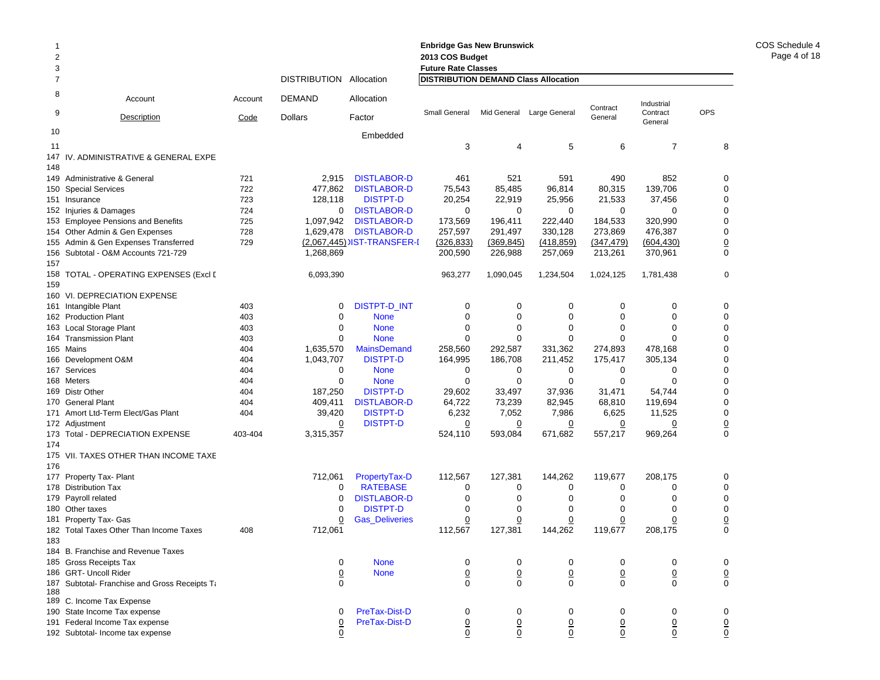| $\overline{2}$<br>3 |                                                                      |             |                         |                                          | <b>Enbridge Gas New Brunswick</b><br>2013 COS Budget<br><b>Future Rate Classes</b> |                    |                                             |                    |                        |                              |
|---------------------|----------------------------------------------------------------------|-------------|-------------------------|------------------------------------------|------------------------------------------------------------------------------------|--------------------|---------------------------------------------|--------------------|------------------------|------------------------------|
| $\overline{7}$      |                                                                      |             | DISTRIBUTION Allocation |                                          |                                                                                    |                    | <b>DISTRIBUTION DEMAND Class Allocation</b> |                    |                        |                              |
| 8                   | Account                                                              | Account     | <b>DEMAND</b>           | Allocation                               |                                                                                    |                    |                                             | Contract           | Industrial             |                              |
| 9                   | Description                                                          | <b>Code</b> | <b>Dollars</b>          | Factor                                   | Small General                                                                      | Mid General        | Large General                               | General            | Contract<br>General    | <b>OPS</b>                   |
| 10                  |                                                                      |             |                         | Embedded                                 |                                                                                    |                    |                                             |                    |                        |                              |
| 11                  |                                                                      |             |                         |                                          | 3                                                                                  | 4                  | 5                                           | 6                  | $\overline{7}$         | 8                            |
| 147                 | IV. ADMINISTRATIVE & GENERAL EXPE                                    |             |                         |                                          |                                                                                    |                    |                                             |                    |                        |                              |
| 148                 |                                                                      |             |                         |                                          |                                                                                    |                    |                                             |                    |                        |                              |
| 149                 | Administrative & General                                             | 721         | 2,915                   | <b>DISTLABOR-D</b>                       | 461                                                                                | 521                | 591                                         | 490                | 852                    | 0                            |
|                     | 150 Special Services                                                 | 722         | 477,862                 | <b>DISTLABOR-D</b>                       | 75,543                                                                             | 85,485             | 96,814                                      | 80,315             | 139,706                | $\Omega$                     |
|                     | 151 Insurance                                                        | 723         | 128,118                 | <b>DISTPT-D</b>                          | 20,254                                                                             | 22,919             | 25,956                                      | 21,533             | 37,456                 | 0                            |
|                     | 152 Injuries & Damages                                               | 724         | 0                       | <b>DISTLABOR-D</b>                       | 0                                                                                  | 0                  | 0                                           | 0                  | $\mathbf 0$<br>320,990 | 0<br>$\mathbf 0$             |
|                     | 153 Employee Pensions and Benefits<br>154 Other Admin & Gen Expenses | 725<br>728  | 1,097,942<br>1,629,478  | <b>DISTLABOR-D</b><br><b>DISTLABOR-D</b> | 173,569<br>257,597                                                                 | 196,411<br>291,497 | 222,440<br>330,128                          | 184,533<br>273,869 | 476,387                | $\mathbf 0$                  |
|                     | 155 Admin & Gen Expenses Transferred                                 | 729         |                         | (2,067,445) IST-TRANSFER-I               | (326, 833)                                                                         | (369, 845)         | (418, 859)                                  | (347, 479)         | (604, 430)             |                              |
|                     | 156 Subtotal - O&M Accounts 721-729                                  |             | 1,268,869               |                                          | 200,590                                                                            | 226,988            | 257,069                                     | 213,261            | 370,961                | $\underline{0}$<br>$\pmb{0}$ |
| 157                 |                                                                      |             |                         |                                          |                                                                                    |                    |                                             |                    |                        |                              |
|                     | 158 TOTAL - OPERATING EXPENSES (Excl [                               |             | 6,093,390               |                                          | 963,277                                                                            | 1,090,045          | 1,234,504                                   | 1,024,125          | 1,781,438              | $\mathbf 0$                  |
| 159                 |                                                                      |             |                         |                                          |                                                                                    |                    |                                             |                    |                        |                              |
|                     | 160 VI. DEPRECIATION EXPENSE                                         |             |                         |                                          |                                                                                    |                    |                                             |                    |                        |                              |
|                     | 161 Intangible Plant                                                 | 403         | 0                       | <b>DISTPT-D_INT</b>                      | 0                                                                                  | 0                  | 0                                           | 0                  | 0                      | 0                            |
|                     | 162 Production Plant                                                 | 403         | $\mathbf 0$             | <b>None</b>                              | $\Omega$                                                                           | $\mathbf 0$        | 0                                           | $\mathbf 0$        | $\Omega$               | $\mathbf 0$                  |
|                     | 163 Local Storage Plant                                              | 403         | $\mathbf 0$             | <b>None</b>                              | $\Omega$                                                                           | 0                  | 0                                           | $\mathbf 0$        | $\mathbf 0$            | $\mathbf 0$                  |
|                     | 164 Transmission Plant                                               | 403         | $\Omega$                | <b>None</b>                              | 0                                                                                  | $\mathbf 0$        | 0                                           | $\mathbf 0$        | $\Omega$               | $\mathbf 0$                  |
|                     | 165 Mains                                                            | 404         | 1,635,570               | <b>MainsDemand</b>                       | 258,560                                                                            | 292,587            | 331,362                                     | 274,893            | 478,168                | $\mathbf 0$                  |
|                     | 166 Development O&M                                                  | 404         | 1,043,707               | <b>DISTPT-D</b>                          | 164,995                                                                            | 186,708            | 211,452                                     | 175,417            | 305,134                | $\mathbf 0$                  |
|                     | 167 Services                                                         | 404         | 0                       | <b>None</b>                              | 0                                                                                  | 0                  | 0                                           | 0                  | $\mathbf 0$            | 0                            |
|                     | 168 Meters                                                           | 404         | $\mathbf 0$             | <b>None</b>                              | 0                                                                                  | 0                  | 0                                           | $\mathbf 0$        | $\mathbf 0$            | $\mathbf 0$                  |
|                     | 169 Distr Other                                                      | 404         | 187,250                 | <b>DISTPT-D</b>                          | 29,602                                                                             | 33,497             | 37,936                                      | 31,471             | 54,744                 | $\mathbf 0$                  |
|                     | 170 General Plant                                                    | 404         | 409,411                 | <b>DISTLABOR-D</b>                       | 64,722                                                                             | 73,239             | 82,945                                      | 68,810             | 119,694                | $\mathbf 0$                  |
|                     | 171 Amort Ltd-Term Elect/Gas Plant                                   | 404         | 39,420                  | <b>DISTPT-D</b>                          | 6,232                                                                              | 7,052              | 7,986                                       | 6,625              | 11,525                 | $\pmb{0}$                    |
|                     | 172 Adjustment                                                       |             | 0                       | <b>DISTPT-D</b>                          | $\overline{0}$                                                                     | $\overline{0}$     | $\overline{0}$                              | 0                  | 0                      | $\underline{0}$              |
|                     | 173 Total - DEPRECIATION EXPENSE                                     | 403-404     | 3,315,357               |                                          | 524,110                                                                            | 593,084            | 671,682                                     | 557,217            | 969,264                | $\mathbf 0$                  |
| 174                 |                                                                      |             |                         |                                          |                                                                                    |                    |                                             |                    |                        |                              |
| 176                 | 175 VII. TAXES OTHER THAN INCOME TAXE                                |             |                         |                                          |                                                                                    |                    |                                             |                    |                        |                              |
|                     | 177 Property Tax- Plant                                              |             | 712,061                 | <b>PropertyTax-D</b>                     | 112,567                                                                            | 127,381            | 144,262                                     | 119.677            | 208,175                | 0                            |
|                     | 178 Distribution Tax                                                 |             | $\mathbf 0$             | <b>RATEBASE</b>                          | 0                                                                                  | 0                  | 0                                           | 0                  | 0                      | $\mathbf 0$                  |
| 179                 | Payroll related                                                      |             | 0                       | <b>DISTLABOR-D</b>                       | 0                                                                                  | 0                  | 0                                           | 0                  | 0                      | $\mathbf 0$                  |
|                     | 180 Other taxes                                                      |             | $\Omega$                | <b>DISTPT-D</b>                          | 0                                                                                  | $\mathbf 0$        | $\Omega$                                    | $\Omega$           | 0                      | $\mathbf 0$                  |
|                     | 181 Property Tax- Gas                                                |             | 0                       | <b>Gas_Deliveries</b>                    | 0                                                                                  | $\overline{0}$     | $\overline{0}$                              | $\overline{0}$     | 0                      | $\underline{0}$              |
|                     | 182 Total Taxes Other Than Income Taxes                              | 408         | 712,061                 |                                          | 112,567                                                                            | 127,381            | 144,262                                     | 119,677            | 208.175                | $\mathbf 0$                  |
| 183                 |                                                                      |             |                         |                                          |                                                                                    |                    |                                             |                    |                        |                              |
|                     | 184 B. Franchise and Revenue Taxes                                   |             |                         |                                          |                                                                                    |                    |                                             |                    |                        |                              |
|                     | 185 Gross Receipts Tax                                               |             | 0                       | <b>None</b>                              | 0                                                                                  | 0                  | 0                                           | 0                  | 0                      | 0                            |
|                     | 186 GRT- Uncoll Rider                                                |             | $\underline{0}$         | <b>None</b>                              | <u>0</u>                                                                           | $\underline{0}$    | $\underline{0}$                             | $\underline{0}$    | 0                      | $\underline{0}$              |
|                     | 187 Subtotal- Franchise and Gross Receipts Ta                        |             | $\mathbf 0$             |                                          | $\mathbf 0$                                                                        | $\mathbf 0$        | 0                                           | $\boldsymbol{0}$   | $\mathbf 0$            | $\mathbf 0$                  |
| 188                 | 189 C. Income Tax Expense                                            |             |                         |                                          |                                                                                    |                    |                                             |                    |                        |                              |
|                     | 190 State Income Tax expense                                         |             | 0                       | PreTax-Dist-D                            | 0                                                                                  | 0                  | 0                                           | 0                  | 0                      | 0                            |
|                     | 191 Federal Income Tax expense                                       |             | $\underline{0}$         | PreTax-Dist-D                            | <u>0</u>                                                                           | $\overline{0}$     | $\underline{0}$                             | $\overline{0}$     | $\overline{0}$         |                              |
|                     | 192 Subtotal- Income tax expense                                     |             | $\mathbf 0$             |                                          | 0                                                                                  | $\mathbf 0$        | 0                                           | $\mathbf 0$        | 0                      | $\frac{0}{0}$                |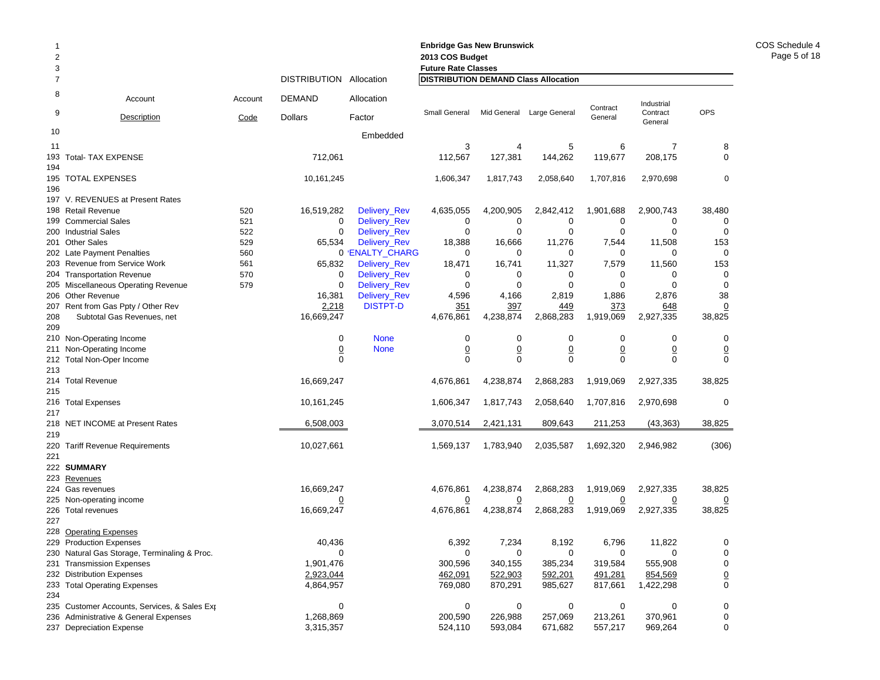| 2<br>2013 COS Budget<br>3<br><b>Future Rate Classes</b><br>DISTRIBUTION Allocation<br><b>DISTRIBUTION DEMAND Class Allocation</b><br>$\overline{7}$<br>8<br>DEMAND<br>Allocation<br>Account<br>Account<br>9<br>Small General<br>Mid General Large General<br><b>Dollars</b><br>Code<br>Factor<br><b>Description</b><br>10<br>Embedded<br>3<br>5<br>11<br>4<br>712,061<br>112,567<br>127,381<br>144,262<br>193<br><b>Total- TAX EXPENSE</b><br>194<br>195 TOTAL EXPENSES<br>10,161,245<br>1,606,347<br>1,817,743<br>2,058,640<br>196<br>197 V. REVENUES at Present Rates<br>198 Retail Revenue<br>520<br>16,519,282<br>Delivery_Rev<br>4,635,055<br>4,200,905<br>2,842,412<br>521<br>Delivery_Rev<br>0<br>0<br>0<br>199 Commercial Sales<br>0<br>200 Industrial Sales<br>522<br>Delivery_Rev<br>0<br>0<br>$\Omega$<br>0<br>201 Other Sales<br>529<br>65,534<br>Delivery_Rev<br>18,388<br>16,666<br>11,276<br>202 Late Payment Penalties<br>560<br>0 ENALTY_CHARG<br>0<br>0<br>0<br>11,327<br>203 Revenue from Service Work<br>561<br>65,832<br>Delivery_Rev<br>18,471<br>16,741<br>570<br>Delivery_Rev<br>204 Transportation Revenue<br>0<br>0<br>0<br>0<br>0<br>205 Miscellaneous Operating Revenue<br>579<br>Delivery_Rev<br>0<br>$\Omega$<br>0 |                |                                   |
|--------------------------------------------------------------------------------------------------------------------------------------------------------------------------------------------------------------------------------------------------------------------------------------------------------------------------------------------------------------------------------------------------------------------------------------------------------------------------------------------------------------------------------------------------------------------------------------------------------------------------------------------------------------------------------------------------------------------------------------------------------------------------------------------------------------------------------------------------------------------------------------------------------------------------------------------------------------------------------------------------------------------------------------------------------------------------------------------------------------------------------------------------------------------------------------------------------------------------------------------------|----------------|-----------------------------------|
|                                                                                                                                                                                                                                                                                                                                                                                                                                                                                                                                                                                                                                                                                                                                                                                                                                                                                                                                                                                                                                                                                                                                                                                                                                                  |                |                                   |
|                                                                                                                                                                                                                                                                                                                                                                                                                                                                                                                                                                                                                                                                                                                                                                                                                                                                                                                                                                                                                                                                                                                                                                                                                                                  |                |                                   |
|                                                                                                                                                                                                                                                                                                                                                                                                                                                                                                                                                                                                                                                                                                                                                                                                                                                                                                                                                                                                                                                                                                                                                                                                                                                  |                |                                   |
|                                                                                                                                                                                                                                                                                                                                                                                                                                                                                                                                                                                                                                                                                                                                                                                                                                                                                                                                                                                                                                                                                                                                                                                                                                                  | Contract       | Industrial                        |
|                                                                                                                                                                                                                                                                                                                                                                                                                                                                                                                                                                                                                                                                                                                                                                                                                                                                                                                                                                                                                                                                                                                                                                                                                                                  | General        | <b>OPS</b><br>Contract<br>General |
|                                                                                                                                                                                                                                                                                                                                                                                                                                                                                                                                                                                                                                                                                                                                                                                                                                                                                                                                                                                                                                                                                                                                                                                                                                                  |                |                                   |
|                                                                                                                                                                                                                                                                                                                                                                                                                                                                                                                                                                                                                                                                                                                                                                                                                                                                                                                                                                                                                                                                                                                                                                                                                                                  | 6              | 8<br>7                            |
|                                                                                                                                                                                                                                                                                                                                                                                                                                                                                                                                                                                                                                                                                                                                                                                                                                                                                                                                                                                                                                                                                                                                                                                                                                                  | 119,677        | 208,175<br>0                      |
|                                                                                                                                                                                                                                                                                                                                                                                                                                                                                                                                                                                                                                                                                                                                                                                                                                                                                                                                                                                                                                                                                                                                                                                                                                                  | 1,707,816      | $\mathbf 0$<br>2,970,698          |
|                                                                                                                                                                                                                                                                                                                                                                                                                                                                                                                                                                                                                                                                                                                                                                                                                                                                                                                                                                                                                                                                                                                                                                                                                                                  |                |                                   |
|                                                                                                                                                                                                                                                                                                                                                                                                                                                                                                                                                                                                                                                                                                                                                                                                                                                                                                                                                                                                                                                                                                                                                                                                                                                  | 1,901,688      | 2,900,743<br>38,480               |
|                                                                                                                                                                                                                                                                                                                                                                                                                                                                                                                                                                                                                                                                                                                                                                                                                                                                                                                                                                                                                                                                                                                                                                                                                                                  | 0              | 0<br>0                            |
|                                                                                                                                                                                                                                                                                                                                                                                                                                                                                                                                                                                                                                                                                                                                                                                                                                                                                                                                                                                                                                                                                                                                                                                                                                                  | 0              | 0<br>0                            |
|                                                                                                                                                                                                                                                                                                                                                                                                                                                                                                                                                                                                                                                                                                                                                                                                                                                                                                                                                                                                                                                                                                                                                                                                                                                  | 7,544          | 11,508<br>153                     |
|                                                                                                                                                                                                                                                                                                                                                                                                                                                                                                                                                                                                                                                                                                                                                                                                                                                                                                                                                                                                                                                                                                                                                                                                                                                  | 0              | 0<br>0                            |
|                                                                                                                                                                                                                                                                                                                                                                                                                                                                                                                                                                                                                                                                                                                                                                                                                                                                                                                                                                                                                                                                                                                                                                                                                                                  | 7,579          | 11,560<br>153                     |
|                                                                                                                                                                                                                                                                                                                                                                                                                                                                                                                                                                                                                                                                                                                                                                                                                                                                                                                                                                                                                                                                                                                                                                                                                                                  | 0              | 0<br>0                            |
|                                                                                                                                                                                                                                                                                                                                                                                                                                                                                                                                                                                                                                                                                                                                                                                                                                                                                                                                                                                                                                                                                                                                                                                                                                                  | 0              | $\Omega$<br>0                     |
| 206 Other Revenue<br>16,381<br>Delivery_Rev<br>4,596<br>4,166<br>2,819                                                                                                                                                                                                                                                                                                                                                                                                                                                                                                                                                                                                                                                                                                                                                                                                                                                                                                                                                                                                                                                                                                                                                                           | 1,886          | 38<br>2,876                       |
| <b>DISTPT-D</b><br>207 Rent from Gas Ppty / Other Rev<br>2,218<br>351<br>397<br>449                                                                                                                                                                                                                                                                                                                                                                                                                                                                                                                                                                                                                                                                                                                                                                                                                                                                                                                                                                                                                                                                                                                                                              | 373            | 648<br>$\overline{0}$             |
| 4,676,861<br>4,238,874<br>2,868,283<br>208<br>Subtotal Gas Revenues, net<br>16,669,247                                                                                                                                                                                                                                                                                                                                                                                                                                                                                                                                                                                                                                                                                                                                                                                                                                                                                                                                                                                                                                                                                                                                                           | 1,919,069      | 2,927,335<br>38,825               |
| 209                                                                                                                                                                                                                                                                                                                                                                                                                                                                                                                                                                                                                                                                                                                                                                                                                                                                                                                                                                                                                                                                                                                                                                                                                                              |                |                                   |
| 0<br><b>None</b><br>0<br>0<br>0<br>210 Non-Operating Income                                                                                                                                                                                                                                                                                                                                                                                                                                                                                                                                                                                                                                                                                                                                                                                                                                                                                                                                                                                                                                                                                                                                                                                      | 0              | 0<br>0                            |
| $\overline{0}$<br>$\underline{0}$<br>$\overline{0}$<br>$\overline{0}$<br>Non-Operating Income<br><b>None</b><br>211                                                                                                                                                                                                                                                                                                                                                                                                                                                                                                                                                                                                                                                                                                                                                                                                                                                                                                                                                                                                                                                                                                                              | $\overline{0}$ | $\overline{0}$<br>$\overline{0}$  |
| $\mathbf{0}$<br>$\mathbf 0$<br>$\Omega$<br>212 Total Non-Oper Income<br>$\Omega$                                                                                                                                                                                                                                                                                                                                                                                                                                                                                                                                                                                                                                                                                                                                                                                                                                                                                                                                                                                                                                                                                                                                                                 | $\Omega$       | $\Omega$<br>0                     |
| 213                                                                                                                                                                                                                                                                                                                                                                                                                                                                                                                                                                                                                                                                                                                                                                                                                                                                                                                                                                                                                                                                                                                                                                                                                                              |                |                                   |
| 16,669,247<br>4,676,861<br>4,238,874<br>2,868,283<br>214 Total Revenue                                                                                                                                                                                                                                                                                                                                                                                                                                                                                                                                                                                                                                                                                                                                                                                                                                                                                                                                                                                                                                                                                                                                                                           | 1,919,069      | 38,825<br>2,927,335               |
| 215                                                                                                                                                                                                                                                                                                                                                                                                                                                                                                                                                                                                                                                                                                                                                                                                                                                                                                                                                                                                                                                                                                                                                                                                                                              |                |                                   |
| 10,161,245<br>1,606,347<br>1,817,743<br>2,058,640<br>216 Total Expenses                                                                                                                                                                                                                                                                                                                                                                                                                                                                                                                                                                                                                                                                                                                                                                                                                                                                                                                                                                                                                                                                                                                                                                          | 1,707,816      | 2,970,698<br>0                    |
| 217                                                                                                                                                                                                                                                                                                                                                                                                                                                                                                                                                                                                                                                                                                                                                                                                                                                                                                                                                                                                                                                                                                                                                                                                                                              |                |                                   |
| 218 NET INCOME at Present Rates<br>6,508,003<br>3,070,514<br>2,421,131<br>809,643                                                                                                                                                                                                                                                                                                                                                                                                                                                                                                                                                                                                                                                                                                                                                                                                                                                                                                                                                                                                                                                                                                                                                                | 211,253        | (43, 363)<br>38,825               |
| 219                                                                                                                                                                                                                                                                                                                                                                                                                                                                                                                                                                                                                                                                                                                                                                                                                                                                                                                                                                                                                                                                                                                                                                                                                                              |                |                                   |
| 10,027,661<br>1,569,137<br>1,783,940<br>2,035,587<br><b>Tariff Revenue Requirements</b><br>220<br>221                                                                                                                                                                                                                                                                                                                                                                                                                                                                                                                                                                                                                                                                                                                                                                                                                                                                                                                                                                                                                                                                                                                                            | 1,692,320      | 2,946,982<br>(306)                |
| 222 SUMMARY                                                                                                                                                                                                                                                                                                                                                                                                                                                                                                                                                                                                                                                                                                                                                                                                                                                                                                                                                                                                                                                                                                                                                                                                                                      |                |                                   |
| 223 Revenues                                                                                                                                                                                                                                                                                                                                                                                                                                                                                                                                                                                                                                                                                                                                                                                                                                                                                                                                                                                                                                                                                                                                                                                                                                     |                |                                   |
| 4,676,861<br>224 Gas revenues<br>16,669,247<br>4,238,874<br>2,868,283                                                                                                                                                                                                                                                                                                                                                                                                                                                                                                                                                                                                                                                                                                                                                                                                                                                                                                                                                                                                                                                                                                                                                                            | 1,919,069      | 38,825<br>2,927,335               |
| 225 Non-operating income<br>$\overline{0}$<br><u>0</u><br><u>0</u><br>$\overline{0}$                                                                                                                                                                                                                                                                                                                                                                                                                                                                                                                                                                                                                                                                                                                                                                                                                                                                                                                                                                                                                                                                                                                                                             | $\overline{0}$ | 0<br><u>0</u>                     |
| 4,238,874<br>2,868,283<br>16,669,247<br>4,676,861<br>226 Total revenues                                                                                                                                                                                                                                                                                                                                                                                                                                                                                                                                                                                                                                                                                                                                                                                                                                                                                                                                                                                                                                                                                                                                                                          | 1,919,069      | 2,927,335<br>38,825               |
| 227                                                                                                                                                                                                                                                                                                                                                                                                                                                                                                                                                                                                                                                                                                                                                                                                                                                                                                                                                                                                                                                                                                                                                                                                                                              |                |                                   |
| 228 Operating Expenses                                                                                                                                                                                                                                                                                                                                                                                                                                                                                                                                                                                                                                                                                                                                                                                                                                                                                                                                                                                                                                                                                                                                                                                                                           |                |                                   |
| 229 Production Expenses<br>40,436<br>6,392<br>7,234<br>8,192                                                                                                                                                                                                                                                                                                                                                                                                                                                                                                                                                                                                                                                                                                                                                                                                                                                                                                                                                                                                                                                                                                                                                                                     | 6,796          | 11,822                            |
| 230 Natural Gas Storage, Terminaling & Proc.<br>0<br>0<br>0<br>0                                                                                                                                                                                                                                                                                                                                                                                                                                                                                                                                                                                                                                                                                                                                                                                                                                                                                                                                                                                                                                                                                                                                                                                 |                |                                   |
| 1,901,476<br>300,596<br>340,155<br>385,234<br>231 Transmission Expenses                                                                                                                                                                                                                                                                                                                                                                                                                                                                                                                                                                                                                                                                                                                                                                                                                                                                                                                                                                                                                                                                                                                                                                          |                |                                   |
| 2,923,044<br>592,201<br>232 Distribution Expenses<br>462,091<br>522,903                                                                                                                                                                                                                                                                                                                                                                                                                                                                                                                                                                                                                                                                                                                                                                                                                                                                                                                                                                                                                                                                                                                                                                          | 0              | 0<br>0                            |
| 769,080<br>870,291<br>985,627<br>233 Total Operating Expenses<br>4,864,957                                                                                                                                                                                                                                                                                                                                                                                                                                                                                                                                                                                                                                                                                                                                                                                                                                                                                                                                                                                                                                                                                                                                                                       | 319,584        | 555,908<br>0                      |
| 234                                                                                                                                                                                                                                                                                                                                                                                                                                                                                                                                                                                                                                                                                                                                                                                                                                                                                                                                                                                                                                                                                                                                                                                                                                              | 491,281        | $\underline{0}$<br>854,569        |
| 235 Customer Accounts, Services, & Sales Exp<br>0<br>0<br>0<br>0                                                                                                                                                                                                                                                                                                                                                                                                                                                                                                                                                                                                                                                                                                                                                                                                                                                                                                                                                                                                                                                                                                                                                                                 | 817,661        | 0<br>1,422,298                    |
| 1,268,869<br>226,988<br>236 Administrative & General Expenses<br>200,590<br>257,069                                                                                                                                                                                                                                                                                                                                                                                                                                                                                                                                                                                                                                                                                                                                                                                                                                                                                                                                                                                                                                                                                                                                                              |                |                                   |
| 593,084<br>237 Depreciation Expense<br>3,315,357<br>524,110<br>671,682                                                                                                                                                                                                                                                                                                                                                                                                                                                                                                                                                                                                                                                                                                                                                                                                                                                                                                                                                                                                                                                                                                                                                                           | 0<br>213,261   | 0<br>0<br>370,961<br>0            |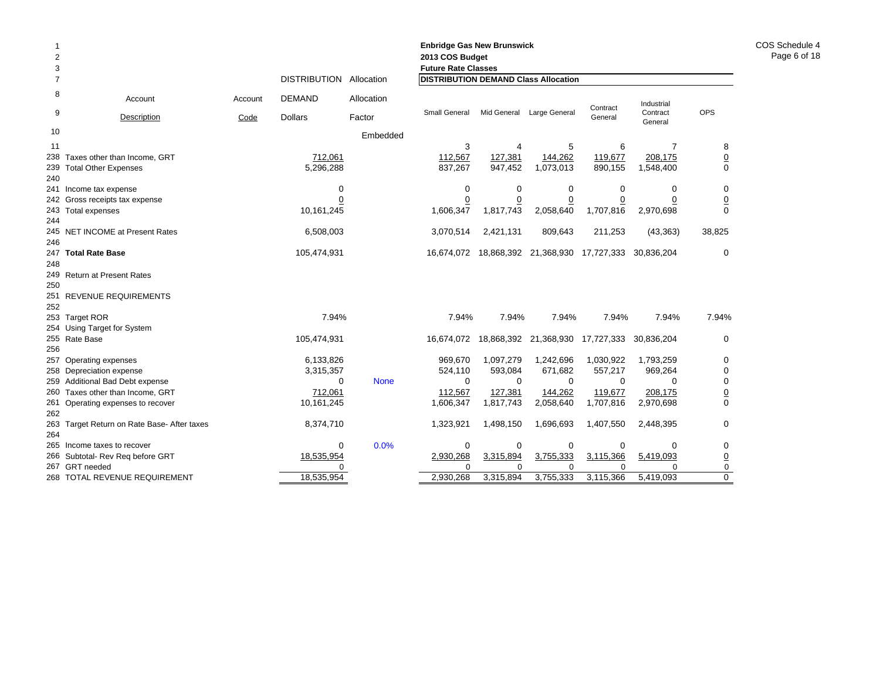| $\overline{2}$<br>3<br>$\overline{7}$ |                                                    |         | <b>DISTRIBUTION</b>    | Allocation  | <b>Enbridge Gas New Brunswick</b><br>2013 COS Budget<br><b>Future Rate Classes</b><br><b>DISTRIBUTION DEMAND Class Allocation</b> |                      |                                  |                      |                      |                 |
|---------------------------------------|----------------------------------------------------|---------|------------------------|-------------|-----------------------------------------------------------------------------------------------------------------------------------|----------------------|----------------------------------|----------------------|----------------------|-----------------|
| 8                                     | Account                                            | Account | <b>DEMAND</b>          | Allocation  |                                                                                                                                   |                      |                                  |                      | Industrial           |                 |
| 9                                     | Description                                        | Code    | <b>Dollars</b>         | Factor      | Small General                                                                                                                     |                      | Mid General Large General        | Contract<br>General  | Contract<br>General  | <b>OPS</b>      |
| 10                                    |                                                    |         |                        | Embedded    |                                                                                                                                   |                      |                                  |                      |                      |                 |
| 11                                    |                                                    |         |                        |             | 3                                                                                                                                 | 4                    | 5                                | 6                    | $\overline{7}$       | 8               |
| 238                                   | Taxes other than Income, GRT                       |         | 712,061                |             | 112,567                                                                                                                           | 127,381              | 144,262                          | 119,677              | 208,175              | $\overline{0}$  |
| 239<br>240                            | <b>Total Other Expenses</b>                        |         | 5,296,288              |             | 837,267                                                                                                                           | 947,452              | 1,073,013                        | 890,155              | 1,548,400            | $\mathbf 0$     |
|                                       | 241 Income tax expense                             |         | 0                      |             | $\mathbf 0$                                                                                                                       | 0                    | 0                                | $\mathbf 0$          | 0                    | 0               |
|                                       | 242 Gross receipts tax expense                     |         | <u>0</u>               |             | $\overline{0}$                                                                                                                    | $\overline{0}$       | $\overline{0}$                   | $\overline{0}$       | 0                    | $\overline{0}$  |
|                                       | 243 Total expenses                                 |         | 10,161,245             |             | 1,606,347                                                                                                                         | 1,817,743            | 2,058,640                        | 1,707,816            | 2,970,698            | $\Omega$        |
| 244                                   |                                                    |         |                        |             |                                                                                                                                   |                      |                                  |                      |                      |                 |
| 246                                   | 245 NET INCOME at Present Rates                    |         | 6,508,003              |             | 3,070,514                                                                                                                         | 2,421,131            | 809,643                          | 211,253              | (43, 363)            | 38,825          |
|                                       | 247 Total Rate Base                                |         | 105,474,931            |             | 16,674,072                                                                                                                        |                      | 18,868,392 21,368,930 17,727,333 |                      | 30,836,204           | $\mathbf 0$     |
| 248                                   |                                                    |         |                        |             |                                                                                                                                   |                      |                                  |                      |                      |                 |
|                                       | 249 Return at Present Rates                        |         |                        |             |                                                                                                                                   |                      |                                  |                      |                      |                 |
| 250                                   |                                                    |         |                        |             |                                                                                                                                   |                      |                                  |                      |                      |                 |
|                                       | 251 REVENUE REQUIREMENTS                           |         |                        |             |                                                                                                                                   |                      |                                  |                      |                      |                 |
| 252                                   |                                                    |         |                        |             |                                                                                                                                   |                      |                                  |                      |                      |                 |
|                                       | 253 Target ROR                                     |         | 7.94%                  |             | 7.94%                                                                                                                             | 7.94%                | 7.94%                            | 7.94%                | 7.94%                | 7.94%           |
|                                       | 254 Using Target for System                        |         |                        |             |                                                                                                                                   |                      |                                  |                      |                      |                 |
|                                       | 255 Rate Base                                      |         | 105,474,931            |             | 16,674,072                                                                                                                        |                      | 18,868,392 21,368,930            | 17,727,333           | 30,836,204           | 0               |
| 256                                   |                                                    |         |                        |             |                                                                                                                                   |                      |                                  |                      |                      |                 |
|                                       | 257 Operating expenses<br>258 Depreciation expense |         | 6,133,826<br>3,315,357 |             | 969,670<br>524,110                                                                                                                | 1,097,279<br>593,084 | 1,242,696<br>671,682             | 1,030,922<br>557,217 | 1,793,259<br>969,264 | 0<br>0          |
|                                       | 259 Additional Bad Debt expense                    |         | $\Omega$               | <b>None</b> | $\Omega$                                                                                                                          | $\Omega$             | $\Omega$                         | $\Omega$             | $\Omega$             | 0               |
|                                       | 260 Taxes other than Income, GRT                   |         | 712,061                |             | 112,567                                                                                                                           | 127,381              | 144,262                          | 119,677              | 208,175              | $\underline{0}$ |
|                                       | 261 Operating expenses to recover                  |         | 10,161,245             |             | 1,606,347                                                                                                                         | 1,817,743            | 2,058,640                        | 1,707,816            | 2,970,698            | $\Omega$        |
| 262                                   |                                                    |         |                        |             |                                                                                                                                   |                      |                                  |                      |                      |                 |
|                                       | 263 Target Return on Rate Base- After taxes        |         | 8,374,710              |             | 1,323,921                                                                                                                         | 1,498,150            | 1,696,693                        | 1,407,550            | 2,448,395            | $\mathbf 0$     |
| 264                                   |                                                    |         |                        |             |                                                                                                                                   |                      |                                  |                      |                      |                 |
|                                       | 265 Income taxes to recover                        |         | 0                      | 0.0%        | 0                                                                                                                                 | $\mathbf 0$          | $\mathbf 0$                      | $\mathbf 0$          | $\Omega$             | $\mathbf 0$     |

266 Subtotal- Rev Req before GRT 18,535,954 2,930,268 3,315,894 3,755,333 3,115,366 5,419,093 0

268 TOTAL REVENUE REQUIREMENT 18,535,954 2,930,268 3,315,894 3,755,333 3,115,366 5,419,093 0

000000

1

267 GRT needed 0

COS Schedule 4Page 6 of 18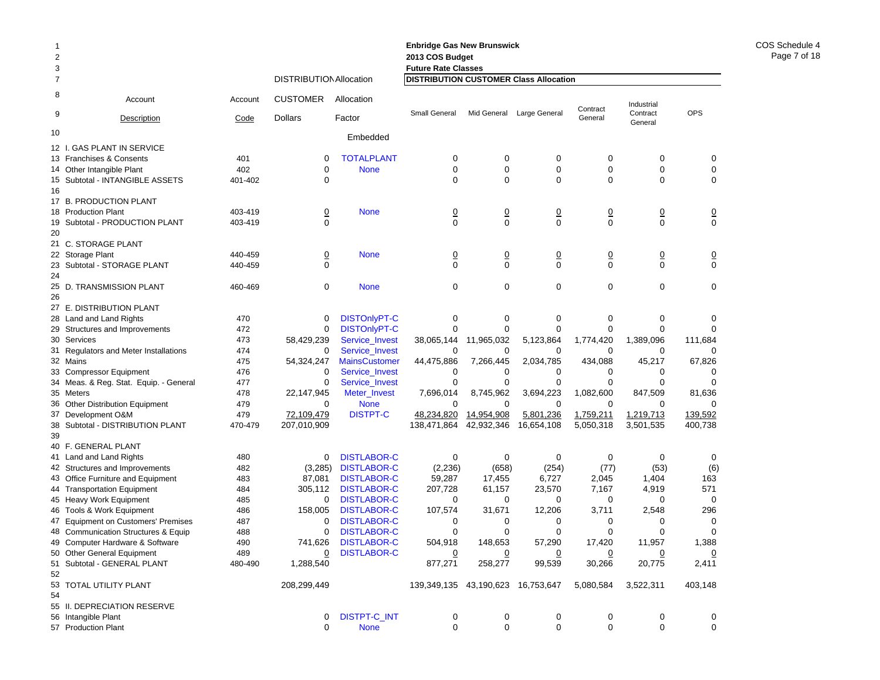| 2              |                                             |         |                                |                       | 2013 COS Budget                               |                |                |                |                     |               |
|----------------|---------------------------------------------|---------|--------------------------------|-----------------------|-----------------------------------------------|----------------|----------------|----------------|---------------------|---------------|
| 3              |                                             |         |                                |                       | <b>Future Rate Classes</b>                    |                |                |                |                     |               |
| $\overline{7}$ |                                             |         | <b>DISTRIBUTION Allocation</b> |                       | <b>DISTRIBUTION CUSTOMER Class Allocation</b> |                |                |                |                     |               |
| 8              | Account                                     | Account | <b>CUSTOMER</b>                | Allocation            |                                               |                |                | Contract       | Industrial          |               |
| 9              | Description                                 | Code    | <b>Dollars</b>                 | Factor                | <b>Small General</b>                          | Mid General    | Large General  | General        | Contract<br>General | <b>OPS</b>    |
| 10             |                                             |         |                                | Embedded              |                                               |                |                |                |                     |               |
|                | 12 I. GAS PLANT IN SERVICE                  |         |                                |                       |                                               |                |                |                |                     |               |
|                | 13 Franchises & Consents                    | 401     | 0                              | <b>TOTALPLANT</b>     | 0                                             | 0              | 0              | 0              | 0                   | 0             |
|                | 14 Other Intangible Plant                   | 402     | $\mathbf 0$                    | <b>None</b>           | 0                                             | 0              | 0              | 0              | 0                   | 0             |
|                | 15 Subtotal - INTANGIBLE ASSETS             | 401-402 | $\Omega$                       |                       | $\Omega$                                      | $\Omega$       | 0              | $\mathbf 0$    | 0                   | $\mathbf 0$   |
| 16             |                                             |         |                                |                       |                                               |                |                |                |                     |               |
|                | 17 B. PRODUCTION PLANT                      |         |                                |                       |                                               |                |                |                |                     |               |
|                | 18 Production Plant                         | 403-419 | $\overline{0}$                 | <b>None</b>           | $\overline{0}$                                | $\overline{0}$ | $\overline{0}$ | $\overline{0}$ | $\overline{0}$      | $\frac{0}{0}$ |
|                | 19 Subtotal - PRODUCTION PLANT              | 403-419 | $\mathbf 0$                    |                       | $\Omega$                                      | $\mathbf 0$    | 0              | $\mathbf 0$    | $\Omega$            |               |
| 20             |                                             |         |                                |                       |                                               |                |                |                |                     |               |
|                | 21 C. STORAGE PLANT                         |         |                                |                       |                                               |                |                |                |                     |               |
|                | 22 Storage Plant                            | 440-459 | $\overline{0}$                 | <b>None</b>           | $\frac{0}{0}$                                 | $\overline{0}$ | $\overline{0}$ | $\overline{0}$ | $\overline{0}$      | $\frac{0}{0}$ |
|                | 23 Subtotal - STORAGE PLANT                 | 440-459 | $\mathbf 0$                    |                       |                                               | $\mathbf 0$    | 0              | $\mathbf 0$    | $\mathbf 0$         |               |
| 24             |                                             |         |                                |                       |                                               |                |                |                |                     |               |
|                | 25 D. TRANSMISSION PLANT                    | 460-469 | 0                              | <b>None</b>           | 0                                             | $\mathbf 0$    | 0              | $\mathbf 0$    | 0                   | $\mathbf 0$   |
| 26             |                                             |         |                                |                       |                                               |                |                |                |                     |               |
|                | 27 E. DISTRIBUTION PLANT                    |         |                                |                       |                                               |                |                |                |                     |               |
|                | 28 Land and Land Rights                     | 470     | 0                              | <b>DISTOnlyPT-C</b>   | 0                                             | 0              | 0              | 0              | 0                   | 0             |
|                | 29 Structures and Improvements              | 472     | 0                              | <b>DISTOnlyPT-C</b>   | $\mathbf 0$                                   | $\mathbf 0$    | $\mathbf 0$    | $\mathbf 0$    | 0                   | $\Omega$      |
|                | 30 Services                                 | 473     | 58,429,239                     | <b>Service Invest</b> | 38,065,144                                    | 11,965,032     | 5,123,864      | 1,774,420      | 1,389,096           | 111,684       |
|                | 31 Regulators and Meter Installations       | 474     | 0                              | Service_Invest        | 0                                             | 0              | 0              | 0              | 0                   | 0             |
|                | 32 Mains                                    | 475     | 54,324,247                     | <b>MainsCustomer</b>  | 44,475,886                                    | 7,266,445      | 2,034,785      | 434,088        | 45,217              | 67,826        |
|                | 33 Compressor Equipment                     | 476     | 0                              | Service_Invest        | 0                                             | 0              | 0              | 0              | 0                   | 0             |
|                | 34 Meas. & Reg. Stat. Equip. - General      | 477     | 0                              | Service_Invest        | 0                                             | 0              | 0              | $\mathbf 0$    | $\Omega$            | $\mathbf 0$   |
|                | 35 Meters                                   | 478     | 22,147,945                     | Meter_Invest          | 7,696,014                                     | 8,745,962      | 3,694,223      | 1,082,600      | 847,509             | 81,636        |
|                | 36 Other Distribution Equipment             | 479     | $\Omega$                       | <b>None</b>           | $\Omega$                                      | $\Omega$       | $\Omega$       | $\Omega$       | $\Omega$            | $\Omega$      |
|                | 37 Development O&M                          | 479     | 72,109,479                     | <b>DISTPT-C</b>       | 48,234,820                                    | 14,954,908     | 5,801,236      | 1,759,211      | 1,219,713           | 139,592       |
| 38<br>39       | Subtotal - DISTRIBUTION PLANT               | 470-479 | 207,010,909                    |                       | 138,471,864                                   | 42,932,346     | 16,654,108     | 5,050,318      | 3,501,535           | 400,738       |
|                | 40 F. GENERAL PLANT                         |         |                                |                       |                                               |                |                |                |                     |               |
|                | 41 Land and Land Rights                     | 480     | 0                              | <b>DISTLABOR-C</b>    | 0                                             | 0              | 0              | 0              | 0                   | 0             |
|                | 42 Structures and Improvements              | 482     | (3,285)                        | <b>DISTLABOR-C</b>    | (2,236)                                       | (658)          | (254)          | (77)           | (53)                | (6)           |
|                | 43 Office Furniture and Equipment           | 483     | 87,081                         | <b>DISTLABOR-C</b>    | 59,287                                        | 17,455         | 6,727          | 2,045          | 1,404               | 163           |
|                | 44 Transportation Equipment                 | 484     | 305,112                        | <b>DISTLABOR-C</b>    | 207,728                                       | 61,157         | 23,570         | 7,167          | 4,919               | 571           |
|                | 45 Heavy Work Equipment                     | 485     | 0                              | <b>DISTLABOR-C</b>    | 0                                             | 0              | 0              | 0              | 0                   | 0             |
|                | 46 Tools & Work Equipment                   | 486     | 158,005                        | <b>DISTLABOR-C</b>    | 107,574                                       | 31,671         | 12,206         | 3,711          | 2,548               | 296           |
|                | 47 Equipment on Customers' Premises         | 487     | 0                              | <b>DISTLABOR-C</b>    | 0                                             | 0              | 0              | 0              | 0                   | $\mathbf 0$   |
| 48             | <b>Communication Structures &amp; Equip</b> | 488     | 0                              | <b>DISTLABOR-C</b>    | 0                                             | 0              | 0              | $\mathbf 0$    | 0                   | 0             |
|                | 49 Computer Hardware & Software             | 490     | 741,626                        | <b>DISTLABOR-C</b>    | 504,918                                       | 148,653        | 57,290         | 17,420         | 11,957              | 1,388         |
|                | 50 Other General Equipment                  | 489     | $\overline{0}$                 | <b>DISTLABOR-C</b>    | <u>0</u>                                      |                |                | <u>0</u>       | <u>0</u>            | <u>0</u>      |
|                | 51 Subtotal - GENERAL PLANT                 | 480-490 | 1,288,540                      |                       | 877,271                                       | 258,277        | 99,539         | 30,266         | 20,775              | 2,411         |
| 52             |                                             |         |                                |                       |                                               |                |                |                |                     |               |
|                | 53 TOTAL UTILITY PLANT                      |         | 208,299,449                    |                       | 139,349,135 43,190,623 16,753,647             |                |                | 5,080,584      | 3,522,311           | 403,148       |
| 54             |                                             |         |                                |                       |                                               |                |                |                |                     |               |
|                | 55 II. DEPRECIATION RESERVE                 |         |                                |                       |                                               |                |                |                |                     |               |
|                | 56 Intangible Plant                         |         | 0                              | <b>DISTPT-C_INT</b>   | 0                                             | 0              | 0              | 0              | 0                   | 0             |
|                | 57 Production Plant                         |         | 0                              | <b>None</b>           | $\mathbf 0$                                   | 0              | 0              | 0              | 0                   | 0             |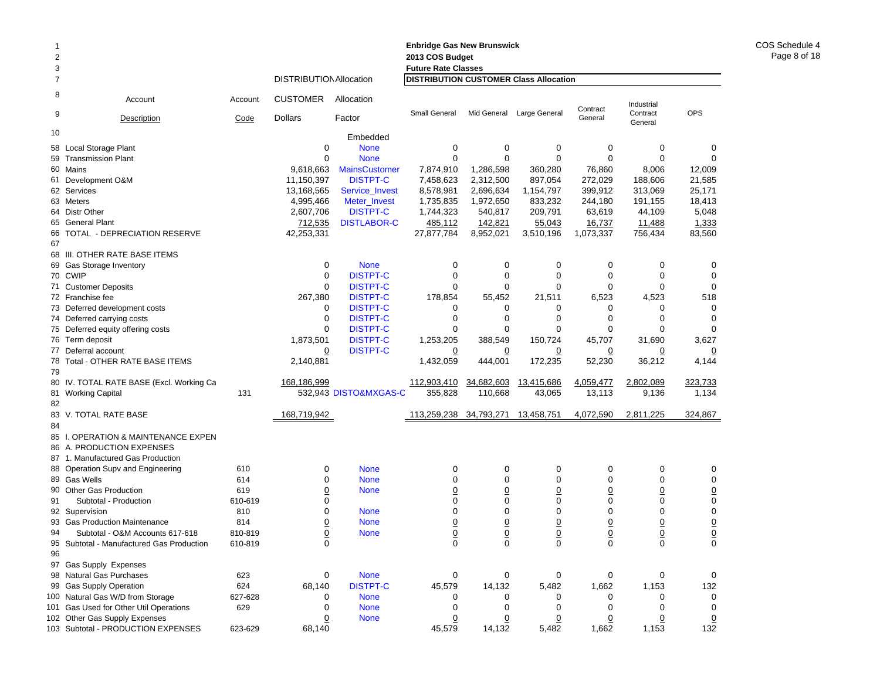| 2<br>3 |                                                   |         |                                |                                 | <b>Enbridge Gas New Brunswick</b><br>2013 COS Budget<br><b>Future Rate Classes</b> |                        |                    |                   |                     |                 |
|--------|---------------------------------------------------|---------|--------------------------------|---------------------------------|------------------------------------------------------------------------------------|------------------------|--------------------|-------------------|---------------------|-----------------|
| 7      |                                                   |         | <b>DISTRIBUTION Allocation</b> |                                 | <b>DISTRIBUTION CUSTOMER Class Allocation</b>                                      |                        |                    |                   |                     |                 |
| 8      | Account                                           | Account | <b>CUSTOMER</b>                | Allocation                      |                                                                                    |                        |                    | Contract          | Industrial          |                 |
| 9      | Description                                       | Code    | <b>Dollars</b>                 | Factor                          | Small General                                                                      | Mid General            | Large General      | General           | Contract<br>General | <b>OPS</b>      |
| 10     |                                                   |         |                                | Embedded                        |                                                                                    |                        |                    |                   |                     |                 |
|        | 58 Local Storage Plant                            |         | 0                              | <b>None</b>                     | 0                                                                                  | 0                      | 0                  | 0                 | 0                   | 0               |
| 59     | <b>Transmission Plant</b>                         |         | $\Omega$                       | <b>None</b>                     | $\mathbf 0$                                                                        | $\mathbf 0$            | $\mathbf 0$        | $\Omega$          | 0                   | $\mathbf 0$     |
|        | 60 Mains                                          |         | 9,618,663                      | <b>MainsCustomer</b>            | 7,874,910                                                                          | 1,286,598              | 360,280            | 76,860            | 8,006               | 12,009          |
|        | 61 Development O&M                                |         | 11,150,397                     | <b>DISTPT-C</b>                 | 7,458,623                                                                          | 2,312,500<br>2,696,634 | 897,054            | 272,029           | 188,606             | 21,585          |
|        | 62 Services                                       |         | 13,168,565                     | Service_Invest                  | 8,578,981                                                                          |                        | 1,154,797          | 399,912           | 313,069             | 25,171          |
|        | 63 Meters<br>64 Distr Other                       |         | 4,995,466<br>2,607,706         | Meter Invest<br><b>DISTPT-C</b> | 1,735,835<br>1,744,323                                                             | 1,972,650<br>540,817   | 833,232<br>209,791 | 244,180<br>63,619 | 191,155<br>44,109   | 18,413<br>5,048 |
|        | 65 General Plant                                  |         | 712,535                        | <b>DISTLABOR-C</b>              | 485,112                                                                            | 142,821                | 55,043             | 16,737            | 11,488              | 1,333           |
|        | 66 TOTAL - DEPRECIATION RESERVE                   |         | 42,253,331                     |                                 | 27,877,784                                                                         | 8,952,021              | 3,510,196          | 1,073,337         | 756,434             | 83,560          |
| 67     |                                                   |         |                                |                                 |                                                                                    |                        |                    |                   |                     |                 |
|        | 68 III. OTHER RATE BASE ITEMS                     |         |                                |                                 |                                                                                    |                        |                    |                   |                     |                 |
|        | 69 Gas Storage Inventory                          |         | 0                              | <b>None</b>                     | 0                                                                                  | 0                      | 0                  | 0                 | 0                   | 0               |
|        | 70 CWIP                                           |         | $\mathbf 0$                    | <b>DISTPT-C</b>                 | $\mathbf 0$                                                                        | $\mathbf 0$            | $\mathbf 0$        | $\Omega$          | $\mathbf 0$         | $\mathbf 0$     |
|        | 71 Customer Deposits                              |         | $\mathbf 0$                    | <b>DISTPT-C</b>                 | $\mathbf 0$                                                                        | $\mathbf 0$            | $\Omega$           | 0                 | 0                   | $\mathbf 0$     |
|        | 72 Franchise fee                                  |         | 267,380                        | <b>DISTPT-C</b>                 | 178,854                                                                            | 55,452                 | 21,511             | 6,523             | 4,523               | 518             |
|        | 73 Deferred development costs                     |         | 0                              | <b>DISTPT-C</b>                 | 0                                                                                  | 0                      | 0                  | 0                 | 0                   | $\mathbf 0$     |
|        | 74 Deferred carrying costs                        |         | 0                              | <b>DISTPT-C</b>                 | 0                                                                                  | 0                      | $\Omega$           | 0                 | 0                   | $\mathbf 0$     |
|        | 75 Deferred equity offering costs                 |         | 0                              | <b>DISTPT-C</b>                 | $\mathbf 0$                                                                        | $\mathbf 0$            | $\Omega$           | 0                 | 0                   | $\Omega$        |
|        | 76 Term deposit                                   |         | 1,873,501                      | <b>DISTPT-C</b>                 | 1,253,205                                                                          | 388,549                | 150,724            | 45,707            | 31,690              | 3,627           |
|        | 77 Deferral account                               |         | $\overline{0}$                 | <b>DISTPT-C</b>                 | $\overline{0}$                                                                     | $\overline{0}$         | $\overline{0}$     | $\overline{0}$    | $\overline{0}$      | $\overline{0}$  |
|        | 78 Total - OTHER RATE BASE ITEMS                  |         | 2,140,881                      |                                 | 1,432,059                                                                          | 444,001                | 172,235            | 52,230            | 36,212              | 4,144           |
| 79     |                                                   |         |                                |                                 |                                                                                    |                        |                    |                   |                     |                 |
|        | 80 IV. TOTAL RATE BASE (Excl. Working Ca          |         | 168,186,999                    |                                 | 112,903,410                                                                        | 34,682,603             | 13,415,686         | 4,059,477         | 2,802,089           | 323,733         |
|        | 81 Working Capital                                | 131     |                                | 532,943 DISTO&MXGAS-C           | 355,828                                                                            | 110,668                | 43,065             | 13,113            | 9,136               | 1,134           |
| 82     |                                                   |         |                                |                                 |                                                                                    |                        |                    |                   |                     |                 |
|        | 83 V. TOTAL RATE BASE                             |         | 168,719,942                    |                                 | 113,259,238 34,793,271                                                             |                        | 13,458,751         | 4,072,590         | 2,811,225           | 324,867         |
| 84     |                                                   |         |                                |                                 |                                                                                    |                        |                    |                   |                     |                 |
|        | 85 I. OPERATION & MAINTENANCE EXPEN               |         |                                |                                 |                                                                                    |                        |                    |                   |                     |                 |
|        | 86 A. PRODUCTION EXPENSES                         |         |                                |                                 |                                                                                    |                        |                    |                   |                     |                 |
|        | 87 1. Manufactured Gas Production                 | 610     | 0                              | <b>None</b>                     | 0                                                                                  | 0                      | 0                  | 0                 | 0                   | 0               |
|        | 88 Operation Supv and Engineering<br>89 Gas Wells | 614     | 0                              | <b>None</b>                     | 0                                                                                  | $\mathbf 0$            | $\mathbf 0$        | 0                 | 0                   | $\mathbf 0$     |
|        | 90 Other Gas Production                           | 619     | $\overline{0}$                 | <b>None</b>                     | $\underline{0}$                                                                    | $\underline{0}$        | $\overline{0}$     | $\overline{0}$    | $\overline{0}$      | $\overline{0}$  |
| 91     | Subtotal - Production                             | 610-619 | 0                              |                                 | $\mathbf 0$                                                                        | $\mathbf 0$            | $\mathbf 0$        | 0                 | $\mathbf 0$         | $\mathbf 0$     |
|        | 92 Supervision                                    | 810     | 0                              | <b>None</b>                     | 0                                                                                  | $\mathbf 0$            | $\Omega$           | 0                 | 0                   | $\mathbf 0$     |
|        | 93 Gas Production Maintenance                     | 814     | $\overline{0}$                 | <b>None</b>                     | $\underline{0}$                                                                    | $\underline{0}$        | $\overline{0}$     | $\overline{0}$    | <u>0</u>            | $\overline{0}$  |
| 94     | Subtotal - O&M Accounts 617-618                   | 810-819 | 0                              | <b>None</b>                     | 0                                                                                  | $\mathbf 0$            | $\Omega$           | 0                 | 0                   | $\overline{0}$  |
|        | 95 Subtotal - Manufactured Gas Production         | 610-819 | 0                              |                                 | 0                                                                                  | $\pmb{0}$              | 0                  | 0                 | 0                   | 0               |
| 96     |                                                   |         |                                |                                 |                                                                                    |                        |                    |                   |                     |                 |
|        | 97 Gas Supply Expenses                            |         |                                |                                 |                                                                                    |                        |                    |                   |                     |                 |
|        | 98 Natural Gas Purchases                          | 623     | 0                              | <b>None</b>                     | 0                                                                                  | 0                      | 0                  | 0                 | 0                   | 0               |
|        | 99 Gas Supply Operation                           | 624     | 68,140                         | <b>DISTPT-C</b>                 | 45,579                                                                             | 14,132                 | 5,482              | 1,662             | 1,153               | 132             |
|        | 100 Natural Gas W/D from Storage                  | 627-628 | 0                              | <b>None</b>                     | 0                                                                                  | 0                      | 0                  | 0                 | 0                   | 0               |
|        | 101 Gas Used for Other Util Operations            | 629     | 0                              | <b>None</b>                     | 0                                                                                  | 0                      | 0                  | 0                 | $\mathbf 0$         | $\mathbf 0$     |
|        | 102 Other Gas Supply Expenses                     |         | $\overline{0}$                 | <b>None</b>                     | $\overline{0}$                                                                     | $\overline{0}$         | $\overline{0}$     | <u>0</u>          | $\overline{0}$      | $\overline{0}$  |
|        | 103 Subtotal - PRODUCTION EXPENSES                | 623-629 | 68,140                         |                                 | 45,579                                                                             | 14,132                 | 5,482              | 1,662             | 1,153               | 132             |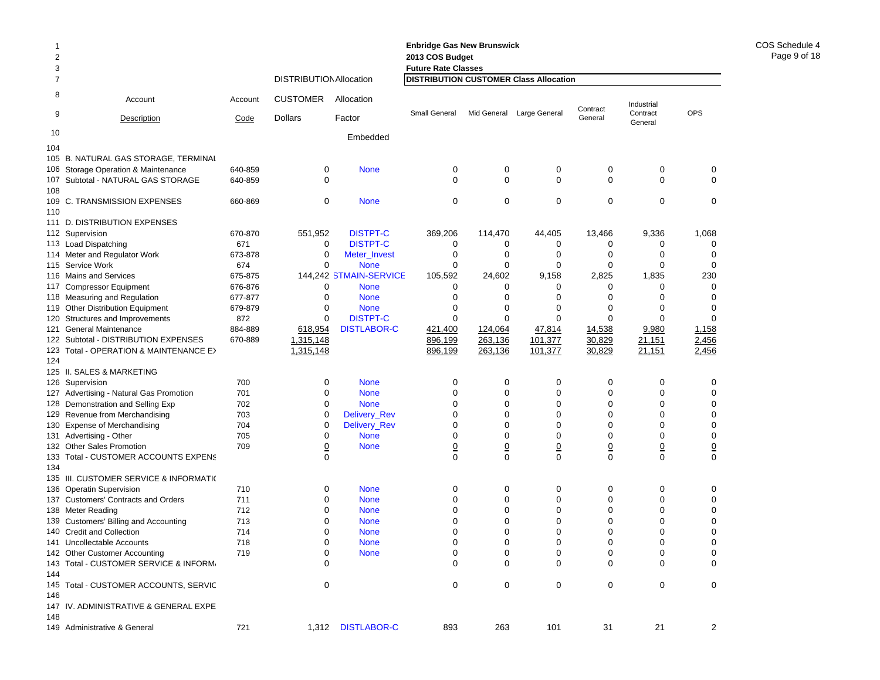| 3<br><b>Future Rate Classes</b><br><b>DISTRIBUTION Allocation</b><br><b>DISTRIBUTION CUSTOMER Class Allocation</b><br>7<br>8<br><b>CUSTOMER</b><br>Allocation<br>Account<br>Account<br>Industrial<br>Contract<br>OPS<br>9<br>Small General<br>Large General<br>Contract<br>Mid General<br><b>Dollars</b><br>Factor<br>General<br>Description<br>Code<br>General<br>10<br>Embedded<br>104<br>105 B. NATURAL GAS STORAGE, TERMINAL<br>0<br>0<br>$\mathbf 0$<br>0<br>0<br>$\mathbf 0$<br>640-859<br>0<br><b>None</b><br>106 Storage Operation & Maintenance<br>$\Omega$<br>$\Omega$<br>$\Omega$<br>$\mathbf 0$<br>0<br>$\mathbf 0$<br>107 Subtotal - NATURAL GAS STORAGE<br>640-859<br>$\mathbf 0$<br>108<br>$\mathbf 0$<br>$\mathbf 0$<br>$\mathbf 0$<br>$\mathbf 0$<br>109 C. TRANSMISSION EXPENSES<br>0<br><b>None</b><br>0<br>0<br>660-869<br>110<br>D. DISTRIBUTION EXPENSES<br>111<br><b>DISTPT-C</b><br>551,952<br>369,206<br>114,470<br>44,405<br>13,466<br>9,336<br>1,068<br>112 Supervision<br>670-870<br>671<br>0<br><b>DISTPT-C</b><br>0<br>0<br>0<br>0<br>0<br>0<br>113 Load Dispatching<br>$\mathbf 0$<br>$\mathbf 0$<br>0<br>$\mathbf 0$<br>$\mathbf 0$<br>$\mathbf 0$<br>$\mathbf 0$<br>114 Meter and Regulator Work<br>673-878<br>Meter_Invest<br>$\Omega$<br>$\Omega$<br>$\Omega$<br>$\Omega$<br>115 Service Work<br>674<br><b>None</b><br>0<br>0<br>$\Omega$<br>144,242 STMAIN-SERVICE<br>2,825<br>1,835<br>230<br>116 Mains and Services<br>675-875<br>105,592<br>24,602<br>9,158<br>$\Omega$<br>117 Compressor Equipment<br>676-876<br>0<br><b>None</b><br>$\Omega$<br>0<br>$\Omega$<br>$\Omega$<br>$\Omega$<br>$\mathbf 0$<br>0<br>$\mathbf 0$<br>$\mathbf 0$<br>0<br>$\mathbf 0$<br>0<br>118 Measuring and Regulation<br>677-877<br><b>None</b><br>$\Omega$<br>$\Omega$<br>$\Omega$<br>$\Omega$<br>$\Omega$<br>$\Omega$<br>$\Omega$<br>119 Other Distribution Equipment<br>679-879<br><b>None</b><br>$\Omega$<br><b>DISTPT-C</b><br>0<br>$\Omega$<br>$\mathbf 0$<br>Structures and Improvements<br>872<br>0<br>$\Omega$<br>0<br>120<br>884-889<br>618,954<br><b>DISTLABOR-C</b><br>421,400<br>124,064<br>47,814<br>14,538<br>9,980<br>1,158<br>121<br>General Maintenance<br>101,377<br>30,829<br>2,456<br>1,315,148<br>896,199<br>263,136<br>21,151<br>122 Subtotal - DISTRIBUTION EXPENSES<br>670-889<br>1,315,148<br>30,829<br>21,151<br>2,456<br>123 Total - OPERATION & MAINTENANCE E><br>896,199<br>263,136<br>101,377<br>124<br>125 II. SALES & MARKETING<br>$\mathbf 0$<br>$\mathbf 0$<br>0<br>$\mathbf 0$<br>0<br>0<br>$\mathbf 0$<br>700<br><b>None</b><br>126 Supervision<br>0<br>$\mathbf 0$<br>701<br>$\mathbf 0$<br><b>None</b><br>$\Omega$<br>$\mathbf 0$<br>$\mathbf 0$<br>$\mathbf 0$<br>127 Advertising - Natural Gas Promotion<br>$\mathbf 0$<br>$\mathbf 0$<br>0<br>$\mathbf 0$<br>$\mathbf 0$<br>$\mathbf 0$<br>$\mathbf 0$<br>702<br><b>None</b><br>128 Demonstration and Selling Exp<br>$\mathbf 0$<br>$\mathbf 0$<br>$\mathbf 0$<br>Delivery_Rev<br>$\Omega$<br>0<br>$\Omega$<br>$\Omega$<br>129 Revenue from Merchandising<br>703<br>$\mathbf 0$<br>$\mathbf 0$<br>0<br>$\mathbf 0$<br>$\mathbf 0$<br>$\mathbf 0$<br>$\mathbf 0$<br>704<br>Delivery_Rev<br><b>Expense of Merchandising</b><br>130<br>$\mathbf 0$<br>$\Omega$<br>$\mathbf 0$<br><b>None</b><br>$\Omega$<br>$\Omega$<br>$\Omega$<br>$\Omega$<br>131 Advertising - Other<br>705<br>$\underline{0}$<br>$\underline{0}$<br>$\underline{0}$<br>$\underline{0}$<br>$\overline{0}$<br>$\overline{0}$<br><u>0</u><br>132 Other Sales Promotion<br>709<br><b>None</b><br>$\Omega$<br>$\Omega$<br>$\Omega$<br>$\Omega$<br>$\Omega$<br>$\mathbf{0}$<br>$\Omega$<br>133 Total - CUSTOMER ACCOUNTS EXPENS<br>134<br>135 III. CUSTOMER SERVICE & INFORMATIO<br>$\mathbf 0$<br>$\mathbf 0$<br>0<br>$\mathbf 0$<br>$\mathbf 0$<br>$\mathbf 0$<br>$\mathbf 0$<br>710<br><b>None</b><br>136 Operatin Supervision<br>$\mathbf 0$<br>0<br>$\mathbf 0$<br>$\mathbf 0$<br>0<br>$\mathbf 0$<br>137 Customers' Contracts and Orders<br>711<br><b>None</b><br>0<br>$\mathbf 0$<br>$\Omega$<br>$\Omega$<br>0<br>$\mathbf 0$<br>712<br>$\Omega$<br>0<br>138 Meter Reading<br><b>None</b><br>$\mathbf 0$<br>0<br>$\Omega$<br>$\Omega$<br>$\Omega$<br>$\mathbf 0$<br>139 Customers' Billing and Accounting<br>713<br><b>None</b><br>$\Omega$<br>$\mathbf 0$<br>$\mathbf 0$<br>0<br>$\mathbf 0$<br>$\mathbf 0$<br>$\mathbf 0$<br>$\mathbf 0$<br><b>Credit and Collection</b><br>714<br><b>None</b><br>140<br>$\mathbf 0$<br>$\Omega$<br>0<br>$\Omega$<br>$\mathbf 0$<br>0<br>$\mathbf 0$<br><b>Uncollectable Accounts</b><br>718<br><b>None</b><br>141<br>$\overline{0}$<br>$\overline{0}$<br>$\mathbf 0$<br>$\mathbf 0$<br>$\mathbf 0$<br>$\mathbf 0$<br>$\mathbf 0$<br>142 Other Customer Accounting<br>719<br><b>None</b><br>$\Omega$<br>Total - CUSTOMER SERVICE & INFORM,<br>$\Omega$<br>$\Omega$<br>$\Omega$<br>$\Omega$<br>$\Omega$<br>$\Omega$<br>143<br>144<br>$\Omega$<br>$\Omega$<br>$\Omega$<br>$\Omega$<br>$\Omega$<br>$\Omega$<br>$\Omega$<br>Total - CUSTOMER ACCOUNTS, SERVIC<br>145<br>146<br>147 IV. ADMINISTRATIVE & GENERAL EXPE<br>148 | $\overline{2}$ |                              |     |       |                    | 2013 COS Budget |     |     |    |    |   |
|-------------------------------------------------------------------------------------------------------------------------------------------------------------------------------------------------------------------------------------------------------------------------------------------------------------------------------------------------------------------------------------------------------------------------------------------------------------------------------------------------------------------------------------------------------------------------------------------------------------------------------------------------------------------------------------------------------------------------------------------------------------------------------------------------------------------------------------------------------------------------------------------------------------------------------------------------------------------------------------------------------------------------------------------------------------------------------------------------------------------------------------------------------------------------------------------------------------------------------------------------------------------------------------------------------------------------------------------------------------------------------------------------------------------------------------------------------------------------------------------------------------------------------------------------------------------------------------------------------------------------------------------------------------------------------------------------------------------------------------------------------------------------------------------------------------------------------------------------------------------------------------------------------------------------------------------------------------------------------------------------------------------------------------------------------------------------------------------------------------------------------------------------------------------------------------------------------------------------------------------------------------------------------------------------------------------------------------------------------------------------------------------------------------------------------------------------------------------------------------------------------------------------------------------------------------------------------------------------------------------------------------------------------------------------------------------------------------------------------------------------------------------------------------------------------------------------------------------------------------------------------------------------------------------------------------------------------------------------------------------------------------------------------------------------------------------------------------------------------------------------------------------------------------------------------------------------------------------------------------------------------------------------------------------------------------------------------------------------------------------------------------------------------------------------------------------------------------------------------------------------------------------------------------------------------------------------------------------------------------------------------------------------------------------------------------------------------------------------------------------------------------------------------------------------------------------------------------------------------------------------------------------------------------------------------------------------------------------------------------------------------------------------------------------------------------------------------------------------------------------------------------------------------------------------------------------------------------------------------------------------------------------------------------------------------------------------------------------------------------------------------------------------------------------------------------------------------------------------------------------------------------------------------------------------------------------------------------------------------------------------------------------------------------------------------------------------------------------------------------------------------------------------------------------------------------------------------------------------------------------------------------------------------------------------------------------------------------------------------------------------------------------------------------------------------------------------------------------------------------------------------------------|----------------|------------------------------|-----|-------|--------------------|-----------------|-----|-----|----|----|---|
|                                                                                                                                                                                                                                                                                                                                                                                                                                                                                                                                                                                                                                                                                                                                                                                                                                                                                                                                                                                                                                                                                                                                                                                                                                                                                                                                                                                                                                                                                                                                                                                                                                                                                                                                                                                                                                                                                                                                                                                                                                                                                                                                                                                                                                                                                                                                                                                                                                                                                                                                                                                                                                                                                                                                                                                                                                                                                                                                                                                                                                                                                                                                                                                                                                                                                                                                                                                                                                                                                                                                                                                                                                                                                                                                                                                                                                                                                                                                                                                                                                                                                                                                                                                                                                                                                                                                                                                                                                                                                                                                                                                                                                                                                                                                                                                                                                                                                                                                                                                                                                                                                                                                           |                |                              |     |       |                    |                 |     |     |    |    |   |
|                                                                                                                                                                                                                                                                                                                                                                                                                                                                                                                                                                                                                                                                                                                                                                                                                                                                                                                                                                                                                                                                                                                                                                                                                                                                                                                                                                                                                                                                                                                                                                                                                                                                                                                                                                                                                                                                                                                                                                                                                                                                                                                                                                                                                                                                                                                                                                                                                                                                                                                                                                                                                                                                                                                                                                                                                                                                                                                                                                                                                                                                                                                                                                                                                                                                                                                                                                                                                                                                                                                                                                                                                                                                                                                                                                                                                                                                                                                                                                                                                                                                                                                                                                                                                                                                                                                                                                                                                                                                                                                                                                                                                                                                                                                                                                                                                                                                                                                                                                                                                                                                                                                                           |                |                              |     |       |                    |                 |     |     |    |    |   |
|                                                                                                                                                                                                                                                                                                                                                                                                                                                                                                                                                                                                                                                                                                                                                                                                                                                                                                                                                                                                                                                                                                                                                                                                                                                                                                                                                                                                                                                                                                                                                                                                                                                                                                                                                                                                                                                                                                                                                                                                                                                                                                                                                                                                                                                                                                                                                                                                                                                                                                                                                                                                                                                                                                                                                                                                                                                                                                                                                                                                                                                                                                                                                                                                                                                                                                                                                                                                                                                                                                                                                                                                                                                                                                                                                                                                                                                                                                                                                                                                                                                                                                                                                                                                                                                                                                                                                                                                                                                                                                                                                                                                                                                                                                                                                                                                                                                                                                                                                                                                                                                                                                                                           |                |                              |     |       |                    |                 |     |     |    |    |   |
|                                                                                                                                                                                                                                                                                                                                                                                                                                                                                                                                                                                                                                                                                                                                                                                                                                                                                                                                                                                                                                                                                                                                                                                                                                                                                                                                                                                                                                                                                                                                                                                                                                                                                                                                                                                                                                                                                                                                                                                                                                                                                                                                                                                                                                                                                                                                                                                                                                                                                                                                                                                                                                                                                                                                                                                                                                                                                                                                                                                                                                                                                                                                                                                                                                                                                                                                                                                                                                                                                                                                                                                                                                                                                                                                                                                                                                                                                                                                                                                                                                                                                                                                                                                                                                                                                                                                                                                                                                                                                                                                                                                                                                                                                                                                                                                                                                                                                                                                                                                                                                                                                                                                           |                |                              |     |       |                    |                 |     |     |    |    |   |
|                                                                                                                                                                                                                                                                                                                                                                                                                                                                                                                                                                                                                                                                                                                                                                                                                                                                                                                                                                                                                                                                                                                                                                                                                                                                                                                                                                                                                                                                                                                                                                                                                                                                                                                                                                                                                                                                                                                                                                                                                                                                                                                                                                                                                                                                                                                                                                                                                                                                                                                                                                                                                                                                                                                                                                                                                                                                                                                                                                                                                                                                                                                                                                                                                                                                                                                                                                                                                                                                                                                                                                                                                                                                                                                                                                                                                                                                                                                                                                                                                                                                                                                                                                                                                                                                                                                                                                                                                                                                                                                                                                                                                                                                                                                                                                                                                                                                                                                                                                                                                                                                                                                                           |                |                              |     |       |                    |                 |     |     |    |    |   |
|                                                                                                                                                                                                                                                                                                                                                                                                                                                                                                                                                                                                                                                                                                                                                                                                                                                                                                                                                                                                                                                                                                                                                                                                                                                                                                                                                                                                                                                                                                                                                                                                                                                                                                                                                                                                                                                                                                                                                                                                                                                                                                                                                                                                                                                                                                                                                                                                                                                                                                                                                                                                                                                                                                                                                                                                                                                                                                                                                                                                                                                                                                                                                                                                                                                                                                                                                                                                                                                                                                                                                                                                                                                                                                                                                                                                                                                                                                                                                                                                                                                                                                                                                                                                                                                                                                                                                                                                                                                                                                                                                                                                                                                                                                                                                                                                                                                                                                                                                                                                                                                                                                                                           |                |                              |     |       |                    |                 |     |     |    |    |   |
|                                                                                                                                                                                                                                                                                                                                                                                                                                                                                                                                                                                                                                                                                                                                                                                                                                                                                                                                                                                                                                                                                                                                                                                                                                                                                                                                                                                                                                                                                                                                                                                                                                                                                                                                                                                                                                                                                                                                                                                                                                                                                                                                                                                                                                                                                                                                                                                                                                                                                                                                                                                                                                                                                                                                                                                                                                                                                                                                                                                                                                                                                                                                                                                                                                                                                                                                                                                                                                                                                                                                                                                                                                                                                                                                                                                                                                                                                                                                                                                                                                                                                                                                                                                                                                                                                                                                                                                                                                                                                                                                                                                                                                                                                                                                                                                                                                                                                                                                                                                                                                                                                                                                           |                |                              |     |       |                    |                 |     |     |    |    |   |
|                                                                                                                                                                                                                                                                                                                                                                                                                                                                                                                                                                                                                                                                                                                                                                                                                                                                                                                                                                                                                                                                                                                                                                                                                                                                                                                                                                                                                                                                                                                                                                                                                                                                                                                                                                                                                                                                                                                                                                                                                                                                                                                                                                                                                                                                                                                                                                                                                                                                                                                                                                                                                                                                                                                                                                                                                                                                                                                                                                                                                                                                                                                                                                                                                                                                                                                                                                                                                                                                                                                                                                                                                                                                                                                                                                                                                                                                                                                                                                                                                                                                                                                                                                                                                                                                                                                                                                                                                                                                                                                                                                                                                                                                                                                                                                                                                                                                                                                                                                                                                                                                                                                                           |                |                              |     |       |                    |                 |     |     |    |    |   |
|                                                                                                                                                                                                                                                                                                                                                                                                                                                                                                                                                                                                                                                                                                                                                                                                                                                                                                                                                                                                                                                                                                                                                                                                                                                                                                                                                                                                                                                                                                                                                                                                                                                                                                                                                                                                                                                                                                                                                                                                                                                                                                                                                                                                                                                                                                                                                                                                                                                                                                                                                                                                                                                                                                                                                                                                                                                                                                                                                                                                                                                                                                                                                                                                                                                                                                                                                                                                                                                                                                                                                                                                                                                                                                                                                                                                                                                                                                                                                                                                                                                                                                                                                                                                                                                                                                                                                                                                                                                                                                                                                                                                                                                                                                                                                                                                                                                                                                                                                                                                                                                                                                                                           |                |                              |     |       |                    |                 |     |     |    |    |   |
|                                                                                                                                                                                                                                                                                                                                                                                                                                                                                                                                                                                                                                                                                                                                                                                                                                                                                                                                                                                                                                                                                                                                                                                                                                                                                                                                                                                                                                                                                                                                                                                                                                                                                                                                                                                                                                                                                                                                                                                                                                                                                                                                                                                                                                                                                                                                                                                                                                                                                                                                                                                                                                                                                                                                                                                                                                                                                                                                                                                                                                                                                                                                                                                                                                                                                                                                                                                                                                                                                                                                                                                                                                                                                                                                                                                                                                                                                                                                                                                                                                                                                                                                                                                                                                                                                                                                                                                                                                                                                                                                                                                                                                                                                                                                                                                                                                                                                                                                                                                                                                                                                                                                           |                |                              |     |       |                    |                 |     |     |    |    |   |
|                                                                                                                                                                                                                                                                                                                                                                                                                                                                                                                                                                                                                                                                                                                                                                                                                                                                                                                                                                                                                                                                                                                                                                                                                                                                                                                                                                                                                                                                                                                                                                                                                                                                                                                                                                                                                                                                                                                                                                                                                                                                                                                                                                                                                                                                                                                                                                                                                                                                                                                                                                                                                                                                                                                                                                                                                                                                                                                                                                                                                                                                                                                                                                                                                                                                                                                                                                                                                                                                                                                                                                                                                                                                                                                                                                                                                                                                                                                                                                                                                                                                                                                                                                                                                                                                                                                                                                                                                                                                                                                                                                                                                                                                                                                                                                                                                                                                                                                                                                                                                                                                                                                                           |                |                              |     |       |                    |                 |     |     |    |    |   |
|                                                                                                                                                                                                                                                                                                                                                                                                                                                                                                                                                                                                                                                                                                                                                                                                                                                                                                                                                                                                                                                                                                                                                                                                                                                                                                                                                                                                                                                                                                                                                                                                                                                                                                                                                                                                                                                                                                                                                                                                                                                                                                                                                                                                                                                                                                                                                                                                                                                                                                                                                                                                                                                                                                                                                                                                                                                                                                                                                                                                                                                                                                                                                                                                                                                                                                                                                                                                                                                                                                                                                                                                                                                                                                                                                                                                                                                                                                                                                                                                                                                                                                                                                                                                                                                                                                                                                                                                                                                                                                                                                                                                                                                                                                                                                                                                                                                                                                                                                                                                                                                                                                                                           |                |                              |     |       |                    |                 |     |     |    |    |   |
|                                                                                                                                                                                                                                                                                                                                                                                                                                                                                                                                                                                                                                                                                                                                                                                                                                                                                                                                                                                                                                                                                                                                                                                                                                                                                                                                                                                                                                                                                                                                                                                                                                                                                                                                                                                                                                                                                                                                                                                                                                                                                                                                                                                                                                                                                                                                                                                                                                                                                                                                                                                                                                                                                                                                                                                                                                                                                                                                                                                                                                                                                                                                                                                                                                                                                                                                                                                                                                                                                                                                                                                                                                                                                                                                                                                                                                                                                                                                                                                                                                                                                                                                                                                                                                                                                                                                                                                                                                                                                                                                                                                                                                                                                                                                                                                                                                                                                                                                                                                                                                                                                                                                           |                |                              |     |       |                    |                 |     |     |    |    |   |
|                                                                                                                                                                                                                                                                                                                                                                                                                                                                                                                                                                                                                                                                                                                                                                                                                                                                                                                                                                                                                                                                                                                                                                                                                                                                                                                                                                                                                                                                                                                                                                                                                                                                                                                                                                                                                                                                                                                                                                                                                                                                                                                                                                                                                                                                                                                                                                                                                                                                                                                                                                                                                                                                                                                                                                                                                                                                                                                                                                                                                                                                                                                                                                                                                                                                                                                                                                                                                                                                                                                                                                                                                                                                                                                                                                                                                                                                                                                                                                                                                                                                                                                                                                                                                                                                                                                                                                                                                                                                                                                                                                                                                                                                                                                                                                                                                                                                                                                                                                                                                                                                                                                                           |                |                              |     |       |                    |                 |     |     |    |    |   |
|                                                                                                                                                                                                                                                                                                                                                                                                                                                                                                                                                                                                                                                                                                                                                                                                                                                                                                                                                                                                                                                                                                                                                                                                                                                                                                                                                                                                                                                                                                                                                                                                                                                                                                                                                                                                                                                                                                                                                                                                                                                                                                                                                                                                                                                                                                                                                                                                                                                                                                                                                                                                                                                                                                                                                                                                                                                                                                                                                                                                                                                                                                                                                                                                                                                                                                                                                                                                                                                                                                                                                                                                                                                                                                                                                                                                                                                                                                                                                                                                                                                                                                                                                                                                                                                                                                                                                                                                                                                                                                                                                                                                                                                                                                                                                                                                                                                                                                                                                                                                                                                                                                                                           |                |                              |     |       |                    |                 |     |     |    |    |   |
|                                                                                                                                                                                                                                                                                                                                                                                                                                                                                                                                                                                                                                                                                                                                                                                                                                                                                                                                                                                                                                                                                                                                                                                                                                                                                                                                                                                                                                                                                                                                                                                                                                                                                                                                                                                                                                                                                                                                                                                                                                                                                                                                                                                                                                                                                                                                                                                                                                                                                                                                                                                                                                                                                                                                                                                                                                                                                                                                                                                                                                                                                                                                                                                                                                                                                                                                                                                                                                                                                                                                                                                                                                                                                                                                                                                                                                                                                                                                                                                                                                                                                                                                                                                                                                                                                                                                                                                                                                                                                                                                                                                                                                                                                                                                                                                                                                                                                                                                                                                                                                                                                                                                           |                |                              |     |       |                    |                 |     |     |    |    |   |
|                                                                                                                                                                                                                                                                                                                                                                                                                                                                                                                                                                                                                                                                                                                                                                                                                                                                                                                                                                                                                                                                                                                                                                                                                                                                                                                                                                                                                                                                                                                                                                                                                                                                                                                                                                                                                                                                                                                                                                                                                                                                                                                                                                                                                                                                                                                                                                                                                                                                                                                                                                                                                                                                                                                                                                                                                                                                                                                                                                                                                                                                                                                                                                                                                                                                                                                                                                                                                                                                                                                                                                                                                                                                                                                                                                                                                                                                                                                                                                                                                                                                                                                                                                                                                                                                                                                                                                                                                                                                                                                                                                                                                                                                                                                                                                                                                                                                                                                                                                                                                                                                                                                                           |                |                              |     |       |                    |                 |     |     |    |    |   |
|                                                                                                                                                                                                                                                                                                                                                                                                                                                                                                                                                                                                                                                                                                                                                                                                                                                                                                                                                                                                                                                                                                                                                                                                                                                                                                                                                                                                                                                                                                                                                                                                                                                                                                                                                                                                                                                                                                                                                                                                                                                                                                                                                                                                                                                                                                                                                                                                                                                                                                                                                                                                                                                                                                                                                                                                                                                                                                                                                                                                                                                                                                                                                                                                                                                                                                                                                                                                                                                                                                                                                                                                                                                                                                                                                                                                                                                                                                                                                                                                                                                                                                                                                                                                                                                                                                                                                                                                                                                                                                                                                                                                                                                                                                                                                                                                                                                                                                                                                                                                                                                                                                                                           |                |                              |     |       |                    |                 |     |     |    |    |   |
|                                                                                                                                                                                                                                                                                                                                                                                                                                                                                                                                                                                                                                                                                                                                                                                                                                                                                                                                                                                                                                                                                                                                                                                                                                                                                                                                                                                                                                                                                                                                                                                                                                                                                                                                                                                                                                                                                                                                                                                                                                                                                                                                                                                                                                                                                                                                                                                                                                                                                                                                                                                                                                                                                                                                                                                                                                                                                                                                                                                                                                                                                                                                                                                                                                                                                                                                                                                                                                                                                                                                                                                                                                                                                                                                                                                                                                                                                                                                                                                                                                                                                                                                                                                                                                                                                                                                                                                                                                                                                                                                                                                                                                                                                                                                                                                                                                                                                                                                                                                                                                                                                                                                           |                |                              |     |       |                    |                 |     |     |    |    |   |
|                                                                                                                                                                                                                                                                                                                                                                                                                                                                                                                                                                                                                                                                                                                                                                                                                                                                                                                                                                                                                                                                                                                                                                                                                                                                                                                                                                                                                                                                                                                                                                                                                                                                                                                                                                                                                                                                                                                                                                                                                                                                                                                                                                                                                                                                                                                                                                                                                                                                                                                                                                                                                                                                                                                                                                                                                                                                                                                                                                                                                                                                                                                                                                                                                                                                                                                                                                                                                                                                                                                                                                                                                                                                                                                                                                                                                                                                                                                                                                                                                                                                                                                                                                                                                                                                                                                                                                                                                                                                                                                                                                                                                                                                                                                                                                                                                                                                                                                                                                                                                                                                                                                                           |                |                              |     |       |                    |                 |     |     |    |    |   |
|                                                                                                                                                                                                                                                                                                                                                                                                                                                                                                                                                                                                                                                                                                                                                                                                                                                                                                                                                                                                                                                                                                                                                                                                                                                                                                                                                                                                                                                                                                                                                                                                                                                                                                                                                                                                                                                                                                                                                                                                                                                                                                                                                                                                                                                                                                                                                                                                                                                                                                                                                                                                                                                                                                                                                                                                                                                                                                                                                                                                                                                                                                                                                                                                                                                                                                                                                                                                                                                                                                                                                                                                                                                                                                                                                                                                                                                                                                                                                                                                                                                                                                                                                                                                                                                                                                                                                                                                                                                                                                                                                                                                                                                                                                                                                                                                                                                                                                                                                                                                                                                                                                                                           |                |                              |     |       |                    |                 |     |     |    |    |   |
|                                                                                                                                                                                                                                                                                                                                                                                                                                                                                                                                                                                                                                                                                                                                                                                                                                                                                                                                                                                                                                                                                                                                                                                                                                                                                                                                                                                                                                                                                                                                                                                                                                                                                                                                                                                                                                                                                                                                                                                                                                                                                                                                                                                                                                                                                                                                                                                                                                                                                                                                                                                                                                                                                                                                                                                                                                                                                                                                                                                                                                                                                                                                                                                                                                                                                                                                                                                                                                                                                                                                                                                                                                                                                                                                                                                                                                                                                                                                                                                                                                                                                                                                                                                                                                                                                                                                                                                                                                                                                                                                                                                                                                                                                                                                                                                                                                                                                                                                                                                                                                                                                                                                           |                |                              |     |       |                    |                 |     |     |    |    |   |
|                                                                                                                                                                                                                                                                                                                                                                                                                                                                                                                                                                                                                                                                                                                                                                                                                                                                                                                                                                                                                                                                                                                                                                                                                                                                                                                                                                                                                                                                                                                                                                                                                                                                                                                                                                                                                                                                                                                                                                                                                                                                                                                                                                                                                                                                                                                                                                                                                                                                                                                                                                                                                                                                                                                                                                                                                                                                                                                                                                                                                                                                                                                                                                                                                                                                                                                                                                                                                                                                                                                                                                                                                                                                                                                                                                                                                                                                                                                                                                                                                                                                                                                                                                                                                                                                                                                                                                                                                                                                                                                                                                                                                                                                                                                                                                                                                                                                                                                                                                                                                                                                                                                                           |                |                              |     |       |                    |                 |     |     |    |    |   |
|                                                                                                                                                                                                                                                                                                                                                                                                                                                                                                                                                                                                                                                                                                                                                                                                                                                                                                                                                                                                                                                                                                                                                                                                                                                                                                                                                                                                                                                                                                                                                                                                                                                                                                                                                                                                                                                                                                                                                                                                                                                                                                                                                                                                                                                                                                                                                                                                                                                                                                                                                                                                                                                                                                                                                                                                                                                                                                                                                                                                                                                                                                                                                                                                                                                                                                                                                                                                                                                                                                                                                                                                                                                                                                                                                                                                                                                                                                                                                                                                                                                                                                                                                                                                                                                                                                                                                                                                                                                                                                                                                                                                                                                                                                                                                                                                                                                                                                                                                                                                                                                                                                                                           |                |                              |     |       |                    |                 |     |     |    |    |   |
|                                                                                                                                                                                                                                                                                                                                                                                                                                                                                                                                                                                                                                                                                                                                                                                                                                                                                                                                                                                                                                                                                                                                                                                                                                                                                                                                                                                                                                                                                                                                                                                                                                                                                                                                                                                                                                                                                                                                                                                                                                                                                                                                                                                                                                                                                                                                                                                                                                                                                                                                                                                                                                                                                                                                                                                                                                                                                                                                                                                                                                                                                                                                                                                                                                                                                                                                                                                                                                                                                                                                                                                                                                                                                                                                                                                                                                                                                                                                                                                                                                                                                                                                                                                                                                                                                                                                                                                                                                                                                                                                                                                                                                                                                                                                                                                                                                                                                                                                                                                                                                                                                                                                           |                |                              |     |       |                    |                 |     |     |    |    |   |
|                                                                                                                                                                                                                                                                                                                                                                                                                                                                                                                                                                                                                                                                                                                                                                                                                                                                                                                                                                                                                                                                                                                                                                                                                                                                                                                                                                                                                                                                                                                                                                                                                                                                                                                                                                                                                                                                                                                                                                                                                                                                                                                                                                                                                                                                                                                                                                                                                                                                                                                                                                                                                                                                                                                                                                                                                                                                                                                                                                                                                                                                                                                                                                                                                                                                                                                                                                                                                                                                                                                                                                                                                                                                                                                                                                                                                                                                                                                                                                                                                                                                                                                                                                                                                                                                                                                                                                                                                                                                                                                                                                                                                                                                                                                                                                                                                                                                                                                                                                                                                                                                                                                                           |                |                              |     |       |                    |                 |     |     |    |    |   |
|                                                                                                                                                                                                                                                                                                                                                                                                                                                                                                                                                                                                                                                                                                                                                                                                                                                                                                                                                                                                                                                                                                                                                                                                                                                                                                                                                                                                                                                                                                                                                                                                                                                                                                                                                                                                                                                                                                                                                                                                                                                                                                                                                                                                                                                                                                                                                                                                                                                                                                                                                                                                                                                                                                                                                                                                                                                                                                                                                                                                                                                                                                                                                                                                                                                                                                                                                                                                                                                                                                                                                                                                                                                                                                                                                                                                                                                                                                                                                                                                                                                                                                                                                                                                                                                                                                                                                                                                                                                                                                                                                                                                                                                                                                                                                                                                                                                                                                                                                                                                                                                                                                                                           |                |                              |     |       |                    |                 |     |     |    |    |   |
|                                                                                                                                                                                                                                                                                                                                                                                                                                                                                                                                                                                                                                                                                                                                                                                                                                                                                                                                                                                                                                                                                                                                                                                                                                                                                                                                                                                                                                                                                                                                                                                                                                                                                                                                                                                                                                                                                                                                                                                                                                                                                                                                                                                                                                                                                                                                                                                                                                                                                                                                                                                                                                                                                                                                                                                                                                                                                                                                                                                                                                                                                                                                                                                                                                                                                                                                                                                                                                                                                                                                                                                                                                                                                                                                                                                                                                                                                                                                                                                                                                                                                                                                                                                                                                                                                                                                                                                                                                                                                                                                                                                                                                                                                                                                                                                                                                                                                                                                                                                                                                                                                                                                           |                |                              |     |       |                    |                 |     |     |    |    |   |
|                                                                                                                                                                                                                                                                                                                                                                                                                                                                                                                                                                                                                                                                                                                                                                                                                                                                                                                                                                                                                                                                                                                                                                                                                                                                                                                                                                                                                                                                                                                                                                                                                                                                                                                                                                                                                                                                                                                                                                                                                                                                                                                                                                                                                                                                                                                                                                                                                                                                                                                                                                                                                                                                                                                                                                                                                                                                                                                                                                                                                                                                                                                                                                                                                                                                                                                                                                                                                                                                                                                                                                                                                                                                                                                                                                                                                                                                                                                                                                                                                                                                                                                                                                                                                                                                                                                                                                                                                                                                                                                                                                                                                                                                                                                                                                                                                                                                                                                                                                                                                                                                                                                                           |                |                              |     |       |                    |                 |     |     |    |    |   |
|                                                                                                                                                                                                                                                                                                                                                                                                                                                                                                                                                                                                                                                                                                                                                                                                                                                                                                                                                                                                                                                                                                                                                                                                                                                                                                                                                                                                                                                                                                                                                                                                                                                                                                                                                                                                                                                                                                                                                                                                                                                                                                                                                                                                                                                                                                                                                                                                                                                                                                                                                                                                                                                                                                                                                                                                                                                                                                                                                                                                                                                                                                                                                                                                                                                                                                                                                                                                                                                                                                                                                                                                                                                                                                                                                                                                                                                                                                                                                                                                                                                                                                                                                                                                                                                                                                                                                                                                                                                                                                                                                                                                                                                                                                                                                                                                                                                                                                                                                                                                                                                                                                                                           |                |                              |     |       |                    |                 |     |     |    |    |   |
|                                                                                                                                                                                                                                                                                                                                                                                                                                                                                                                                                                                                                                                                                                                                                                                                                                                                                                                                                                                                                                                                                                                                                                                                                                                                                                                                                                                                                                                                                                                                                                                                                                                                                                                                                                                                                                                                                                                                                                                                                                                                                                                                                                                                                                                                                                                                                                                                                                                                                                                                                                                                                                                                                                                                                                                                                                                                                                                                                                                                                                                                                                                                                                                                                                                                                                                                                                                                                                                                                                                                                                                                                                                                                                                                                                                                                                                                                                                                                                                                                                                                                                                                                                                                                                                                                                                                                                                                                                                                                                                                                                                                                                                                                                                                                                                                                                                                                                                                                                                                                                                                                                                                           |                |                              |     |       |                    |                 |     |     |    |    |   |
|                                                                                                                                                                                                                                                                                                                                                                                                                                                                                                                                                                                                                                                                                                                                                                                                                                                                                                                                                                                                                                                                                                                                                                                                                                                                                                                                                                                                                                                                                                                                                                                                                                                                                                                                                                                                                                                                                                                                                                                                                                                                                                                                                                                                                                                                                                                                                                                                                                                                                                                                                                                                                                                                                                                                                                                                                                                                                                                                                                                                                                                                                                                                                                                                                                                                                                                                                                                                                                                                                                                                                                                                                                                                                                                                                                                                                                                                                                                                                                                                                                                                                                                                                                                                                                                                                                                                                                                                                                                                                                                                                                                                                                                                                                                                                                                                                                                                                                                                                                                                                                                                                                                                           |                |                              |     |       |                    |                 |     |     |    |    |   |
|                                                                                                                                                                                                                                                                                                                                                                                                                                                                                                                                                                                                                                                                                                                                                                                                                                                                                                                                                                                                                                                                                                                                                                                                                                                                                                                                                                                                                                                                                                                                                                                                                                                                                                                                                                                                                                                                                                                                                                                                                                                                                                                                                                                                                                                                                                                                                                                                                                                                                                                                                                                                                                                                                                                                                                                                                                                                                                                                                                                                                                                                                                                                                                                                                                                                                                                                                                                                                                                                                                                                                                                                                                                                                                                                                                                                                                                                                                                                                                                                                                                                                                                                                                                                                                                                                                                                                                                                                                                                                                                                                                                                                                                                                                                                                                                                                                                                                                                                                                                                                                                                                                                                           |                |                              |     |       |                    |                 |     |     |    |    |   |
|                                                                                                                                                                                                                                                                                                                                                                                                                                                                                                                                                                                                                                                                                                                                                                                                                                                                                                                                                                                                                                                                                                                                                                                                                                                                                                                                                                                                                                                                                                                                                                                                                                                                                                                                                                                                                                                                                                                                                                                                                                                                                                                                                                                                                                                                                                                                                                                                                                                                                                                                                                                                                                                                                                                                                                                                                                                                                                                                                                                                                                                                                                                                                                                                                                                                                                                                                                                                                                                                                                                                                                                                                                                                                                                                                                                                                                                                                                                                                                                                                                                                                                                                                                                                                                                                                                                                                                                                                                                                                                                                                                                                                                                                                                                                                                                                                                                                                                                                                                                                                                                                                                                                           |                |                              |     |       |                    |                 |     |     |    |    |   |
|                                                                                                                                                                                                                                                                                                                                                                                                                                                                                                                                                                                                                                                                                                                                                                                                                                                                                                                                                                                                                                                                                                                                                                                                                                                                                                                                                                                                                                                                                                                                                                                                                                                                                                                                                                                                                                                                                                                                                                                                                                                                                                                                                                                                                                                                                                                                                                                                                                                                                                                                                                                                                                                                                                                                                                                                                                                                                                                                                                                                                                                                                                                                                                                                                                                                                                                                                                                                                                                                                                                                                                                                                                                                                                                                                                                                                                                                                                                                                                                                                                                                                                                                                                                                                                                                                                                                                                                                                                                                                                                                                                                                                                                                                                                                                                                                                                                                                                                                                                                                                                                                                                                                           |                |                              |     |       |                    |                 |     |     |    |    |   |
|                                                                                                                                                                                                                                                                                                                                                                                                                                                                                                                                                                                                                                                                                                                                                                                                                                                                                                                                                                                                                                                                                                                                                                                                                                                                                                                                                                                                                                                                                                                                                                                                                                                                                                                                                                                                                                                                                                                                                                                                                                                                                                                                                                                                                                                                                                                                                                                                                                                                                                                                                                                                                                                                                                                                                                                                                                                                                                                                                                                                                                                                                                                                                                                                                                                                                                                                                                                                                                                                                                                                                                                                                                                                                                                                                                                                                                                                                                                                                                                                                                                                                                                                                                                                                                                                                                                                                                                                                                                                                                                                                                                                                                                                                                                                                                                                                                                                                                                                                                                                                                                                                                                                           |                |                              |     |       |                    |                 |     |     |    |    |   |
|                                                                                                                                                                                                                                                                                                                                                                                                                                                                                                                                                                                                                                                                                                                                                                                                                                                                                                                                                                                                                                                                                                                                                                                                                                                                                                                                                                                                                                                                                                                                                                                                                                                                                                                                                                                                                                                                                                                                                                                                                                                                                                                                                                                                                                                                                                                                                                                                                                                                                                                                                                                                                                                                                                                                                                                                                                                                                                                                                                                                                                                                                                                                                                                                                                                                                                                                                                                                                                                                                                                                                                                                                                                                                                                                                                                                                                                                                                                                                                                                                                                                                                                                                                                                                                                                                                                                                                                                                                                                                                                                                                                                                                                                                                                                                                                                                                                                                                                                                                                                                                                                                                                                           |                |                              |     |       |                    |                 |     |     |    |    |   |
|                                                                                                                                                                                                                                                                                                                                                                                                                                                                                                                                                                                                                                                                                                                                                                                                                                                                                                                                                                                                                                                                                                                                                                                                                                                                                                                                                                                                                                                                                                                                                                                                                                                                                                                                                                                                                                                                                                                                                                                                                                                                                                                                                                                                                                                                                                                                                                                                                                                                                                                                                                                                                                                                                                                                                                                                                                                                                                                                                                                                                                                                                                                                                                                                                                                                                                                                                                                                                                                                                                                                                                                                                                                                                                                                                                                                                                                                                                                                                                                                                                                                                                                                                                                                                                                                                                                                                                                                                                                                                                                                                                                                                                                                                                                                                                                                                                                                                                                                                                                                                                                                                                                                           |                |                              |     |       |                    |                 |     |     |    |    |   |
|                                                                                                                                                                                                                                                                                                                                                                                                                                                                                                                                                                                                                                                                                                                                                                                                                                                                                                                                                                                                                                                                                                                                                                                                                                                                                                                                                                                                                                                                                                                                                                                                                                                                                                                                                                                                                                                                                                                                                                                                                                                                                                                                                                                                                                                                                                                                                                                                                                                                                                                                                                                                                                                                                                                                                                                                                                                                                                                                                                                                                                                                                                                                                                                                                                                                                                                                                                                                                                                                                                                                                                                                                                                                                                                                                                                                                                                                                                                                                                                                                                                                                                                                                                                                                                                                                                                                                                                                                                                                                                                                                                                                                                                                                                                                                                                                                                                                                                                                                                                                                                                                                                                                           |                |                              |     |       |                    |                 |     |     |    |    |   |
|                                                                                                                                                                                                                                                                                                                                                                                                                                                                                                                                                                                                                                                                                                                                                                                                                                                                                                                                                                                                                                                                                                                                                                                                                                                                                                                                                                                                                                                                                                                                                                                                                                                                                                                                                                                                                                                                                                                                                                                                                                                                                                                                                                                                                                                                                                                                                                                                                                                                                                                                                                                                                                                                                                                                                                                                                                                                                                                                                                                                                                                                                                                                                                                                                                                                                                                                                                                                                                                                                                                                                                                                                                                                                                                                                                                                                                                                                                                                                                                                                                                                                                                                                                                                                                                                                                                                                                                                                                                                                                                                                                                                                                                                                                                                                                                                                                                                                                                                                                                                                                                                                                                                           |                |                              |     |       |                    |                 |     |     |    |    |   |
|                                                                                                                                                                                                                                                                                                                                                                                                                                                                                                                                                                                                                                                                                                                                                                                                                                                                                                                                                                                                                                                                                                                                                                                                                                                                                                                                                                                                                                                                                                                                                                                                                                                                                                                                                                                                                                                                                                                                                                                                                                                                                                                                                                                                                                                                                                                                                                                                                                                                                                                                                                                                                                                                                                                                                                                                                                                                                                                                                                                                                                                                                                                                                                                                                                                                                                                                                                                                                                                                                                                                                                                                                                                                                                                                                                                                                                                                                                                                                                                                                                                                                                                                                                                                                                                                                                                                                                                                                                                                                                                                                                                                                                                                                                                                                                                                                                                                                                                                                                                                                                                                                                                                           |                |                              |     |       |                    |                 |     |     |    |    |   |
|                                                                                                                                                                                                                                                                                                                                                                                                                                                                                                                                                                                                                                                                                                                                                                                                                                                                                                                                                                                                                                                                                                                                                                                                                                                                                                                                                                                                                                                                                                                                                                                                                                                                                                                                                                                                                                                                                                                                                                                                                                                                                                                                                                                                                                                                                                                                                                                                                                                                                                                                                                                                                                                                                                                                                                                                                                                                                                                                                                                                                                                                                                                                                                                                                                                                                                                                                                                                                                                                                                                                                                                                                                                                                                                                                                                                                                                                                                                                                                                                                                                                                                                                                                                                                                                                                                                                                                                                                                                                                                                                                                                                                                                                                                                                                                                                                                                                                                                                                                                                                                                                                                                                           |                |                              |     |       |                    |                 |     |     |    |    |   |
|                                                                                                                                                                                                                                                                                                                                                                                                                                                                                                                                                                                                                                                                                                                                                                                                                                                                                                                                                                                                                                                                                                                                                                                                                                                                                                                                                                                                                                                                                                                                                                                                                                                                                                                                                                                                                                                                                                                                                                                                                                                                                                                                                                                                                                                                                                                                                                                                                                                                                                                                                                                                                                                                                                                                                                                                                                                                                                                                                                                                                                                                                                                                                                                                                                                                                                                                                                                                                                                                                                                                                                                                                                                                                                                                                                                                                                                                                                                                                                                                                                                                                                                                                                                                                                                                                                                                                                                                                                                                                                                                                                                                                                                                                                                                                                                                                                                                                                                                                                                                                                                                                                                                           |                |                              |     |       |                    |                 |     |     |    |    |   |
|                                                                                                                                                                                                                                                                                                                                                                                                                                                                                                                                                                                                                                                                                                                                                                                                                                                                                                                                                                                                                                                                                                                                                                                                                                                                                                                                                                                                                                                                                                                                                                                                                                                                                                                                                                                                                                                                                                                                                                                                                                                                                                                                                                                                                                                                                                                                                                                                                                                                                                                                                                                                                                                                                                                                                                                                                                                                                                                                                                                                                                                                                                                                                                                                                                                                                                                                                                                                                                                                                                                                                                                                                                                                                                                                                                                                                                                                                                                                                                                                                                                                                                                                                                                                                                                                                                                                                                                                                                                                                                                                                                                                                                                                                                                                                                                                                                                                                                                                                                                                                                                                                                                                           |                |                              |     |       |                    |                 |     |     |    |    |   |
|                                                                                                                                                                                                                                                                                                                                                                                                                                                                                                                                                                                                                                                                                                                                                                                                                                                                                                                                                                                                                                                                                                                                                                                                                                                                                                                                                                                                                                                                                                                                                                                                                                                                                                                                                                                                                                                                                                                                                                                                                                                                                                                                                                                                                                                                                                                                                                                                                                                                                                                                                                                                                                                                                                                                                                                                                                                                                                                                                                                                                                                                                                                                                                                                                                                                                                                                                                                                                                                                                                                                                                                                                                                                                                                                                                                                                                                                                                                                                                                                                                                                                                                                                                                                                                                                                                                                                                                                                                                                                                                                                                                                                                                                                                                                                                                                                                                                                                                                                                                                                                                                                                                                           |                |                              |     |       |                    |                 |     |     |    |    |   |
|                                                                                                                                                                                                                                                                                                                                                                                                                                                                                                                                                                                                                                                                                                                                                                                                                                                                                                                                                                                                                                                                                                                                                                                                                                                                                                                                                                                                                                                                                                                                                                                                                                                                                                                                                                                                                                                                                                                                                                                                                                                                                                                                                                                                                                                                                                                                                                                                                                                                                                                                                                                                                                                                                                                                                                                                                                                                                                                                                                                                                                                                                                                                                                                                                                                                                                                                                                                                                                                                                                                                                                                                                                                                                                                                                                                                                                                                                                                                                                                                                                                                                                                                                                                                                                                                                                                                                                                                                                                                                                                                                                                                                                                                                                                                                                                                                                                                                                                                                                                                                                                                                                                                           |                | 149 Administrative & General | 721 | 1,312 | <b>DISTLABOR-C</b> | 893             | 263 | 101 | 31 | 21 | 2 |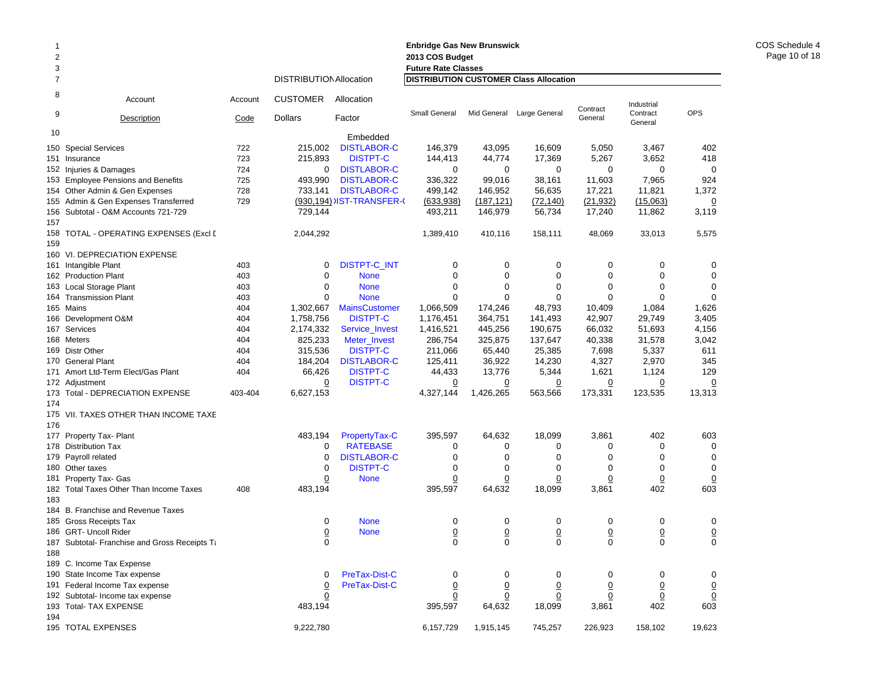| 1          |                                                 |         |                                |                            | <b>Enbridge Gas New Brunswick</b>      |                 |                 |                 |                     |                 |
|------------|-------------------------------------------------|---------|--------------------------------|----------------------------|----------------------------------------|-----------------|-----------------|-----------------|---------------------|-----------------|
| 2          |                                                 |         |                                |                            | 2013 COS Budget                        |                 |                 |                 |                     |                 |
| 3          |                                                 |         |                                |                            | <b>Future Rate Classes</b>             |                 |                 |                 |                     |                 |
| 7          |                                                 |         | <b>DISTRIBUTION Allocation</b> |                            | DISTRIBUTION CUSTOMER Class Allocation |                 |                 |                 |                     |                 |
| 8          | Account                                         | Account | <b>CUSTOMER</b>                | Allocation                 |                                        |                 |                 | Contract        | Industrial          |                 |
| 9          | Description                                     | Code    | <b>Dollars</b>                 | Factor                     | Small General                          | Mid General     | Large General   | General         | Contract<br>General | <b>OPS</b>      |
| 10         |                                                 |         |                                | Embedded                   |                                        |                 |                 |                 |                     |                 |
|            | 150 Special Services                            | 722     | 215,002                        | <b>DISTLABOR-C</b>         | 146,379                                | 43,095          | 16,609          | 5,050           | 3,467               | 402             |
| 151        | Insurance                                       | 723     | 215,893                        | <b>DISTPT-C</b>            | 144,413                                | 44,774          | 17,369          | 5,267           | 3,652               | 418             |
|            | 152 Injuries & Damages                          | 724     | 0                              | <b>DISTLABOR-C</b>         | 0                                      | 0               | 0               | 0               | 0                   | $\mathbf 0$     |
|            | 153 Employee Pensions and Benefits              | 725     | 493,990                        | <b>DISTLABOR-C</b>         | 336,322                                | 99,016          | 38,161          | 11,603          | 7,965               | 924             |
|            | 154 Other Admin & Gen Expenses                  | 728     | 733,141                        | <b>DISTLABOR-C</b>         | 499,142                                | 146,952         | 56,635          | 17,221          | 11,821              | 1,372           |
|            | 155 Admin & Gen Expenses Transferred            | 729     |                                | (930,194) IST-TRANSFER-(   | (633,938)                              | (187, 121)      | (72, 140)       | (21, 932)       | (15,063)            | $\overline{0}$  |
| 157        | 156 Subtotal - O&M Accounts 721-729             |         | 729,144                        |                            | 493,211                                | 146,979         | 56,734          | 17,240          | 11,862              | 3,119           |
| 158<br>159 | TOTAL - OPERATING EXPENSES (Excl [              |         | 2,044,292                      |                            | 1,389,410                              | 410,116         | 158,111         | 48,069          | 33,013              | 5,575           |
|            | 160 VI. DEPRECIATION EXPENSE                    |         |                                |                            |                                        |                 |                 |                 |                     |                 |
|            | 161 Intangible Plant                            | 403     | 0                              | <b>DISTPT-C_INT</b>        | 0                                      | 0               | 0               | 0               | 0                   | 0               |
|            | 162 Production Plant                            | 403     | $\mathbf 0$                    | <b>None</b>                | 0                                      | $\mathbf 0$     | $\mathbf 0$     | 0               | $\mathbf 0$         | $\mathbf 0$     |
|            | 163 Local Storage Plant                         | 403     | $\mathbf 0$                    | <b>None</b>                | $\mathbf 0$                            | $\mathbf 0$     | $\mathbf 0$     | 0               | 0                   | $\mathbf 0$     |
|            | 164 Transmission Plant                          | 403     | $\mathbf 0$                    | <b>None</b>                | $\mathbf 0$                            | $\Omega$        | $\Omega$        | 0               | 0                   | $\mathbf 0$     |
|            | 165 Mains                                       | 404     | 1,302,667                      | <b>MainsCustomer</b>       | 1,066,509                              | 174,246         | 48,793          | 10,409          | 1,084               | 1,626           |
|            | 166 Development O&M                             | 404     | 1,758,756                      | <b>DISTPT-C</b>            | 1,176,451                              | 364,751         | 141,493         | 42,907          | 29,749              | 3,405           |
|            | 167 Services                                    | 404     | 2,174,332                      | Service_Invest             | 1,416,521                              | 445,256         | 190,675         | 66,032          | 51,693              | 4,156           |
|            | 168 Meters                                      | 404     | 825,233                        | Meter_Invest               | 286,754                                | 325,875         | 137,647         | 40,338          | 31,578              | 3,042           |
|            | 169 Distr Other                                 | 404     | 315,536                        | <b>DISTPT-C</b>            | 211,066                                | 65,440          | 25,385          | 7,698           | 5,337               | 611             |
|            | 170 General Plant                               | 404     | 184,204                        | <b>DISTLABOR-C</b>         | 125,411                                | 36,922          | 14,230          | 4,327           | 2,970               | 345             |
| 171        | Amort Ltd-Term Elect/Gas Plant                  | 404     | 66,426                         | <b>DISTPT-C</b>            | 44,433                                 | 13,776          | 5,344           | 1,621           | 1,124               | 129             |
|            | 172 Adjustment                                  |         | $\Omega$                       | <b>DISTPT-C</b>            | $\overline{0}$                         | $\overline{0}$  | <u>0</u>        | <u>0</u>        | $\overline{0}$      | $\overline{0}$  |
|            | 173 Total - DEPRECIATION EXPENSE                | 403-404 | 6,627,153                      |                            | 4,327,144                              | 1,426,265       | 563,566         | 173,331         | 123,535             | 13,313          |
| 174        |                                                 |         |                                |                            |                                        |                 |                 |                 |                     |                 |
|            | 175 VII. TAXES OTHER THAN INCOME TAXE           |         |                                |                            |                                        |                 |                 |                 |                     |                 |
| 176        |                                                 |         |                                |                            |                                        |                 |                 |                 |                     |                 |
|            | 177 Property Tax- Plant                         |         | 483,194                        | PropertyTax-C              | 395,597                                | 64,632          | 18,099          | 3,861           | 402                 | 603             |
| 178        | <b>Distribution Tax</b>                         |         | 0                              | <b>RATEBASE</b>            | 0                                      | 0               | 0               | 0               | 0                   | $\mathbf 0$     |
|            | 179 Payroll related                             |         | 0                              | <b>DISTLABOR-C</b>         | $\mathbf 0$                            | $\mathbf 0$     | $\Omega$        | $\Omega$        | $\Omega$            | $\mathbf 0$     |
|            | 180 Other taxes                                 |         | 0                              | <b>DISTPT-C</b>            | 0                                      | $\mathbf 0$     | 0               | $\mathbf 0$     | 0                   | $\mathbf 0$     |
| 181        | Property Tax- Gas                               |         | 0                              | <b>None</b>                | 0                                      | $\overline{0}$  | 0               | $\overline{0}$  | $\overline{0}$      | $\overline{0}$  |
|            | 182 Total Taxes Other Than Income Taxes         | 408     | 483,194                        |                            | 395,597                                | 64,632          | 18,099          | 3,861           | 402                 | 603             |
| 183        |                                                 |         |                                |                            |                                        |                 |                 |                 |                     |                 |
|            | 184 B. Franchise and Revenue Taxes              |         |                                |                            |                                        |                 |                 |                 |                     |                 |
|            | 185 Gross Receipts Tax<br>186 GRT- Uncoll Rider |         | 0<br>0                         | <b>None</b><br><b>None</b> | 0                                      | 0<br>0          | 0               | 0               | 0                   | 0               |
|            |                                                 |         |                                |                            | $\overline{0}$                         |                 | 0               | $\overline{0}$  | $\overline{0}$      | $\overline{0}$  |
| 188        | 187 Subtotal- Franchise and Gross Receipts Ta   |         | 0                              |                            | 0                                      | 0               | 0               | 0               | 0                   | 0               |
|            | 189 C. Income Tax Expense                       |         |                                |                            |                                        |                 |                 |                 |                     |                 |
|            | 190 State Income Tax expense                    |         | 0                              | PreTax-Dist-C              | 0                                      | 0               | 0               | 0               | 0                   | 0               |
|            | 191 Federal Income Tax expense                  |         | $\overline{0}$                 | PreTax-Dist-C              | $\underline{0}$                        | $\underline{0}$ | $\underline{0}$ | $\underline{0}$ | $\underline{0}$     | $\overline{0}$  |
|            | 192 Subtotal- Income tax expense                |         | $\overline{0}$                 |                            | $\overline{0}$                         | $\underline{0}$ | $\overline{0}$  | $\underline{0}$ | $\overline{0}$      | $\underline{0}$ |
|            | 193 Total- TAX EXPENSE                          |         | 483,194                        |                            | 395,597                                | 64,632          | 18,099          | 3,861           | 402                 | 603             |
| 194        |                                                 |         |                                |                            |                                        |                 |                 |                 |                     |                 |
|            | 195 TOTAL EXPENSES                              |         | 9,222,780                      |                            | 6,157,729                              | 1,915,145       | 745,257         | 226,923         | 158,102             | 19,623          |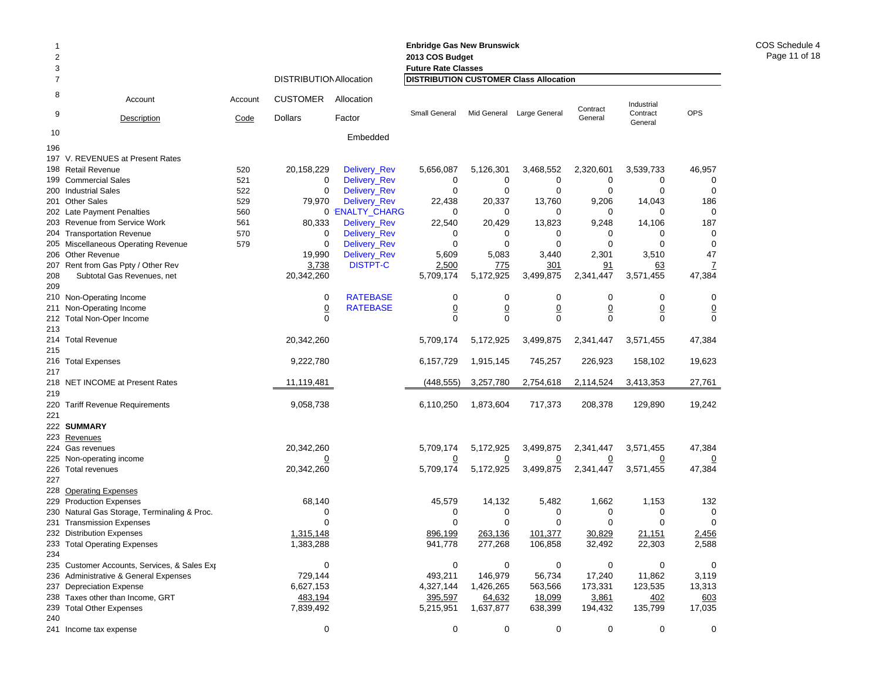| 1<br>2<br>3 |                                                                                       |         |                                |                     | <b>Enbridge Gas New Brunswick</b><br>2013 COS Budget<br><b>Future Rate Classes</b> |                |                |                |                     |                            |
|-------------|---------------------------------------------------------------------------------------|---------|--------------------------------|---------------------|------------------------------------------------------------------------------------|----------------|----------------|----------------|---------------------|----------------------------|
| 7           |                                                                                       |         | <b>DISTRIBUTION Allocation</b> |                     | DISTRIBUTION CUSTOMER Class Allocation                                             |                |                |                |                     |                            |
| 8           | Account                                                                               | Account | <b>CUSTOMER</b>                | Allocation          |                                                                                    |                |                | Contract       | Industrial          |                            |
| 9           | Description                                                                           | Code    | <b>Dollars</b>                 | Factor              | <b>Small General</b>                                                               | Mid General    | Large General  | General        | Contract<br>General | <b>OPS</b>                 |
| 10          |                                                                                       |         |                                | Embedded            |                                                                                    |                |                |                |                     |                            |
| 196         |                                                                                       |         |                                |                     |                                                                                    |                |                |                |                     |                            |
| 197         | V. REVENUES at Present Rates<br>198 Retail Revenue                                    | 520     | 20,158,229                     | Delivery_Rev        | 5,656,087                                                                          | 5,126,301      | 3,468,552      | 2,320,601      | 3,539,733           | 46,957                     |
|             | 199 Commercial Sales                                                                  | 521     | 0                              | <b>Delivery_Rev</b> | 0                                                                                  | 0              | 0              | 0              | 0                   | 0                          |
|             | 200 Industrial Sales                                                                  | 522     | 0                              | Delivery_Rev        | 0                                                                                  | 0              | $\mathbf 0$    | 0              | 0                   | 0                          |
|             | 201 Other Sales                                                                       | 529     | 79,970                         | <b>Delivery_Rev</b> | 22,438                                                                             | 20,337         | 13,760         | 9,206          | 14,043              | 186                        |
|             | 202 Late Payment Penalties                                                            | 560     |                                | 0 'ENALTY_CHARG     | 0                                                                                  | 0              | 0              | 0              | 0                   | 0                          |
|             | 203 Revenue from Service Work                                                         | 561     | 80,333                         | Delivery_Rev        | 22,540                                                                             | 20,429         | 13,823         | 9,248          | 14,106              | 187                        |
|             | 204 Transportation Revenue                                                            | 570     | 0                              | Delivery_Rev        | 0                                                                                  | 0              | 0              | 0              | 0                   | 0                          |
|             | 205 Miscellaneous Operating Revenue                                                   | 579     | 0                              | Delivery_Rev        | $\mathbf 0$                                                                        | 0              | $\mathbf 0$    | 0              | 0                   | 0                          |
|             | 206 Other Revenue                                                                     |         | 19,990                         | Delivery_Rev        | 5,609                                                                              | 5,083          | 3,440          | 2,301          | 3,510               | 47                         |
|             | 207 Rent from Gas Ppty / Other Rev                                                    |         | 3,738                          | <b>DISTPT-C</b>     | 2,500                                                                              | 775            | 301            | 91             | 63                  | $\overline{1}$             |
| 208         | Subtotal Gas Revenues, net                                                            |         | 20,342,260                     |                     | 5,709,174                                                                          | 5,172,925      | 3,499,875      | 2,341,447      | 3,571,455           | 47,384                     |
| 209         |                                                                                       |         | 0                              | <b>RATEBASE</b>     | 0                                                                                  | $\mathbf 0$    | $\mathbf 0$    | $\mathbf 0$    | 0                   | 0                          |
| 211         | 210 Non-Operating Income<br>Non-Operating Income                                      |         | $\underline{0}$                | <b>RATEBASE</b>     | $\overline{0}$                                                                     | $\overline{0}$ | $\overline{0}$ | <u>0</u>       | $\underline{0}$     |                            |
| 212         | <b>Total Non-Oper Income</b>                                                          |         | 0                              |                     | $\mathbf 0$                                                                        | $\mathbf 0$    | $\mathbf 0$    | $\mathbf 0$    | $\mathbf 0$         | $\overline{0}$<br>$\Omega$ |
| 213         |                                                                                       |         |                                |                     |                                                                                    |                |                |                |                     |                            |
| 214         | <b>Total Revenue</b>                                                                  |         | 20,342,260                     |                     | 5,709,174                                                                          | 5,172,925      | 3,499,875      | 2,341,447      | 3,571,455           | 47,384                     |
| 215         |                                                                                       |         |                                |                     |                                                                                    |                |                |                |                     |                            |
|             | 216 Total Expenses                                                                    |         | 9,222,780                      |                     | 6,157,729                                                                          | 1,915,145      | 745,257        | 226,923        | 158,102             | 19,623                     |
| 217         |                                                                                       |         |                                |                     |                                                                                    |                |                |                |                     |                            |
|             | 218 NET INCOME at Present Rates                                                       |         | 11,119,481                     |                     | (448,555)                                                                          | 3,257,780      | 2,754,618      | 2,114,524      | 3,413,353           | 27,761                     |
| 219         |                                                                                       |         |                                |                     |                                                                                    |                |                |                |                     |                            |
| 220         | <b>Tariff Revenue Requirements</b>                                                    |         | 9,058,738                      |                     | 6,110,250                                                                          | 1,873,604      | 717,373        | 208,378        | 129,890             | 19,242                     |
| 221         |                                                                                       |         |                                |                     |                                                                                    |                |                |                |                     |                            |
| 223         | 222 SUMMARY<br>Revenues                                                               |         |                                |                     |                                                                                    |                |                |                |                     |                            |
|             | 224 Gas revenues                                                                      |         | 20,342,260                     |                     | 5,709,174                                                                          | 5,172,925      | 3,499,875      | 2,341,447      | 3,571,455           | 47,384                     |
|             | 225 Non-operating income                                                              |         | <u>0</u>                       |                     | <u>0</u>                                                                           | $\overline{0}$ | $\overline{0}$ | $\overline{0}$ | <u>0</u>            |                            |
|             | 226 Total revenues                                                                    |         | 20,342,260                     |                     | 5,709,174                                                                          | 5,172,925      | 3,499,875      | 2,341,447      | 3,571,455           | 47,384                     |
| 227         |                                                                                       |         |                                |                     |                                                                                    |                |                |                |                     |                            |
|             | 228 Operating Expenses                                                                |         |                                |                     |                                                                                    |                |                |                |                     |                            |
|             | 229 Production Expenses                                                               |         | 68,140                         |                     | 45,579                                                                             | 14,132         | 5,482          | 1,662          | 1,153               | 132                        |
|             | 230 Natural Gas Storage, Terminaling & Proc.                                          |         | 0                              |                     | 0                                                                                  | 0              | 0              | 0              | 0                   | 0                          |
| 231         | <b>Transmission Expenses</b>                                                          |         | 0                              |                     | 0                                                                                  | 0              | 0              | 0              | 0                   | 0                          |
|             | 232 Distribution Expenses                                                             |         | 1,315,148                      |                     | 896,199                                                                            | 263,136        | 101,377        | 30,829         | 21,151              | 2,456                      |
|             | 233 Total Operating Expenses                                                          |         | 1,383,288                      |                     | 941,778                                                                            | 277,268        | 106,858        | 32,492         | 22,303              | 2,588                      |
| 234         |                                                                                       |         |                                |                     |                                                                                    |                |                |                |                     |                            |
|             | 235 Customer Accounts, Services, & Sales Exp<br>236 Administrative & General Expenses |         | 0<br>729,144                   |                     | $\mathbf 0$<br>493,211                                                             | 0<br>146,979   | 0<br>56,734    | 0<br>17,240    | 0<br>11,862         | 0<br>3,119                 |
|             | 237 Depreciation Expense                                                              |         | 6,627,153                      |                     | 4,327,144                                                                          | 1,426,265      | 563,566        | 173,331        | 123,535             | 13,313                     |
|             | 238 Taxes other than Income, GRT                                                      |         | 483,194                        |                     | 395,597                                                                            | 64,632         | 18,099         | 3,861          | 402                 | 603                        |
|             | 239 Total Other Expenses                                                              |         | 7,839,492                      |                     | 5,215,951                                                                          | 1,637,877      | 638,399        | 194,432        | 135,799             | 17,035                     |
| 240         |                                                                                       |         |                                |                     |                                                                                    |                |                |                |                     |                            |
|             | 241 Income tax expense                                                                |         | 0                              |                     | 0                                                                                  | 0              | 0              | 0              | 0                   | 0                          |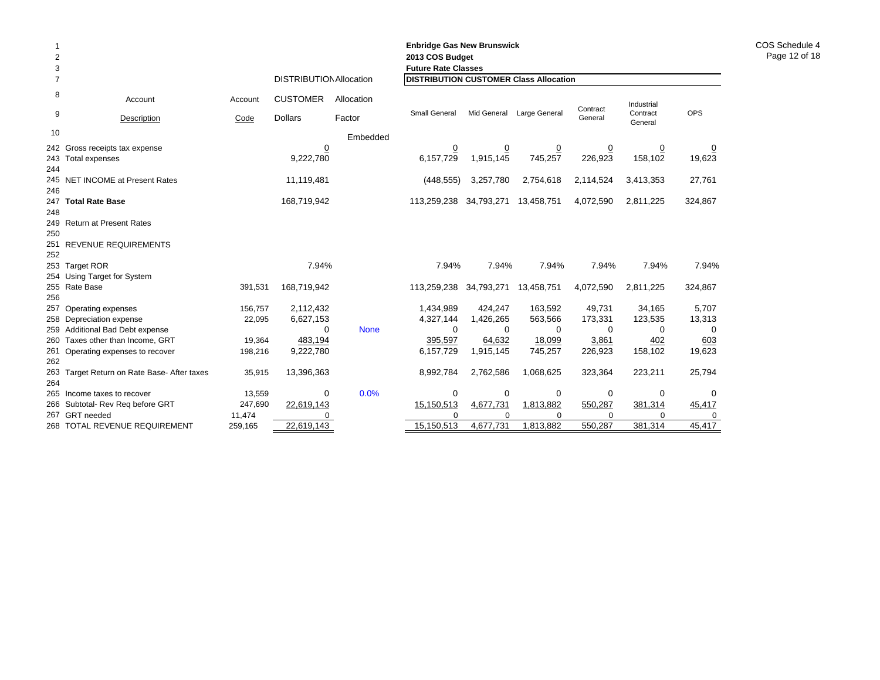| $\overline{2}$<br>3 |                                                      |         |                                |             | <b>Enbridge Gas New Brunswick</b><br>2013 COS Budget<br><b>Future Rate Classes</b> |                             |                           |                           |                     |                          |
|---------------------|------------------------------------------------------|---------|--------------------------------|-------------|------------------------------------------------------------------------------------|-----------------------------|---------------------------|---------------------------|---------------------|--------------------------|
| $\overline{7}$      |                                                      |         | <b>DISTRIBUTION Allocation</b> |             | <b>DISTRIBUTION CUSTOMER Class Allocation</b>                                      |                             |                           |                           |                     |                          |
| 8                   | Account                                              | Account | <b>CUSTOMER</b>                | Allocation  |                                                                                    |                             |                           | Contract                  | Industrial          |                          |
| 9                   | Description                                          | Code    | <b>Dollars</b>                 | Factor      | Small General                                                                      |                             | Mid General Large General | General                   | Contract<br>General | <b>OPS</b>               |
| 10                  |                                                      |         |                                | Embedded    |                                                                                    |                             |                           |                           |                     |                          |
| 244                 | 242 Gross receipts tax expense<br>243 Total expenses |         | <u>0</u><br>9,222,780          |             | $\overline{0}$<br>6,157,729                                                        | $\overline{0}$<br>1,915,145 | $\overline{0}$<br>745,257 | $\overline{0}$<br>226,923 | <u>0</u><br>158,102 | $\overline{0}$<br>19,623 |
| 246                 | 245 NET INCOME at Present Rates                      |         | 11,119,481                     |             | (448, 555)                                                                         | 3,257,780                   | 2,754,618                 | 2,114,524                 | 3,413,353           | 27,761                   |
| 248                 | 247 Total Rate Base                                  |         | 168,719,942                    |             | 113,259,238                                                                        | 34,793,271                  | 13,458,751                | 4,072,590                 | 2,811,225           | 324,867                  |
| 250                 | 249 Return at Present Rates                          |         |                                |             |                                                                                    |                             |                           |                           |                     |                          |
| 252                 | 251 REVENUE REQUIREMENTS                             |         |                                |             |                                                                                    |                             |                           |                           |                     |                          |
|                     | 253 Target ROR<br>254 Using Target for System        |         | 7.94%                          |             | 7.94%                                                                              | 7.94%                       | 7.94%                     | 7.94%                     | 7.94%               | 7.94%                    |
| 256                 | 255 Rate Base                                        | 391,531 | 168,719,942                    |             | 113,259,238                                                                        | 34,793,271                  | 13,458,751                | 4,072,590                 | 2,811,225           | 324,867                  |
|                     | 257 Operating expenses                               | 156,757 | 2,112,432                      |             | 1,434,989                                                                          | 424.247                     | 163,592                   | 49,731                    | 34,165              | 5,707                    |
|                     | 258 Depreciation expense                             | 22,095  | 6,627,153                      |             | 4,327,144                                                                          | 1,426,265                   | 563,566                   | 173,331                   | 123,535             | 13,313                   |
|                     | 259 Additional Bad Debt expense                      |         | $\Omega$                       | <b>None</b> | $\Omega$                                                                           | 0                           | $\Omega$                  | $\Omega$                  | 0                   | 0                        |
|                     | 260 Taxes other than Income, GRT                     | 19,364  | 483,194                        |             | 395,597                                                                            | 64,632                      | 18,099                    | 3,861                     | 402                 | 603                      |
| 262                 | 261 Operating expenses to recover                    | 198,216 | 9,222,780                      |             | 6,157,729                                                                          | 1,915,145                   | 745,257                   | 226,923                   | 158,102             | 19,623                   |
| 264                 | 263 Target Return on Rate Base- After taxes          | 35,915  | 13,396,363                     |             | 8,992,784                                                                          | 2,762,586                   | 1,068,625                 | 323,364                   | 223,211             | 25,794                   |
|                     | 265 Income taxes to recover                          | 13,559  | $\mathbf 0$                    | 0.0%        | $\mathbf 0$                                                                        | 0                           | 0                         | 0                         | 0                   | 0                        |
|                     | 266 Subtotal- Rev Reg before GRT                     | 247,690 | 22,619,143                     |             | 15,150,513                                                                         | 4,677,731                   | 1,813,882                 | 550,287                   | 381,314             | 45,417                   |
|                     | 267 GRT needed                                       | 11,474  | $\Omega$                       |             | $\Omega$                                                                           | $\Omega$                    | $\Omega$                  | $\Omega$                  | $\Omega$            | 0                        |
|                     | 268 TOTAL REVENUE REQUIREMENT                        | 259,165 | 22,619,143                     |             | 15,150,513                                                                         | 4,677,731                   | 1,813,882                 | 550,287                   | 381,314             | 45,417                   |

COS Schedule 4 Page 12 of 18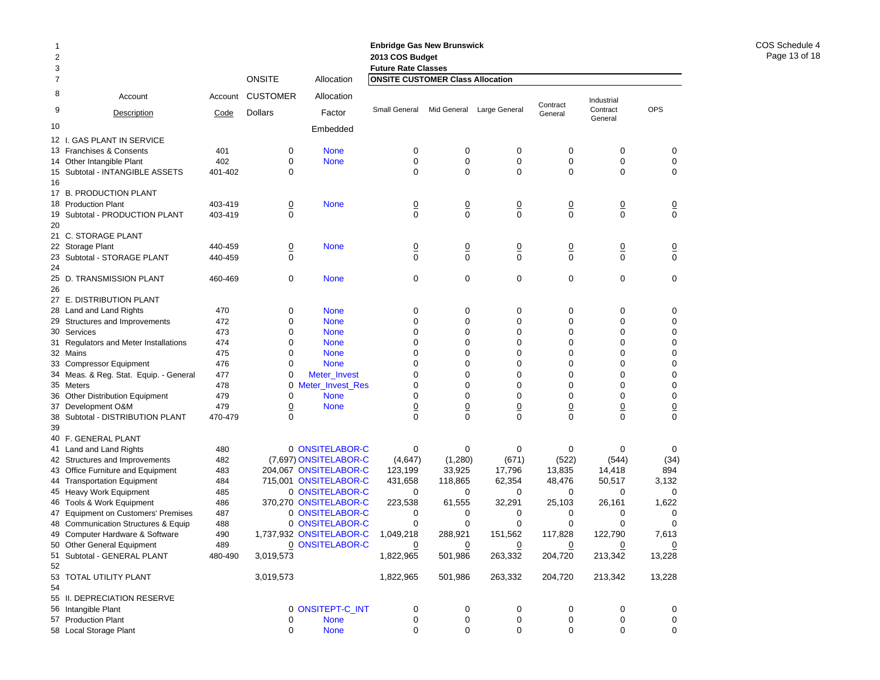|                |                                         |         |                 |                         | <b>Enbridge Gas New Brunswick</b>       |                |                           |                 |                     |                |
|----------------|-----------------------------------------|---------|-----------------|-------------------------|-----------------------------------------|----------------|---------------------------|-----------------|---------------------|----------------|
| $\overline{c}$ |                                         |         |                 |                         | 2013 COS Budget                         |                |                           |                 |                     |                |
| 3              |                                         |         |                 |                         | <b>Future Rate Classes</b>              |                |                           |                 |                     |                |
| 7              |                                         |         | <b>ONSITE</b>   | Allocation              | <b>ONSITE CUSTOMER Class Allocation</b> |                |                           |                 |                     |                |
| 8              | Account                                 | Account | <b>CUSTOMER</b> | Allocation              |                                         |                |                           | Contract        | Industrial          |                |
| 9              | Description                             | Code    | <b>Dollars</b>  | Factor                  | Small General                           |                | Mid General Large General | General         | Contract<br>General | <b>OPS</b>     |
| 10             |                                         |         |                 | Embedded                |                                         |                |                           |                 |                     |                |
|                | 12 I. GAS PLANT IN SERVICE              |         |                 |                         |                                         |                |                           |                 |                     |                |
|                | 13 Franchises & Consents                | 401     | 0               | <b>None</b>             | 0                                       | 0              | 0                         | 0               | 0                   | 0              |
|                | 14 Other Intangible Plant               | 402     | 0               | <b>None</b>             | $\mathbf 0$                             | 0              | 0                         | 0               | 0                   | $\pmb{0}$      |
|                | 15 Subtotal - INTANGIBLE ASSETS         | 401-402 | 0               |                         | $\Omega$                                | $\Omega$       | 0                         | $\mathbf 0$     | $\Omega$            | 0              |
| 16             |                                         |         |                 |                         |                                         |                |                           |                 |                     |                |
|                | 17 B. PRODUCTION PLANT                  |         |                 |                         |                                         |                |                           |                 |                     |                |
|                | 18 Production Plant                     | 403-419 | $\overline{0}$  | <b>None</b>             | $\overline{0}$                          | $\overline{0}$ | <u>0</u>                  | $\overline{0}$  | $\underline{0}$     | $\overline{0}$ |
| 19             | Subtotal - PRODUCTION PLANT             | 403-419 | $\mathbf 0$     |                         | $\mathbf 0$                             | $\mathbf 0$    | 0                         | $\mathbf 0$     | 0                   | $\mathbf 0$    |
| 20             |                                         |         |                 |                         |                                         |                |                           |                 |                     |                |
|                | 21 C. STORAGE PLANT                     |         |                 |                         |                                         |                |                           |                 |                     |                |
|                | 22 Storage Plant                        | 440-459 | $\overline{0}$  | <b>None</b>             | $\overline{0}$                          | $\overline{0}$ | <u>0</u>                  | $\overline{0}$  | $\overline{0}$      | $\overline{0}$ |
| 23             | Subtotal - STORAGE PLANT                | 440-459 | 0               |                         | $\mathbf 0$                             | $\mathbf 0$    | $\mathbf 0$               | $\mathbf 0$     | $\mathbf 0$         | $\mathbf 0$    |
| 24             |                                         |         |                 |                         |                                         |                |                           |                 |                     |                |
|                | 25 D. TRANSMISSION PLANT                | 460-469 | $\mathbf 0$     | <b>None</b>             | $\mathbf 0$                             | $\mathbf 0$    | 0                         | $\mathbf 0$     | $\mathbf 0$         | $\mathbf 0$    |
| 26             |                                         |         |                 |                         |                                         |                |                           |                 |                     |                |
|                | 27 E. DISTRIBUTION PLANT                |         |                 |                         |                                         |                |                           |                 |                     |                |
|                | 28 Land and Land Rights                 | 470     | 0               | <b>None</b>             | 0                                       | 0              | 0                         | $\mathbf 0$     | 0                   | 0              |
|                | 29 Structures and Improvements          | 472     | 0               | <b>None</b>             | $\mathbf 0$                             | 0              | 0                         | $\mathbf 0$     | 0                   | 0              |
|                | 30 Services                             | 473     | 0               | <b>None</b>             | 0                                       | 0              | 0                         | $\mathbf 0$     | $\mathbf 0$         | 0              |
|                | 31 Regulators and Meter Installations   | 474     | 0               | <b>None</b>             | $\mathbf 0$                             | 0              | 0                         | 0               | 0                   | 0              |
|                | 32 Mains                                | 475     | 0               | <b>None</b>             | $\mathbf 0$                             | 0              | 0                         | $\mathbf 0$     | $\mathbf 0$         | $\mathbf 0$    |
|                | 33 Compressor Equipment                 | 476     | 0               | <b>None</b>             | $\mathbf 0$                             | 0              | 0                         | $\mathbf 0$     | $\mathbf 0$         | 0              |
|                | 34 Meas. & Reg. Stat. Equip. - General  | 477     | 0               | Meter_Invest            | $\mathbf 0$                             | 0              | 0                         | $\mathbf 0$     | $\mathbf 0$         | 0              |
|                | 35 Meters                               | 478     | 0               | Meter_Invest_Res        | 0                                       | 0              | 0                         | $\mathbf 0$     | $\mathbf 0$         | 0              |
|                | 36 Other Distribution Equipment         | 479     | 0               | <b>None</b>             | $\mathbf 0$                             | 0              | 0                         | $\mathbf 0$     | 0                   | 0              |
| 37             | Development O&M                         | 479     | $\overline{0}$  | <b>None</b>             | $\underline{0}$                         | $\overline{0}$ | $\overline{0}$            | $\underline{0}$ | $\overline{0}$      | $\frac{0}{0}$  |
| 38             | Subtotal - DISTRIBUTION PLANT           | 470-479 | $\Omega$        |                         | $\mathbf 0$                             | $\Omega$       | $\mathbf{0}$              | $\Omega$        | $\Omega$            |                |
| 39             |                                         |         |                 |                         |                                         |                |                           |                 |                     |                |
|                | 40 F. GENERAL PLANT                     |         |                 |                         |                                         |                |                           |                 |                     |                |
|                | 41 Land and Land Rights                 | 480     |                 | 0 ONSITELABOR-C         | $\mathbf 0$                             | 0              | 0                         | 0               | $\mathbf 0$         | 0              |
|                | 42 Structures and Improvements          | 482     |                 | (7,697) ONSITELABOR-C   | (4,647)                                 | (1,280)        | (671)                     | (522)           | (544)               | (34)           |
|                | 43 Office Furniture and Equipment       | 483     |                 | 204,067 ONSITELABOR-C   | 123,199                                 | 33,925         | 17,796                    | 13,835          | 14,418              | 894            |
|                | 44 Transportation Equipment             | 484     |                 | 715,001 ONSITELABOR-C   | 431,658                                 | 118,865        | 62,354                    | 48,476          | 50,517              | 3,132          |
|                | 45 Heavy Work Equipment                 | 485     |                 | 0 ONSITELABOR-C         | 0                                       | 0              | 0                         | 0               | 0                   | 0              |
|                | 46 Tools & Work Equipment               | 486     |                 | 370,270 ONSITELABOR-C   | 223,538                                 | 61,555         | 32,291                    | 25,103          | 26,161              | 1,622          |
| 47             | <b>Equipment on Customers' Premises</b> | 487     |                 | 0 ONSITELABOR-C         | 0                                       | 0              | 0                         | 0               | 0                   | 0              |
|                | 48 Communication Structures & Equip     | 488     |                 | 0 ONSITELABOR-C         | $\mathbf 0$                             | 0              | 0                         | $\mathbf 0$     | $\mathbf 0$         | 0              |
|                | 49 Computer Hardware & Software         | 490     |                 | 1,737,932 ONSITELABOR-C | 1,049,218                               | 288,921        | 151,562                   | 117,828         | 122.790             | 7,613          |
|                | 50 Other General Equipment              | 489     |                 | 0 ONSITELABOR-C         | 0                                       | $\overline{0}$ | $\overline{0}$            | $\mathbf 0$     | 0                   |                |
|                | 51 Subtotal - GENERAL PLANT             | 480-490 | 3,019,573       |                         | 1,822,965                               | 501,986        | 263,332                   | 204,720         | 213,342             | 13,228         |
| 52             |                                         |         |                 |                         |                                         |                |                           |                 |                     |                |
|                | 53 TOTAL UTILITY PLANT                  |         | 3,019,573       |                         | 1,822,965                               | 501,986        | 263,332                   | 204,720         | 213,342             | 13,228         |
| 54             |                                         |         |                 |                         |                                         |                |                           |                 |                     |                |
|                | 55 II. DEPRECIATION RESERVE             |         |                 |                         |                                         |                |                           |                 |                     |                |
|                | 56 Intangible Plant                     |         |                 | 0 ONSITEPT-C_INT        | 0                                       | 0              | 0                         | 0               | 0                   | 0              |
|                | 57 Production Plant                     |         | 0               | <b>None</b>             | 0                                       | 0              | 0                         | 0               | 0                   | 0              |
|                | 58 Local Storage Plant                  |         | 0               | <b>None</b>             | $\mathbf 0$                             | 0              | 0                         | $\mathbf 0$     | 0                   | 0              |

COS Schedule 4 Page 13 of 18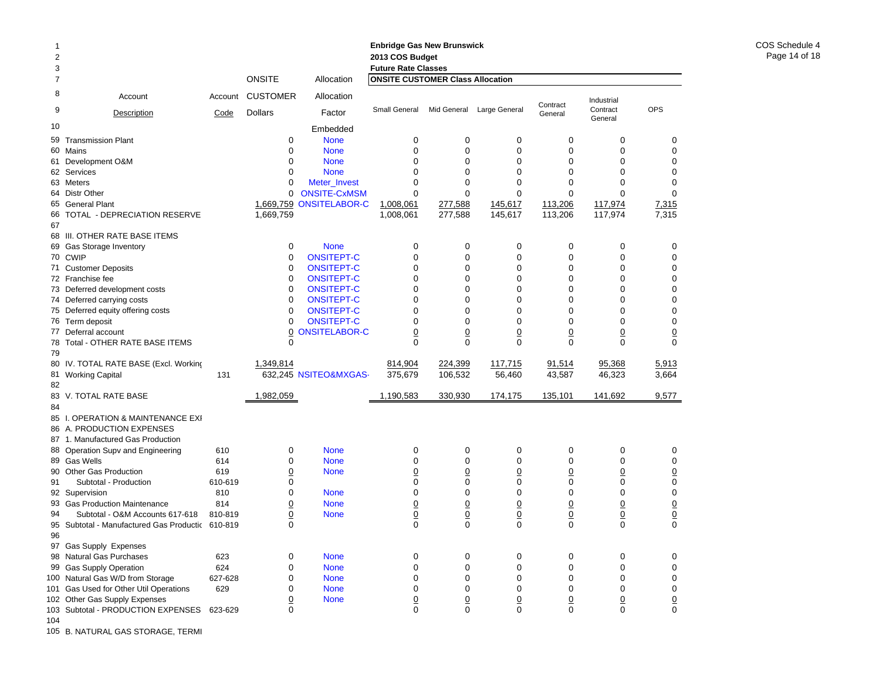| 1              |                                                                |         |                 |                       | <b>Enbridge Gas New Brunswick</b>       |                 |                 |                 |                     |                 |
|----------------|----------------------------------------------------------------|---------|-----------------|-----------------------|-----------------------------------------|-----------------|-----------------|-----------------|---------------------|-----------------|
| $\overline{c}$ |                                                                |         |                 |                       | 2013 COS Budget                         |                 |                 |                 |                     |                 |
| 3              |                                                                |         |                 |                       | <b>Future Rate Classes</b>              |                 |                 |                 |                     |                 |
| 7              |                                                                |         | <b>ONSITE</b>   | Allocation            | <b>ONSITE CUSTOMER Class Allocation</b> |                 |                 |                 |                     |                 |
| 8              | Account                                                        | Account | <b>CUSTOMER</b> | Allocation            |                                         |                 |                 | Contract        | Industrial          |                 |
| 9              | Description                                                    | Code    | <b>Dollars</b>  | Factor                | Small General                           | Mid General     | Large General   | General         | Contract<br>General | <b>OPS</b>      |
| 10             |                                                                |         |                 | Embedded              |                                         |                 |                 |                 |                     |                 |
| 59             | <b>Transmission Plant</b>                                      |         | 0               | <b>None</b>           | 0                                       | 0               | 0               | $\mathbf 0$     | 0                   | 0               |
| 60             | Mains                                                          |         | $\Omega$        | <b>None</b>           | 0                                       | 0               | 0               | $\Omega$        | $\mathbf 0$         | $\mathbf 0$     |
| 61             | Development O&M                                                |         | 0               | <b>None</b>           | 0                                       | 0               | 0               | 0               | 0                   | $\mathbf 0$     |
|                | 62 Services                                                    |         | $\Omega$        | <b>None</b>           | $\Omega$                                | 0               | 0               | $\Omega$        | 0                   | $\mathbf 0$     |
|                | 63 Meters                                                      |         | 0               | Meter_Invest          | $\mathbf 0$                             | 0               | $\mathbf 0$     | $\mathbf 0$     | 0                   | $\mathbf 0$     |
| 64             | <b>Distr Other</b>                                             |         | 0               | <b>ONSITE-CxMSM</b>   | $\mathbf 0$                             | 0               | 0               | $\mathbf 0$     | $\Omega$            | $\mathbf 0$     |
|                | 65 General Plant                                               |         | 1,669,759       | <b>ONSITELABOR-C</b>  | 1,008,061                               | 277,588         | 145,617         | 113,206         | 117,974             | 7,315           |
| 66<br>67       | TOTAL - DEPRECIATION RESERVE                                   |         | 1,669,759       |                       | 1,008,061                               | 277,588         | 145,617         | 113,206         | 117,974             | 7,315           |
|                | 68 III. OTHER RATE BASE ITEMS                                  |         |                 |                       |                                         |                 |                 |                 |                     |                 |
| 69             | Gas Storage Inventory                                          |         | 0               | <b>None</b>           | 0                                       | 0               | 0               | 0               | 0                   | 0               |
|                | 70 CWIP                                                        |         | 0               | <b>ONSITEPT-C</b>     | 0                                       | 0               | 0               | $\mathbf 0$     | 0                   | $\mathbf 0$     |
| 71             | <b>Customer Deposits</b>                                       |         | 0               | <b>ONSITEPT-C</b>     | 0                                       | 0               | 0               | 0               | 0                   | $\pmb{0}$       |
|                | 72 Franchise fee                                               |         | 0               | <b>ONSITEPT-C</b>     | 0                                       | 0               | 0               | 0               | 0                   | $\mathbf 0$     |
|                | 73 Deferred development costs                                  |         | 0               | <b>ONSITEPT-C</b>     | 0                                       | 0               | 0               | $\mathbf 0$     | $\mathbf 0$         | $\mathbf 0$     |
| 74             | Deferred carrying costs                                        |         | 0               | <b>ONSITEPT-C</b>     | 0                                       | 0               | 0               | $\mathbf 0$     | 0                   | $\pmb{0}$       |
|                | 75 Deferred equity offering costs                              |         | 0               | <b>ONSITEPT-C</b>     | $\Omega$                                | $\Omega$        | 0               | $\Omega$        | $\Omega$            | $\mathbf 0$     |
|                | 76 Term deposit                                                |         | 0               | <b>ONSITEPT-C</b>     | 0                                       | 0               | 0               | 0               | $\mathbf 0$         | $\pmb{0}$       |
| 77             | Deferral account                                               |         | 0               | <b>ONSITELABOR-C</b>  | $\overline{0}$                          | $\overline{0}$  | $\overline{0}$  | $\overline{0}$  | $\overline{0}$      | $\underline{0}$ |
|                | 78 Total - OTHER RATE BASE ITEMS                               |         | 0               |                       | $\Omega$                                | $\Omega$        | $\Omega$        | $\Omega$        | $\Omega$            | $\Omega$        |
| 79             |                                                                |         |                 |                       |                                         |                 |                 |                 |                     |                 |
| 80             | IV. TOTAL RATE BASE (Excl. Working                             |         | 1,349,814       |                       | 814,904                                 | 224,399         | 117,715         | 91,514          | 95,368              | 5,913           |
| 81             | <b>Working Capital</b>                                         | 131     |                 | 632,245 NSITEO&MXGAS- | 375,679                                 | 106,532         | 56,460          | 43,587          | 46,323              | 3,664           |
| 82             |                                                                |         |                 |                       |                                         |                 |                 |                 |                     |                 |
|                | 83 V. TOTAL RATE BASE                                          |         | 1,982,059       |                       | 1,190,583                               | 330,930         | 174,175         | 135,101         | 141,692             | 9,577           |
| 84             |                                                                |         |                 |                       |                                         |                 |                 |                 |                     |                 |
|                |                                                                |         |                 |                       |                                         |                 |                 |                 |                     |                 |
|                | 85 I. OPERATION & MAINTENANCE EXI<br>86 A. PRODUCTION EXPENSES |         |                 |                       |                                         |                 |                 |                 |                     |                 |
| 87             | 1. Manufactured Gas Production                                 |         |                 |                       |                                         |                 |                 |                 |                     |                 |
| 88             | Operation Supv and Engineering                                 | 610     | 0               | <b>None</b>           | $\mathbf 0$                             | 0               | 0               | 0               | 0                   | 0               |
|                | 89 Gas Wells                                                   | 614     | 0               | <b>None</b>           | $\mathbf 0$                             | 0               | 0               | 0               | 0                   | 0               |
| 90             | <b>Other Gas Production</b>                                    | 619     | $\overline{0}$  | <b>None</b>           | <u>0</u>                                | $\overline{0}$  | <u>0</u>        | $\overline{0}$  | $\underline{0}$     | $\underline{0}$ |
| 91             | Subtotal - Production                                          | 610-619 | 0               |                       | $\mathbf 0$                             | $\mathbf 0$     | $\mathbf 0$     | 0               | 0                   | $\pmb{0}$       |
|                | 92 Supervision                                                 | 810     | 0               | <b>None</b>           | 0                                       | 0               | 0               | $\mathbf 0$     | 0                   | $\pmb{0}$       |
|                | 93 Gas Production Maintenance                                  | 814     | 0               | <b>None</b>           | $\overline{0}$                          | $\overline{0}$  | $\underline{0}$ | $\overline{0}$  | $\underline{0}$     | $\frac{0}{0}$   |
| 94             | Subtotal - O&M Accounts 617-618                                | 810-819 | <u>0</u>        | <b>None</b>           | $\underline{0}$                         | $\frac{0}{0}$   | $\underline{0}$ | $\overline{0}$  | $\frac{0}{0}$       |                 |
| 95             | Subtotal - Manufactured Gas Productic 610-819                  |         | 0               |                       | $\overline{0}$                          |                 | $\overline{O}$  | $\overline{0}$  |                     |                 |
| 96             |                                                                |         |                 |                       |                                         |                 |                 |                 |                     |                 |
|                | 97 Gas Supply Expenses                                         |         |                 |                       |                                         |                 |                 |                 |                     |                 |
|                | 98 Natural Gas Purchases                                       | 623     | 0               | <b>None</b>           | 0                                       | 0               | 0               | 0               | 0                   | 0               |
|                | 99 Gas Supply Operation                                        | 624     | 0               | <b>None</b>           | $\mathbf 0$                             | 0               | 0               | 0               | 0                   | 0               |
|                | 100 Natural Gas W/D from Storage                               | 627-628 | 0               | <b>None</b>           | $\mathbf 0$                             | 0               | 0               | 0               | 0                   | 0               |
|                | 101 Gas Used for Other Util Operations                         | 629     | 0               | <b>None</b>           | $\mathbf 0$                             | 0               | 0               | 0               | 0                   | 0               |
|                | 102 Other Gas Supply Expenses                                  |         | $\overline{0}$  | <b>None</b>           | $\underline{0}$                         | $\underline{0}$ | $\overline{0}$  | $\underline{0}$ | $\underline{0}$     | $\underline{0}$ |
|                | 103 Subtotal - PRODUCTION EXPENSES                             | 623-629 | $\Omega$        |                       | $\mathbf 0$                             | $\mathbf 0$     | $\mathbf 0$     | 0               | 0                   | 0               |
| 104            |                                                                |         |                 |                       |                                         |                 |                 |                 |                     |                 |

105 B. NATURAL GAS STORAGE, TERMI

### COS Schedule 4Page 14 of 18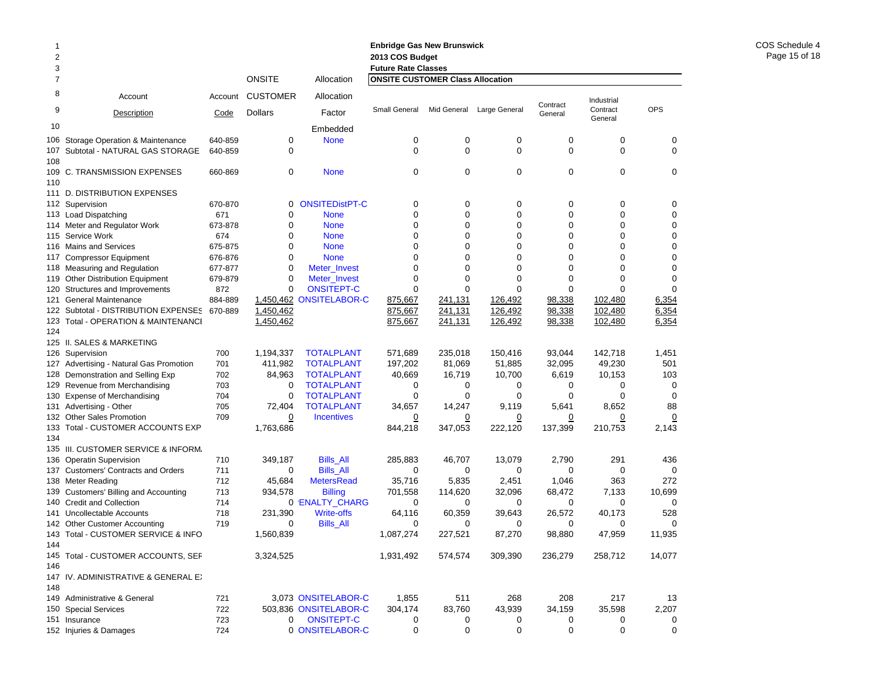| 1<br>$\overline{2}$ |                                                           |                    |                  |                                   | <b>Enbridge Gas New Brunswick</b><br>2013 COS Budget                  |                  |                            |                            |                     |                            |
|---------------------|-----------------------------------------------------------|--------------------|------------------|-----------------------------------|-----------------------------------------------------------------------|------------------|----------------------------|----------------------------|---------------------|----------------------------|
| 3<br>$\overline{7}$ |                                                           |                    | <b>ONSITE</b>    | Allocation                        | <b>Future Rate Classes</b><br><b>ONSITE CUSTOMER Class Allocation</b> |                  |                            |                            |                     |                            |
| 8                   |                                                           |                    |                  |                                   |                                                                       |                  |                            |                            |                     |                            |
|                     | Account                                                   | Account            | <b>CUSTOMER</b>  | Allocation                        |                                                                       |                  |                            | Contract                   | Industrial          |                            |
| 9                   | Description                                               | Code               | <b>Dollars</b>   | Factor                            | Small General                                                         |                  | Mid General Large General  | General                    | Contract<br>General | <b>OPS</b>                 |
| 10                  |                                                           |                    |                  | Embedded                          |                                                                       |                  |                            |                            |                     |                            |
| 106                 | Storage Operation & Maintenance                           | 640-859            | 0                | <b>None</b>                       | $\mathbf 0$                                                           | 0                | 0                          | 0                          | 0                   | 0                          |
| 107                 | Subtotal - NATURAL GAS STORAGE                            | 640-859            | 0                |                                   | $\mathbf 0$                                                           | $\mathbf 0$      | $\mathbf 0$                | $\mathbf 0$                | $\mathbf 0$         | $\mathbf 0$                |
| 108                 |                                                           |                    |                  |                                   |                                                                       |                  |                            |                            |                     |                            |
| 109                 | C. TRANSMISSION EXPENSES                                  | 660-869            | 0                | <b>None</b>                       | $\mathbf 0$                                                           | 0                | 0                          | 0                          | 0                   | $\mathbf 0$                |
| 110                 |                                                           |                    |                  |                                   |                                                                       |                  |                            |                            |                     |                            |
|                     | 111 D. DISTRIBUTION EXPENSES                              |                    |                  |                                   |                                                                       |                  |                            |                            |                     |                            |
|                     | 112 Supervision                                           | 670-870            | 0                | <b>ONSITEDistPT-C</b>             | 0                                                                     | 0                | 0                          | 0                          | 0                   | 0                          |
| 113                 | <b>Load Dispatching</b>                                   | 671                | 0<br>$\mathbf 0$ | <b>None</b>                       | $\mathbf 0$<br>$\mathbf 0$                                            | 0<br>$\mathbf 0$ | $\mathbf 0$<br>$\mathbf 0$ | $\mathbf 0$<br>$\mathbf 0$ | 0                   | $\mathbf 0$                |
| 114                 | Meter and Regulator Work                                  | 673-878            |                  | <b>None</b>                       | $\Omega$                                                              |                  | $\Omega$                   | $\Omega$                   | 0<br>$\Omega$       | $\mathbf 0$<br>$\mathbf 0$ |
| 115                 | Service Work                                              | 674                | 0                | <b>None</b>                       |                                                                       | 0                |                            |                            |                     |                            |
| 116                 | <b>Mains and Services</b>                                 | 675-875            | 0<br>0           | <b>None</b>                       | $\mathbf 0$<br>$\Omega$                                               | 0<br>$\mathbf 0$ | 0<br>0                     | 0<br>$\mathbf 0$           | 0<br>0              | $\mathbf 0$<br>$\mathbf 0$ |
| 117                 | <b>Compressor Equipment</b>                               | 676-876<br>677-877 | $\mathbf 0$      | <b>None</b>                       | $\mathbf 0$                                                           | $\mathbf 0$      | $\mathbf 0$                | $\mathbf 0$                | $\mathbf 0$         | $\mathbf 0$                |
| 118                 | <b>Measuring and Regulation</b>                           |                    | $\mathbf 0$      | Meter_Invest                      | $\mathbf 0$                                                           | $\mathbf 0$      | $\mathbf 0$                | $\mathbf 0$                | $\mathbf 0$         | $\mathbf 0$                |
| 119<br>120          | <b>Other Distribution Equipment</b>                       | 679-879<br>872     | 0                | Meter_Invest<br><b>ONSITEPT-C</b> | $\Omega$                                                              | $\Omega$         | $\Omega$                   | $\Omega$                   | $\Omega$            | $\Omega$                   |
| 121                 | Structures and Improvements<br><b>General Maintenance</b> | 884-889            |                  | 1,450,462 ONSITELABOR-C           | 875,667                                                               | 241,131          | 126,492                    | 98,338                     | 102,480             | 6,354                      |
| 122                 | Subtotal - DISTRIBUTION EXPENSES                          | 670-889            | 1,450,462        |                                   | 875,667                                                               | 241,131          | 126,492                    | 98,338                     | 102.480             | 6,354                      |
| 123                 | Total - OPERATION & MAINTENANCI                           |                    | 1,450,462        |                                   | 875,667                                                               | 241,131          | 126,492                    | 98,338                     | 102,480             | 6,354                      |
| 124                 |                                                           |                    |                  |                                   |                                                                       |                  |                            |                            |                     |                            |
|                     | 125 II. SALES & MARKETING                                 |                    |                  |                                   |                                                                       |                  |                            |                            |                     |                            |
| 126                 | Supervision                                               | 700                | 1,194,337        | <b>TOTALPLANT</b>                 | 571,689                                                               | 235.018          | 150,416                    | 93.044                     | 142,718             | 1,451                      |
| 127                 | Advertising - Natural Gas Promotion                       | 701                | 411,982          | <b>TOTALPLANT</b>                 | 197,202                                                               | 81,069           | 51,885                     | 32,095                     | 49,230              | 501                        |
| 128                 | Demonstration and Selling Exp                             | 702                | 84,963           | <b>TOTALPLANT</b>                 | 40,669                                                                | 16,719           | 10,700                     | 6,619                      | 10,153              | 103                        |
| 129                 | Revenue from Merchandising                                | 703                | 0                | <b>TOTALPLANT</b>                 | 0                                                                     | 0                | 0                          | 0                          | 0                   | 0                          |
| 130                 | <b>Expense of Merchandising</b>                           | 704                | 0                | <b>TOTALPLANT</b>                 | 0                                                                     | 0                | 0                          | $\Omega$                   | $\Omega$            | $\Omega$                   |
| 131                 | Advertising - Other                                       | 705                | 72,404           | <b>TOTALPLANT</b>                 | 34,657                                                                | 14,247           | 9,119                      | 5,641                      | 8,652               | 88                         |
| 132                 | <b>Other Sales Promotion</b>                              | 709                | $\Omega$         | <b>Incentives</b>                 | $\overline{0}$                                                        | <u>0</u>         | <u>0</u>                   | $\overline{0}$             | $\overline{0}$      | $\overline{0}$             |
| 133                 | Total - CUSTOMER ACCOUNTS EXP                             |                    | 1,763,686        |                                   | 844,218                                                               | 347,053          | 222,120                    | 137,399                    | 210,753             | 2,143                      |
| 134                 |                                                           |                    |                  |                                   |                                                                       |                  |                            |                            |                     |                            |
| 135                 | III. CUSTOMER SERVICE & INFORM.                           |                    |                  |                                   |                                                                       |                  |                            |                            |                     |                            |
| 136                 | <b>Operatin Supervision</b>                               | 710                | 349,187          | <b>Bills_All</b>                  | 285,883                                                               | 46,707           | 13,079                     | 2,790                      | 291                 | 436                        |
| 137                 | <b>Customers' Contracts and Orders</b>                    | 711                | 0                | <b>Bills All</b>                  | 0                                                                     | 0                | 0                          | 0                          | 0                   | 0                          |
| 138                 | Meter Reading                                             | 712                | 45,684           | <b>MetersRead</b>                 | 35,716                                                                | 5,835            | 2,451                      | 1,046                      | 363                 | 272                        |
| 139                 | Customers' Billing and Accounting                         | 713                | 934,578          | <b>Billing</b>                    | 701,558                                                               | 114,620          | 32,096                     | 68,472                     | 7,133               | 10,699                     |
| 140                 | <b>Credit and Collection</b>                              | 714                |                  | 0 'ENALTY_CHARG                   | 0                                                                     | 0                | 0                          | 0                          | 0                   | 0                          |
| 141                 | Uncollectable Accounts                                    | 718                | 231,390          | <b>Write-offs</b>                 | 64,116                                                                | 60,359           | 39.643                     | 26,572                     | 40,173              | 528                        |
| 142                 | <b>Other Customer Accounting</b>                          | 719                | 0                | Bills_All                         | 0                                                                     | 0                | 0                          | 0                          | 0                   | 0                          |
|                     | 143 Total - CUSTOMER SERVICE & INFO                       |                    | 1.560.839        |                                   | 1,087,274                                                             | 227,521          | 87,270                     | 98,880                     | 47,959              | 11,935                     |
| 144                 |                                                           |                    |                  |                                   |                                                                       |                  |                            |                            |                     |                            |
|                     | 145 Total - CUSTOMER ACCOUNTS, SEF                        |                    | 3,324,525        |                                   | 1,931,492                                                             | 574,574          | 309,390                    | 236,279                    | 258,712             | 14,077                     |
| 146                 |                                                           |                    |                  |                                   |                                                                       |                  |                            |                            |                     |                            |
|                     | 147 IV. ADMINISTRATIVE & GENERAL EX                       |                    |                  |                                   |                                                                       |                  |                            |                            |                     |                            |
| 148                 |                                                           |                    |                  |                                   |                                                                       |                  |                            |                            |                     |                            |
|                     | 149 Administrative & General                              | 721                |                  | 3,073 ONSITELABOR-C               | 1,855                                                                 | 511              | 268                        | 208                        | 217                 | 13                         |
|                     | 150 Special Services                                      | 722                |                  | 503,836 ONSITELABOR-C             | 304,174                                                               | 83,760           | 43,939                     | 34,159                     | 35,598              | 2,207                      |
|                     | 151 Insurance                                             | 723                | 0                | <b>ONSITEPT-C</b>                 | 0                                                                     | 0                | 0                          | 0                          | 0                   | 0                          |
|                     | 152 Injuries & Damages                                    | 724                |                  | 0 ONSITELABOR-C                   | $\pmb{0}$                                                             | 0                | 0                          | 0                          | $\pmb{0}$           | 0                          |

### COS Schedule 4 Page 15 of 18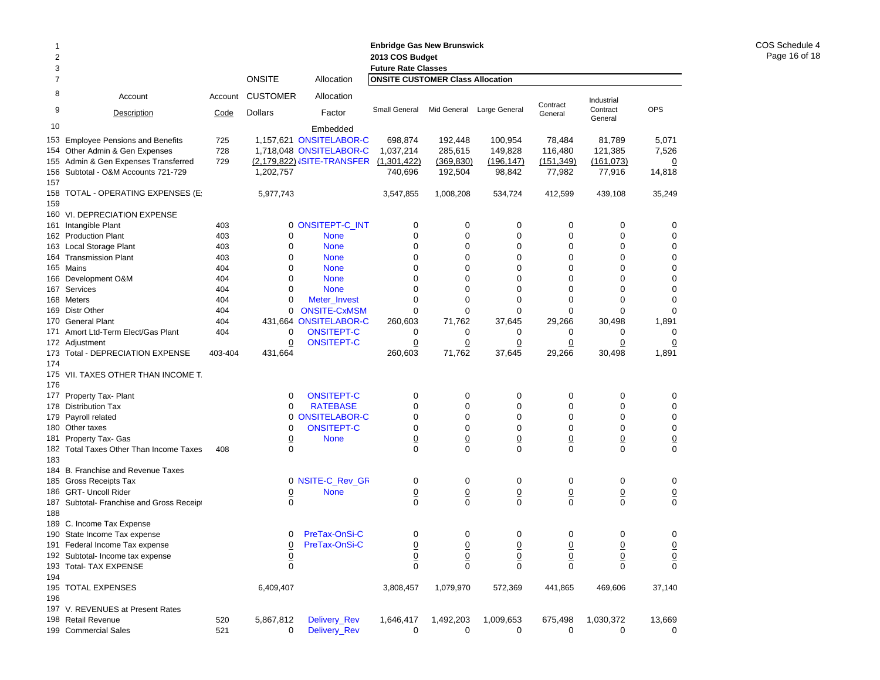| 1<br>2<br>3 |                                           |         |                 | <b>Enbridge Gas New Brunswick</b><br>2013 COS Budget<br><b>Future Rate Classes</b> |                                         |                                  |                               |                               |                               |                 |  |
|-------------|-------------------------------------------|---------|-----------------|------------------------------------------------------------------------------------|-----------------------------------------|----------------------------------|-------------------------------|-------------------------------|-------------------------------|-----------------|--|
| 7           |                                           |         | <b>ONSITE</b>   | Allocation                                                                         | <b>ONSITE CUSTOMER Class Allocation</b> |                                  |                               |                               |                               |                 |  |
| 8           | Account                                   | Account | <b>CUSTOMER</b> | Allocation                                                                         |                                         |                                  |                               |                               | Industrial                    |                 |  |
| 9           | Description                               | Code    | Dollars         | Factor                                                                             | Small General                           |                                  | Mid General Large General     | Contract<br>General           | Contract<br>General           | <b>OPS</b>      |  |
| 10          |                                           |         |                 | Embedded                                                                           |                                         |                                  |                               |                               |                               |                 |  |
|             | 153 Employee Pensions and Benefits        | 725     |                 | 1,157,621 ONSITELABOR-C                                                            | 698,874                                 | 192,448                          | 100,954                       | 78,484                        | 81,789                        | 5,071           |  |
|             | 154 Other Admin & Gen Expenses            | 728     |                 | 1,718,048 ONSITELABOR-C                                                            | 1,037,214                               | 285,615                          | 149,828                       | 116,480                       | 121,385                       | 7,526           |  |
|             | 155 Admin & Gen Expenses Transferred      | 729     |                 | (2,179,822) ISITE-TRANSFER (1,301,422)                                             |                                         | (369, 830)                       | (196, 147)                    | (151, 349)                    | (161, 073)                    | $\overline{0}$  |  |
|             | 156 Subtotal - O&M Accounts 721-729       |         | 1,202,757       |                                                                                    | 740,696                                 | 192,504                          | 98,842                        | 77,982                        | 77,916                        | 14,818          |  |
| 157         |                                           |         |                 |                                                                                    |                                         |                                  |                               |                               |                               |                 |  |
| 159         | 158 TOTAL - OPERATING EXPENSES (E:        |         | 5,977,743       |                                                                                    | 3,547,855                               | 1,008,208                        | 534,724                       | 412,599                       | 439,108                       | 35,249          |  |
|             | 160 VI. DEPRECIATION EXPENSE              |         |                 |                                                                                    |                                         |                                  |                               |                               |                               |                 |  |
|             | 161 Intangible Plant                      | 403     |                 | 0 ONSITEPT-C_INT                                                                   | 0                                       | 0                                | 0                             | 0                             | 0                             | 0               |  |
|             | 162 Production Plant                      | 403     | 0               | <b>None</b>                                                                        | 0                                       | 0                                | $\mathbf 0$                   | 0                             | 0                             | 0               |  |
|             | 163 Local Storage Plant                   | 403     | 0               | <b>None</b>                                                                        | 0                                       | 0                                | 0                             | 0                             | 0                             | 0               |  |
|             | 164 Transmission Plant                    | 403     | 0               | <b>None</b>                                                                        | 0                                       | 0                                | 0                             | 0                             | 0                             | 0               |  |
|             | 165 Mains                                 | 404     | 0               | <b>None</b>                                                                        | 0                                       | 0                                | 0                             | 0                             | 0                             | 0               |  |
|             | 166 Development O&M                       | 404     | 0               | <b>None</b>                                                                        | 0                                       | 0                                | 0                             | 0                             | 0                             | 0               |  |
|             | 167 Services                              | 404     | 0               | <b>None</b>                                                                        | 0                                       | 0                                | 0                             | 0                             | 0                             | 0               |  |
|             | 168 Meters                                | 404     | 0               | Meter_Invest                                                                       | 0                                       | 0                                | 0                             | 0                             | 0                             | 0               |  |
| 169         | <b>Distr Other</b>                        | 404     | 0               | <b>ONSITE-CxMSM</b>                                                                | 0                                       | 0                                | 0                             | $\mathbf 0$                   | $\mathbf 0$                   | $\Omega$        |  |
|             | 170 General Plant                         | 404     |                 | 431,664 ONSITELABOR-C                                                              | 260,603                                 | 71,762                           | 37,645                        | 29,266                        | 30,498                        | 1,891           |  |
|             | 171 Amort Ltd-Term Elect/Gas Plant        | 404     | 0               | <b>ONSITEPT-C</b>                                                                  | 0                                       | 0                                | 0                             | 0                             | 0                             | 0               |  |
|             | 172 Adjustment                            |         | $\mathbf 0$     | <b>ONSITEPT-C</b>                                                                  | $\overline{0}$                          | $\overline{0}$                   | $\overline{0}$                | $\overline{0}$                | $\overline{0}$                | $\overline{0}$  |  |
| 174         | 173 Total - DEPRECIATION EXPENSE          | 403-404 | 431,664         |                                                                                    | 260,603                                 | 71,762                           | 37,645                        | 29,266                        | 30,498                        | 1,891           |  |
|             | 175 VII. TAXES OTHER THAN INCOME T.       |         |                 |                                                                                    |                                         |                                  |                               |                               |                               |                 |  |
| 176         |                                           |         | 0               |                                                                                    |                                         |                                  |                               |                               |                               |                 |  |
|             | 177 Property Tax- Plant                   |         |                 | <b>ONSITEPT-C</b><br><b>RATEBASE</b>                                               | 0<br>0                                  | 0                                | 0<br>0                        | 0                             | 0                             | 0               |  |
|             | 178 Distribution Tax                      |         | 0               | 0 ONSITELABOR-C                                                                    | 0                                       | 0<br>0                           | 0                             | 0<br>$\mathbf 0$              | 0<br>0                        | 0<br>0          |  |
| 179         | Payroll related<br>180 Other taxes        |         | 0               | <b>ONSITEPT-C</b>                                                                  | 0                                       | 0                                | 0                             | 0                             | 0                             | 0               |  |
| 181         | Property Tax- Gas                         |         | $\overline{0}$  | <b>None</b>                                                                        |                                         |                                  |                               |                               |                               | $\overline{0}$  |  |
|             | 182 Total Taxes Other Than Income Taxes   | 408     | $\mathbf 0$     |                                                                                    | $\overline{0}$<br>$\mathbf 0$           | $\overline{0}$<br>$\overline{0}$ | $\overline{0}$<br>$\mathbf 0$ | $\overline{0}$<br>$\mathbf 0$ | $\overline{0}$<br>$\mathbf 0$ | $\mathbf 0$     |  |
| 183         |                                           |         |                 |                                                                                    |                                         |                                  |                               |                               |                               |                 |  |
|             | 184 B. Franchise and Revenue Taxes        |         |                 |                                                                                    |                                         |                                  |                               |                               |                               |                 |  |
|             | 185 Gross Receipts Tax                    |         |                 | 0 NSITE-C_Rev_GR                                                                   | 0                                       | 0                                | 0                             | 0                             | 0                             | 0               |  |
|             | 186 GRT- Uncoll Rider                     |         | $\overline{0}$  | <b>None</b>                                                                        | $\overline{0}$                          | $\overline{0}$                   | $\overline{0}$                | $\underline{0}$               | $\underline{0}$               | $\overline{0}$  |  |
|             | 187 Subtotal- Franchise and Gross Receipt |         | $\mathbf 0$     |                                                                                    | $\mathbf 0$                             | $\Omega$                         | $\Omega$                      | $\Omega$                      | $\mathbf 0$                   | $\Omega$        |  |
| 188         |                                           |         |                 |                                                                                    |                                         |                                  |                               |                               |                               |                 |  |
|             | 189 C. Income Tax Expense                 |         |                 |                                                                                    |                                         |                                  |                               |                               |                               |                 |  |
|             | 190 State Income Tax expense              |         | 0               | PreTax-OnSi-C                                                                      | 0                                       | 0                                | 0                             | 0                             | 0                             | 0               |  |
|             | 191 Federal Income Tax expense            |         | $\overline{0}$  | PreTax-OnSi-C                                                                      | $\frac{0}{0}$                           | $\frac{0}{0}$                    | $\frac{0}{0}$                 | $\frac{0}{0}$                 | $\frac{0}{0}$                 | $\overline{0}$  |  |
|             | 192 Subtotal- Income tax expense          |         | $\underline{0}$ |                                                                                    |                                         |                                  |                               |                               |                               | $\underline{0}$ |  |
|             | 193 Total- TAX EXPENSE                    |         | $\mathbf 0$     |                                                                                    | $\mathbf 0$                             | 0                                | $\mathbf 0$                   | $\mathbf 0$                   | $\mathbf 0$                   | $\mathbf 0$     |  |
| 194         |                                           |         |                 |                                                                                    |                                         |                                  |                               |                               |                               |                 |  |
|             | 195 TOTAL EXPENSES                        |         | 6,409,407       |                                                                                    | 3,808,457                               | 1,079,970                        | 572,369                       | 441,865                       | 469,606                       | 37,140          |  |
| 196         |                                           |         |                 |                                                                                    |                                         |                                  |                               |                               |                               |                 |  |
|             | 197 V. REVENUES at Present Rates          |         |                 |                                                                                    |                                         |                                  |                               |                               |                               |                 |  |
|             | 198 Retail Revenue                        | 520     | 5,867,812       | Delivery_Rev                                                                       | 1,646,417                               | 1,492,203                        | 1,009,653                     | 675,498                       | 1,030,372                     | 13,669          |  |
|             | 199 Commercial Sales                      | 521     | 0               | Delivery_Rev                                                                       | 0                                       | 0                                | 0                             | 0                             | 0                             | 0               |  |

COS Schedule 4 Page 16 of 18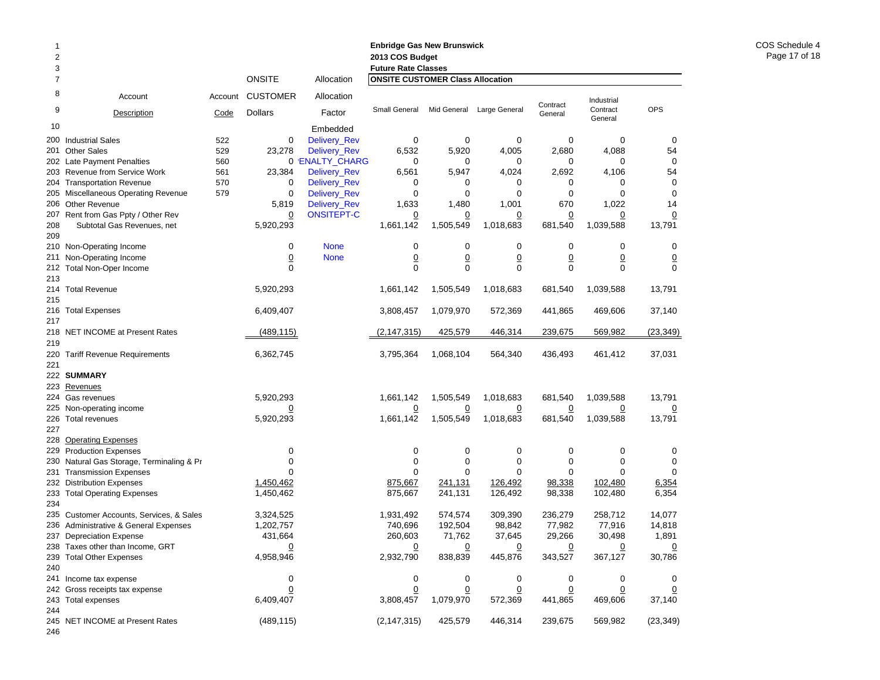| 1<br>2<br>3    |                                                             |                 | <b>ONSITE</b>                     | Allocation                             | <b>Enbridge Gas New Brunswick</b><br>2013 COS Budget<br><b>Future Rate Classes</b><br><b>ONSITE CUSTOMER Class Allocation</b> |                       |                |                           |                                   |                   |
|----------------|-------------------------------------------------------------|-----------------|-----------------------------------|----------------------------------------|-------------------------------------------------------------------------------------------------------------------------------|-----------------------|----------------|---------------------------|-----------------------------------|-------------------|
| $\overline{7}$ |                                                             |                 |                                   |                                        |                                                                                                                               |                       |                |                           |                                   |                   |
| 8<br>9         | Account<br>Description                                      | Account<br>Code | <b>CUSTOMER</b><br><b>Dollars</b> | Allocation<br>Factor                   | Small General                                                                                                                 | Mid General           | Large General  | Contract<br>General       | Industrial<br>Contract<br>General | <b>OPS</b>        |
| 10             |                                                             |                 |                                   | Embedded                               |                                                                                                                               |                       |                |                           |                                   |                   |
| 201            | 200 Industrial Sales<br><b>Other Sales</b>                  | 522<br>529      | 0<br>23,278                       | Delivery_Rev<br>Delivery_Rev           | 0<br>6,532                                                                                                                    | 0<br>5,920            | 0<br>4,005     | 0<br>2,680                | 0<br>4,088                        | 0<br>54           |
|                | 202 Late Payment Penalties<br>203 Revenue from Service Work | 560<br>561      | 23,384                            | 0 'ENALTY_CHARG<br><b>Delivery Rev</b> | 0<br>6,561                                                                                                                    | 0<br>5,947            | 0<br>4,024     | 0<br>2,692                | 0<br>4,106                        | $\mathbf 0$<br>54 |
|                | 204 Transportation Revenue                                  | 570             | 0                                 | Delivery_Rev                           | 0                                                                                                                             | 0                     | 0              | 0                         | 0                                 | 0                 |
|                | 205 Miscellaneous Operating Revenue                         | 579             | 0                                 | Delivery_Rev                           | $\mathbf 0$                                                                                                                   | 0                     | 0              | $\mathbf 0$               | 0                                 | $\mathbf 0$       |
|                | 206 Other Revenue<br>207 Rent from Gas Ppty / Other Rev     |                 | 5,819                             | Delivery_Rev<br><b>ONSITEPT-C</b>      | 1,633                                                                                                                         | 1,480                 | 1,001          | 670                       | 1,022                             | 14                |
| 208<br>209     | Subtotal Gas Revenues, net                                  |                 | 0<br>5,920,293                    |                                        | <u>0</u><br>1,661,142                                                                                                         | <u>0</u><br>1,505,549 | 0<br>1,018,683 | $\overline{0}$<br>681,540 | 0<br>1,039,588                    | 0<br>13,791       |
|                | 210 Non-Operating Income                                    |                 | 0                                 | <b>None</b>                            | 0                                                                                                                             | 0                     | 0              | 0                         | 0                                 | 0                 |
| 211            | Non-Operating Income                                        |                 | $\overline{0}$                    | <b>None</b>                            | $\overline{0}$                                                                                                                | $\overline{0}$        | $\overline{0}$ | $\overline{0}$            | <u>0</u>                          | 0                 |
|                | 212 Total Non-Oper Income                                   |                 | $\Omega$                          |                                        | $\Omega$                                                                                                                      | $\Omega$              | $\Omega$       | $\Omega$                  | $\Omega$                          | $\Omega$          |
| 213            |                                                             |                 |                                   |                                        |                                                                                                                               |                       |                |                           |                                   |                   |
| 215            | 214 Total Revenue                                           |                 | 5,920,293                         |                                        | 1,661,142                                                                                                                     | 1,505,549             | 1,018,683      | 681,540                   | 1,039,588                         | 13,791            |
| 216<br>217     | <b>Total Expenses</b>                                       |                 | 6,409,407                         |                                        | 3,808,457                                                                                                                     | 1,079,970             | 572,369        | 441,865                   | 469,606                           | 37,140            |
|                | 218 NET INCOME at Present Rates                             |                 | (489,115)                         |                                        | (2,147,315)                                                                                                                   | 425,579               | 446,314        | 239,675                   | 569,982                           | (23, 349)         |
| 219            | 220 Tariff Revenue Requirements                             |                 | 6,362,745                         |                                        | 3,795,364                                                                                                                     | 1,068,104             | 564,340        | 436,493                   | 461,412                           | 37,031            |
| 221            |                                                             |                 |                                   |                                        |                                                                                                                               |                       |                |                           |                                   |                   |
|                | 222 SUMMARY                                                 |                 |                                   |                                        |                                                                                                                               |                       |                |                           |                                   |                   |
|                | 223 Revenues<br>224 Gas revenues                            |                 | 5,920,293                         |                                        | 1,661,142                                                                                                                     | 1,505,549             | 1,018,683      | 681,540                   | 1,039,588                         | 13,791            |
|                | 225 Non-operating income                                    |                 | 0                                 |                                        | 0                                                                                                                             | $\overline{0}$        | 0              | 0                         | 0                                 | 0                 |
|                | 226 Total revenues                                          |                 | 5,920,293                         |                                        | 1,661,142                                                                                                                     | 1,505,549             | 1,018,683      | 681,540                   | 1,039,588                         | 13,791            |
| 227            |                                                             |                 |                                   |                                        |                                                                                                                               |                       |                |                           |                                   |                   |
|                | 228 Operating Expenses                                      |                 |                                   |                                        |                                                                                                                               |                       |                |                           |                                   |                   |
|                | 229 Production Expenses                                     |                 | 0                                 |                                        | 0                                                                                                                             | 0                     | 0              | 0                         | 0                                 | 0                 |
|                | 230 Natural Gas Storage, Terminaling & Pr                   |                 | 0                                 |                                        | 0                                                                                                                             | 0                     | 0              | 0                         | 0                                 | 0                 |
|                | 231 Transmission Expenses<br>232 Distribution Expenses      |                 | $\Omega$<br>1,450,462             |                                        | 0<br>875,667                                                                                                                  | 0                     | 0<br>126,492   | 0<br>98,338               | $\Omega$                          | $\Omega$          |
|                | 233 Total Operating Expenses                                |                 | 1,450,462                         |                                        | 875,667                                                                                                                       | 241,131<br>241,131    | 126,492        | 98,338                    | 102,480<br>102,480                | 6,354<br>6,354    |
| 234            |                                                             |                 |                                   |                                        |                                                                                                                               |                       |                |                           |                                   |                   |
|                | 235 Customer Accounts, Services, & Sales                    |                 | 3,324,525                         |                                        | 1,931,492                                                                                                                     | 574,574               | 309,390        | 236,279                   | 258,712                           | 14,077            |
|                | 236 Administrative & General Expenses                       |                 | 1,202,757                         |                                        | 740,696                                                                                                                       | 192,504               | 98,842         | 77,982                    | 77,916                            | 14,818            |
|                | 237 Depreciation Expense                                    |                 | 431,664                           |                                        | 260,603                                                                                                                       | 71,762                | 37,645         | 29,266                    | 30,498                            | 1,891             |
|                | 238 Taxes other than Income, GRT                            |                 | $\overline{0}$                    |                                        | $\overline{0}$                                                                                                                |                       |                |                           | $\overline{0}$                    |                   |
|                | 239 Total Other Expenses                                    |                 | 4,958,946                         |                                        | 2,932,790                                                                                                                     | 838,839               | 445,876        | 343,527                   | 367,127                           | 30,786            |
| 240            | 241 Income tax expense                                      |                 | 0                                 |                                        | 0                                                                                                                             | 0                     | 0              | 0                         | 0                                 | 0                 |
|                | 242 Gross receipts tax expense                              |                 | 0                                 |                                        | 0                                                                                                                             | $\overline{0}$        | $\overline{0}$ | $\overline{0}$            | $\overline{0}$                    |                   |
|                | 243 Total expenses                                          |                 | 6,409,407                         |                                        | 3,808,457                                                                                                                     | 1,079,970             | 572,369        | 441,865                   | 469,606                           | 37,140            |
| 244            | 245 NET INCOME at Present Rates                             |                 | (489, 115)                        |                                        | (2, 147, 315)                                                                                                                 | 425,579               | 446,314        | 239,675                   | 569,982                           | (23, 349)         |

246

COS Schedule 4 Page 17 of 18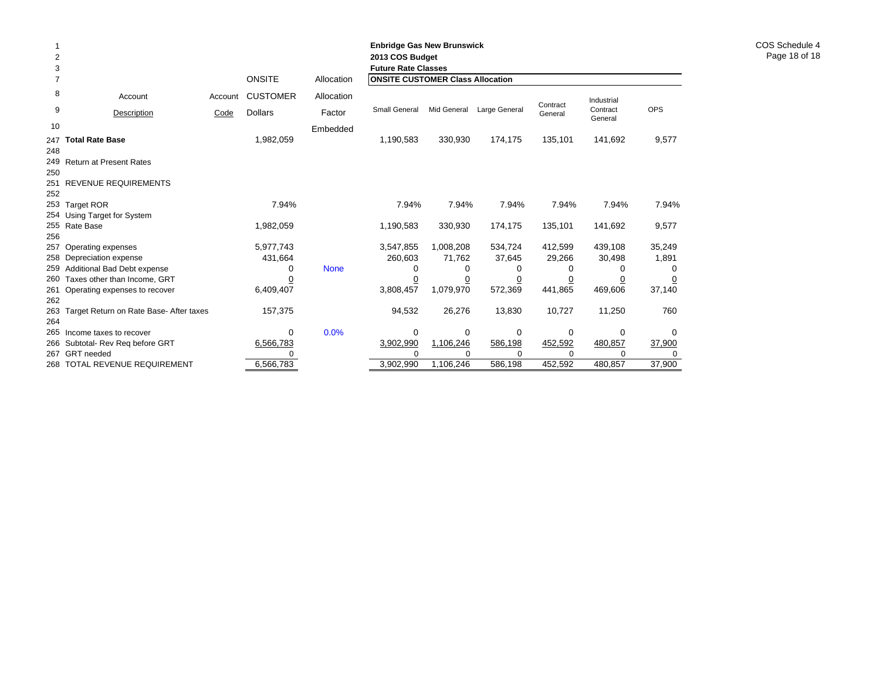|     |                                         |         |                 |             | <b>Enbridge Gas New Brunswick</b>       |             |                |          |                     |            |
|-----|-----------------------------------------|---------|-----------------|-------------|-----------------------------------------|-------------|----------------|----------|---------------------|------------|
| 2   |                                         |         |                 |             | 2013 COS Budget                         |             |                |          |                     |            |
| 3   |                                         |         |                 |             | <b>Future Rate Classes</b>              |             |                |          |                     |            |
| 7   |                                         |         | <b>ONSITE</b>   | Allocation  | <b>ONSITE CUSTOMER Class Allocation</b> |             |                |          |                     |            |
| 8   | Account                                 | Account | <b>CUSTOMER</b> | Allocation  |                                         |             |                | Contract | Industrial          |            |
| 9   | Description                             | Code    | <b>Dollars</b>  | Factor      | Small General                           | Mid General | Large General  | General  | Contract<br>General | <b>OPS</b> |
| 10  |                                         |         |                 | Embedded    |                                         |             |                |          |                     |            |
| 247 | <b>Total Rate Base</b>                  |         | 1,982,059       |             | 1,190,583                               | 330,930     | 174,175        | 135,101  | 141,692             | 9,577      |
| 248 |                                         |         |                 |             |                                         |             |                |          |                     |            |
|     | 249 Return at Present Rates             |         |                 |             |                                         |             |                |          |                     |            |
| 250 |                                         |         |                 |             |                                         |             |                |          |                     |            |
| 251 | REVENUE REQUIREMENTS                    |         |                 |             |                                         |             |                |          |                     |            |
| 252 |                                         |         |                 |             |                                         |             |                |          |                     |            |
|     | 253 Target ROR                          |         | 7.94%           |             | 7.94%                                   | 7.94%       | 7.94%          | 7.94%    | 7.94%               | 7.94%      |
| 254 | Using Target for System                 |         |                 |             |                                         |             |                |          |                     |            |
|     | 255 Rate Base                           |         | 1,982,059       |             | 1,190,583                               | 330,930     | 174,175        | 135,101  | 141,692             | 9,577      |
| 256 |                                         |         |                 |             |                                         |             |                |          |                     |            |
| 257 | Operating expenses                      |         | 5,977,743       |             | 3,547,855                               | 1,008,208   | 534,724        | 412,599  | 439,108             | 35,249     |
| 258 | Depreciation expense                    |         | 431,664         |             | 260,603                                 | 71,762      | 37,645         | 29,266   | 30,498              | 1,891      |
| 259 | Additional Bad Debt expense             |         | 0               | <b>None</b> | 0                                       | 0           | 0              | 0        | 0                   | 0          |
| 260 | Taxes other than Income, GRT            |         |                 |             | $\overline{0}$                          | <u>0</u>    | $\overline{0}$ |          |                     |            |
| 261 | Operating expenses to recover           |         | 6,409,407       |             | 3,808,457                               | 1,079,970   | 572,369        | 441,865  | 469,606             | 37,140     |
| 262 |                                         |         |                 |             |                                         |             |                |          |                     |            |
| 263 | Target Return on Rate Base- After taxes |         | 157,375         |             | 94,532                                  | 26,276      | 13,830         | 10,727   | 11,250              | 760        |
| 264 |                                         |         |                 |             |                                         |             |                |          |                     |            |
| 265 | Income taxes to recover                 |         | $\mathbf 0$     | 0.0%        | 0                                       | 0           | 0              | 0        | 0                   | 0          |
| 266 | Subtotal- Rev Reg before GRT            |         | 6,566,783       |             | 3,902,990                               | 1,106,246   | 586,198        | 452,592  | 480,857             | 37,900     |
| 267 | <b>GRT</b> needed                       |         |                 |             |                                         |             | U              | ∩        |                     |            |
| 268 | TOTAL REVENUE REQUIREMENT               |         | 6,566,783       |             | 3,902,990                               | 1,106,246   | 586,198        | 452,592  | 480,857             | 37,900     |

COS Schedule 4 Page 18 of 18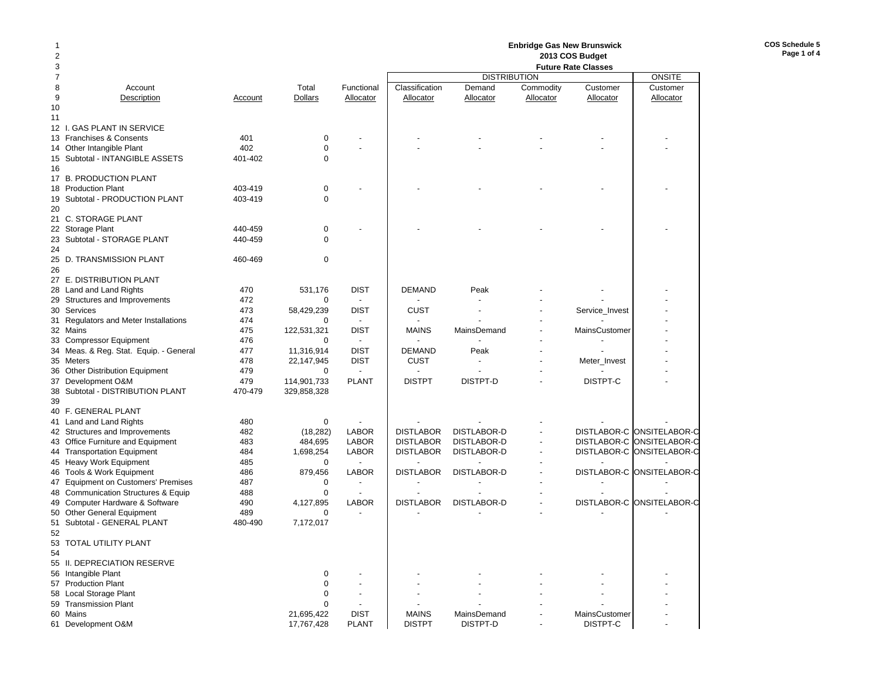### **Enbridge Gas New Brunswick 2013 COS Budget**

| $\overline{2}$ |                                             |         |                |                | 2013 COS Budget<br><b>Future Rate Classes</b> |                     |                          |                |                           |  |  |
|----------------|---------------------------------------------|---------|----------------|----------------|-----------------------------------------------|---------------------|--------------------------|----------------|---------------------------|--|--|
| 3              |                                             |         |                |                |                                               | <b>ONSITE</b>       |                          |                |                           |  |  |
| $\overline{7}$ |                                             |         |                |                |                                               | <b>DISTRIBUTION</b> |                          |                |                           |  |  |
| 8              | Account                                     |         | Total          | Functional     | Classification                                | Demand              | Commodity                | Customer       | Customer                  |  |  |
| 9              | Description                                 | Account | <b>Dollars</b> | Allocator      | Allocator                                     | Allocator           | Allocator                | Allocator      | Allocator                 |  |  |
| 10             |                                             |         |                |                |                                               |                     |                          |                |                           |  |  |
| 11             |                                             |         |                |                |                                               |                     |                          |                |                           |  |  |
|                | 12 I. GAS PLANT IN SERVICE                  |         |                |                |                                               |                     |                          |                |                           |  |  |
|                | 13 Franchises & Consents                    | 401     | $\mathbf 0$    |                |                                               |                     |                          |                |                           |  |  |
| 14             | Other Intangible Plant                      | 402     | $\mathbf 0$    |                |                                               |                     |                          |                |                           |  |  |
|                | 15 Subtotal - INTANGIBLE ASSETS             | 401-402 | $\mathbf 0$    |                |                                               |                     |                          |                |                           |  |  |
| 16             |                                             |         |                |                |                                               |                     |                          |                |                           |  |  |
|                | 17 B. PRODUCTION PLANT                      | 403-419 | $\mathbf 0$    |                |                                               |                     |                          |                |                           |  |  |
| 19             | 18 Production Plant                         |         | $\Omega$       |                |                                               |                     |                          |                |                           |  |  |
| 20             | Subtotal - PRODUCTION PLANT                 | 403-419 |                |                |                                               |                     |                          |                |                           |  |  |
|                |                                             |         |                |                |                                               |                     |                          |                |                           |  |  |
| 21             | C. STORAGE PLANT                            | 440-459 | $\pmb{0}$      |                |                                               |                     |                          |                |                           |  |  |
|                | 22 Storage Plant                            | 440-459 | $\Omega$       |                |                                               |                     |                          |                |                           |  |  |
| 24             | 23 Subtotal - STORAGE PLANT                 |         |                |                |                                               |                     |                          |                |                           |  |  |
|                | 25 D. TRANSMISSION PLANT                    | 460-469 | $\mathbf 0$    |                |                                               |                     |                          |                |                           |  |  |
| 26             |                                             |         |                |                |                                               |                     |                          |                |                           |  |  |
|                | 27 E. DISTRIBUTION PLANT                    |         |                |                |                                               |                     |                          |                |                           |  |  |
| 28             | Land and Land Rights                        | 470     | 531,176        | <b>DIST</b>    | <b>DEMAND</b>                                 | Peak                |                          |                |                           |  |  |
|                | 29 Structures and Improvements              | 472     | $\mathbf 0$    | $\overline{a}$ |                                               |                     |                          |                |                           |  |  |
| 30             | Services                                    | 473     | 58,429,239     | <b>DIST</b>    | <b>CUST</b>                                   | ÷,                  |                          | Service_Invest |                           |  |  |
|                | 31 Regulators and Meter Installations       | 474     | 0              |                |                                               |                     |                          |                |                           |  |  |
|                | 32 Mains                                    | 475     | 122,531,321    | <b>DIST</b>    | <b>MAINS</b>                                  | MainsDemand         |                          | MainsCustomer  |                           |  |  |
|                | 33 Compressor Equipment                     | 476     | $\Omega$       | $\blacksquare$ |                                               |                     |                          |                |                           |  |  |
|                | 34 Meas. & Reg. Stat. Equip. - General      | 477     | 11,316,914     | <b>DIST</b>    | <b>DEMAND</b>                                 | Peak                |                          |                |                           |  |  |
|                | 35 Meters                                   | 478     | 22,147,945     | <b>DIST</b>    | <b>CUST</b>                                   | $\overline{a}$      |                          | Meter_Invest   |                           |  |  |
|                | 36 Other Distribution Equipment             | 479     | 0              | $\sim$         |                                               |                     |                          |                |                           |  |  |
|                | 37 Development O&M                          | 479     | 114,901,733    | <b>PLANT</b>   | <b>DISTPT</b>                                 | DISTPT-D            |                          | DISTPT-C       |                           |  |  |
| 38             | Subtotal - DISTRIBUTION PLANT               | 470-479 | 329,858,328    |                |                                               |                     |                          |                |                           |  |  |
| 39             |                                             |         |                |                |                                               |                     |                          |                |                           |  |  |
|                | 40 F. GENERAL PLANT                         |         |                |                |                                               |                     |                          |                |                           |  |  |
|                | 41 Land and Land Rights                     | 480     | $\mathbf 0$    |                |                                               |                     |                          |                |                           |  |  |
|                | 42 Structures and Improvements              | 482     | (18, 282)      | <b>LABOR</b>   | <b>DISTLABOR</b>                              | DISTLABOR-D         |                          |                | DISTLABOR-C ONSITELABOR-C |  |  |
|                | 43 Office Furniture and Equipment           | 483     | 484,695        | <b>LABOR</b>   | <b>DISTLABOR</b>                              | DISTLABOR-D         | $\overline{\phantom{a}}$ |                | DISTLABOR-C ONSITELABOR-C |  |  |
|                | 44 Transportation Equipment                 | 484     | 1,698,254      | <b>LABOR</b>   | <b>DISTLABOR</b>                              | DISTLABOR-D         | $\overline{a}$           |                | DISTLABOR-C ONSITELABOR-C |  |  |
|                | 45 Heavy Work Equipment                     | 485     | $\mathbf 0$    | $\overline{a}$ |                                               |                     |                          |                |                           |  |  |
|                | 46 Tools & Work Equipment                   | 486     | 879,456        | <b>LABOR</b>   | <b>DISTLABOR</b>                              | DISTLABOR-D         |                          |                | DISTLABOR-C ONSITELABOR-C |  |  |
|                | 47 Equipment on Customers' Premises         | 487     | $\mathbf 0$    |                |                                               |                     |                          |                |                           |  |  |
| 48.            | <b>Communication Structures &amp; Equip</b> | 488     | $\mathbf 0$    | $\overline{a}$ |                                               |                     |                          |                |                           |  |  |
|                | 49 Computer Hardware & Software             | 490     | 4,127,895      | <b>LABOR</b>   | <b>DISTLABOR</b>                              | DISTLABOR-D         |                          |                | DISTLABOR-C ONSITELABOR-C |  |  |
| 50             | <b>Other General Equipment</b>              | 489     | 0              |                |                                               |                     |                          |                |                           |  |  |
|                | 51 Subtotal - GENERAL PLANT                 | 480-490 | 7,172,017      |                |                                               |                     |                          |                |                           |  |  |
| 52             |                                             |         |                |                |                                               |                     |                          |                |                           |  |  |
| 53             | TOTAL UTILITY PLANT                         |         |                |                |                                               |                     |                          |                |                           |  |  |
| 54             |                                             |         |                |                |                                               |                     |                          |                |                           |  |  |
|                | 55 II. DEPRECIATION RESERVE                 |         |                |                |                                               |                     |                          |                |                           |  |  |
|                | 56 Intangible Plant                         |         | $\mathbf 0$    |                |                                               |                     |                          |                |                           |  |  |
|                | 57 Production Plant                         |         | $\mathbf 0$    |                |                                               |                     |                          |                |                           |  |  |
|                | 58 Local Storage Plant                      |         | $\mathbf 0$    |                |                                               |                     |                          |                |                           |  |  |
|                | 59 Transmission Plant                       |         | $\Omega$       |                |                                               |                     |                          |                |                           |  |  |
|                | 60 Mains                                    |         | 21,695,422     | <b>DIST</b>    | <b>MAINS</b>                                  | MainsDemand         |                          | MainsCustomer  |                           |  |  |
|                | 61 Development O&M                          |         | 17,767,428     | <b>PLANT</b>   | <b>DISTPT</b>                                 | DISTPT-D            |                          | DISTPT-C       |                           |  |  |

**COS Schedule 5Page 1 of 4**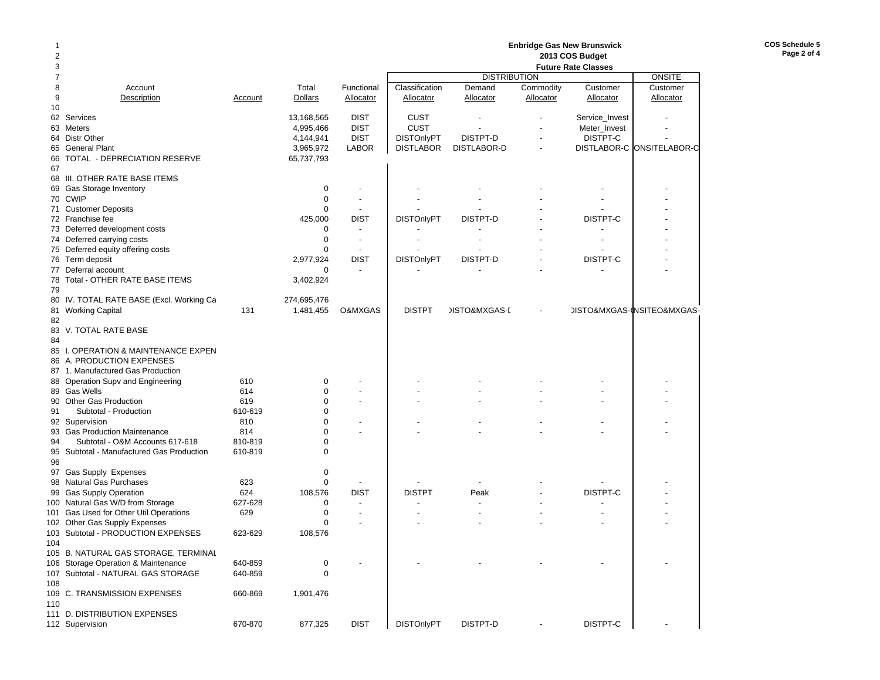|     |                                           |         |                |                          | <b>Enbridge Gas New Brunswick</b> |                          |           |                |                                           |  |  |  |
|-----|-------------------------------------------|---------|----------------|--------------------------|-----------------------------------|--------------------------|-----------|----------------|-------------------------------------------|--|--|--|
| 2   |                                           |         |                |                          | 2013 COS Budget                   |                          |           |                |                                           |  |  |  |
| 3   |                                           |         |                |                          |                                   |                          |           |                |                                           |  |  |  |
| 7   |                                           |         |                |                          |                                   | <b>DISTRIBUTION</b>      |           |                | <b>ONSITE</b>                             |  |  |  |
| 8   | Account                                   |         | Total          | Functional               | Classification                    | Demand                   | Commodity | Customer       | Customer                                  |  |  |  |
| 9   | Description                               | Account | <b>Dollars</b> | Allocator                | <b>Allocator</b>                  | Allocator                | Allocator | Allocator      | Allocator                                 |  |  |  |
| 10  |                                           |         |                |                          |                                   |                          |           |                |                                           |  |  |  |
| 62  | Services                                  |         | 13,168,565     | <b>DIST</b>              | <b>CUST</b>                       | ÷                        |           | Service_Invest |                                           |  |  |  |
| 63  | Meters                                    |         | 4,995,466      | <b>DIST</b>              | <b>CUST</b>                       |                          |           | Meter_Invest   |                                           |  |  |  |
|     | 64 Distr Other                            |         | 4,144,941      | <b>DIST</b>              | <b>DISTOnlyPT</b>                 | DISTPT-D                 |           | DISTPT-C       |                                           |  |  |  |
| 65  | <b>General Plant</b>                      |         | 3,965,972      | <b>LABOR</b>             | <b>DISTLABOR</b>                  | DISTLABOR-D              |           |                | DISTLABOR-C ONSITELABOR-C                 |  |  |  |
| 66  | TOTAL - DEPRECIATION RESERVE              |         | 65,737,793     |                          |                                   |                          |           |                |                                           |  |  |  |
| 67  |                                           |         |                |                          |                                   |                          |           |                |                                           |  |  |  |
|     | 68 III. OTHER RATE BASE ITEMS             |         |                |                          |                                   |                          |           |                |                                           |  |  |  |
|     | 69 Gas Storage Inventory                  |         | 0              |                          |                                   |                          |           |                |                                           |  |  |  |
|     | 70 CWIP                                   |         | $\mathbf 0$    | $\overline{\phantom{a}}$ |                                   |                          |           |                |                                           |  |  |  |
| 71  | <b>Customer Deposits</b>                  |         | $\mathbf 0$    | $\overline{\phantom{a}}$ |                                   |                          |           |                |                                           |  |  |  |
|     | 72 Franchise fee                          |         | 425,000        | <b>DIST</b>              | <b>DISTOnlyPT</b>                 | DISTPT-D                 |           | DISTPT-C       |                                           |  |  |  |
|     | 73 Deferred development costs             |         | 0              | $\overline{\phantom{a}}$ |                                   |                          |           |                |                                           |  |  |  |
|     | 74 Deferred carrying costs                |         | $\mathbf 0$    | $\overline{a}$           |                                   |                          |           |                |                                           |  |  |  |
|     | 75 Deferred equity offering costs         |         | $\mathbf 0$    |                          |                                   |                          |           |                |                                           |  |  |  |
|     | 76 Term deposit                           |         | 2,977,924      | <b>DIST</b>              | <b>DISTOnlyPT</b>                 | DISTPT-D                 |           | DISTPT-C       |                                           |  |  |  |
| 77  | Deferral account                          |         | 0              |                          |                                   |                          |           |                |                                           |  |  |  |
| 78  | Total - OTHER RATE BASE ITEMS             |         | 3,402,924      |                          |                                   |                          |           |                |                                           |  |  |  |
| 79  |                                           |         |                |                          |                                   |                          |           |                |                                           |  |  |  |
| 80  | IV. TOTAL RATE BASE (Excl. Working Ca     |         | 274,695,476    |                          |                                   |                          |           |                |                                           |  |  |  |
| 81  | <b>Working Capital</b>                    | 131     | 1,481,455      | O&MXGAS                  | <b>DISTPT</b>                     | <b>JISTO&amp;MXGAS-I</b> |           |                | <b>JISTO&amp;MXGAS-INSITEO&amp;MXGAS-</b> |  |  |  |
| 82  |                                           |         |                |                          |                                   |                          |           |                |                                           |  |  |  |
|     | 83 V. TOTAL RATE BASE                     |         |                |                          |                                   |                          |           |                |                                           |  |  |  |
| 84  |                                           |         |                |                          |                                   |                          |           |                |                                           |  |  |  |
|     | 85 I. OPERATION & MAINTENANCE EXPEN       |         |                |                          |                                   |                          |           |                |                                           |  |  |  |
|     | 86 A. PRODUCTION EXPENSES                 |         |                |                          |                                   |                          |           |                |                                           |  |  |  |
|     | 87 1. Manufactured Gas Production         |         |                |                          |                                   |                          |           |                |                                           |  |  |  |
|     | 88 Operation Supv and Engineering         | 610     | 0              |                          |                                   |                          |           |                |                                           |  |  |  |
|     | 89 Gas Wells                              | 614     | $\mathbf 0$    | $\overline{\phantom{a}}$ |                                   |                          |           |                |                                           |  |  |  |
|     | 90 Other Gas Production                   | 619     | $\mathbf 0$    |                          |                                   |                          |           |                |                                           |  |  |  |
| 91  | Subtotal - Production                     | 610-619 | $\mathbf 0$    |                          |                                   |                          |           |                |                                           |  |  |  |
|     | 92 Supervision                            | 810     | $\mathbf 0$    | $\overline{\phantom{a}}$ |                                   |                          |           |                |                                           |  |  |  |
|     | 93 Gas Production Maintenance             | 814     | $\mathbf 0$    | $\overline{\phantom{a}}$ |                                   |                          |           |                |                                           |  |  |  |
| 94  | Subtotal - O&M Accounts 617-618           | 810-819 | $\mathbf 0$    |                          |                                   |                          |           |                |                                           |  |  |  |
|     | 95 Subtotal - Manufactured Gas Production | 610-819 | $\Omega$       |                          |                                   |                          |           |                |                                           |  |  |  |
| 96  |                                           |         |                |                          |                                   |                          |           |                |                                           |  |  |  |
|     | 97 Gas Supply Expenses                    |         | 0              |                          |                                   |                          |           |                |                                           |  |  |  |
|     | 98 Natural Gas Purchases                  | 623     | $\mathbf 0$    |                          |                                   |                          |           |                |                                           |  |  |  |
| 99  | <b>Gas Supply Operation</b>               | 624     | 108,576        | <b>DIST</b>              | <b>DISTPT</b>                     | Peak                     |           | DISTPT-C       |                                           |  |  |  |
|     | 100 Natural Gas W/D from Storage          | 627-628 | 0              |                          |                                   |                          |           |                |                                           |  |  |  |
| 101 | Gas Used for Other Util Operations        | 629     | $\mathbf 0$    | $\overline{\phantom{a}}$ |                                   |                          |           |                |                                           |  |  |  |
| 102 | Other Gas Supply Expenses                 |         | $\Omega$       |                          |                                   |                          |           |                |                                           |  |  |  |
|     | 103 Subtotal - PRODUCTION EXPENSES        | 623-629 | 108,576        |                          |                                   |                          |           |                |                                           |  |  |  |
| 104 |                                           |         |                |                          |                                   |                          |           |                |                                           |  |  |  |
|     | 105 B. NATURAL GAS STORAGE, TERMINAL      |         |                |                          |                                   |                          |           |                |                                           |  |  |  |
|     | 106 Storage Operation & Maintenance       | 640-859 | 0              |                          |                                   |                          |           |                |                                           |  |  |  |
|     | 107 Subtotal - NATURAL GAS STORAGE        |         | 0              |                          |                                   |                          |           |                |                                           |  |  |  |
|     |                                           | 640-859 |                |                          |                                   |                          |           |                |                                           |  |  |  |
| 108 |                                           |         |                |                          |                                   |                          |           |                |                                           |  |  |  |
|     | 109 C. TRANSMISSION EXPENSES              | 660-869 | 1,901,476      |                          |                                   |                          |           |                |                                           |  |  |  |
| 110 | 111 D. DISTRIBUTION EXPENSES              |         |                |                          |                                   |                          |           |                |                                           |  |  |  |
|     | 112 Supervision                           |         |                |                          |                                   |                          |           | DISTPT-C       |                                           |  |  |  |
|     |                                           | 670-870 | 877,325        | <b>DIST</b>              | <b>DISTOnlyPT</b>                 | DISTPT-D                 |           |                |                                           |  |  |  |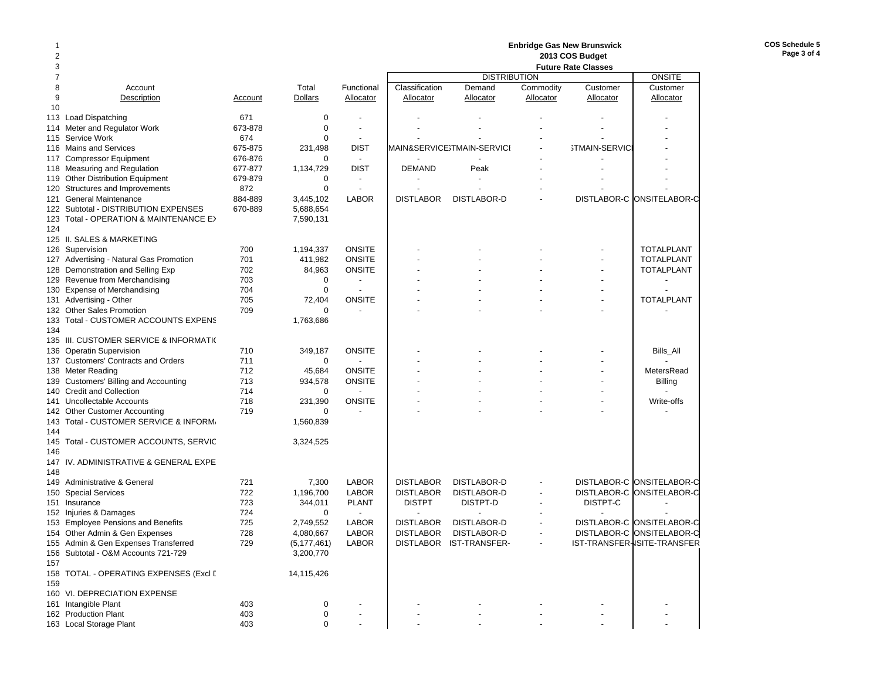**COS Schedule 5 Page 3 of 4**

| 2                   |                                                 |            |               |                          |                  |                            |                          |                            |                             |
|---------------------|-------------------------------------------------|------------|---------------|--------------------------|------------------|----------------------------|--------------------------|----------------------------|-----------------------------|
| 3<br>$\overline{7}$ |                                                 |            |               |                          |                  | <b>DISTRIBUTION</b>        |                          | <b>Future Rate Classes</b> | <b>ONSITE</b>               |
| 8                   | Account                                         |            | Total         | Functional               | Classification   | Demand                     | Commodity                | Customer                   | Customer                    |
| 9                   | Description                                     | Account    | Dollars       | Allocator                | Allocator        | Allocator                  | Allocator                | Allocator                  | Allocator                   |
| 10                  |                                                 |            |               |                          |                  |                            |                          |                            |                             |
|                     | 113 Load Dispatching                            | 671        | 0             |                          |                  |                            |                          |                            |                             |
|                     | 114 Meter and Regulator Work                    | 673-878    | $\mathbf 0$   | $\sim$                   |                  |                            |                          |                            |                             |
|                     | 115 Service Work                                | 674        | $\Omega$      |                          |                  |                            |                          |                            |                             |
|                     | 116 Mains and Services                          | 675-875    | 231,498       | <b>DIST</b>              |                  | MAIN&SERVICE3TMAIN-SERVICI |                          | <b>STMAIN-SERVICI</b>      |                             |
|                     | 117 Compressor Equipment                        | 676-876    | 0             | $\sim$                   |                  |                            |                          |                            |                             |
|                     | 118 Measuring and Regulation                    | 677-877    | 1,134,729     | <b>DIST</b>              | <b>DEMAND</b>    | Peak                       |                          |                            |                             |
|                     | 119 Other Distribution Equipment                | 679-879    | 0             |                          |                  |                            |                          |                            |                             |
|                     | 120 Structures and Improvements                 | 872        | 0             | $\overline{\phantom{a}}$ |                  |                            |                          |                            |                             |
|                     | 121 General Maintenance                         | 884-889    | 3,445,102     | <b>LABOR</b>             | <b>DISTLABOR</b> | DISTLABOR-D                |                          |                            | DISTLABOR-C ONSITELABOR-C   |
|                     | 122 Subtotal - DISTRIBUTION EXPENSES            | 670-889    | 5,688,654     |                          |                  |                            |                          |                            |                             |
|                     | 123 Total - OPERATION & MAINTENANCE E>          |            | 7,590,131     |                          |                  |                            |                          |                            |                             |
| 124                 |                                                 |            |               |                          |                  |                            |                          |                            |                             |
|                     | 125 II. SALES & MARKETING                       |            |               |                          |                  |                            |                          |                            |                             |
|                     | 126 Supervision                                 | 700        | 1,194,337     | <b>ONSITE</b>            |                  |                            |                          |                            | <b>TOTALPLANT</b>           |
|                     | 127 Advertising - Natural Gas Promotion         | 701        | 411,982       | <b>ONSITE</b>            |                  |                            |                          |                            | <b>TOTALPLANT</b>           |
|                     | 128 Demonstration and Selling Exp               | 702        | 84,963        | <b>ONSITE</b>            |                  |                            |                          |                            | <b>TOTALPLANT</b>           |
|                     | 129 Revenue from Merchandising                  | 703        | $\Omega$      | $\overline{\phantom{a}}$ |                  |                            |                          |                            |                             |
|                     | 130 Expense of Merchandising                    | 704        | $\mathbf 0$   |                          |                  |                            |                          |                            |                             |
|                     | 131 Advertising - Other                         | 705        | 72,404        | <b>ONSITE</b>            |                  |                            |                          |                            | <b>TOTALPLANT</b>           |
|                     | 132 Other Sales Promotion                       | 709        | 0             |                          |                  |                            |                          |                            |                             |
|                     | 133 Total - CUSTOMER ACCOUNTS EXPENS            |            | 1,763,686     |                          |                  |                            |                          |                            |                             |
| 134                 |                                                 |            |               |                          |                  |                            |                          |                            |                             |
|                     | 135 III. CUSTOMER SERVICE & INFORMATI(          |            |               |                          |                  |                            |                          |                            |                             |
|                     | 136 Operatin Supervision                        | 710        | 349,187       | <b>ONSITE</b>            |                  |                            |                          |                            | Bills_All                   |
|                     | 137 Customers' Contracts and Orders             | 711        | 0             |                          |                  |                            |                          |                            |                             |
|                     | 138 Meter Reading                               | 712        | 45,684        | <b>ONSITE</b>            |                  |                            |                          |                            | MetersRead                  |
|                     | 139 Customers' Billing and Accounting           | 713        | 934,578       | <b>ONSITE</b>            |                  |                            |                          |                            | <b>Billing</b>              |
|                     | 140 Credit and Collection                       | 714        | 0             |                          |                  |                            |                          |                            |                             |
|                     | 141 Uncollectable Accounts                      | 718        | 231,390       | <b>ONSITE</b>            |                  |                            |                          |                            | Write-offs                  |
|                     | 142 Other Customer Accounting                   | 719        | 0             |                          |                  |                            |                          |                            |                             |
|                     | 143 Total - CUSTOMER SERVICE & INFORM.          |            | 1,560,839     |                          |                  |                            |                          |                            |                             |
| 144                 |                                                 |            |               |                          |                  |                            |                          |                            |                             |
|                     | 145 Total - CUSTOMER ACCOUNTS, SERVIC           |            | 3,324,525     |                          |                  |                            |                          |                            |                             |
| 146                 |                                                 |            |               |                          |                  |                            |                          |                            |                             |
|                     | 147 IV. ADMINISTRATIVE & GENERAL EXPE           |            |               |                          |                  |                            |                          |                            |                             |
| 148                 |                                                 |            |               |                          |                  |                            |                          |                            |                             |
|                     | 149 Administrative & General                    | 721        | 7,300         | <b>LABOR</b>             | <b>DISTLABOR</b> | DISTLABOR-D                |                          |                            | DISTLABOR-C ONSITELABOR-C   |
|                     | 150 Special Services                            | 722        | 1,196,700     | <b>LABOR</b>             | <b>DISTLABOR</b> | DISTLABOR-D                |                          |                            | DISTLABOR-C ONSITELABOR-C   |
|                     | 151 Insurance                                   | 723        | 344,011       | <b>PLANT</b>             | <b>DISTPT</b>    | DISTPT-D                   |                          | DISTPT-C                   |                             |
|                     | 152 Injuries & Damages                          | 724        | 0             |                          |                  |                            |                          |                            |                             |
|                     | 153 Employee Pensions and Benefits              | 725        | 2,749,552     | <b>LABOR</b>             | <b>DISTLABOR</b> | DISTLABOR-D                |                          |                            | DISTLABOR-C ONSITELABOR-C   |
|                     | 154 Other Admin & Gen Expenses                  | 728        | 4,080,667     | <b>LABOR</b>             | <b>DISTLABOR</b> | DISTLABOR-D                | $\overline{\phantom{a}}$ |                            | DISTLABOR-C ONSITELABOR-C   |
|                     | 155 Admin & Gen Expenses Transferred            | 729        | (5, 177, 461) | <b>LABOR</b>             | <b>DISTLABOR</b> | IST-TRANSFER-              |                          |                            | IST-TRANSFER-ISITE-TRANSFER |
|                     | 156 Subtotal - O&M Accounts 721-729             |            | 3,200,770     |                          |                  |                            |                          |                            |                             |
| 157                 |                                                 |            |               |                          |                  |                            |                          |                            |                             |
|                     | 158 TOTAL - OPERATING EXPENSES (Excl [          |            | 14,115,426    |                          |                  |                            |                          |                            |                             |
| 159                 |                                                 |            |               |                          |                  |                            |                          |                            |                             |
|                     | 160 VI. DEPRECIATION EXPENSE                    |            |               |                          |                  |                            |                          |                            |                             |
|                     | 161 Intangible Plant                            | 403        | 0             |                          |                  |                            |                          |                            |                             |
|                     | 162 Production Plant<br>163 Local Storage Plant | 403<br>403 | 0<br>$\Omega$ |                          |                  |                            |                          |                            |                             |
|                     |                                                 |            |               |                          |                  |                            |                          |                            |                             |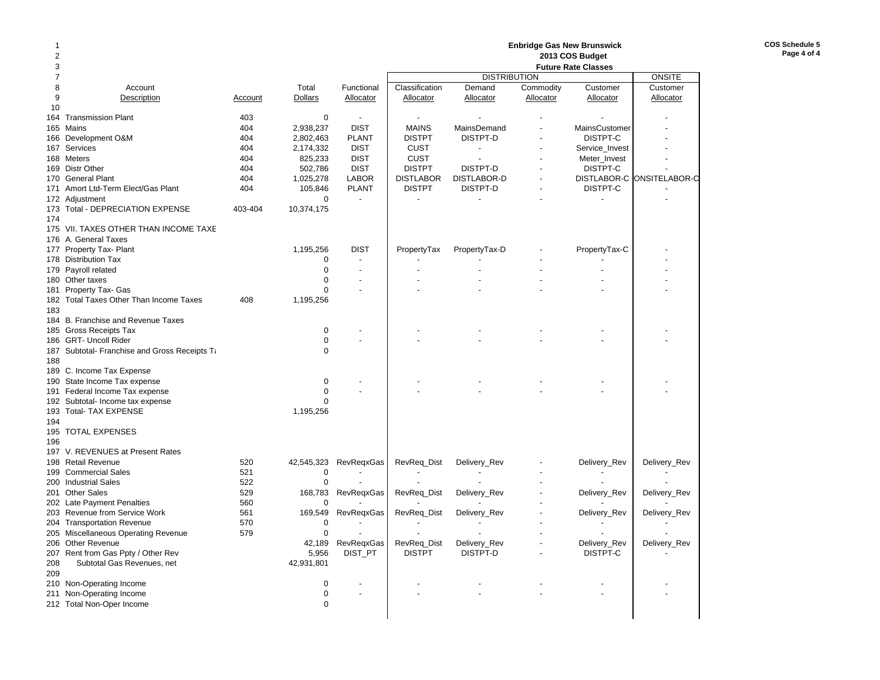| 2              |                                               |         |                |                          |                          | 2013 COS Budget          |           |                |                           |
|----------------|-----------------------------------------------|---------|----------------|--------------------------|--------------------------|--------------------------|-----------|----------------|---------------------------|
| 3              |                                               |         |                |                          |                          |                          |           |                |                           |
| $\overline{7}$ |                                               |         |                |                          |                          | <b>DISTRIBUTION</b>      |           |                | <b>ONSITE</b>             |
| 8              | Account                                       |         | Total          | Functional               | Classification           | Demand                   | Commodity | Customer       | Customer                  |
| 9              | Description                                   | Account | <b>Dollars</b> | Allocator                | Allocator                | Allocator                | Allocator | Allocator      | Allocator                 |
| 10             |                                               |         |                |                          |                          |                          |           |                |                           |
|                | 164 Transmission Plant                        | 403     | 0              | $\overline{\phantom{a}}$ | $\overline{\phantom{a}}$ | $\overline{\phantom{a}}$ |           |                |                           |
|                |                                               |         |                |                          |                          |                          |           |                |                           |
|                | 165 Mains                                     | 404     | 2,938,237      | <b>DIST</b>              | <b>MAINS</b>             | MainsDemand              |           | MainsCustomer  |                           |
|                | 166 Development O&M                           | 404     | 2,802,463      | <b>PLANT</b>             | <b>DISTPT</b>            | DISTPT-D                 |           | DISTPT-C       |                           |
|                | 167 Services                                  | 404     | 2,174,332      | <b>DIST</b>              | <b>CUST</b>              | $\sim$                   |           | Service_Invest |                           |
|                | 168 Meters                                    | 404     | 825,233        | <b>DIST</b>              | <b>CUST</b>              | $\sim$                   |           | Meter_Invest   |                           |
|                | 169 Distr Other                               | 404     | 502,786        | <b>DIST</b>              | <b>DISTPT</b>            | DISTPT-D                 |           | DISTPT-C       |                           |
|                | 170 General Plant                             | 404     | 1,025,278      | <b>LABOR</b>             | <b>DISTLABOR</b>         | <b>DISTLABOR-D</b>       |           |                | DISTLABOR-C ONSITELABOR-C |
|                | 171 Amort Ltd-Term Elect/Gas Plant            | 404     | 105,846        | <b>PLANT</b>             | <b>DISTPT</b>            | DISTPT-D                 |           | DISTPT-C       |                           |
|                | 172 Adjustment                                |         | $\mathbf 0$    | $\blacksquare$           |                          |                          |           |                |                           |
|                | 173 Total - DEPRECIATION EXPENSE              | 403-404 | 10,374,175     |                          |                          |                          |           |                |                           |
| 174            |                                               |         |                |                          |                          |                          |           |                |                           |
|                |                                               |         |                |                          |                          |                          |           |                |                           |
|                | 175 VII. TAXES OTHER THAN INCOME TAXE         |         |                |                          |                          |                          |           |                |                           |
|                | 176 A. General Taxes                          |         |                |                          |                          |                          |           |                |                           |
|                | 177 Property Tax- Plant                       |         | 1,195,256      | <b>DIST</b>              | PropertyTax              | PropertyTax-D            |           | PropertyTax-C  |                           |
|                | 178 Distribution Tax                          |         | 0              |                          |                          |                          |           |                |                           |
|                | 179 Payroll related                           |         | $\mathbf 0$    |                          |                          |                          |           |                |                           |
|                | 180 Other taxes                               |         | $\mathbf 0$    |                          |                          |                          |           |                |                           |
|                | 181 Property Tax- Gas                         |         | $\mathbf 0$    |                          |                          |                          |           |                |                           |
|                | 182 Total Taxes Other Than Income Taxes       | 408     | 1,195,256      |                          |                          |                          |           |                |                           |
| 183            |                                               |         |                |                          |                          |                          |           |                |                           |
|                | 184 B. Franchise and Revenue Taxes            |         |                |                          |                          |                          |           |                |                           |
|                | 185 Gross Receipts Tax                        |         | 0              |                          |                          |                          |           |                |                           |
|                | 186 GRT- Uncoll Rider                         |         | 0              |                          |                          |                          |           |                |                           |
|                |                                               |         |                |                          |                          |                          |           |                |                           |
|                | 187 Subtotal- Franchise and Gross Receipts Ta |         | 0              |                          |                          |                          |           |                |                           |
| 188            |                                               |         |                |                          |                          |                          |           |                |                           |
|                | 189 C. Income Tax Expense                     |         |                |                          |                          |                          |           |                |                           |
|                | 190 State Income Tax expense                  |         | 0              |                          |                          |                          |           |                |                           |
|                | 191 Federal Income Tax expense                |         | $\mathbf 0$    |                          |                          |                          |           |                |                           |
|                | 192 Subtotal- Income tax expense              |         | $\Omega$       |                          |                          |                          |           |                |                           |
|                | 193 Total- TAX EXPENSE                        |         | 1,195,256      |                          |                          |                          |           |                |                           |
| 194            |                                               |         |                |                          |                          |                          |           |                |                           |
|                | 195 TOTAL EXPENSES                            |         |                |                          |                          |                          |           |                |                           |
| 196            |                                               |         |                |                          |                          |                          |           |                |                           |
|                | 197 V. REVENUES at Present Rates              |         |                |                          |                          |                          |           |                |                           |
|                | 198 Retail Revenue                            | 520     |                |                          |                          |                          |           |                |                           |
|                |                                               |         | 42,545,323     | RevRegxGas               | RevReq_Dist              | Delivery_Rev             |           | Delivery_Rev   | Delivery_Rev              |
|                | 199 Commercial Sales                          | 521     | 0              |                          |                          |                          |           |                |                           |
|                | 200 Industrial Sales                          | 522     | $\mathbf 0$    |                          |                          |                          |           |                |                           |
|                | 201 Other Sales                               | 529     | 168,783        | RevRegxGas               | RevReq_Dist              | Delivery_Rev             |           | Delivery_Rev   | Delivery_Rev              |
|                | 202 Late Payment Penalties                    | 560     | 0              |                          |                          |                          |           |                |                           |
|                | 203 Revenue from Service Work                 | 561     | 169,549        | RevRegxGas               | RevReq_Dist              | Delivery_Rev             |           | Delivery_Rev   | Delivery_Rev              |
|                | 204 Transportation Revenue                    | 570     | $\mathbf 0$    | $\sim$                   | $\overline{a}$           | $\overline{a}$           |           | $\overline{a}$ |                           |
|                | 205 Miscellaneous Operating Revenue           | 579     | 0              |                          |                          |                          |           |                |                           |
|                | 206 Other Revenue                             |         | 42,189         | RevReqxGas               | RevReq_Dist              | Delivery_Rev             |           | Delivery_Rev   | Delivery_Rev              |
|                | 207 Rent from Gas Ppty / Other Rev            |         | 5,956          | DIST PT                  | <b>DISTPT</b>            | DISTPT-D                 |           | DISTPT-C       |                           |
| 208            | Subtotal Gas Revenues, net                    |         | 42,931,801     |                          |                          |                          |           |                |                           |
| 209            |                                               |         |                |                          |                          |                          |           |                |                           |
|                |                                               |         |                |                          |                          |                          |           |                |                           |
|                | 210 Non-Operating Income                      |         | 0              |                          |                          |                          |           |                |                           |
|                | 211 Non-Operating Income                      |         | 0              |                          |                          |                          |           |                |                           |
|                | 212 Total Non-Oper Income                     |         | $\mathbf 0$    |                          |                          |                          |           |                |                           |
|                |                                               |         |                |                          |                          |                          |           |                |                           |